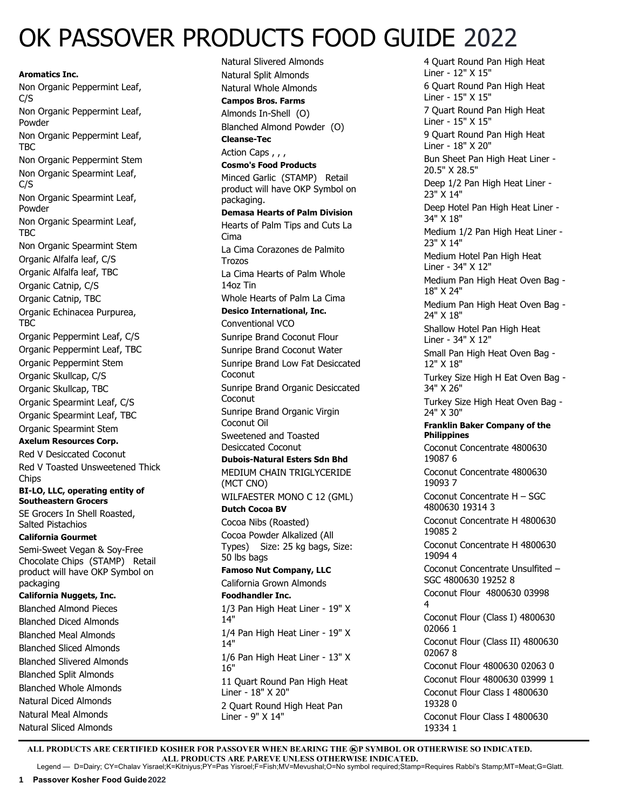# OK PASSOVER PRODUCTS FOOD GUIDE 2022

**Aromatics Inc.** Non Organic Peppermint Leaf, C/S Non Organic Peppermint Leaf, Powder Non Organic Peppermint Leaf, TBC Non Organic Peppermint Stem Non Organic Spearmint Leaf, C/S Non Organic Spearmint Leaf, Powder Non Organic Spearmint Leaf, TBC Non Organic Spearmint Stem Organic Alfalfa leaf, C/S Organic Alfalfa leaf, TBC Organic Catnip, C/S Organic Catnip, TBC Organic Echinacea Purpurea, TBC Organic Peppermint Leaf, C/S Organic Peppermint Leaf, TBC Organic Peppermint Stem Organic Skullcap, C/S Organic Skullcap, TBC Organic Spearmint Leaf, C/S Organic Spearmint Leaf, TBC Organic Spearmint Stem **Axelum Resources Corp.** Red V Desiccated Coconut Red V Toasted Unsweetened Thick Chips **BI-LO, LLC, operating entity of Southeastern Grocers** SE Grocers In Shell Roasted, Salted Pistachios **California Gourmet** Semi-Sweet Vegan & Soy-Free Chocolate Chips (STAMP) Retail product will have OKP Symbol on packaging **California Nuggets, Inc.**  Blanched Almond Pieces Blanched Diced Almonds Blanched Meal Almonds Blanched Sliced Almonds Blanched Slivered Almonds Blanched Split Almonds Blanched Whole Almonds Natural Diced Almonds Natural Meal Almonds Natural Sliced Almonds

Natural Slivered Almonds Natural Split Almonds Natural Whole Almonds **Campos Bros. Farms** Almonds In-Shell (O) Blanched Almond Powder (O) **Cleanse-Tec** Action Caps , , , **Cosmo's Food Products** Minced Garlic (STAMP) Retail product will have OKP Symbol on packaging. **Demasa Hearts of Palm Division**  Hearts of Palm Tips and Cuts La Cima La Cima Corazones de Palmito Trozos La Cima Hearts of Palm Whole 14oz Tin Whole Hearts of Palm La Cima **Desico International, Inc.**  Conventional VCO Sunripe Brand Coconut Flour Sunripe Brand Coconut Water Sunripe Brand Low Fat Desiccated Coconut Sunripe Brand Organic Desiccated Coconut Sunripe Brand Organic Virgin Coconut Oil Sweetened and Toasted Desiccated Coconut **Dubois-Natural Esters Sdn Bhd**  MEDIUM CHAIN TRIGLYCERIDE (MCT CNO) WILFAESTER MONO C 12 (GML) **Dutch Cocoa BV**  Cocoa Nibs (Roasted) Cocoa Powder Alkalized (All Types) Size: 25 kg bags, Size: 50 lbs bags **Famoso Nut Company, LLC** California Grown Almonds **Foodhandler Inc.**  1/3 Pan High Heat Liner - 19" X 14" 1/4 Pan High Heat Liner - 19" X 14" 1/6 Pan High Heat Liner - 13" X 16" 11 Quart Round Pan High Heat Liner - 18" X 20" 2 Quart Round High Heat Pan Liner - 9" X 14"

4 Quart Round Pan High Heat Liner - 12" X 15" 6 Quart Round Pan High Heat Liner - 15" X 15" 7 Quart Round Pan High Heat Liner - 15" X 15" 9 Quart Round Pan High Heat Liner - 18" X 20" Bun Sheet Pan High Heat Liner - 20.5" X 28.5" Deep 1/2 Pan High Heat Liner - 23" X 14" Deep Hotel Pan High Heat Liner - 34" X 18" Medium 1/2 Pan High Heat Liner - 23" X 14" Medium Hotel Pan High Heat Liner - 34" X 12" Medium Pan High Heat Oven Bag - 18" X 24" Medium Pan High Heat Oven Bag - 24" X 18" Shallow Hotel Pan High Heat Liner - 34" X 12" Small Pan High Heat Oven Bag - 12" X 18" Turkey Size High H Eat Oven Bag - 34" X 26" Turkey Size High Heat Oven Bag - 24" X 30" **Franklin Baker Company of the Philippines** Coconut Concentrate 4800630 19087 6 Coconut Concentrate 4800630 19093 7 Coconut Concentrate H – SGC 4800630 19314 3 Coconut Concentrate H 4800630 19085 2 Coconut Concentrate H 4800630 19094 4 Coconut Concentrate Unsulfited – SGC 4800630 19252 8 Coconut Flour 4800630 03998 4 Coconut Flour (Class I) 4800630 02066 1 Coconut Flour (Class II) 4800630 02067 8 Coconut Flour 4800630 02063 0 Coconut Flour 4800630 03999 1 Coconut Flour Class I 4800630 19328 0 Coconut Flour Class I 4800630 19334 1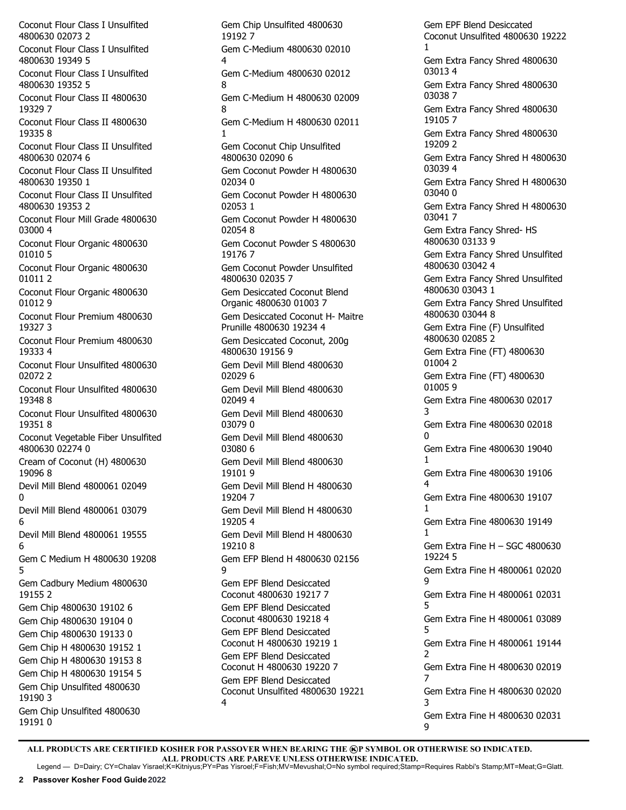Coconut Flour Class I Unsulfited 4800630 02073 2 Coconut Flour Class I Unsulfited 4800630 19349 5 Coconut Flour Class I Unsulfited 4800630 19352 5 Coconut Flour Class II 4800630 19329 7 Coconut Flour Class II 4800630 19335 8 Coconut Flour Class II Unsulfited 4800630 02074 6 Coconut Flour Class II Unsulfited 4800630 19350 1 Coconut Flour Class II Unsulfited 4800630 19353 2 Coconut Flour Mill Grade 4800630 03000 4 Coconut Flour Organic 4800630 01010 5 Coconut Flour Organic 4800630 01011 2 Coconut Flour Organic 4800630 01012 9 Coconut Flour Premium 4800630 19327 3 Coconut Flour Premium 4800630 19333 4 Coconut Flour Unsulfited 4800630 02072 2 Coconut Flour Unsulfited 4800630 19348 8 Coconut Flour Unsulfited 4800630 19351 8 Coconut Vegetable Fiber Unsulfited 4800630 02274 0 Cream of Coconut (H) 4800630 19096 8 Devil Mill Blend 4800061 02049  $\Omega$ Devil Mill Blend 4800061 03079 6 Devil Mill Blend 4800061 19555 6 Gem C Medium H 4800630 19208 5 Gem Cadbury Medium 4800630 19155 2 Gem Chip 4800630 19102 6 Gem Chip 4800630 19104 0 Gem Chip 4800630 19133 0 Gem Chip H 4800630 19152 1 Gem Chip H 4800630 19153 8 Gem Chip H 4800630 19154 5 Gem Chip Unsulfited 4800630 19190 3 Gem Chip Unsulfited 4800630 19191 0

Gem Chip Unsulfited 4800630 19192 7 Gem C-Medium 4800630 02010 4 Gem C-Medium 4800630 02012 8 Gem C-Medium H 4800630 02009 8 Gem C-Medium H 4800630 02011 1 Gem Coconut Chip Unsulfited 4800630 02090 6 Gem Coconut Powder H 4800630 02034 0 Gem Coconut Powder H 4800630 02053 1 Gem Coconut Powder H 4800630 02054 8 Gem Coconut Powder S 4800630 19176 7 Gem Coconut Powder Unsulfited 4800630 02035 7 Gem Desiccated Coconut Blend Organic 4800630 01003 7 Gem Desiccated Coconut H- Maitre Prunille 4800630 19234 4 Gem Desiccated Coconut, 200g 4800630 19156 9 Gem Devil Mill Blend 4800630 02029 6 Gem Devil Mill Blend 4800630 02049 4 Gem Devil Mill Blend 4800630 03079 0 Gem Devil Mill Blend 4800630 03080 6 Gem Devil Mill Blend 4800630 19101 9 Gem Devil Mill Blend H 4800630 19204 7 Gem Devil Mill Blend H 4800630 19205 4 Gem Devil Mill Blend H 4800630 19210 8 Gem EFP Blend H 4800630 02156 9 Gem EPF Blend Desiccated Coconut 4800630 19217 7 Gem EPF Blend Desiccated Coconut 4800630 19218 4 Gem EPF Blend Desiccated Coconut H 4800630 19219 1 Gem EPF Blend Desiccated Coconut H 4800630 19220 7 Gem EPF Blend Desiccated Coconut Unsulfited 4800630 19221 4

Gem EPF Blend Desiccated Coconut Unsulfited 4800630 19222 1 Gem Extra Fancy Shred 4800630 03013 4 Gem Extra Fancy Shred 4800630 03038 7 Gem Extra Fancy Shred 4800630 19105 7 Gem Extra Fancy Shred 4800630 19209 2 Gem Extra Fancy Shred H 4800630 03039 4 Gem Extra Fancy Shred H 4800630 03040 0 Gem Extra Fancy Shred H 4800630 03041 7 Gem Extra Fancy Shred- HS 4800630 03133 9 Gem Extra Fancy Shred Unsulfited 4800630 03042 4 Gem Extra Fancy Shred Unsulfited 4800630 03043 1 Gem Extra Fancy Shred Unsulfited 4800630 03044 8 Gem Extra Fine (F) Unsulfited 4800630 02085 2 Gem Extra Fine (FT) 4800630 01004 2 Gem Extra Fine (FT) 4800630 01005 9 Gem Extra Fine 4800630 02017 3 Gem Extra Fine 4800630 02018  $\Omega$ Gem Extra Fine 4800630 19040 1 Gem Extra Fine 4800630 19106 4 Gem Extra Fine 4800630 19107 1 Gem Extra Fine 4800630 19149 1 Gem Extra Fine H – SGC 4800630 19224 5 Gem Extra Fine H 4800061 02020 9 Gem Extra Fine H 4800061 02031 5 Gem Extra Fine H 4800061 03089 5 Gem Extra Fine H 4800061 19144 2 Gem Extra Fine H 4800630 02019 7 Gem Extra Fine H 4800630 02020 3 Gem Extra Fine H 4800630 02031 9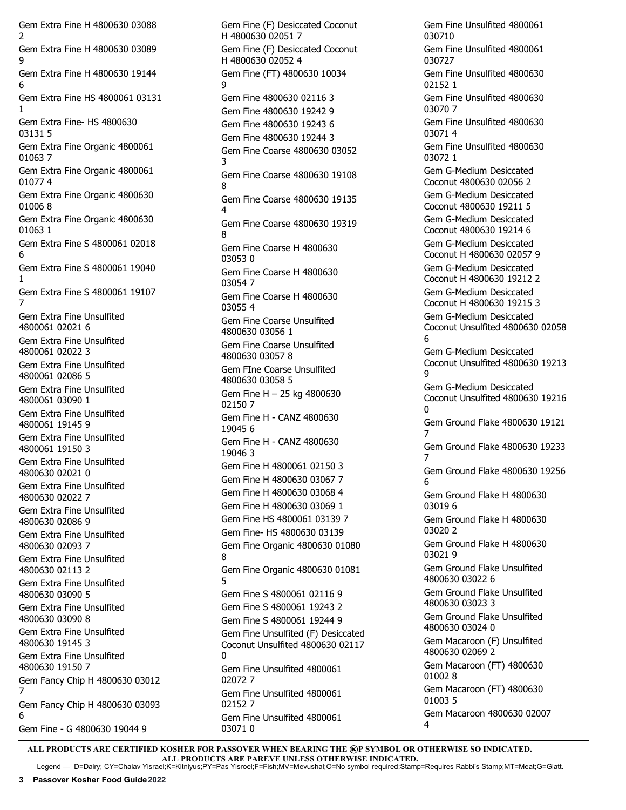Gem Extra Fine H 4800630 03088 2 Gem Extra Fine H 4800630 03089  $\alpha$ Gem Extra Fine H 4800630 19144 6 Gem Extra Fine HS 4800061 03131 1 Gem Extra Fine- HS 4800630 03131 5 Gem Extra Fine Organic 4800061 01063 7 Gem Extra Fine Organic 4800061 01077 4 Gem Extra Fine Organic 4800630 01006 8 Gem Extra Fine Organic 4800630 01063 1 Gem Extra Fine S 4800061 02018 6 Gem Extra Fine S 4800061 19040 1 Gem Extra Fine S 4800061 19107 7 Gem Extra Fine Unsulfited 4800061 02021 6 Gem Extra Fine Unsulfited 4800061 02022 3 Gem Extra Fine Unsulfited 4800061 02086 5 Gem Extra Fine Unsulfited 4800061 03090 1 Gem Extra Fine Unsulfited 4800061 19145 9 Gem Extra Fine Unsulfited 4800061 19150 3 Gem Extra Fine Unsulfited 4800630 02021 0 Gem Extra Fine Unsulfited 4800630 02022 7 Gem Extra Fine Unsulfited 4800630 02086 9 Gem Extra Fine Unsulfited 4800630 02093 7 Gem Extra Fine Unsulfited 4800630 02113 2 Gem Extra Fine Unsulfited 4800630 03090 5 Gem Extra Fine Unsulfited 4800630 03090 8 Gem Extra Fine Unsulfited 4800630 19145 3 Gem Extra Fine Unsulfited 4800630 19150 7 Gem Fancy Chip H 4800630 03012 7 Gem Fancy Chip H 4800630 03093 6 Gem Fine - G 4800630 19044 9

Gem Fine (F) Desiccated Coconut H 4800630 02051 7 Gem Fine (F) Desiccated Coconut H 4800630 02052 4 Gem Fine (FT) 4800630 10034 9 Gem Fine 4800630 02116 3 Gem Fine 4800630 19242 9 Gem Fine 4800630 19243 6 Gem Fine 4800630 19244 3 Gem Fine Coarse 4800630 03052 3 Gem Fine Coarse 4800630 19108 8 Gem Fine Coarse 4800630 19135 4 Gem Fine Coarse 4800630 19319 8 Gem Fine Coarse H 4800630 03053 0 Gem Fine Coarse H 4800630 03054 7 Gem Fine Coarse H 4800630 03055 4 Gem Fine Coarse Unsulfited 4800630 03056 1 Gem Fine Coarse Unsulfited 4800630 03057 8 Gem FIne Coarse Unsulfited 4800630 03058 5 Gem Fine H – 25 kg 4800630 02150 7 Gem Fine H - CANZ 4800630 19045 6 Gem Fine H - CANZ 4800630 19046 3 Gem Fine H 4800061 02150 3 Gem Fine H 4800630 03067 7 Gem Fine H 4800630 03068 4 Gem Fine H 4800630 03069 1 Gem Fine HS 4800061 03139 7 Gem Fine- HS 4800630 03139 Gem Fine Organic 4800630 01080 8 Gem Fine Organic 4800630 01081 5 Gem Fine S 4800061 02116 9 Gem Fine S 4800061 19243 2 Gem Fine S 4800061 19244 9 Gem Fine Unsulfited (F) Desiccated Coconut Unsulfited 4800630 02117 0 Gem Fine Unsulfited 4800061 02072 7 Gem Fine Unsulfited 4800061 02152 7 Gem Fine Unsulfited 4800061 03071 0

Gem Fine Unsulfited 4800061 030710 Gem Fine Unsulfited 4800061 030727 Gem Fine Unsulfited 4800630 02152 1 Gem Fine Unsulfited 4800630 03070 7 Gem Fine Unsulfited 4800630 03071 4 Gem Fine Unsulfited 4800630 03072 1 Gem G-Medium Desiccated Coconut 4800630 02056 2 Gem G-Medium Desiccated Coconut 4800630 19211 5 Gem G-Medium Desiccated Coconut 4800630 19214 6 Gem G-Medium Desiccated Coconut H 4800630 02057 9 Gem G-Medium Desiccated Coconut H 4800630 19212 2 Gem G-Medium Desiccated Coconut H 4800630 19215 3 Gem G-Medium Desiccated Coconut Unsulfited 4800630 02058 6 Gem G-Medium Desiccated Coconut Unsulfited 4800630 19213 9 Gem G-Medium Desiccated Coconut Unsulfited 4800630 19216  $\Omega$ Gem Ground Flake 4800630 19121 7 Gem Ground Flake 4800630 19233 7 Gem Ground Flake 4800630 19256 6 Gem Ground Flake H 4800630 03019 6 Gem Ground Flake H 4800630 03020 2 Gem Ground Flake H 4800630 03021 9 Gem Ground Flake Unsulfited 4800630 03022 6 Gem Ground Flake Unsulfited 4800630 03023 3 Gem Ground Flake Unsulfited 4800630 03024 0 Gem Macaroon (F) Unsulfited 4800630 02069 2 Gem Macaroon (FT) 4800630 01002 8 Gem Macaroon (FT) 4800630 01003 5 Gem Macaroon 4800630 02007 4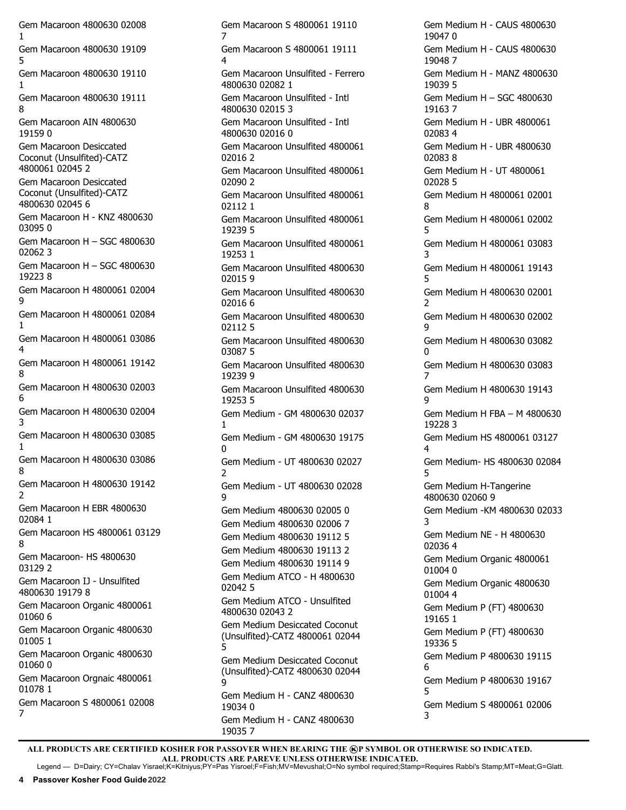Gem Macaroon 4800630 02008 1 Gem Macaroon 4800630 19109 5 Gem Macaroon 4800630 19110 1 Gem Macaroon 4800630 19111 8 Gem Macaroon AIN 4800630 19159 0 Gem Macaroon Desiccated Coconut (Unsulfited)-CATZ 4800061 02045 2 Gem Macaroon Desiccated Coconut (Unsulfited)-CATZ 4800630 02045 6 Gem Macaroon H - KNZ 4800630 03095 0 Gem Macaroon H – SGC 4800630 02062 3 Gem Macaroon H – SGC 4800630 19223 8 Gem Macaroon H 4800061 02004 9 Gem Macaroon H 4800061 02084 1 Gem Macaroon H 4800061 03086  $\Delta$ Gem Macaroon H 4800061 19142 8 Gem Macaroon H 4800630 02003 6 Gem Macaroon H 4800630 02004 3 Gem Macaroon H 4800630 03085 1 Gem Macaroon H 4800630 03086 8 Gem Macaroon H 4800630 19142 2 Gem Macaroon H EBR 4800630 02084 1 Gem Macaroon HS 4800061 03129 8 Gem Macaroon- HS 4800630 03129 2 Gem Macaroon IJ - Unsulfited 4800630 19179 8 Gem Macaroon Organic 4800061 01060 6 Gem Macaroon Organic 4800630 01005 1 Gem Macaroon Organic 4800630 01060 0 Gem Macaroon Orgnaic 4800061 01078 1 Gem Macaroon S 4800061 02008 7

Gem Macaroon S 4800061 19110 7 Gem Macaroon S 4800061 19111 4 Gem Macaroon Unsulfited - Ferrero 4800630 02082 1 Gem Macaroon Unsulfited - Intl 4800630 02015 3 Gem Macaroon Unsulfited - Intl 4800630 02016 0 Gem Macaroon Unsulfited 4800061 02016 2 Gem Macaroon Unsulfited 4800061 02090 2 Gem Macaroon Unsulfited 4800061 02112 1 Gem Macaroon Unsulfited 4800061 19239 5 Gem Macaroon Unsulfited 4800061 19253 1 Gem Macaroon Unsulfited 4800630 02015 9 Gem Macaroon Unsulfited 4800630 02016 6 Gem Macaroon Unsulfited 4800630 02112 5 Gem Macaroon Unsulfited 4800630 03087 5 Gem Macaroon Unsulfited 4800630 19239 9 Gem Macaroon Unsulfited 4800630 19253 5 Gem Medium - GM 4800630 02037 1 Gem Medium - GM 4800630 19175  $\Omega$ Gem Medium - UT 4800630 02027 2 Gem Medium - UT 4800630 02028 9 Gem Medium 4800630 02005 0 Gem Medium 4800630 02006 7 Gem Medium 4800630 19112 5 Gem Medium 4800630 19113 2 Gem Medium 4800630 19114 9 Gem Medium ATCO - H 4800630 02042 5 Gem Medium ATCO - Unsulfited 4800630 02043 2 Gem Medium Desiccated Coconut (Unsulfited)-CATZ 4800061 02044 5 Gem Medium Desiccated Coconut (Unsulfited)-CATZ 4800630 02044 9 Gem Medium H - CANZ 4800630 19034 0 Gem Medium H - CANZ 4800630

Gem Medium H - CAUS 4800630 19047 0 Gem Medium H - CAUS 4800630 19048 7 Gem Medium H - MANZ 4800630 19039 5 Gem Medium H – SGC 4800630 19163 7 Gem Medium H - UBR 4800061 02083 4 Gem Medium H - UBR 4800630 02083 8 Gem Medium H - UT 4800061 02028 5 Gem Medium H 4800061 02001  $\mathbf{Q}$ Gem Medium H 4800061 02002 5 Gem Medium H 4800061 03083 3 Gem Medium H 4800061 19143 5 Gem Medium H 4800630 02001  $\overline{\phantom{0}}$ Gem Medium H 4800630 02002 q Gem Medium H 4800630 03082  $\Omega$ Gem Medium H 4800630 03083 7 Gem Medium H 4800630 19143 9 Gem Medium H FBA – M 4800630 19228 3 Gem Medium HS 4800061 03127 4 Gem Medium- HS 4800630 02084 5 Gem Medium H-Tangerine 4800630 02060 9 Gem Medium -KM 4800630 02033 3 Gem Medium NE - H 4800630 02036 4 Gem Medium Organic 4800061 01004 0 Gem Medium Organic 4800630 01004 4 Gem Medium P (FT) 4800630 19165 1 Gem Medium P (FT) 4800630 19336 5 Gem Medium P 4800630 19115 6 Gem Medium P 4800630 19167 5 Gem Medium S 4800061 02006 3

ALL PRODUCTS ARE CERTIFIED KOSHER FOR PASSOVER WHEN BEARING THE **@P SYMBOL OR OTHERWISE SO INDICATED. ALL PRODUCTS ARE PAREVE UNLESS OTHERWISE INDICATED.**

19035 7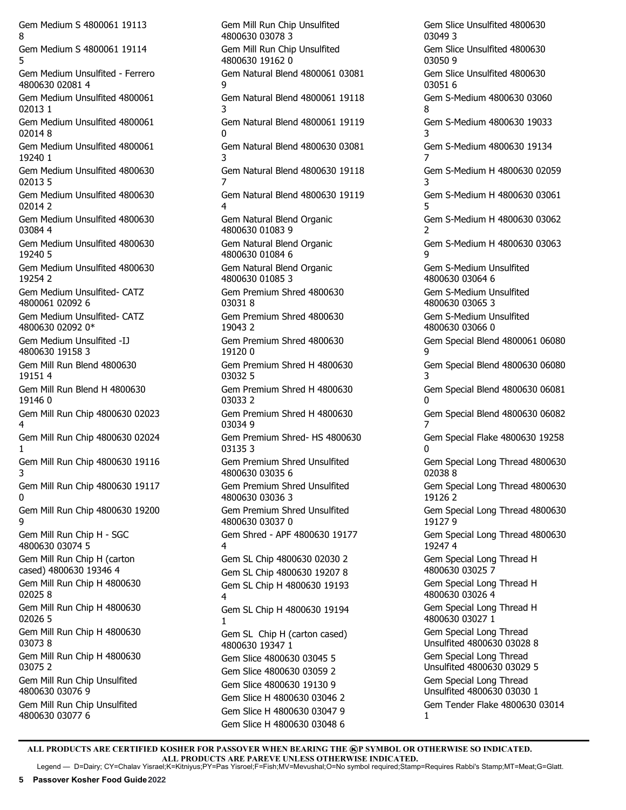Gem Medium S 4800061 19113 8 Gem Medium S 4800061 19114 5 Gem Medium Unsulfited - Ferrero 4800630 02081 4 Gem Medium Unsulfited 4800061 02013 1 Gem Medium Unsulfited 4800061 02014 8 Gem Medium Unsulfited 4800061 19240 1 Gem Medium Unsulfited 4800630 02013 5 Gem Medium Unsulfited 4800630 02014 2 Gem Medium Unsulfited 4800630 03084 4 Gem Medium Unsulfited 4800630 19240 5 Gem Medium Unsulfited 4800630 19254 2 Gem Medium Unsulfited- CATZ 4800061 02092 6 Gem Medium Unsulfited- CATZ 4800630 02092 0\* Gem Medium Unsulfited -IJ 4800630 19158 3 Gem Mill Run Blend 4800630 19151 4 Gem Mill Run Blend H 4800630 19146 0 Gem Mill Run Chip 4800630 02023 4 Gem Mill Run Chip 4800630 02024 1 Gem Mill Run Chip 4800630 19116 3 Gem Mill Run Chip 4800630 19117  $\Omega$ Gem Mill Run Chip 4800630 19200 9 Gem Mill Run Chip H - SGC 4800630 03074 5 Gem Mill Run Chip H (carton cased) 4800630 19346 4 Gem Mill Run Chip H 4800630 02025 8 Gem Mill Run Chip H 4800630 02026 5 Gem Mill Run Chip H 4800630 03073 8 Gem Mill Run Chip H 4800630 03075 2 Gem Mill Run Chip Unsulfited 4800630 03076 9 Gem Mill Run Chip Unsulfited 4800630 03077 6

Gem Mill Run Chip Unsulfited 4800630 03078 3 Gem Mill Run Chip Unsulfited 4800630 19162 0 Gem Natural Blend 4800061 03081 9 Gem Natural Blend 4800061 19118 3 Gem Natural Blend 4800061 19119  $\Omega$ Gem Natural Blend 4800630 03081 3 Gem Natural Blend 4800630 19118 7 Gem Natural Blend 4800630 19119 4 Gem Natural Blend Organic 4800630 01083 9 Gem Natural Blend Organic 4800630 01084 6 Gem Natural Blend Organic 4800630 01085 3 Gem Premium Shred 4800630 03031 8 Gem Premium Shred 4800630 19043 2 Gem Premium Shred 4800630 19120 0 Gem Premium Shred H 4800630 03032 5 Gem Premium Shred H 4800630 03033 2 Gem Premium Shred H 4800630 03034 9 Gem Premium Shred- HS 4800630 03135 3 Gem Premium Shred Unsulfited 4800630 03035 6 Gem Premium Shred Unsulfited 4800630 03036 3 Gem Premium Shred Unsulfited 4800630 03037 0 Gem Shred - APF 4800630 19177 4 Gem SL Chip 4800630 02030 2 Gem SL Chip 4800630 19207 8 Gem SL Chip H 4800630 19193 4 Gem SL Chip H 4800630 19194 1 Gem SL Chip H (carton cased) 4800630 19347 1 Gem Slice 4800630 03045 5 Gem Slice 4800630 03059 2 Gem Slice 4800630 19130 9 Gem Slice H 4800630 03046 2 Gem Slice H 4800630 03047 9 Gem Slice H 4800630 03048 6

Gem Slice Unsulfited 4800630 03049 3 Gem Slice Unsulfited 4800630 03050 9 Gem Slice Unsulfited 4800630 03051 6 Gem S-Medium 4800630 03060 8 Gem S-Medium 4800630 19033 3 Gem S-Medium 4800630 19134 7 Gem S-Medium H 4800630 02059 3 Gem S-Medium H 4800630 03061 5 Gem S-Medium H 4800630 03062  $\overline{2}$ Gem S-Medium H 4800630 03063 9 Gem S-Medium Unsulfited 4800630 03064 6 Gem S-Medium Unsulfited 4800630 03065 3 Gem S-Medium Unsulfited 4800630 03066 0 Gem Special Blend 4800061 06080 9 Gem Special Blend 4800630 06080 3 Gem Special Blend 4800630 06081  $\Omega$ Gem Special Blend 4800630 06082 7 Gem Special Flake 4800630 19258 0 Gem Special Long Thread 4800630 02038 8 Gem Special Long Thread 4800630 19126 2 Gem Special Long Thread 4800630 19127 9 Gem Special Long Thread 4800630 19247 4 Gem Special Long Thread H 4800630 03025 7 Gem Special Long Thread H 4800630 03026 4 Gem Special Long Thread H 4800630 03027 1 Gem Special Long Thread Unsulfited 4800630 03028 8 Gem Special Long Thread Unsulfited 4800630 03029 5 Gem Special Long Thread Unsulfited 4800630 03030 1 Gem Tender Flake 4800630 03014 1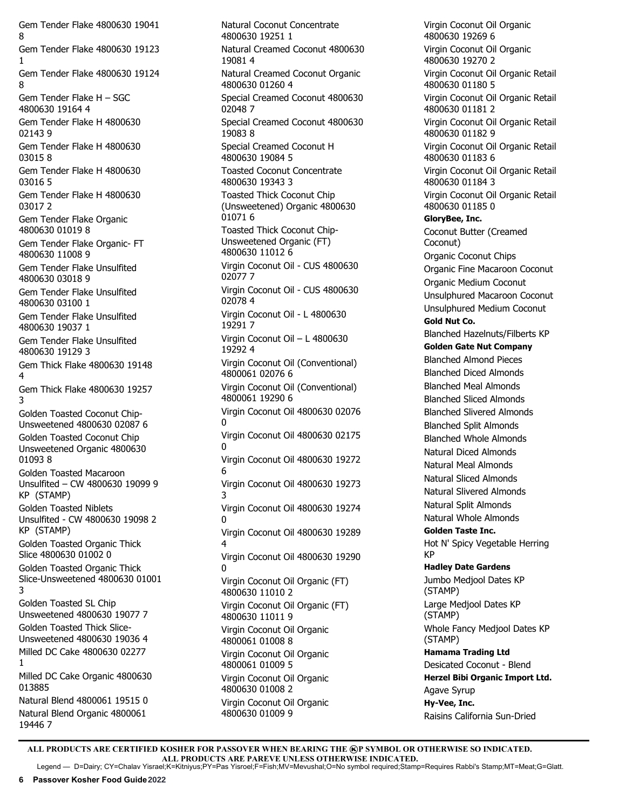Gem Tender Flake 4800630 19041 8 Gem Tender Flake 4800630 19123 1 Gem Tender Flake 4800630 19124 8 Gem Tender Flake H – SGC 4800630 19164 4 Gem Tender Flake H 4800630 02143 9 Gem Tender Flake H 4800630 03015 8 Gem Tender Flake H 4800630 03016 5 Gem Tender Flake H 4800630 03017 2 Gem Tender Flake Organic 4800630 01019 8 Gem Tender Flake Organic- FT 4800630 11008 9 Gem Tender Flake Unsulfited 4800630 03018 9 Gem Tender Flake Unsulfited 4800630 03100 1 Gem Tender Flake Unsulfited 4800630 19037 1 Gem Tender Flake Unsulfited 4800630 19129 3 Gem Thick Flake 4800630 19148 4 Gem Thick Flake 4800630 19257 3 Golden Toasted Coconut Chip-Unsweetened 4800630 02087 6 Golden Toasted Coconut Chip Unsweetened Organic 4800630 01093 8 Golden Toasted Macaroon Unsulfited – CW 4800630 19099 9 KP (STAMP) Golden Toasted Niblets Unsulfited - CW 4800630 19098 2 KP (STAMP) Golden Toasted Organic Thick Slice 4800630 01002 0 Golden Toasted Organic Thick Slice-Unsweetened 4800630 01001 3 Golden Toasted SL Chip Unsweetened 4800630 19077 7 Golden Toasted Thick Slice-Unsweetened 4800630 19036 4 Milled DC Cake 4800630 02277 1 Milled DC Cake Organic 4800630 013885 Natural Blend 4800061 19515 0 Natural Blend Organic 4800061 19446 7

Natural Coconut Concentrate 4800630 19251 1 Natural Creamed Coconut 4800630 19081 4 Natural Creamed Coconut Organic 4800630 01260 4 Special Creamed Coconut 4800630 02048 7 Special Creamed Coconut 4800630 19083 8 Special Creamed Coconut H 4800630 19084 5 Toasted Coconut Concentrate 4800630 19343 3 Toasted Thick Coconut Chip (Unsweetened) Organic 4800630 01071 6 Toasted Thick Coconut Chip-Unsweetened Organic (FT) 4800630 11012 6 Virgin Coconut Oil - CUS 4800630 02077 7 Virgin Coconut Oil - CUS 4800630 02078 4 Virgin Coconut Oil - L 4800630 19291 7 Virgin Coconut Oil – L 4800630 19292 4 Virgin Coconut Oil (Conventional) 4800061 02076 6 Virgin Coconut Oil (Conventional) 4800061 19290 6 Virgin Coconut Oil 4800630 02076 0 Virgin Coconut Oil 4800630 02175  $\Omega$ Virgin Coconut Oil 4800630 19272 6 Virgin Coconut Oil 4800630 19273 3 Virgin Coconut Oil 4800630 19274  $\Omega$ Virgin Coconut Oil 4800630 19289 4 Virgin Coconut Oil 4800630 19290 0 Virgin Coconut Oil Organic (FT) 4800630 11010 2 Virgin Coconut Oil Organic (FT) 4800630 11011 9 Virgin Coconut Oil Organic 4800061 01008 8 Virgin Coconut Oil Organic 4800061 01009 5 Virgin Coconut Oil Organic 4800630 01008 2 Virgin Coconut Oil Organic 4800630 01009 9

Virgin Coconut Oil Organic 4800630 19269 6 Virgin Coconut Oil Organic 4800630 19270 2 Virgin Coconut Oil Organic Retail 4800630 01180 5 Virgin Coconut Oil Organic Retail 4800630 01181 2 Virgin Coconut Oil Organic Retail 4800630 01182 9 Virgin Coconut Oil Organic Retail 4800630 01183 6 Virgin Coconut Oil Organic Retail 4800630 01184 3 Virgin Coconut Oil Organic Retail 4800630 01185 0 **GloryBee, Inc.** Coconut Butter (Creamed Coconut) Organic Coconut Chips Organic Fine Macaroon Coconut Organic Medium Coconut Unsulphured Macaroon Coconut Unsulphured Medium Coconut **Gold Nut Co.**  Blanched Hazelnuts/Filberts KP **Golden Gate Nut Company** Blanched Almond Pieces Blanched Diced Almonds Blanched Meal Almonds Blanched Sliced Almonds Blanched Slivered Almonds Blanched Split Almonds Blanched Whole Almonds Natural Diced Almonds Natural Meal Almonds Natural Sliced Almonds Natural Slivered Almonds Natural Split Almonds Natural Whole Almonds **Golden Taste Inc.**  Hot N' Spicy Vegetable Herring KP **Hadley Date Gardens** Jumbo Medjool Dates KP (STAMP) Large Medjool Dates KP (STAMP) Whole Fancy Medjool Dates KP (STAMP) **Hamama Trading Ltd** Desicated Coconut - Blend **Herzel Bibi Organic Import Ltd.** Agave Syrup **Hy-Vee, Inc.** Raisins California Sun-Dried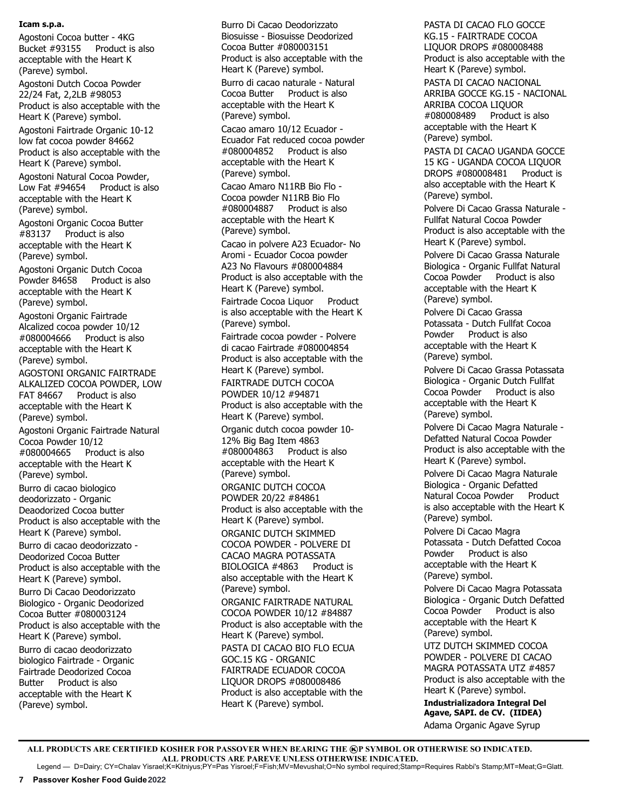#### **Icam s.p.a.**

Agostoni Cocoa butter - 4KG Bucket #93155 Product is also acceptable with the Heart K (Pareve) symbol. Agostoni Dutch Cocoa Powder 22/24 Fat, 2,2LB #98053 Product is also acceptable with the Heart K (Pareve) symbol. Agostoni Fairtrade Organic 10-12 low fat cocoa powder 84662 Product is also acceptable with the Heart K (Pareve) symbol. Agostoni Natural Cocoa Powder, Low Fat #94654 Product is also acceptable with the Heart K (Pareve) symbol. Agostoni Organic Cocoa Butter #83137 Product is also acceptable with the Heart K (Pareve) symbol. Agostoni Organic Dutch Cocoa Powder 84658 Product is also acceptable with the Heart K (Pareve) symbol. Agostoni Organic Fairtrade Alcalized cocoa powder 10/12 #080004666 Product is also acceptable with the Heart K (Pareve) symbol. AGOSTONI ORGANIC FAIRTRADE ALKALIZED COCOA POWDER, LOW FAT 84667 Product is also acceptable with the Heart K (Pareve) symbol. Agostoni Organic Fairtrade Natural Cocoa Powder 10/12 #080004665 Product is also acceptable with the Heart K (Pareve) symbol. Burro di cacao biologico deodorizzato - Organic Deaodorized Cocoa butter Product is also acceptable with the Heart K (Pareve) symbol. Burro di cacao deodorizzato - Deodorized Cocoa Butter Product is also acceptable with the Heart K (Pareve) symbol. Burro Di Cacao Deodorizzato Biologico - Organic Deodorized Cocoa Butter #080003124 Product is also acceptable with the Heart K (Pareve) symbol. Burro di cacao deodorizzato biologico Fairtrade - Organic Fairtrade Deodorized Cocoa Butter Product is also acceptable with the Heart K (Pareve) symbol.

Burro Di Cacao Deodorizzato Biosuisse - Biosuisse Deodorized Cocoa Butter #080003151 Product is also acceptable with the Heart K (Pareve) symbol. Burro di cacao naturale - Natural Cocoa Butter Product is also acceptable with the Heart K (Pareve) symbol. Cacao amaro 10/12 Ecuador - Ecuador Fat reduced cocoa powder #080004852 Product is also acceptable with the Heart K (Pareve) symbol. Cacao Amaro N11RB Bio Flo - Cocoa powder N11RB Bio Flo<br>#080004887 Product is als Product is also acceptable with the Heart K (Pareve) symbol. Cacao in polvere A23 Ecuador- No Aromi - Ecuador Cocoa powder A23 No Flavours #080004884 Product is also acceptable with the Heart K (Pareve) symbol. Fairtrade Cocoa Liquor Product is also acceptable with the Heart K (Pareve) symbol. Fairtrade cocoa powder - Polvere di cacao Fairtrade #080004854 Product is also acceptable with the Heart K (Pareve) symbol. FAIRTRADE DUTCH COCOA POWDER 10/12 #94871 Product is also acceptable with the Heart K (Pareve) symbol. Organic dutch cocoa powder 10- 12% Big Bag Item 4863 #080004863 Product is also acceptable with the Heart K (Pareve) symbol. ORGANIC DUTCH COCOA POWDER 20/22 #84861 Product is also acceptable with the Heart K (Pareve) symbol. ORGANIC DUTCH SKIMMED COCOA POWDER - POLVERE DI CACAO MAGRA POTASSATA BIOLOGICA #4863 Product is also acceptable with the Heart K (Pareve) symbol. ORGANIC FAIRTRADE NATURAL COCOA POWDER 10/12 #84887 Product is also acceptable with the Heart K (Pareve) symbol. PASTA DI CACAO BIO FLO ECUA GOC.15 KG - ORGANIC FAIRTRADE ECUADOR COCOA LIQUOR DROPS #080008486 Product is also acceptable with the Heart K (Pareve) symbol.

PASTA DI CACAO FLO GOCCE KG.15 - FAIRTRADE COCOA LIQUOR DROPS #080008488 Product is also acceptable with the Heart K (Pareve) symbol. PASTA DI CACAO NACIONAL ARRIBA GOCCE KG.15 - NACIONAL ARRIBA COCOA LIQUOR #080008489 Product is also acceptable with the Heart K (Pareve) symbol. PASTA DI CACAO UGANDA GOCCE 15 KG - UGANDA COCOA LIQUOR DROPS #080008481 Product is also acceptable with the Heart K (Pareve) symbol. Polvere Di Cacao Grassa Naturale - Fullfat Natural Cocoa Powder Product is also acceptable with the Heart K (Pareve) symbol. Polvere Di Cacao Grassa Naturale Biologica - Organic Fullfat Natural Cocoa Powder Product is also acceptable with the Heart K (Pareve) symbol. Polvere Di Cacao Grassa Potassata - Dutch Fullfat Cocoa Powder Product is also acceptable with the Heart K (Pareve) symbol. Polvere Di Cacao Grassa Potassata Biologica - Organic Dutch Fullfat Cocoa Powder Product is also acceptable with the Heart K (Pareve) symbol. Polvere Di Cacao Magra Naturale - Defatted Natural Cocoa Powder Product is also acceptable with the Heart K (Pareve) symbol. Polvere Di Cacao Magra Naturale Biologica - Organic Defatted Natural Cocoa Powder Product is also acceptable with the Heart K (Pareve) symbol. Polvere Di Cacao Magra Potassata - Dutch Defatted Cocoa Powder Product is also acceptable with the Heart K (Pareve) symbol. Polvere Di Cacao Magra Potassata Biologica - Organic Dutch Defatted Cocoa Powder Product is also acceptable with the Heart K (Pareve) symbol. UTZ DUTCH SKIMMED COCOA POWDER - POLVERE DI CACAO MAGRA POTASSATA UTZ #4857 Product is also acceptable with the

Heart K (Pareve) symbol. **Industrializadora Integral Del Agave, SAPI. de CV. (IIDEA)** Adama Organic Agave Syrup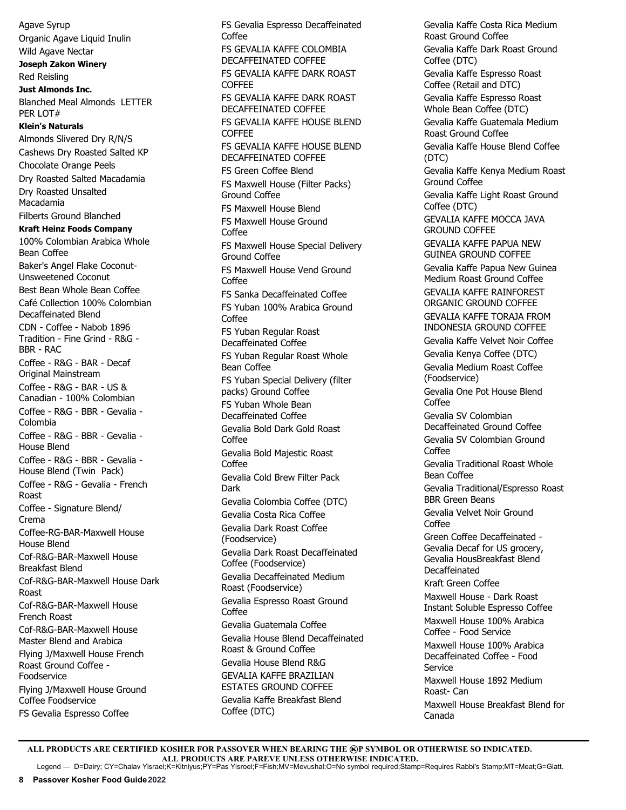Agave Syrup Organic Agave Liquid Inulin Wild Agave Nectar **Joseph Zakon Winery**  Red Reisling **Just Almonds Inc.** Blanched Meal Almonds LETTER PER LOT# **Klein's Naturals**  Almonds Slivered Dry R/N/S Cashews Dry Roasted Salted KP Chocolate Orange Peels Dry Roasted Salted Macadamia Dry Roasted Unsalted Macadamia Filberts Ground Blanched **Kraft Heinz Foods Company** 100% Colombian Arabica Whole Bean Coffee Baker's Angel Flake Coconut-Unsweetened Coconut Best Bean Whole Bean Coffee Café Collection 100% Colombian Decaffeinated Blend CDN - Coffee - Nabob 1896 Tradition - Fine Grind - R&G - BBR - RAC Coffee - R&G - BAR - Decaf Original Mainstream Coffee - R&G - BAR - US & Canadian - 100% Colombian Coffee - R&G - BBR - Gevalia - Colombia Coffee - R&G - BBR - Gevalia - House Blend Coffee - R&G - BBR - Gevalia - House Blend (Twin Pack) Coffee - R&G - Gevalia - French Roast Coffee - Signature Blend/ Crema Coffee-RG-BAR-Maxwell House House Blend Cof-R&G-BAR-Maxwell House Breakfast Blend Cof-R&G-BAR-Maxwell House Dark Roast Cof-R&G-BAR-Maxwell House French Roast Cof-R&G-BAR-Maxwell House Master Blend and Arabica Flying J/Maxwell House French Roast Ground Coffee - Foodservice Flying J/Maxwell House Ground Coffee Foodservice FS Gevalia Espresso Coffee

FS Gevalia Espresso Decaffeinated Coffee FS GEVALIA KAFFE COLOMBIA DECAFFEINATED COFFEE FS GEVALIA KAFFE DARK ROAST **COFFFE** FS GEVALIA KAFFE DARK ROAST DECAFFEINATED COFFEE FS GEVALIA KAFFE HOUSE BLEND COFFEE FS GEVALIA KAFFE HOUSE BLEND DECAFFEINATED COFFEE FS Green Coffee Blend FS Maxwell House (Filter Packs) Ground Coffee FS Maxwell House Blend FS Maxwell House Ground Coffee FS Maxwell House Special Delivery Ground Coffee FS Maxwell House Vend Ground Coffee FS Sanka Decaffeinated Coffee FS Yuban 100% Arabica Ground Coffee FS Yuban Regular Roast Decaffeinated Coffee FS Yuban Regular Roast Whole Bean Coffee FS Yuban Special Delivery (filter packs) Ground Coffee FS Yuban Whole Bean Decaffeinated Coffee Gevalia Bold Dark Gold Roast Coffee Gevalia Bold Majestic Roast Coffee Gevalia Cold Brew Filter Pack Dark Gevalia Colombia Coffee (DTC) Gevalia Costa Rica Coffee Gevalia Dark Roast Coffee (Foodservice) Gevalia Dark Roast Decaffeinated Coffee (Foodservice) Gevalia Decaffeinated Medium Roast (Foodservice) Gevalia Espresso Roast Ground Coffee Gevalia Guatemala Coffee Gevalia House Blend Decaffeinated Roast & Ground Coffee Gevalia House Blend R&G GEVALIA KAFFE BRAZILIAN ESTATES GROUND COFFEE Gevalia Kaffe Breakfast Blend Coffee (DTC)

Gevalia Kaffe Costa Rica Medium Roast Ground Coffee Gevalia Kaffe Dark Roast Ground Coffee (DTC) Gevalia Kaffe Espresso Roast Coffee (Retail and DTC) Gevalia Kaffe Espresso Roast Whole Bean Coffee (DTC) Gevalia Kaffe Guatemala Medium Roast Ground Coffee Gevalia Kaffe House Blend Coffee (DTC) Gevalia Kaffe Kenya Medium Roast Ground Coffee Gevalia Kaffe Light Roast Ground Coffee (DTC) GEVALIA KAFFE MOCCA JAVA GROUND COFFEE GEVALIA KAFFE PAPUA NEW GUINEA GROUND COFFEE Gevalia Kaffe Papua New Guinea Medium Roast Ground Coffee GEVALIA KAFFE RAINFOREST ORGANIC GROUND COFFEE GEVALIA KAFFE TORAJA FROM INDONESIA GROUND COFFEE Gevalia Kaffe Velvet Noir Coffee Gevalia Kenya Coffee (DTC) Gevalia Medium Roast Coffee (Foodservice) Gevalia One Pot House Blend Coffee Gevalia SV Colombian Decaffeinated Ground Coffee Gevalia SV Colombian Ground Coffee Gevalia Traditional Roast Whole Bean Coffee Gevalia Traditional/Espresso Roast BBR Green Beans Gevalia Velvet Noir Ground Coffee Green Coffee Decaffeinated - Gevalia Decaf for US grocery, Gevalia HousBreakfast Blend Decaffeinated Kraft Green Coffee Maxwell House - Dark Roast Instant Soluble Espresso Coffee Maxwell House 100% Arabica Coffee - Food Service Maxwell House 100% Arabica Decaffeinated Coffee - Food Service Maxwell House 1892 Medium Roast- Can Maxwell House Breakfast Blend for Canada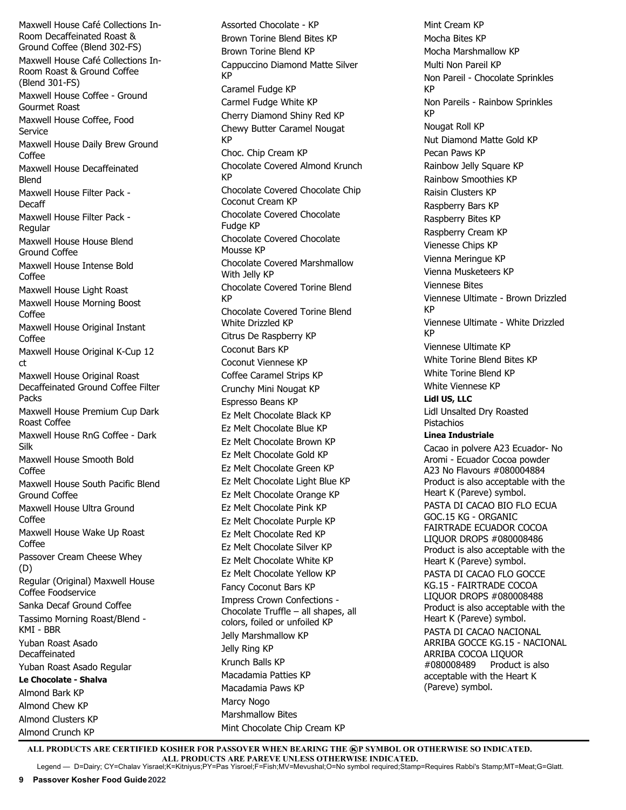Maxwell House Café Collections In-Room Decaffeinated Roast & Ground Coffee (Blend 302-FS) Maxwell House Café Collections In-Room Roast & Ground Coffee (Blend 301-FS) Maxwell House Coffee - Ground Gourmet Roast Maxwell House Coffee, Food Service Maxwell House Daily Brew Ground Coffee Maxwell House Decaffeinated Blend Maxwell House Filter Pack - Decaff Maxwell House Filter Pack - Regular Maxwell House House Blend Ground Coffee Maxwell House Intense Bold Coffee Maxwell House Light Roast Maxwell House Morning Boost Coffee Maxwell House Original Instant Coffee Maxwell House Original K-Cup 12 ct Maxwell House Original Roast Decaffeinated Ground Coffee Filter Packs Maxwell House Premium Cup Dark Roast Coffee Maxwell House RnG Coffee - Dark Silk Maxwell House Smooth Bold Coffee Maxwell House South Pacific Blend Ground Coffee Maxwell House Ultra Ground Coffee Maxwell House Wake Up Roast Coffee Passover Cream Cheese Whey (D) Regular (Original) Maxwell House Coffee Foodservice Sanka Decaf Ground Coffee Tassimo Morning Roast/Blend - KMI - BBR Yuban Roast Asado Decaffeinated Yuban Roast Asado Regular **Le Chocolate - Shalva**  Almond Bark KP Almond Chew KP Almond Clusters KP Almond Crunch KP

Assorted Chocolate - KP Brown Torine Blend Bites KP Brown Torine Blend KP Cappuccino Diamond Matte Silver KP Caramel Fudge KP Carmel Fudge White KP Cherry Diamond Shiny Red KP Chewy Butter Caramel Nougat KP Choc. Chip Cream KP Chocolate Covered Almond Krunch KP Chocolate Covered Chocolate Chip Coconut Cream KP Chocolate Covered Chocolate Fudge KP Chocolate Covered Chocolate Mousse KP Chocolate Covered Marshmallow With Jelly KP Chocolate Covered Torine Blend KP Chocolate Covered Torine Blend White Drizzled KP Citrus De Raspberry KP Coconut Bars KP Coconut Viennese KP Coffee Caramel Strips KP Crunchy Mini Nougat KP Espresso Beans KP Ez Melt Chocolate Black KP Ez Melt Chocolate Blue KP Ez Melt Chocolate Brown KP Ez Melt Chocolate Gold KP Ez Melt Chocolate Green KP Ez Melt Chocolate Light Blue KP Ez Melt Chocolate Orange KP Ez Melt Chocolate Pink KP Ez Melt Chocolate Purple KP Ez Melt Chocolate Red KP Ez Melt Chocolate Silver KP Ez Melt Chocolate White KP Ez Melt Chocolate Yellow KP Fancy Coconut Bars KP Impress Crown Confections - Chocolate Truffle – all shapes, all colors, foiled or unfoiled KP Jelly Marshmallow KP Jelly Ring KP Krunch Balls KP Macadamia Patties KP Macadamia Paws KP Marcy Nogo Marshmallow Bites Mint Chocolate Chip Cream KP

Mint Cream KP Mocha Bites KP Mocha Marshmallow KP Multi Non Pareil KP Non Pareil - Chocolate Sprinkles KP Non Pareils - Rainbow Sprinkles KP Nougat Roll KP Nut Diamond Matte Gold KP Pecan Paws KP Rainbow Jelly Square KP Rainbow Smoothies KP Raisin Clusters KP Raspberry Bars KP Raspberry Bites KP Raspberry Cream KP Vienesse Chips KP Vienna Meringue KP Vienna Musketeers KP Viennese Bites Viennese Ultimate - Brown Drizzled KP Viennese Ultimate - White Drizzled KP Viennese Ultimate KP White Torine Blend Bites KP White Torine Blend KP White Viennese KP **Lidl US, LLC** Lidl Unsalted Dry Roasted Pistachios **Linea Industriale** Cacao in polvere A23 Ecuador- No Aromi - Ecuador Cocoa powder A23 No Flavours #080004884 Product is also acceptable with the Heart K (Pareve) symbol. PASTA DI CACAO BIO FLO ECUA GOC.15 KG - ORGANIC FAIRTRADE ECUADOR COCOA LIQUOR DROPS #080008486 Product is also acceptable with the Heart K (Pareve) symbol. PASTA DI CACAO FLO GOCCE KG.15 - FAIRTRADE COCOA LIQUOR DROPS #080008488 Product is also acceptable with the Heart K (Pareve) symbol. PASTA DI CACAO NACIONAL ARRIBA GOCCE KG.15 - NACIONAL ARRIBA COCOA LIQUOR #080008489 Product is also acceptable with the Heart K (Pareve) symbol.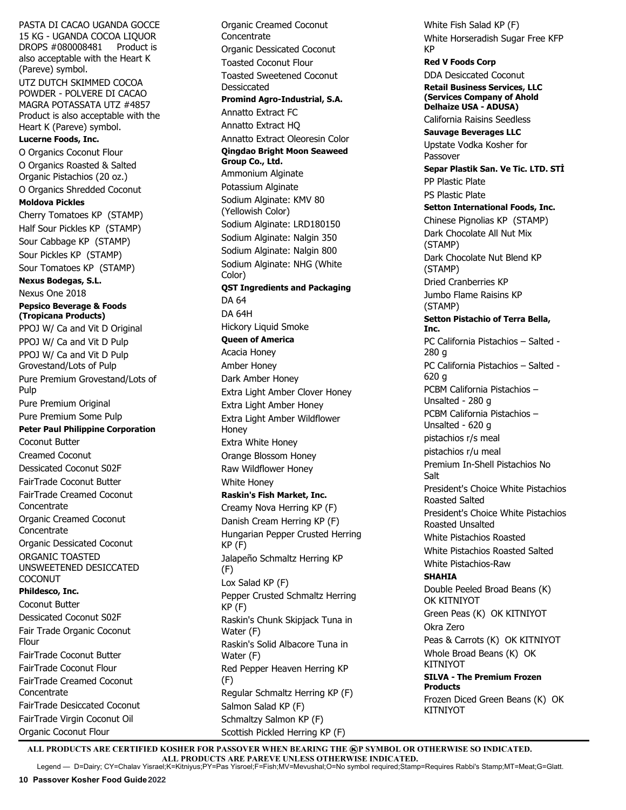PASTA DI CACAO UGANDA GOCCE 15 KG - UGANDA COCOA LIQUOR DROPS #080008481 Product is also acceptable with the Heart K (Pareve) symbol. UTZ DUTCH SKIMMED COCOA POWDER - POLVERE DI CACAO MAGRA POTASSATA UTZ #4857 Product is also acceptable with the Heart K (Pareve) symbol. **Lucerne Foods, Inc.** O Organics Coconut Flour O Organics Roasted & Salted Organic Pistachios (20 oz.) O Organics Shredded Coconut **Moldova Pickles** Cherry Tomatoes KP (STAMP) Half Sour Pickles KP (STAMP) Sour Cabbage KP (STAMP) Sour Pickles KP (STAMP) Sour Tomatoes KP (STAMP) **Nexus Bodegas, S.L.** Nexus One 2018 **Pepsico Beverage & Foods (Tropicana Products)** PPOJ W/ Ca and Vit D Original PPOJ W/ Ca and Vit D Pulp PPOJ W/ Ca and Vit D Pulp Grovestand/Lots of Pulp Pure Premium Grovestand/Lots of Pulp Pure Premium Original Pure Premium Some Pulp **Peter Paul Philippine Corporation**  Coconut Butter Creamed Coconut Dessicated Coconut S02F FairTrade Coconut Butter FairTrade Creamed Coconut **Concentrate** Organic Creamed Coconut **Concentrate** Organic Dessicated Coconut ORGANIC TOASTED UNSWEETENED DESICCATED COCONUT **Phildesco, Inc.** Coconut Butter Dessicated Coconut S02F Fair Trade Organic Coconut Flour FairTrade Coconut Butter FairTrade Coconut Flour FairTrade Creamed Coconut **Concentrate** FairTrade Desiccated Coconut FairTrade Virgin Coconut Oil Organic Coconut Flour

Organic Creamed Coconut **Concentrate** Organic Dessicated Coconut Toasted Coconut Flour Toasted Sweetened Coconut Dessiccated **Promind Agro-Industrial, S.A.**  Annatto Extract FC Annatto Extract HQ Annatto Extract Oleoresin Color **Qingdao Bright Moon Seaweed Group Co., Ltd.**  Ammonium Alginate Potassium Alginate Sodium Alginate: KMV 80 (Yellowish Color) Sodium Alginate: LRD180150 Sodium Alginate: Nalgin 350 Sodium Alginate: Nalgin 800 Sodium Alginate: NHG (White Color) **QST Ingredients and Packaging** DA 64 DA 64H Hickory Liquid Smoke **Queen of America** Acacia Honey Amber Honey Dark Amber Honey Extra Light Amber Clover Honey Extra Light Amber Honey Extra Light Amber Wildflower Honey Extra White Honey Orange Blossom Honey Raw Wildflower Honey White Honey **Raskin's Fish Market, Inc.**  Creamy Nova Herring KP (F) Danish Cream Herring KP (F) Hungarian Pepper Crusted Herring KP (F) Jalapeño Schmaltz Herring KP (F) Lox Salad KP (F) Pepper Crusted Schmaltz Herring KP (F) Raskin's Chunk Skipjack Tuna in Water (F) Raskin's Solid Albacore Tuna in Water (F) Red Pepper Heaven Herring KP (F) Regular Schmaltz Herring KP (F) Salmon Salad KP (F) Schmaltzy Salmon KP (F) Scottish Pickled Herring KP (F)

White Fish Salad KP (F) White Horseradish Sugar Free KFP KP **Red V Foods Corp** DDA Desiccated Coconut **Retail Business Services, LLC (Services Company of Ahold Delhaize USA - ADUSA)** California Raisins Seedless **Sauvage Beverages LLC** Upstate Vodka Kosher for Passover **Separ Plastik San. Ve Tic. LTD. STİ** PP Plastic Plate PS Plastic Plate **Setton International Foods, Inc.** Chinese Pignolias KP (STAMP) Dark Chocolate All Nut Mix (STAMP) Dark Chocolate Nut Blend KP (STAMP) Dried Cranberries KP Jumbo Flame Raisins KP (STAMP) **Setton Pistachio of Terra Bella, Inc.**  PC California Pistachios – Salted - 280 g PC California Pistachios – Salted - 620 g PCBM California Pistachios – Unsalted - 280 g PCBM California Pistachios – Unsalted - 620 g pistachios r/s meal pistachios r/u meal Premium In-Shell Pistachios No Salt President's Choice White Pistachios Roasted Salted President's Choice White Pistachios Roasted Unsalted White Pistachios Roasted White Pistachios Roasted Salted White Pistachios-Raw **SHAHIA** Double Peeled Broad Beans (K) OK KITNIYOT Green Peas (K) OK KITNIYOT Okra Zero Peas & Carrots (K) OK KITNIYOT Whole Broad Beans (K) OK KITNIYOT **SILVA - The Premium Frozen Products** Frozen Diced Green Beans (K) OK KITNIYOT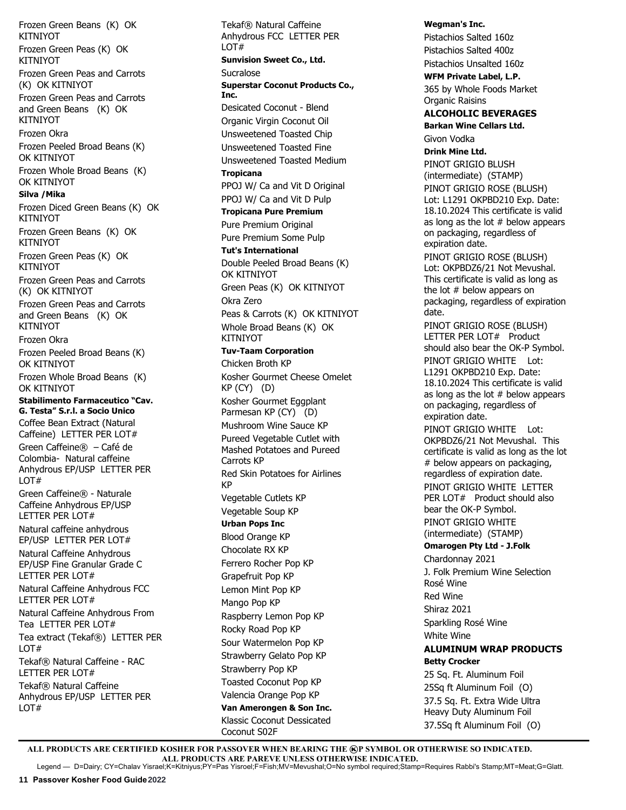Frozen Green Beans (K) OK KITNIYOT Frozen Green Peas (K) OK **KITNIYOT** Frozen Green Peas and Carrots (K) OK KITNIYOT Frozen Green Peas and Carrots and Green Beans (K) OK KITNIYOT Frozen Okra Frozen Peeled Broad Beans (K) OK KITNIYOT Frozen Whole Broad Beans (K) OK KITNIYOT **Silva /Mika** Frozen Diced Green Beans (K) OK KITNIYOT Frozen Green Beans (K) OK KITNIYOT Frozen Green Peas (K) OK KITNIYOT Frozen Green Peas and Carrots (K) OK KITNIYOT Frozen Green Peas and Carrots and Green Beans (K) OK KITNIYOT Frozen Okra Frozen Peeled Broad Beans (K) OK KITNIYOT Frozen Whole Broad Beans (K) OK KITNIYOT **Stabilimento Farmaceutico "Cav. G. Testa" S.r.l. a Socio Unico** Coffee Bean Extract (Natural Caffeine) LETTER PER LOT# Green Caffeine® – Café de Colombia- Natural caffeine Anhydrous EP/USP LETTER PER LOT# Green Caffeine® - Naturale Caffeine Anhydrous EP/USP LETTER PER LOT# Natural caffeine anhydrous EP/USP LETTER PER LOT# Natural Caffeine Anhydrous EP/USP Fine Granular Grade C LETTER PER LOT# Natural Caffeine Anhydrous FCC LETTER PER LOT# Natural Caffeine Anhydrous From Tea LETTER PER LOT# Tea extract (Tekaf®) LETTER PER LOT# Tekaf® Natural Caffeine - RAC LETTER PER LOT# Tekaf® Natural Caffeine Anhydrous EP/USP LETTER PER LOT#

Tekaf® Natural Caffeine Anhydrous FCC LETTER PER LOT# **Sunvision Sweet Co., Ltd.** Sucralose **Superstar Coconut Products Co., Inc.** Desicated Coconut - Blend Organic Virgin Coconut Oil Unsweetened Toasted Chip Unsweetened Toasted Fine Unsweetened Toasted Medium **Tropicana** PPOJ W/ Ca and Vit D Original PPOJ W/ Ca and Vit D Pulp **Tropicana Pure Premium** Pure Premium Original Pure Premium Some Pulp **Tut's International** Double Peeled Broad Beans (K) OK KITNIYOT Green Peas (K) OK KITNIYOT Okra Zero Peas & Carrots (K) OK KITNIYOT Whole Broad Beans (K) OK KITNIYOT **Tuv-Taam Corporation**  Chicken Broth KP Kosher Gourmet Cheese Omelet KP (CY) (D) Kosher Gourmet Eggplant Parmesan KP (CY) (D) Mushroom Wine Sauce KP Pureed Vegetable Cutlet with Mashed Potatoes and Pureed Carrots KP Red Skin Potatoes for Airlines KP Vegetable Cutlets KP Vegetable Soup KP **Urban Pops Inc** Blood Orange KP Chocolate RX KP Ferrero Rocher Pop KP Grapefruit Pop KP Lemon Mint Pop KP Mango Pop KP Raspberry Lemon Pop KP Rocky Road Pop KP Sour Watermelon Pop KP Strawberry Gelato Pop KP Strawberry Pop KP Toasted Coconut Pop KP Valencia Orange Pop KP **Van Amerongen & Son Inc.** Klassic Coconut Dessicated Coconut S02F

**Wegman's Inc.**  Pistachios Salted 160z Pistachios Salted 400z Pistachios Unsalted 160z **WFM Private Label, L.P.** 365 by Whole Foods Market Organic Raisins **ALCOHOLIC BEVERAGES Barkan Wine Cellars Ltd.**  Givon Vodka **Drink Mine Ltd.** PINOT GRIGIO BLUSH (intermediate) (STAMP) PINOT GRIGIO ROSE (BLUSH) Lot: L1291 OKPBD210 Exp. Date: 18.10.2024 This certificate is valid as long as the lot  $#$  below appears on packaging, regardless of expiration date. PINOT GRIGIO ROSE (BLUSH) Lot: OKPBDZ6/21 Not Mevushal. This certificate is valid as long as the lot # below appears on packaging, regardless of expiration date. PINOT GRIGIO ROSE (BLUSH) LETTER PER LOT# Product should also bear the OK-P Symbol. PINOT GRIGIO WHITE Lot: L1291 OKPBD210 Exp. Date: 18.10.2024 This certificate is valid as long as the lot  $#$  below appears on packaging, regardless of expiration date. PINOT GRIGIO WHITE Lot: OKPBDZ6/21 Not Mevushal. This certificate is valid as long as the lot # below appears on packaging, regardless of expiration date. PINOT GRIGIO WHITE LETTER PER LOT# Product should also bear the OK-P Symbol. PINOT GRIGIO WHITE (intermediate) (STAMP) **Omarogen Pty Ltd - J.Folk** Chardonnay 2021 J. Folk Premium Wine Selection Rosé Wine Red Wine Shiraz 2021 Sparkling Rosé Wine White Wine **ALUMINUM WRAP PRODUCTS Betty Crocker** 25 Sq. Ft. Aluminum Foil 25Sq ft Aluminum Foil (O) 37.5 Sq. Ft. Extra Wide Ultra Heavy Duty Aluminum Foil 37.5Sq ft Aluminum Foil (O)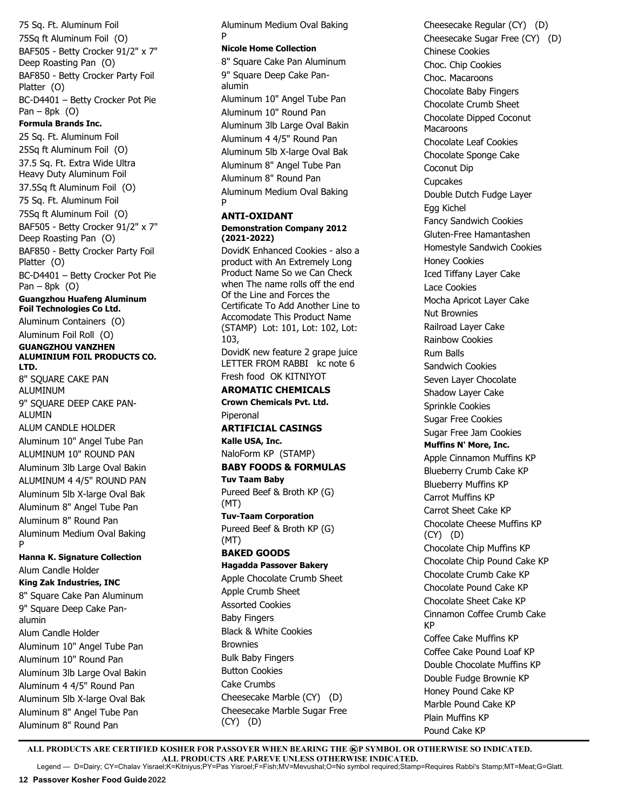75 Sq. Ft. Aluminum Foil 75Sq ft Aluminum Foil (O) BAF505 - Betty Crocker 91/2" x 7" Deep Roasting Pan (O) BAF850 - Betty Crocker Party Foil Platter (O) BC-D4401 – Betty Crocker Pot Pie Pan – 8pk  $(0)$ **Formula Brands Inc.** 25 Sq. Ft. Aluminum Foil 25Sq ft Aluminum Foil (O) 37.5 Sq. Ft. Extra Wide Ultra Heavy Duty Aluminum Foil 37.5Sq ft Aluminum Foil (O) 75 Sq. Ft. Aluminum Foil 75Sq ft Aluminum Foil (O) BAF505 - Betty Crocker 91/2" x 7" Deep Roasting Pan (O) BAF850 - Betty Crocker Party Foil Platter (O) BC-D4401 – Betty Crocker Pot Pie Pan – 8pk  $(0)$ **Guangzhou Huafeng Aluminum Foil Technologies Co Ltd.** Aluminum Containers (O) Aluminum Foil Roll (O) **GUANGZHOU VANZHEN ALUMINIUM FOIL PRODUCTS CO. LTD.** 8" SQUARE CAKE PAN ALUMINUM 9" SQUARE DEEP CAKE PAN-ALUMIN ALUM CANDLE HOLDER Aluminum 10" Angel Tube Pan ALUMINUM 10" ROUND PAN Aluminum 3lb Large Oval Bakin ALUMINUM 4 4/5" ROUND PAN Aluminum 5lb X-large Oval Bak Aluminum 8" Angel Tube Pan Aluminum 8" Round Pan Aluminum Medium Oval Baking P **Hanna K. Signature Collection** Alum Candle Holder **King Zak Industries, INC** 8" Square Cake Pan Aluminum 9" Square Deep Cake Panalumin Alum Candle Holder Aluminum 10" Angel Tube Pan Aluminum 10" Round Pan Aluminum 3lb Large Oval Bakin Aluminum 4 4/5" Round Pan Aluminum 5lb X-large Oval Bak Aluminum 8" Angel Tube Pan Aluminum 8" Round Pan

Aluminum Medium Oval Baking P **Nicole Home Collection**

8" Square Cake Pan Aluminum 9" Square Deep Cake Panalumin Aluminum 10" Angel Tube Pan Aluminum 10" Round Pan Aluminum 3lb Large Oval Bakin Aluminum 4 4/5" Round Pan Aluminum 5lb X-large Oval Bak Aluminum 8" Angel Tube Pan Aluminum 8" Round Pan Aluminum Medium Oval Baking P

## **ANTI-OXIDANT**

#### **Demonstration Company 2012 (2021-2022)**

DovidK Enhanced Cookies - also a product with An Extremely Long Product Name So we Can Check when The name rolls off the end Of the Line and Forces the Certificate To Add Another Line to Accomodate This Product Name (STAMP) Lot: 101, Lot: 102, Lot: 103,

DovidK new feature 2 grape juice LETTER FROM RABBI kc note 6 Fresh food OK KITNIYOT

# **AROMATIC CHEMICALS**

**Crown Chemicals Pvt. Ltd.** Piperonal

#### **ARTIFICIAL CASINGS Kalle USA, Inc.**

NaloForm KP (STAMP) **BABY FOODS & FORMULAS** 

**Tuv Taam Baby** Pureed Beef & Broth KP (G) (MT)

**Tuv-Taam Corporation**  Pureed Beef & Broth KP (G) (MT)

# **BAKED GOODS**

## **Hagadda Passover Bakery**

Apple Chocolate Crumb Sheet Apple Crumb Sheet Assorted Cookies Baby Fingers Black & White Cookies Brownies Bulk Baby Fingers Button Cookies Cake Crumbs Cheesecake Marble (CY) (D) Cheesecake Marble Sugar Free (CY) (D)

Cheesecake Regular (CY) (D) Cheesecake Sugar Free (CY) (D) Chinese Cookies Choc. Chip Cookies Choc. Macaroons Chocolate Baby Fingers Chocolate Crumb Sheet Chocolate Dipped Coconut **Macaroons** Chocolate Leaf Cookies Chocolate Sponge Cake Coconut Dip Cupcakes Double Dutch Fudge Layer Egg Kichel Fancy Sandwich Cookies Gluten-Free Hamantashen Homestyle Sandwich Cookies Honey Cookies Iced Tiffany Layer Cake Lace Cookies Mocha Apricot Layer Cake Nut Brownies Railroad Layer Cake Rainbow Cookies Rum Balls Sandwich Cookies Seven Layer Chocolate Shadow Layer Cake Sprinkle Cookies Sugar Free Cookies Sugar Free Jam Cookies **Muffins N' More, Inc.**  Apple Cinnamon Muffins KP Blueberry Crumb Cake KP Blueberry Muffins KP Carrot Muffins KP Carrot Sheet Cake KP Chocolate Cheese Muffins KP (CY) (D) Chocolate Chip Muffins KP Chocolate Chip Pound Cake KP Chocolate Crumb Cake KP Chocolate Pound Cake KP Chocolate Sheet Cake KP Cinnamon Coffee Crumb Cake KP Coffee Cake Muffins KP Coffee Cake Pound Loaf KP Double Chocolate Muffins KP Double Fudge Brownie KP Honey Pound Cake KP Marble Pound Cake KP Plain Muffins KP Pound Cake KP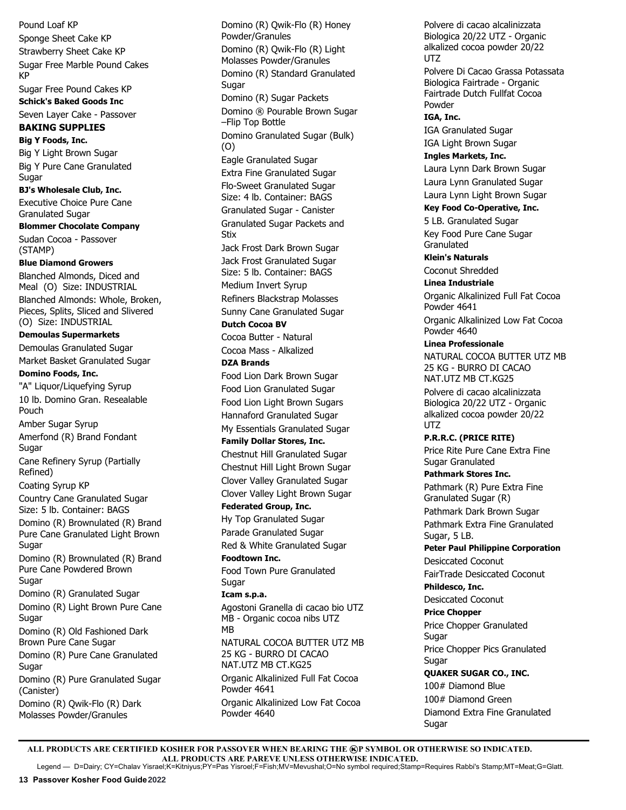Pound Loaf KP Sponge Sheet Cake KP Strawberry Sheet Cake KP Sugar Free Marble Pound Cakes KP Sugar Free Pound Cakes KP **Schick's Baked Goods Inc** Seven Layer Cake - Passover **BAKING SUPPLIES Big Y Foods, Inc.** Big Y Light Brown Sugar Big Y Pure Cane Granulated **Sugar BJ's Wholesale Club, Inc.** Executive Choice Pure Cane Granulated Sugar **Blommer Chocolate Company**  Sudan Cocoa - Passover (STAMP) **Blue Diamond Growers** Blanched Almonds, Diced and Meal (O) Size: INDUSTRIAL Blanched Almonds: Whole, Broken, Pieces, Splits, Sliced and Slivered (O) Size: INDUSTRIAL **Demoulas Supermarkets** Demoulas Granulated Sugar Market Basket Granulated Sugar **Domino Foods, Inc.** "A" Liquor/Liquefying Syrup 10 lb. Domino Gran. Resealable Pouch Amber Sugar Syrup Amerfond (R) Brand Fondant Sugar Cane Refinery Syrup (Partially Refined) Coating Syrup KP Country Cane Granulated Sugar Size: 5 lb. Container: BAGS Domino (R) Brownulated (R) Brand Pure Cane Granulated Light Brown **Sugar** Domino (R) Brownulated (R) Brand Pure Cane Powdered Brown **Sugar** Domino (R) Granulated Sugar Domino (R) Light Brown Pure Cane Sugar Domino (R) Old Fashioned Dark Brown Pure Cane Sugar Domino (R) Pure Cane Granulated Sugar Domino (R) Pure Granulated Sugar (Canister) Domino (R) Qwik-Flo (R) Dark Molasses Powder/Granules

Domino (R) Qwik-Flo (R) Honey Powder/Granules Domino (R) Qwik-Flo (R) Light Molasses Powder/Granules Domino (R) Standard Granulated Sugar Domino (R) Sugar Packets Domino ® Pourable Brown Sugar –Flip Top Bottle Domino Granulated Sugar (Bulk) (O) Eagle Granulated Sugar Extra Fine Granulated Sugar Flo-Sweet Granulated Sugar Size: 4 lb. Container: BAGS Granulated Sugar - Canister Granulated Sugar Packets and Stix Jack Frost Dark Brown Sugar Jack Frost Granulated Sugar Size: 5 lb. Container: BAGS Medium Invert Syrup Refiners Blackstrap Molasses Sunny Cane Granulated Sugar **Dutch Cocoa BV**  Cocoa Butter - Natural Cocoa Mass - Alkalized **DZA Brands** Food Lion Dark Brown Sugar Food Lion Granulated Sugar Food Lion Light Brown Sugars Hannaford Granulated Sugar My Essentials Granulated Sugar **Family Dollar Stores, Inc.** Chestnut Hill Granulated Sugar Chestnut Hill Light Brown Sugar Clover Valley Granulated Sugar Clover Valley Light Brown Sugar **Federated Group, Inc.** Hy Top Granulated Sugar Parade Granulated Sugar Red & White Granulated Sugar **Foodtown Inc.** Food Town Pure Granulated Sugar **Icam s.p.a.** Agostoni Granella di cacao bio UTZ MB - Organic cocoa nibs UTZ MB NATURAL COCOA BUTTER UTZ MB 25 KG - BURRO DI CACAO NAT.UTZ MB CT.KG25 Organic Alkalinized Full Fat Cocoa Powder 4641 Organic Alkalinized Low Fat Cocoa Powder 4640

Polvere di cacao alcalinizzata Biologica 20/22 UTZ - Organic alkalized cocoa powder 20/22 UTZ Polvere Di Cacao Grassa Potassata Biologica Fairtrade - Organic Fairtrade Dutch Fullfat Cocoa Powder **IGA, Inc.** IGA Granulated Sugar IGA Light Brown Sugar **Ingles Markets, Inc.** Laura Lynn Dark Brown Sugar Laura Lynn Granulated Sugar Laura Lynn Light Brown Sugar **Key Food Co-Operative, Inc.** 5 LB. Granulated Sugar Key Food Pure Cane Sugar Granulated **Klein's Naturals**  Coconut Shredded **Linea Industriale** Organic Alkalinized Full Fat Cocoa Powder 4641 Organic Alkalinized Low Fat Cocoa Powder 4640 **Linea Professionale** NATURAL COCOA BUTTER UTZ MB 25 KG - BURRO DI CACAO NAT.UTZ MB CT.KG25 Polvere di cacao alcalinizzata Biologica 20/22 UTZ - Organic alkalized cocoa powder 20/22 UTZ **P.R.R.C. (PRICE RITE)** Price Rite Pure Cane Extra Fine Sugar Granulated **Pathmark Stores Inc.** Pathmark (R) Pure Extra Fine Granulated Sugar (R) Pathmark Dark Brown Sugar Pathmark Extra Fine Granulated Sugar, 5 LB. **Peter Paul Philippine Corporation** Desiccated Coconut FairTrade Desiccated Coconut **Phildesco, Inc.** Desiccated Coconut **Price Chopper** Price Chopper Granulated **Sugar** Price Chopper Pics Granulated Sugar **QUAKER SUGAR CO., INC.** 100# Diamond Blue 100# Diamond Green Diamond Extra Fine Granulated Sugar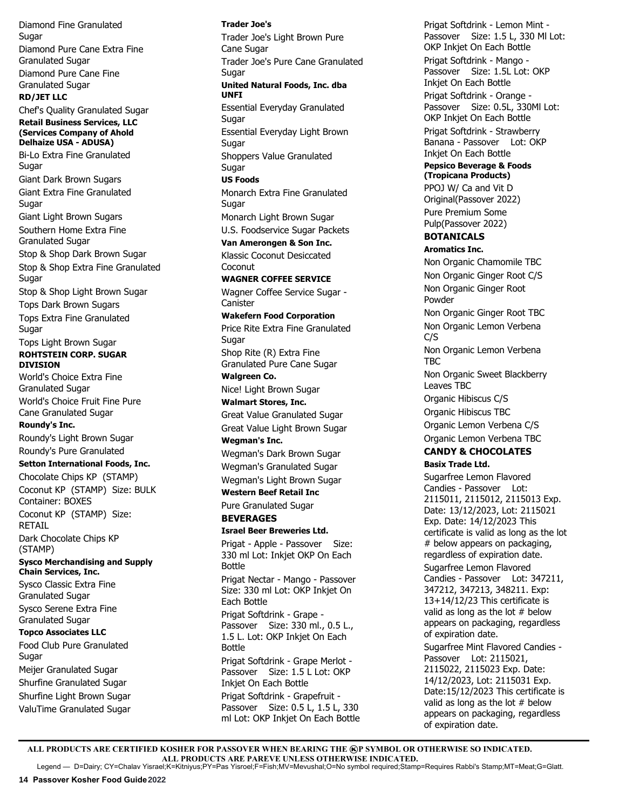Diamond Fine Granulated **Sugar** Diamond Pure Cane Extra Fine Granulated Sugar Diamond Pure Cane Fine Granulated Sugar **RD/JET LLC** Chef's Quality Granulated Sugar **Retail Business Services, LLC (Services Company of Ahold Delhaize USA - ADUSA)** Bi-Lo Extra Fine Granulated Sugar Giant Dark Brown Sugars Giant Extra Fine Granulated Sugar Giant Light Brown Sugars Southern Home Extra Fine Granulated Sugar Stop & Shop Dark Brown Sugar Stop & Shop Extra Fine Granulated Sugar Stop & Shop Light Brown Sugar Tops Dark Brown Sugars Tops Extra Fine Granulated Sugar Tops Light Brown Sugar **ROHTSTEIN CORP. SUGAR DIVISION** World's Choice Extra Fine Granulated Sugar World's Choice Fruit Fine Pure Cane Granulated Sugar **Roundy's Inc.**  Roundy's Light Brown Sugar Roundy's Pure Granulated **Setton International Foods, Inc.** Chocolate Chips KP (STAMP) Coconut KP (STAMP) Size: BULK Container: BOXES Coconut KP (STAMP) Size: RETAIL Dark Chocolate Chips KP (STAMP) **Sysco Merchandising and Supply Chain Services, Inc.** Sysco Classic Extra Fine Granulated Sugar Sysco Serene Extra Fine Granulated Sugar **Topco Associates LLC** Food Club Pure Granulated **Sugar** Meijer Granulated Sugar Shurfine Granulated Sugar Shurfine Light Brown Sugar ValuTime Granulated Sugar

**Trader Joe's** Trader Joe's Light Brown Pure Cane Sugar Trader Joe's Pure Cane Granulated Sugar **United Natural Foods, Inc. dba UNFI** Essential Everyday Granulated Sugar Essential Everyday Light Brown Sugar Shoppers Value Granulated **Sugar US Foods** Monarch Extra Fine Granulated Sugar Monarch Light Brown Sugar U.S. Foodservice Sugar Packets **Van Amerongen & Son Inc.** Klassic Coconut Desiccated **Coconut WAGNER COFFEE SERVICE** Wagner Coffee Service Sugar - **Canister Wakefern Food Corporation** Price Rite Extra Fine Granulated Sugar Shop Rite (R) Extra Fine Granulated Pure Cane Sugar **Walgreen Co.**  Nice! Light Brown Sugar **Walmart Stores, Inc.** Great Value Granulated Sugar Great Value Light Brown Sugar **Wegman's Inc.**  Wegman's Dark Brown Sugar Wegman's Granulated Sugar Wegman's Light Brown Sugar **Western Beef Retail Inc** Pure Granulated Sugar **BEVERAGES Israel Beer Breweries Ltd.**  Prigat - Apple - Passover Size: 330 ml Lot: Inkjet OKP On Each Bottle Prigat Nectar - Mango - Passover Size: 330 ml Lot: OKP Inkjet On Each Bottle Prigat Softdrink - Grape - Passover Size: 330 ml., 0.5 L., 1.5 L. Lot: OKP Inkjet On Each Bottle Prigat Softdrink - Grape Merlot - Passover Size: 1.5 L Lot: OKP Inkjet On Each Bottle Prigat Softdrink - Grapefruit - Passover Size: 0.5 L, 1.5 L, 330 ml Lot: OKP Inkjet On Each Bottle

Prigat Softdrink - Lemon Mint - Passover Size: 1.5 L, 330 MI Lot: OKP Inkjet On Each Bottle Prigat Softdrink - Mango - Passover Size: 1.5L Lot: OKP Inkjet On Each Bottle Prigat Softdrink - Orange - Passover Size: 0.5L, 330Ml Lot: OKP Inkjet On Each Bottle Prigat Softdrink - Strawberry Banana - Passover Lot: OKP Inkjet On Each Bottle **Pepsico Beverage & Foods (Tropicana Products)** PPOJ W/ Ca and Vit D Original (Passover 2022) Pure Premium Some Pulp (Passover 2022) **BOTANICALS Aromatics Inc.** Non Organic Chamomile TBC Non Organic Ginger Root C/S Non Organic Ginger Root Powder Non Organic Ginger Root TBC Non Organic Lemon Verbena C/S Non Organic Lemon Verbena TBC Non Organic Sweet Blackberry Leaves TBC Organic Hibiscus C/S Organic Hibiscus TBC Organic Lemon Verbena C/S Organic Lemon Verbena TBC **CANDY & CHOCOLATES Basix Trade Ltd.** Sugarfree Lemon Flavored Candies - Passover Lot: 2115011, 2115012, 2115013 Exp. Date: 13/12/2023, Lot: 2115021 Exp. Date: 14/12/2023 This certificate is valid as long as the lot # below appears on packaging, regardless of expiration date. Sugarfree Lemon Flavored Candies - Passover Lot: 347211, 347212, 347213, 348211. Exp: 13+14/12/23 This certificate is valid as long as the lot  $#$  below appears on packaging, regardless of expiration date. Sugarfree Mint Flavored Candies - Passover Lot: 2115021, 2115022, 2115023 Exp. Date: 14/12/2023, Lot: 2115031 Exp. Date:15/12/2023 This certificate is valid as long as the lot # below appears on packaging, regardless of expiration date.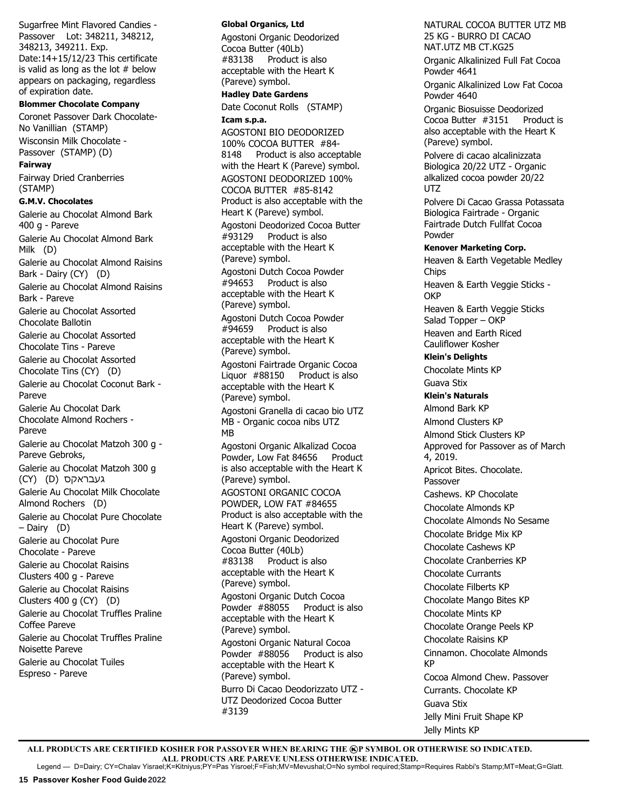Sugarfree Mint Flavored Candies - Passover Lot: 348211, 348212, 348213, 349211. Exp. Date:14+15/12/23 This certificate is valid as long as the lot  $#$  below appears on packaging, regardless of expiration date.

# **Blommer Chocolate Company**

Coronet Passover Dark Chocolate-No Vanillian (STAMP) Wisconsin Milk Chocolate - Passover (STAMP) (D) **Fairway**

Fairway Dried Cranberries (STAMP)

#### **G.M.V. Chocolates**

Galerie au Chocolat Almond Bark 400 g - Pareve Galerie Au Chocolat Almond Bark Milk (D) Galerie au Chocolat Almond Raisins Bark - Dairy (CY) (D) Galerie au Chocolat Almond Raisins Bark - Pareve Galerie au Chocolat Assorted Chocolate Ballotin Galerie au Chocolat Assorted Chocolate Tins - Pareve Galerie au Chocolat Assorted Chocolate Tins (CY) (D) Galerie au Chocolat Coconut Bark - Pareve Galerie Au Chocolat Dark Chocolate Almond Rochers - Pareve Galerie au Chocolat Matzoh 300 g - Pareve Gebroks, Galerie au Chocolat Matzoh 300 g (CY) (D) געבראקס Galerie Au Chocolat Milk Chocolate Almond Rochers (D) Galerie au Chocolat Pure Chocolate – Dairy (D) Galerie au Chocolat Pure Chocolate - Pareve Galerie au Chocolat Raisins Clusters 400 g - Pareve Galerie au Chocolat Raisins Clusters 400 g (CY) (D) Galerie au Chocolat Truffles Praline Coffee Pareve Galerie au Chocolat Truffles Praline Noisette Pareve Galerie au Chocolat Tuiles Espreso - Pareve

#### **Global Organics, Ltd**

Agostoni Organic Deodorized Cocoa Butter (40Lb) #83138 Product is also acceptable with the Heart K (Pareve) symbol.

# **Hadley Date Gardens**

Date Coconut Rolls (STAMP) **Icam s.p.a.**

AGOSTONI BIO DEODORIZED 100% COCOA BUTTER #84- 8148 Product is also acceptable with the Heart K (Pareve) symbol. AGOSTONI DEODORIZED 100% COCOA BUTTER #85-8142 Product is also acceptable with the Heart K (Pareve) symbol.

Agostoni Deodorized Cocoa Butter #93129 Product is also acceptable with the Heart K (Pareve) symbol. Agostoni Dutch Cocoa Powder<br>#94653 Product is also Product is also acceptable with the Heart K

(Pareve) symbol. Agostoni Dutch Cocoa Powder #94659 Product is also

acceptable with the Heart K (Pareve) symbol. Agostoni Fairtrade Organic Cocoa Liquor #88150 Product is also acceptable with the Heart K (Pareve) symbol.

Agostoni Granella di cacao bio UTZ MB - Organic cocoa nibs UTZ MB

Agostoni Organic Alkalizad Cocoa Powder, Low Fat 84656 Product is also acceptable with the Heart K (Pareve) symbol. AGOSTONI ORGANIC COCOA POWDER, LOW FAT #84655 Product is also acceptable with the Heart K (Pareve) symbol. Agostoni Organic Deodorized Cocoa Butter (40Lb) #83138 Product is also acceptable with the Heart K (Pareve) symbol. Agostoni Organic Dutch Cocoa

Powder #88055 Product is also acceptable with the Heart K (Pareve) symbol. Agostoni Organic Natural Cocoa Powder #88056 Product is also acceptable with the Heart K (Pareve) symbol. Burro Di Cacao Deodorizzato UTZ - UTZ Deodorized Cocoa Butter #3139

NATURAL COCOA BUTTER UTZ MB 25 KG - BURRO DI CACAO NAT.UTZ MB CT.KG25 Organic Alkalinized Full Fat Cocoa Powder 4641 Organic Alkalinized Low Fat Cocoa Powder 4640 Organic Biosuisse Deodorized Cocoa Butter #3151 Product is also acceptable with the Heart K (Pareve) symbol. Polvere di cacao alcalinizzata Biologica 20/22 UTZ - Organic alkalized cocoa powder 20/22 UTZ Polvere Di Cacao Grassa Potassata Biologica Fairtrade - Organic Fairtrade Dutch Fullfat Cocoa Powder **Kenover Marketing Corp.** Heaven & Earth Vegetable Medley Chips Heaven & Earth Veggie Sticks - **OKP** Heaven & Earth Veggie Sticks Salad Topper – OKP Heaven and Earth Riced Cauliflower Kosher **Klein's Delights** Chocolate Mints KP Guava Stix **Klein's Naturals**  Almond Bark KP Almond Clusters KP Almond Stick Clusters KP Approved for Passover as of March 4, 2019. Apricot Bites. Chocolate. Passover Cashews. KP Chocolate Chocolate Almonds KP Chocolate Almonds No Sesame Chocolate Bridge Mix KP Chocolate Cashews KP Chocolate Cranberries KP Chocolate Currants Chocolate Filberts KP Chocolate Mango Bites KP Chocolate Mints KP Chocolate Orange Peels KP Chocolate Raisins KP Cinnamon. Chocolate Almonds KP Cocoa Almond Chew. Passover Currants. Chocolate KP Guava Stix Jelly Mini Fruit Shape KP Jelly Mints KP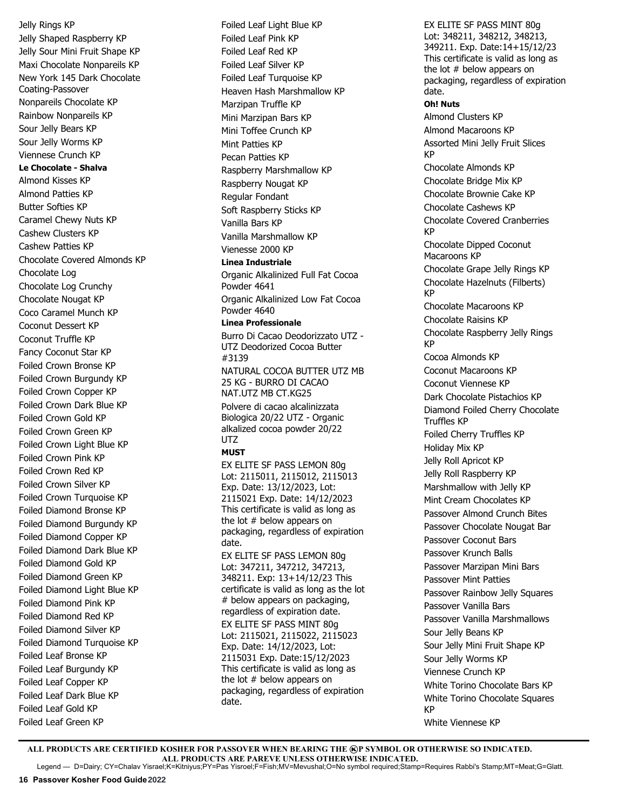Jelly Rings KP Jelly Shaped Raspberry KP Jelly Sour Mini Fruit Shape KP Maxi Chocolate Nonpareils KP New York 145 Dark Chocolate Coating-Passover Nonpareils Chocolate KP Rainbow Nonpareils KP Sour Jelly Bears KP Sour Jelly Worms KP Viennese Crunch KP **Le Chocolate - Shalva**  Almond Kisses KP Almond Patties KP Butter Softies KP Caramel Chewy Nuts KP Cashew Clusters KP Cashew Patties KP Chocolate Covered Almonds KP Chocolate Log Chocolate Log Crunchy Chocolate Nougat KP Coco Caramel Munch KP Coconut Dessert KP Coconut Truffle KP Fancy Coconut Star KP Foiled Crown Bronse KP Foiled Crown Burgundy KP Foiled Crown Copper KP Foiled Crown Dark Blue KP Foiled Crown Gold KP Foiled Crown Green KP Foiled Crown Light Blue KP Foiled Crown Pink KP Foiled Crown Red KP Foiled Crown Silver KP Foiled Crown Turquoise KP Foiled Diamond Bronse KP Foiled Diamond Burgundy KP Foiled Diamond Copper KP Foiled Diamond Dark Blue KP Foiled Diamond Gold KP Foiled Diamond Green KP Foiled Diamond Light Blue KP Foiled Diamond Pink KP Foiled Diamond Red KP Foiled Diamond Silver KP Foiled Diamond Turquoise KP Foiled Leaf Bronse KP Foiled Leaf Burgundy KP Foiled Leaf Copper KP Foiled Leaf Dark Blue KP Foiled Leaf Gold KP Foiled Leaf Green KP

Foiled Leaf Light Blue KP Foiled Leaf Pink KP Foiled Leaf Red KP Foiled Leaf Silver KP Foiled Leaf Turquoise KP Heaven Hash Marshmallow KP Marzipan Truffle KP Mini Marzipan Bars KP Mini Toffee Crunch KP Mint Patties KP Pecan Patties KP Raspberry Marshmallow KP Raspberry Nougat KP Regular Fondant Soft Raspberry Sticks KP Vanilla Bars KP Vanilla Marshmallow KP Vienesse 2000 KP **Linea Industriale** Organic Alkalinized Full Fat Cocoa Powder 4641 Organic Alkalinized Low Fat Cocoa Powder 4640 **Linea Professionale** Burro Di Cacao Deodorizzato UTZ - UTZ Deodorized Cocoa Butter #3139 NATURAL COCOA BUTTER UTZ MB 25 KG - BURRO DI CACAO NAT.UTZ MB CT.KG25 Polvere di cacao alcalinizzata Biologica 20/22 UTZ - Organic alkalized cocoa powder 20/22 UTZ **MUST** EX ELITE SF PASS LEMON 80g Lot: 2115011, 2115012, 2115013 Exp. Date: 13/12/2023, Lot: 2115021 Exp. Date: 14/12/2023 This certificate is valid as long as the lot # below appears on packaging, regardless of expiration date. EX ELITE SF PASS LEMON 80g Lot: 347211, 347212, 347213, 348211. Exp: 13+14/12/23 This certificate is valid as long as the lot # below appears on packaging, regardless of expiration date. EX ELITE SF PASS MINT 80g Lot: 2115021, 2115022, 2115023 Exp. Date: 14/12/2023, Lot: 2115031 Exp. Date:15/12/2023 This certificate is valid as long as the lot # below appears on packaging, regardless of expiration date.

EX ELITE SF PASS MINT 80g Lot: 348211, 348212, 348213, 349211. Exp. Date:14+15/12/23 This certificate is valid as long as the lot # below appears on packaging, regardless of expiration date. **Oh! Nuts** Almond Clusters KP Almond Macaroons KP Assorted Mini Jelly Fruit Slices KP Chocolate Almonds KP Chocolate Bridge Mix KP Chocolate Brownie Cake KP Chocolate Cashews KP Chocolate Covered Cranberries KP Chocolate Dipped Coconut Macaroons KP Chocolate Grape Jelly Rings KP Chocolate Hazelnuts (Filberts) KP Chocolate Macaroons KP Chocolate Raisins KP Chocolate Raspberry Jelly Rings KP Cocoa Almonds KP Coconut Macaroons KP Coconut Viennese KP Dark Chocolate Pistachios KP Diamond Foiled Cherry Chocolate Truffles KP Foiled Cherry Truffles KP Holiday Mix KP Jelly Roll Apricot KP Jelly Roll Raspberry KP Marshmallow with Jelly KP Mint Cream Chocolates KP Passover Almond Crunch Bites Passover Chocolate Nougat Bar Passover Coconut Bars Passover Krunch Balls Passover Marzipan Mini Bars Passover Mint Patties Passover Rainbow Jelly Squares Passover Vanilla Bars Passover Vanilla Marshmallows Sour Jelly Beans KP Sour Jelly Mini Fruit Shape KP Sour Jelly Worms KP Viennese Crunch KP White Torino Chocolate Bars KP White Torino Chocolate Squares KP White Viennese KP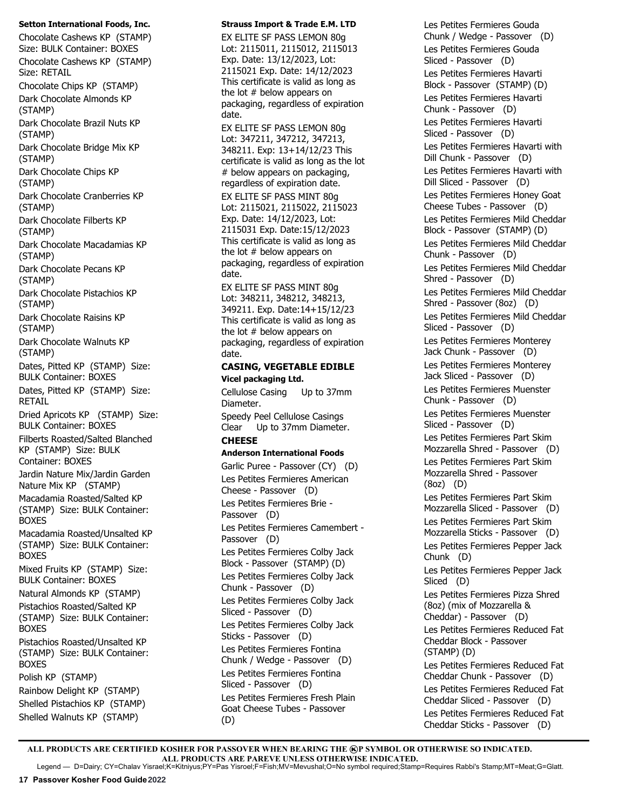#### **Setton International Foods, Inc.**

Chocolate Cashews KP (STAMP) Size: BULK Container: BOXES Chocolate Cashews KP (STAMP) Size: RETAIL Chocolate Chips KP (STAMP) Dark Chocolate Almonds KP (STAMP) Dark Chocolate Brazil Nuts KP (STAMP) Dark Chocolate Bridge Mix KP (STAMP) Dark Chocolate Chips KP (STAMP) Dark Chocolate Cranberries KP (STAMP) Dark Chocolate Filberts KP (STAMP) Dark Chocolate Macadamias KP (STAMP) Dark Chocolate Pecans KP (STAMP) Dark Chocolate Pistachios KP (STAMP) Dark Chocolate Raisins KP (STAMP) Dark Chocolate Walnuts KP (STAMP) Dates, Pitted KP (STAMP) Size: BULK Container: BOXES Dates, Pitted KP (STAMP) Size: RETAIL Dried Apricots KP (STAMP) Size: BULK Container: BOXES Filberts Roasted/Salted Blanched KP (STAMP) Size: BULK Container: BOXES Jardin Nature Mix/Jardin Garden Nature Mix KP (STAMP) Macadamia Roasted/Salted KP (STAMP) Size: BULK Container: BOXES Macadamia Roasted/Unsalted KP (STAMP) Size: BULK Container: BOXES Mixed Fruits KP (STAMP) Size: BULK Container: BOXES Natural Almonds KP (STAMP) Pistachios Roasted/Salted KP (STAMP) Size: BULK Container: BOXES Pistachios Roasted/Unsalted KP (STAMP) Size: BULK Container: BOXES Polish KP (STAMP) Rainbow Delight KP (STAMP) Shelled Pistachios KP (STAMP) Shelled Walnuts KP (STAMP)

### **Strauss Import & Trade E.M. LTD**

EX ELITE SF PASS LEMON 80g Lot: 2115011, 2115012, 2115013 Exp. Date: 13/12/2023, Lot: 2115021 Exp. Date: 14/12/2023 This certificate is valid as long as the lot # below appears on packaging, regardless of expiration date.

EX ELITE SF PASS LEMON 80g Lot: 347211, 347212, 347213, 348211. Exp: 13+14/12/23 This certificate is valid as long as the lot # below appears on packaging, regardless of expiration date. EX ELITE SF PASS MINT 80g Lot: 2115021, 2115022, 2115023 Exp. Date: 14/12/2023, Lot: 2115031 Exp. Date:15/12/2023 This certificate is valid as long as the lot # below appears on packaging, regardless of expiration date.

EX ELITE SF PASS MINT 80g Lot: 348211, 348212, 348213, 349211. Exp. Date:14+15/12/23 This certificate is valid as long as the lot # below appears on packaging, regardless of expiration date.

## **CASING, VEGETABLE EDIBLE Vicel packaging Ltd.**

Cellulose Casing Up to 37mm Diameter. Speedy Peel Cellulose Casings

Clear Up to 37mm Diameter. **CHEESE**

## **Anderson International Foods**

Garlic Puree - Passover (CY) (D) Les Petites Fermieres American Cheese - Passover (D) Les Petites Fermieres Brie - Passover (D) Les Petites Fermieres Camembert - Passover (D) Les Petites Fermieres Colby Jack Block - Passover (STAMP) (D) Les Petites Fermieres Colby Jack Chunk - Passover (D) Les Petites Fermieres Colby Jack Sliced - Passover (D) Les Petites Fermieres Colby Jack Sticks - Passover (D) Les Petites Fermieres Fontina Chunk / Wedge - Passover (D) Les Petites Fermieres Fontina Sliced - Passover (D) Les Petites Fermieres Fresh Plain Goat Cheese Tubes - Passover (D)

Les Petites Fermieres Gouda Chunk / Wedge - Passover (D) Les Petites Fermieres Gouda Sliced - Passover (D) Les Petites Fermieres Havarti Block - Passover (STAMP) (D) Les Petites Fermieres Havarti Chunk - Passover (D) Les Petites Fermieres Havarti Sliced - Passover (D) Les Petites Fermieres Havarti with Dill Chunk - Passover (D) Les Petites Fermieres Havarti with Dill Sliced - Passover (D) Les Petites Fermieres Honey Goat Cheese Tubes - Passover (D) Les Petites Fermieres Mild Cheddar Block - Passover (STAMP) (D) Les Petites Fermieres Mild Cheddar Chunk - Passover (D) Les Petites Fermieres Mild Cheddar Shred - Passover (D) Les Petites Fermieres Mild Cheddar Shred - Passover (8oz) (D) Les Petites Fermieres Mild Cheddar Sliced - Passover (D) Les Petites Fermieres Monterey Jack Chunk - Passover (D) Les Petites Fermieres Monterey Jack Sliced - Passover (D) Les Petites Fermieres Muenster Chunk - Passover (D) Les Petites Fermieres Muenster Sliced - Passover (D) Les Petites Fermieres Part Skim Mozzarella Shred - Passover (D) Les Petites Fermieres Part Skim Mozzarella Shred - Passover (8oz) (D) Les Petites Fermieres Part Skim Mozzarella Sliced - Passover (D) Les Petites Fermieres Part Skim Mozzarella Sticks - Passover (D) Les Petites Fermieres Pepper Jack Chunk (D) Les Petites Fermieres Pepper Jack Sliced (D) Les Petites Fermieres Pizza Shred (8oz) (mix of Mozzarella & Cheddar) - Passover (D) Les Petites Fermieres Reduced Fat Cheddar Block - Passover (STAMP) (D) Les Petites Fermieres Reduced Fat Cheddar Chunk - Passover (D) Les Petites Fermieres Reduced Fat Cheddar Sliced - Passover (D) Les Petites Fermieres Reduced Fat Cheddar Sticks - Passover (D)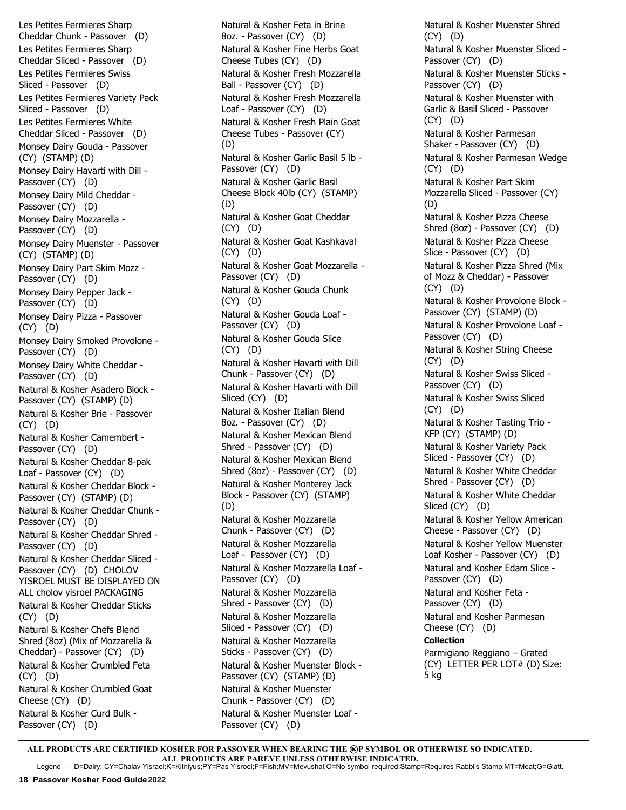Les Petites Fermieres Sharp Cheddar Chunk - Passover (D) Les Petites Fermieres Sharp Cheddar Sliced - Passover (D) Les Petites Fermieres Swiss Sliced - Passover (D) Les Petites Fermieres Variety Pack Sliced - Passover (D) Les Petites Fermieres White Cheddar Sliced - Passover (D) Monsey Dairy Gouda - Passover (CY) (STAMP) (D) Monsey Dairy Havarti with Dill - Passover (CY) (D) Monsey Dairy Mild Cheddar - Passover (CY) (D) Monsey Dairy Mozzarella - Passover (CY) (D) Monsey Dairy Muenster - Passover (CY) (STAMP) (D) Monsey Dairy Part Skim Mozz - Passover (CY) (D) Monsey Dairy Pepper Jack - Passover (CY) (D) Monsey Dairy Pizza - Passover (CY) (D) Monsey Dairy Smoked Provolone - Passover (CY) (D) Monsey Dairy White Cheddar - Passover (CY) (D) Natural & Kosher Asadero Block - Passover (CY) (STAMP) (D) Natural & Kosher Brie - Passover (CY) (D) Natural & Kosher Camembert - Passover (CY) (D) Natural & Kosher Cheddar 8-pak Loaf - Passover (CY) (D) Natural & Kosher Cheddar Block - Passover (CY) (STAMP) (D) Natural & Kosher Cheddar Chunk - Passover (CY) (D) Natural & Kosher Cheddar Shred - Passover (CY) (D) Natural & Kosher Cheddar Sliced - Passover (CY) (D) CHOLOV YISROEL MUST BE DISPLAYED ON ALL cholov yisroel PACKAGING Natural & Kosher Cheddar Sticks (CY) (D) Natural & Kosher Chefs Blend Shred (8oz) (Mix of Mozzarella & Cheddar) - Passover (CY) (D) Natural & Kosher Crumbled Feta (CY) (D) Natural & Kosher Crumbled Goat Cheese (CY) (D) Natural & Kosher Curd Bulk - Passover (CY) (D)

Natural & Kosher Feta in Brine 8oz. - Passover (CY) (D) Natural & Kosher Fine Herbs Goat Cheese Tubes (CY) (D) Natural & Kosher Fresh Mozzarella Ball - Passover (CY) (D) Natural & Kosher Fresh Mozzarella Loaf - Passover (CY) (D) Natural & Kosher Fresh Plain Goat Cheese Tubes - Passover (CY) (D) Natural & Kosher Garlic Basil 5 lb - Passover (CY) (D) Natural & Kosher Garlic Basil Cheese Block 40lb (CY) (STAMP) (D) Natural & Kosher Goat Cheddar (CY) (D) Natural & Kosher Goat Kashkaval (CY) (D) Natural & Kosher Goat Mozzarella - Passover (CY) (D) Natural & Kosher Gouda Chunk (CY) (D) Natural & Kosher Gouda Loaf - Passover (CY) (D) Natural & Kosher Gouda Slice (CY) (D) Natural & Kosher Havarti with Dill Chunk - Passover (CY) (D) Natural & Kosher Havarti with Dill Sliced (CY) (D) Natural & Kosher Italian Blend 8oz. - Passover (CY) (D) Natural & Kosher Mexican Blend Shred - Passover (CY) (D) Natural & Kosher Mexican Blend Shred (8oz) - Passover (CY) (D) Natural & Kosher Monterey Jack Block - Passover (CY) (STAMP) (D) Natural & Kosher Mozzarella Chunk - Passover (CY) (D) Natural & Kosher Mozzarella Loaf - Passover (CY) (D) Natural & Kosher Mozzarella Loaf - Passover (CY) (D) Natural & Kosher Mozzarella Shred - Passover (CY) (D) Natural & Kosher Mozzarella Sliced - Passover (CY) (D) Natural & Kosher Mozzarella Sticks - Passover (CY) (D) Natural & Kosher Muenster Block - Passover (CY) (STAMP) (D) Natural & Kosher Muenster Chunk - Passover (CY) (D) Natural & Kosher Muenster Loaf - Passover (CY) (D)

Natural & Kosher Muenster Shred (CY) (D) Natural & Kosher Muenster Sliced - Passover (CY) (D) Natural & Kosher Muenster Sticks - Passover (CY) (D) Natural & Kosher Muenster with Garlic & Basil Sliced - Passover (CY) (D) Natural & Kosher Parmesan Shaker - Passover (CY) (D) Natural & Kosher Parmesan Wedge (CY) (D) Natural & Kosher Part Skim Mozzarella Sliced - Passover (CY) (D) Natural & Kosher Pizza Cheese Shred (8oz) - Passover (CY) (D) Natural & Kosher Pizza Cheese Slice - Passover (CY) (D) Natural & Kosher Pizza Shred (Mix of Mozz & Cheddar) - Passover (CY) (D) Natural & Kosher Provolone Block - Passover (CY) (STAMP) (D) Natural & Kosher Provolone Loaf - Passover (CY) (D) Natural & Kosher String Cheese (CY) (D) Natural & Kosher Swiss Sliced - Passover (CY) (D) Natural & Kosher Swiss Sliced (CY) (D) Natural & Kosher Tasting Trio - KFP (CY) (STAMP) (D) Natural & Kosher Variety Pack Sliced - Passover (CY) (D) Natural & Kosher White Cheddar Shred - Passover (CY) (D) Natural & Kosher White Cheddar Sliced (CY) (D) Natural & Kosher Yellow American Cheese - Passover (CY) (D) Natural & Kosher Yellow Muenster Loaf Kosher - Passover (CY) (D) Natural and Kosher Edam Slice - Passover (CY) (D) Natural and Kosher Feta - Passover (CY) (D) Natural and Kosher Parmesan Cheese (CY) (D) **Collection** Parmigiano Reggiano – Grated (CY) LETTER PER LOT# (D) Size: 5 kg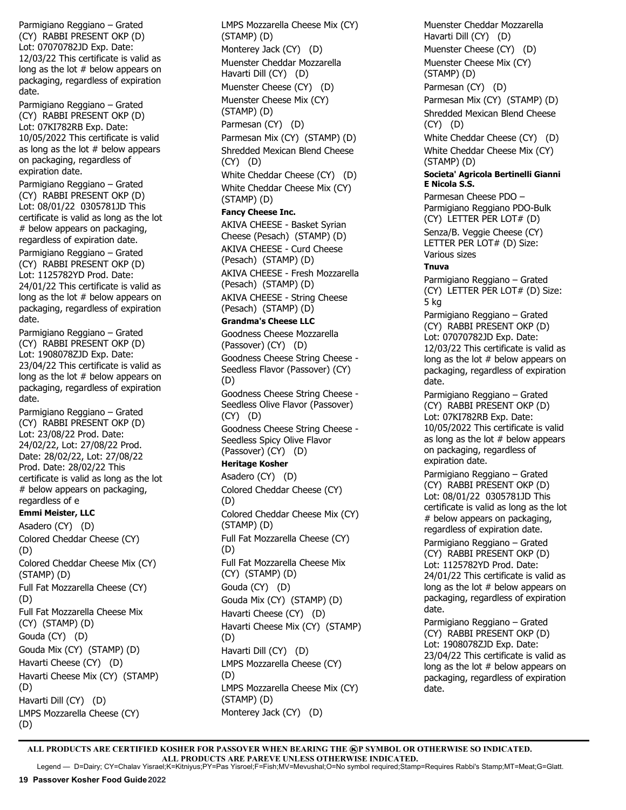Parmigiano Reggiano – Grated (CY) RABBI PRESENT OKP (D) Lot: 07070782JD Exp. Date: 12/03/22 This certificate is valid as long as the lot # below appears on packaging, regardless of expiration date.

Parmigiano Reggiano – Grated (CY) RABBI PRESENT OKP (D) Lot: 07KI782RB Exp. Date: 10/05/2022 This certificate is valid as long as the lot  $#$  below appears on packaging, regardless of expiration date.

Parmigiano Reggiano – Grated (CY) RABBI PRESENT OKP (D) Lot: 08/01/22 0305781JD This certificate is valid as long as the lot # below appears on packaging, regardless of expiration date.

Parmigiano Reggiano – Grated (CY) RABBI PRESENT OKP (D) Lot: 1125782YD Prod. Date: 24/01/22 This certificate is valid as long as the lot # below appears on packaging, regardless of expiration date.

Parmigiano Reggiano – Grated (CY) RABBI PRESENT OKP (D) Lot: 1908078ZJD Exp. Date: 23/04/22 This certificate is valid as long as the lot # below appears on packaging, regardless of expiration date.

Parmigiano Reggiano – Grated (CY) RABBI PRESENT OKP (D) Lot: 23/08/22 Prod. Date: 24/02/22, Lot: 27/08/22 Prod. Date: 28/02/22, Lot: 27/08/22 Prod. Date: 28/02/22 This certificate is valid as long as the lot # below appears on packaging, regardless of e

## **Emmi Meister, LLC**

Asadero (CY) (D) Colored Cheddar Cheese (CY) (D) Colored Cheddar Cheese Mix (CY) (STAMP) (D) Full Fat Mozzarella Cheese (CY) (D) Full Fat Mozzarella Cheese Mix (CY) (STAMP) (D) Gouda (CY) (D) Gouda Mix (CY) (STAMP) (D) Havarti Cheese (CY) (D) Havarti Cheese Mix (CY) (STAMP) (D) Havarti Dill (CY) (D) LMPS Mozzarella Cheese (CY) (D)

LMPS Mozzarella Cheese Mix (CY) (STAMP) (D) Monterey Jack (CY) (D) Muenster Cheddar Mozzarella Havarti Dill (CY) (D) Muenster Cheese (CY) (D) Muenster Cheese Mix (CY) (STAMP) (D) Parmesan (CY) (D) Parmesan Mix (CY) (STAMP) (D) Shredded Mexican Blend Cheese (CY) (D) White Cheddar Cheese (CY) (D) White Cheddar Cheese Mix (CY) (STAMP) (D) **Fancy Cheese Inc.** AKIVA CHEESE - Basket Syrian Cheese (Pesach) (STAMP) (D) AKIVA CHEESE - Curd Cheese (Pesach) (STAMP) (D) AKIVA CHEESE - Fresh Mozzarella (Pesach) (STAMP) (D) AKIVA CHEESE - String Cheese (Pesach) (STAMP) (D) **Grandma's Cheese LLC** Goodness Cheese Mozzarella (Passover) (CY) (D) Goodness Cheese String Cheese - Seedless Flavor (Passover) (CY) (D) Goodness Cheese String Cheese - Seedless Olive Flavor (Passover) (CY) (D) Goodness Cheese String Cheese - Seedless Spicy Olive Flavor (Passover) (CY) (D) **Heritage Kosher** Asadero (CY) (D) Colored Cheddar Cheese (CY) (D) Colored Cheddar Cheese Mix (CY) (STAMP) (D) Full Fat Mozzarella Cheese (CY) (D) Full Fat Mozzarella Cheese Mix (CY) (STAMP) (D) Gouda (CY) (D) Gouda Mix (CY) (STAMP) (D) Havarti Cheese (CY) (D) Havarti Cheese Mix (CY) (STAMP) (D) Havarti Dill (CY) (D) LMPS Mozzarella Cheese (CY) (D) LMPS Mozzarella Cheese Mix (CY) (STAMP) (D) Monterey Jack (CY) (D)

Muenster Cheddar Mozzarella Havarti Dill (CY) (D) Muenster Cheese (CY) (D) Muenster Cheese Mix (CY) (STAMP) (D) Parmesan (CY) (D) Parmesan Mix (CY) (STAMP) (D) Shredded Mexican Blend Cheese (CY) (D) White Cheddar Cheese (CY) (D) White Cheddar Cheese Mix (CY) (STAMP) (D) **Societa' Agricola Bertinelli Gianni E Nicola S.S.** Parmesan Cheese PDO – Parmigiano Reggiano PDO-Bulk (CY) LETTER PER LOT# (D) Senza/B. Veggie Cheese (CY) LETTER PER LOT# (D) Size: Various sizes **Tnuva** Parmigiano Reggiano – Grated (CY) LETTER PER LOT# (D) Size: 5 kg Parmigiano Reggiano – Grated (CY) RABBI PRESENT OKP (D) Lot: 07070782JD Exp. Date: 12/03/22 This certificate is valid as long as the lot # below appears on packaging, regardless of expiration date. Parmigiano Reggiano – Grated (CY) RABBI PRESENT OKP (D) Lot: 07KI782RB Exp. Date: 10/05/2022 This certificate is valid as long as the lot  $#$  below appears on packaging, regardless of expiration date. Parmigiano Reggiano – Grated (CY) RABBI PRESENT OKP (D) Lot: 08/01/22 0305781JD This certificate is valid as long as the lot # below appears on packaging, regardless of expiration date. Parmigiano Reggiano – Grated (CY) RABBI PRESENT OKP (D) Lot: 1125782YD Prod. Date: 24/01/22 This certificate is valid as long as the lot # below appears on packaging, regardless of expiration date. Parmigiano Reggiano – Grated (CY) RABBI PRESENT OKP (D) Lot: 1908078ZJD Exp. Date: 23/04/22 This certificate is valid as long as the lot # below appears on packaging, regardless of expiration

date.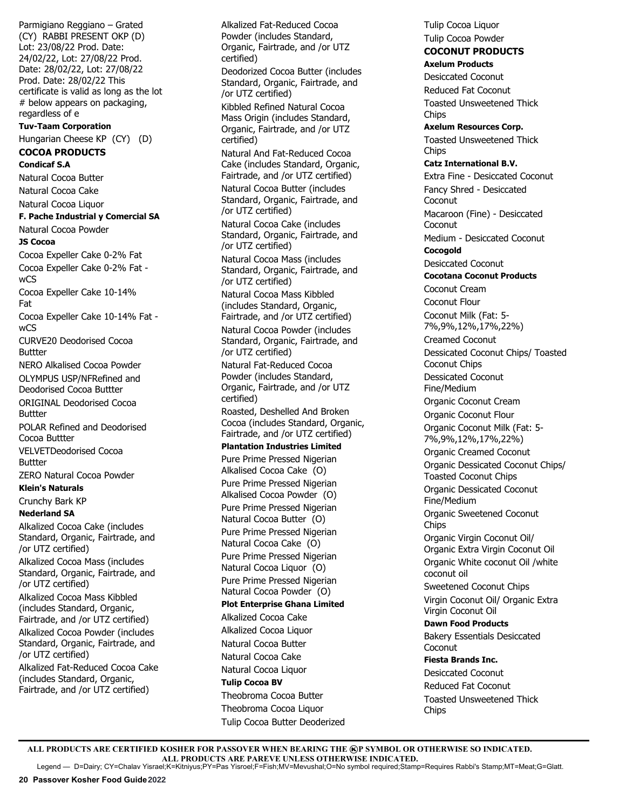Parmigiano Reggiano – Grated (CY) RABBI PRESENT OKP (D) Lot: 23/08/22 Prod. Date: 24/02/22, Lot: 27/08/22 Prod. Date: 28/02/22, Lot: 27/08/22 Prod. Date: 28/02/22 This certificate is valid as long as the lot # below appears on packaging, regardless of e **Tuv-Taam Corporation**  Hungarian Cheese KP (CY) (D) **COCOA PRODUCTS Condicaf S.A** Natural Cocoa Butter Natural Cocoa Cake Natural Cocoa Liquor **F. Pache Industrial y Comercial SA**  Natural Cocoa Powder **JS Cocoa** Cocoa Expeller Cake 0-2% Fat Cocoa Expeller Cake 0-2% Fat wCS Cocoa Expeller Cake 10-14% Fat Cocoa Expeller Cake 10-14% Fat w<sub>CS</sub> CURVE20 Deodorised Cocoa Buttter NERO Alkalised Cocoa Powder OLYMPUS USP/NF Refined and Deodorised Cocoa Buttter ORIGINAL Deodorised Cocoa Buttter POLAR Refined and Deodorised Cocoa Buttter VELVET Deodorised Cocoa Buttter ZERO Natural Cocoa Powder **Klein's Naturals**  Crunchy Bark KP **Nederland SA** Alkalized Cocoa Cake (includes Standard, Organic, Fairtrade, and /or UTZ certified) Alkalized Cocoa Mass (includes Standard, Organic, Fairtrade, and /or UTZ certified) Alkalized Cocoa Mass Kibbled (includes Standard, Organic, Fairtrade, and /or UTZ certified) Alkalized Cocoa Powder (includes Standard, Organic, Fairtrade, and /or UTZ certified) Alkalized Fat-Reduced Cocoa Cake

(includes Standard, Organic, Fairtrade, and /or UTZ certified) Alkalized Fat-Reduced Cocoa Powder (includes Standard, Organic, Fairtrade, and /or UTZ certified) Deodorized Cocoa Butter (includes Standard, Organic, Fairtrade, and /or UTZ certified) Kibbled Refined Natural Cocoa Mass Origin (includes Standard, Organic, Fairtrade, and /or UTZ certified) Natural And Fat-Reduced Cocoa Cake (includes Standard, Organic, Fairtrade, and /or UTZ certified) Natural Cocoa Butter (includes Standard, Organic, Fairtrade, and /or UTZ certified) Natural Cocoa Cake (includes Standard, Organic, Fairtrade, and /or UTZ certified) Natural Cocoa Mass (includes Standard, Organic, Fairtrade, and /or UTZ certified) Natural Cocoa Mass Kibbled (includes Standard, Organic, Fairtrade, and /or UTZ certified) Natural Cocoa Powder (includes Standard, Organic, Fairtrade, and /or UTZ certified) Natural Fat-Reduced Cocoa Powder (includes Standard, Organic, Fairtrade, and /or UTZ certified) Roasted, Deshelled And Broken Cocoa (includes Standard, Organic, Fairtrade, and /or UTZ certified) **Plantation Industries Limited** Pure Prime Pressed Nigerian Alkalised Cocoa Cake (O) Pure Prime Pressed Nigerian Alkalised Cocoa Powder (O) Pure Prime Pressed Nigerian Natural Cocoa Butter (O) Pure Prime Pressed Nigerian Natural Cocoa Cake (O) Pure Prime Pressed Nigerian Natural Cocoa Liquor (O) Pure Prime Pressed Nigerian Natural Cocoa Powder (O) **Plot Enterprise Ghana Limited** Alkalized Cocoa Cake Alkalized Cocoa Liquor Natural Cocoa Butter Natural Cocoa Cake Natural Cocoa Liquor **Tulip Cocoa BV** Theobroma Cocoa Butter Theobroma Cocoa Liquor Tulip Cocoa Butter Deoderized

Tulip Cocoa Liquor Tulip Cocoa Powder **COCONUT PRODUCTS Axelum Products** Desiccated Coconut Reduced Fat Coconut Toasted Unsweetened Thick Chips **Axelum Resources Corp.** Toasted Unsweetened Thick **Chips Catz International B.V.** Extra Fine - Desiccated Coconut Fancy Shred - Desiccated **Coconut** Macaroon (Fine) - Desiccated **Coconut** Medium - Desiccated Coconut **Cocogold**  Desiccated Coconut **Cocotana Coconut Products** Coconut Cream Coconut Flour Coconut Milk (Fat: 5- 7%,9%,12%,17%,22%) Creamed Coconut Dessicated Coconut Chips/ Toasted Coconut Chips Dessicated Coconut Fine/Medium Organic Coconut Cream Organic Coconut Flour Organic Coconut Milk (Fat: 5- 7%,9%,12%,17%,22%) Organic Creamed Coconut Organic Dessicated Coconut Chips/ Toasted Coconut Chips Organic Dessicated Coconut Fine/Medium Organic Sweetened Coconut **Chips** Organic Virgin Coconut Oil/ Organic Extra Virgin Coconut Oil Organic White coconut Oil /white coconut oil Sweetened Coconut Chips Virgin Coconut Oil/ Organic Extra Virgin Coconut Oil **Dawn Food Products** Bakery Essentials Desiccated **Coconut Fiesta Brands Inc.** Desiccated Coconut Reduced Fat Coconut Toasted Unsweetened Thick **Chips**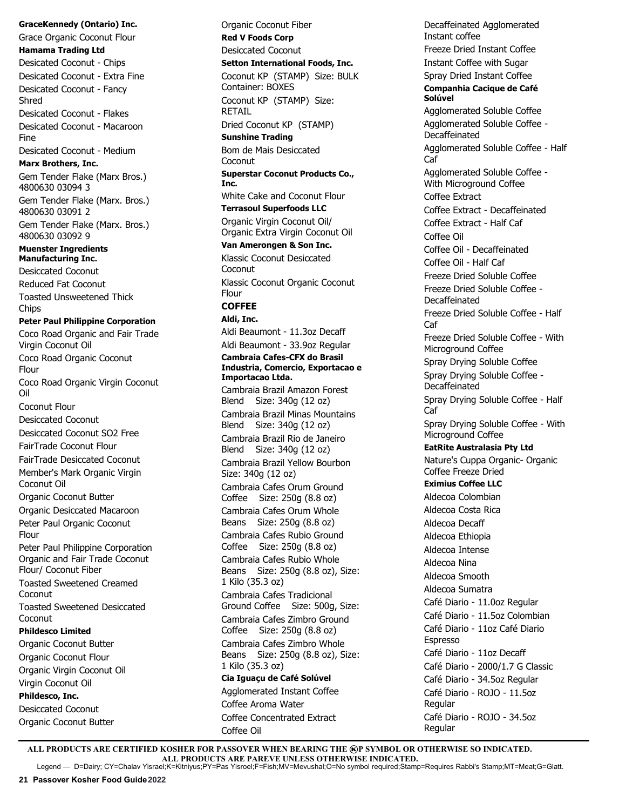**GraceKennedy (Ontario) Inc.** Grace Organic Coconut Flour **Hamama Trading Ltd** Desicated Coconut - Chips Desicated Coconut - Extra Fine Desicated Coconut - Fancy Shred Desicated Coconut - Flakes Desicated Coconut - Macaroon Fine Desicated Coconut - Medium **Marx Brothers, Inc.** Gem Tender Flake (Marx Bros.) 4800630 03094 3 Gem Tender Flake (Marx. Bros.) 4800630 03091 2 Gem Tender Flake (Marx. Bros.) 4800630 03092 9 **Muenster Ingredients Manufacturing Inc.** Desiccated Coconut Reduced Fat Coconut Toasted Unsweetened Thick Chips **Peter Paul Philippine Corporation**  Coco Road Organic and Fair Trade Virgin Coconut Oil Coco Road Organic Coconut Flour Coco Road Organic Virgin Coconut Oil Coconut Flour Desiccated Coconut Desiccated Coconut SO2 Free FairTrade Coconut Flour FairTrade Desiccated Coconut Member's Mark Organic Virgin Coconut Oil Organic Coconut Butter Organic Desiccated Macaroon Peter Paul Organic Coconut Flour Peter Paul Philippine Corporation Organic and Fair Trade Coconut Flour/ Coconut Fiber Toasted Sweetened Creamed Coconut Toasted Sweetened Desiccated Coconut **Phildesco Limited** Organic Coconut Butter Organic Coconut Flour Organic Virgin Coconut Oil Virgin Coconut Oil **Phildesco, Inc.** Desiccated Coconut Organic Coconut Butter

Organic Coconut Fiber **Red V Foods Corp** Desiccated Coconut **Setton International Foods, Inc.** Coconut KP (STAMP) Size: BULK Container: BOXES Coconut KP (STAMP) Size: RETAIL Dried Coconut KP (STAMP) **Sunshine Trading** Bom de Mais Desiccated **Coconut Superstar Coconut Products Co., Inc.** White Cake and Coconut Flour **Terrasoul Superfoods LLC** Organic Virgin Coconut Oil/ Organic Extra Virgin Coconut Oil **Van Amerongen & Son Inc.** Klassic Coconut Desiccated Coconut Klassic Coconut Organic Coconut **Flour COFFEE Aldi, Inc.** Aldi Beaumont - 11.3oz Decaff Aldi Beaumont - 33.9oz Regular **Cambraia Cafes-CFX do Brasil Industria, Comercio, Exportacao e Importacao Ltda.** Cambraia Brazil Amazon Forest Blend Size: 340g (12 oz) Cambraia Brazil Minas Mountains Blend Size: 340g (12 oz) Cambraia Brazil Rio de Janeiro Blend Size: 340g (12 oz) Cambraia Brazil Yellow Bourbon Size: 340g (12 oz) Cambraia Cafes Orum Ground Coffee Size: 250g (8.8 oz) Cambraia Cafes Orum Whole Beans Size: 250g (8.8 oz) Cambraia Cafes Rubio Ground Coffee Size: 250g (8.8 oz) Cambraia Cafes Rubio Whole Beans Size: 250g (8.8 oz), Size: 1 Kilo (35.3 oz) Cambraia Cafes Tradicional Ground Coffee Size: 500g, Size: Cambraia Cafes Zimbro Ground Coffee Size: 250g (8.8 oz) Cambraia Cafes Zimbro Whole Beans Size: 250g (8.8 oz), Size: 1 Kilo (35.3 oz) **Cia Iguaçu de Café Solúvel** Agglomerated Instant Coffee Coffee Aroma Water Coffee Concentrated Extract

Decaffeinated Agglomerated Instant coffee Freeze Dried Instant Coffee Instant Coffee with Sugar Spray Dried Instant Coffee **Companhia Cacique de Café Solúvel** Agglomerated Soluble Coffee Agglomerated Soluble Coffee - Decaffeinated Agglomerated Soluble Coffee - Half Caf Agglomerated Soluble Coffee - With Microground Coffee Coffee Extract Coffee Extract - Decaffeinated Coffee Extract - Half Caf Coffee Oil Coffee Oil - Decaffeinated Coffee Oil - Half Caf Freeze Dried Soluble Coffee Freeze Dried Soluble Coffee - **Decaffeinated** Freeze Dried Soluble Coffee - Half Caf Freeze Dried Soluble Coffee - With Microground Coffee Spray Drying Soluble Coffee Spray Drying Soluble Coffee - Decaffeinated Spray Drying Soluble Coffee - Half Caf Spray Drying Soluble Coffee - With Microground Coffee **EatRite Australasia Pty Ltd** Nature's Cuppa Organic- Organic Coffee Freeze Dried **Eximius Coffee LLC** Aldecoa Colombian Aldecoa Costa Rica Aldecoa Decaff Aldecoa Ethiopia Aldecoa Intense Aldecoa Nina Aldecoa Smooth Aldecoa Sumatra Café Diario - 11.0oz Regular Café Diario - 11.5oz Colombian Café Diario - 11oz Café Diario Espresso Café Diario - 11oz Decaff Café Diario - 2000/1.7 G Classic Café Diario - 34.5oz Regular Café Diario - ROJO - 11.5oz **Regular** Café Diario - ROJO - 34.5oz Regular

ALL PRODUCTS ARE CERTIFIED KOSHER FOR PASSOVER WHEN BEARING THE **@P SYMBOL OR OTHERWISE SO INDICATED. ALL PRODUCTS ARE PAREVE UNLESS OTHERWISE INDICATED.** Legend — D=Dairy; CY=Chalav Yisrael;K=Kitniyus;PY=Pas Yisroel;F=Fish;MV=Mevushal;O=No symbol required;Stamp=Requires Rabbi's Stamp;MT=Meat;G=Glatt.

Coffee Oil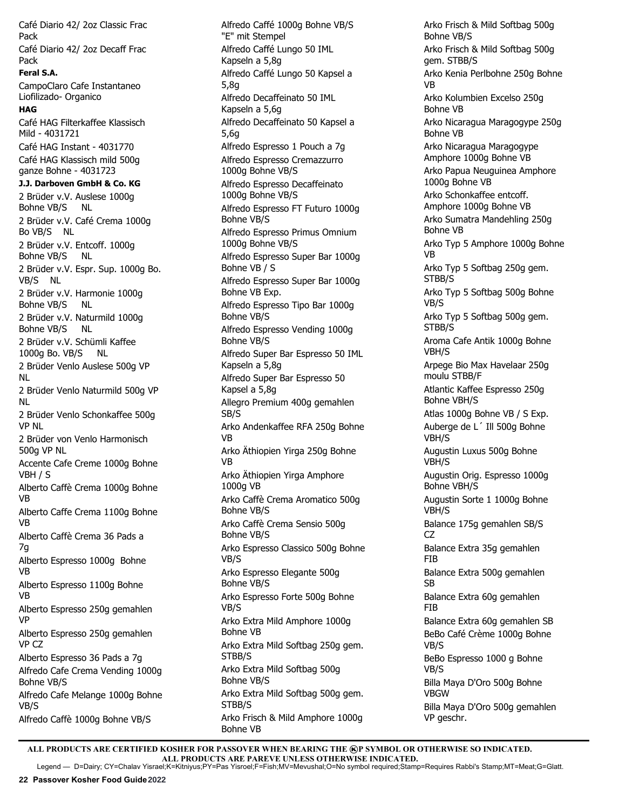Café Diario 42/ 2oz Classic Frac Pack Café Diario 42/ 2oz Decaff Frac Pack **Feral S.A.** CampoClaro Cafe Instantaneo Liofilizado- Organico **HAG** Café HAG Filterkaffee Klassisch Mild - 4031721 Café HAG Instant - 4031770 Café HAG Klassisch mild 500g ganze Bohne - 4031723 **J.J. Darboven GmbH & Co. KG** 2 Brüder v.V. Auslese 1000g Bohne VB/S NL 2 Brüder v.V. Café Crema 1000g Bo VB/S NL 2 Brüder v.V. Entcoff. 1000g Bohne VB/S NL 2 Brüder v.V. Espr. Sup. 1000g Bo. VB/S NL 2 Brüder v.V. Harmonie 1000g Bohne VB/S NL 2 Brüder v.V. Naturmild 1000g Bohne VB/S NL 2 Brüder v.V. Schümli Kaffee 1000g Bo. VB/S NL 2 Brüder Venlo Auslese 500g VP NL 2 Brüder Venlo Naturmild 500g VP NL 2 Brüder Venlo Schonkaffee 500g VP NL 2 Brüder von Venlo Harmonisch 500g VP NL Accente Cafe Creme 1000g Bohne VBH / S Alberto Caffè Crema 1000g Bohne VB Alberto Caffe Crema 1100g Bohne VB Alberto Caffè Crema 36 Pads a 7g Alberto Espresso 1000g Bohne VB Alberto Espresso 1100g Bohne VB Alberto Espresso 250g gemahlen VP Alberto Espresso 250g gemahlen VP CZ Alberto Espresso 36 Pads a 7g Alfredo Cafe Crema Vending 1000g Bohne VB/S Alfredo Cafe Melange 1000g Bohne VB/S Alfredo Caffè 1000g Bohne VB/S

Alfredo Caffé 1000g Bohne VB/S "E" mit Stempel Alfredo Caffé Lungo 50 IML Kapseln a 5,8g Alfredo Caffé Lungo 50 Kapsel a 5,8g Alfredo Decaffeinato 50 IML Kapseln a 5,6g Alfredo Decaffeinato 50 Kapsel a 5,6g Alfredo Espresso 1 Pouch a 7g Alfredo Espresso Cremazzurro 1000g Bohne VB/S Alfredo Espresso Decaffeinato 1000g Bohne VB/S Alfredo Espresso FT Futuro 1000g Bohne VB/S Alfredo Espresso Primus Omnium 1000g Bohne VB/S Alfredo Espresso Super Bar 1000g Bohne VB / S Alfredo Espresso Super Bar 1000g Bohne VB Exp. Alfredo Espresso Tipo Bar 1000g Bohne VB/S Alfredo Espresso Vending 1000g Bohne VB/S Alfredo Super Bar Espresso 50 IML Kapseln a 5,8g Alfredo Super Bar Espresso 50 Kapsel a 5,8g Allegro Premium 400g gemahlen SB/S Arko Andenkaffee RFA 250g Bohne VB Arko Äthiopien Yirga 250g Bohne VB Arko Äthiopien Yirga Amphore 1000g VB Arko Caffè Crema Aromatico 500g Bohne VB/S Arko Caffè Crema Sensio 500g Bohne VB/S Arko Espresso Classico 500g Bohne VB/S Arko Espresso Elegante 500g Bohne VB/S Arko Espresso Forte 500g Bohne VB/S Arko Extra Mild Amphore 1000g Bohne VB Arko Extra Mild Softbag 250g gem. STBB/S Arko Extra Mild Softbag 500g Bohne VB/S Arko Extra Mild Softbag 500g gem. STBB/S Arko Frisch & Mild Amphore 1000g Bohne VB

Arko Frisch & Mild Softbag 500g Bohne VB/S Arko Frisch & Mild Softbag 500g gem. STBB/S Arko Kenia Perlbohne 250g Bohne VB Arko Kolumbien Excelso 250g Bohne VB Arko Nicaragua Maragogype 250g Bohne VB Arko Nicaragua Maragogype Amphore 1000g Bohne VB Arko Papua Neuguinea Amphore 1000g Bohne VB Arko Schonkaffee entcoff. Amphore 1000g Bohne VB Arko Sumatra Mandehling 250g Bohne VB Arko Typ 5 Amphore 1000g Bohne VB Arko Typ 5 Softbag 250g gem. STBB/S Arko Typ 5 Softbag 500g Bohne VB/S Arko Typ 5 Softbag 500g gem. STBB/S Aroma Cafe Antik 1000g Bohne VBH/S Arpege Bio Max Havelaar 250g moulu STBB/F Atlantic Kaffee Espresso 250g Bohne VBH/S Atlas 1000g Bohne VB / S Exp. Auberge de L´ Ill 500g Bohne VBH/S Augustin Luxus 500g Bohne VBH/S Augustin Orig. Espresso 1000g Bohne VBH/S Augustin Sorte 1 1000g Bohne VBH/S Balance 175g gemahlen SB/S CZ Balance Extra 35g gemahlen FIB Balance Extra 500g gemahlen SB Balance Extra 60g gemahlen FIB Balance Extra 60g gemahlen SB BeBo Café Crème 1000g Bohne VB/S BeBo Espresso 1000 g Bohne VB/S Billa Maya D'Oro 500g Bohne VBGW Billa Maya D'Oro 500g gemahlen VP geschr.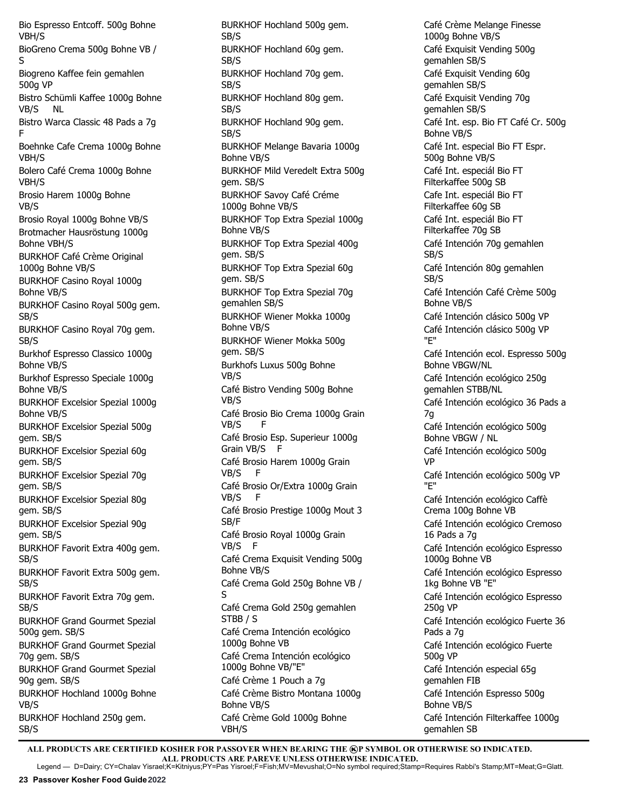Bio Espresso Entcoff. 500g Bohne VBH/S BioGreno Crema 500g Bohne VB / S Biogreno Kaffee fein gemahlen 500g VP Bistro Schümli Kaffee 1000g Bohne VB/S NL Bistro Warca Classic 48 Pads a 7g F Boehnke Cafe Crema 1000g Bohne VBH/S Bolero Café Crema 1000g Bohne VBH/S Brosio Harem 1000g Bohne VB/S Brosio Royal 1000g Bohne VB/S Brotmacher Hausröstung 1000g Bohne VBH/S BURKHOF Café Crème Original 1000g Bohne VB/S BURKHOF Casino Royal 1000g Bohne VB/S BURKHOF Casino Royal 500g gem. SB/S BURKHOF Casino Royal 70g gem. SB/S Burkhof Espresso Classico 1000g Bohne VB/S Burkhof Espresso Speciale 1000g Bohne VB/S BURKHOF Excelsior Spezial 1000g Bohne VB/S BURKHOF Excelsior Spezial 500g gem. SB/S BURKHOF Excelsior Spezial 60g gem. SB/S BURKHOF Excelsior Spezial 70g gem. SB/S BURKHOF Excelsior Spezial 80g gem. SB/S BURKHOF Excelsior Spezial 90g gem. SB/S BURKHOF Favorit Extra 400g gem. SB/S BURKHOF Favorit Extra 500g gem. SB/S BURKHOF Favorit Extra 70g gem. SB/S BURKHOF Grand Gourmet Spezial 500g gem. SB/S BURKHOF Grand Gourmet Spezial 70g gem. SB/S BURKHOF Grand Gourmet Spezial 90g gem. SB/S BURKHOF Hochland 1000g Bohne VB/S BURKHOF Hochland 250g gem. SB/S

BURKHOF Hochland 500g gem. SB/S BURKHOF Hochland 60g gem. SB/S BURKHOF Hochland 70g gem. SB/S BURKHOF Hochland 80g gem. SB/S BURKHOF Hochland 90g gem. SB/S BURKHOF Melange Bavaria 1000g Bohne VB/S BURKHOF Mild Veredelt Extra 500g gem. SB/S BURKHOF Savoy Café Créme 1000g Bohne VB/S BURKHOF Top Extra Spezial 1000g Bohne VB/S BURKHOF Top Extra Spezial 400g gem. SB/S BURKHOF Top Extra Spezial 60g gem. SB/S BURKHOF Top Extra Spezial 70g gemahlen SB/S BURKHOF Wiener Mokka 1000g Bohne VB/S BURKHOF Wiener Mokka 500g gem. SB/S Burkhofs Luxus 500g Bohne VB/S Café Bistro Vending 500g Bohne VB/S Café Brosio Bio Crema 1000g Grain VB/S F Café Brosio Esp. Superieur 1000g Grain VB/S F Café Brosio Harem 1000g Grain VB/S F Café Brosio Or/Extra 1000g Grain VB/S F Café Brosio Prestige 1000g Mout 3 SB/F Café Brosio Royal 1000g Grain VB/S F Café Crema Exquisit Vending 500g Bohne VB/S Café Crema Gold 250g Bohne VB / S Café Crema Gold 250g gemahlen STBB / S Café Crema Intención ecológico 1000g Bohne VB Café Crema Intención ecológico 1000g Bohne VB/"E" Café Crème 1 Pouch a 7g Café Crème Bistro Montana 1000g Bohne VB/S Café Crème Gold 1000g Bohne VBH/S

Café Crème Melange Finesse 1000g Bohne VB/S Café Exquisit Vending 500g gemahlen SB/S Café Exquisit Vending 60g gemahlen SB/S Café Exquisit Vending 70g gemahlen SB/S Café Int. esp. Bio FT Café Cr. 500g Bohne VB/S Café Int. especial Bio FT Espr. 500g Bohne VB/S Café Int. especiál Bio FT Filterkaffee 500g SB Cafe Int. especiál Bio FT Filterkaffee 60g SB Café Int. especiál Bio FT Filterkaffee 70g SB Café Intención 70g gemahlen SB/S Café Intención 80g gemahlen SB/S Café Intención Café Crème 500g Bohne VB/S Café Intención clásico 500g VP Café Intención clásico 500g VP "E" Café Intención ecol. Espresso 500g Bohne VBGW/NL Café Intención ecológico 250g gemahlen STBB/NL Café Intención ecológico 36 Pads a 7g Café Intención ecológico 500g Bohne VBGW / NL Café Intención ecológico 500g VP Café Intención ecológico 500g VP "E" Café Intención ecológico Caffè Crema 100g Bohne VB Café Intención ecológico Cremoso 16 Pads a 7g Café Intención ecológico Espresso 1000g Bohne VB Café Intención ecológico Espresso 1kg Bohne VB "E" Café Intención ecológico Espresso 250g VP Café Intención ecológico Fuerte 36 Pads a 7g Café Intención ecológico Fuerte 500g VP Café Intención especial 65g gemahlen FIB Café Intención Espresso 500g Bohne VB/S Café Intención Filterkaffee 1000g gemahlen SB

ALL PRODUCTS ARE CERTIFIED KOSHER FOR PASSOVER WHEN BEARING THE **@P SYMBOL OR OTHERWISE SO INDICATED. ALL PRODUCTS ARE PAREVE UNLESS OTHERWISE INDICATED.**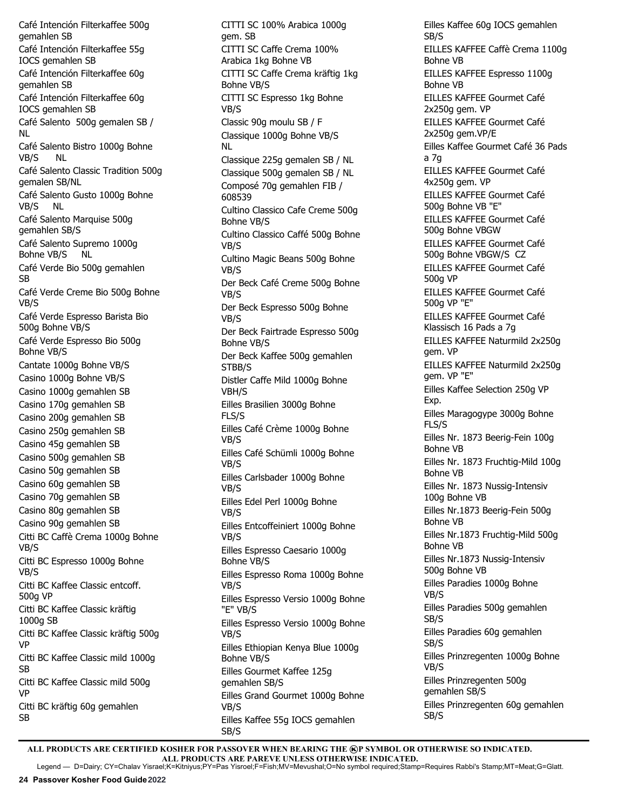Café Intención Filterkaffee 500g gemahlen SB Café Intención Filterkaffee 55g IOCS gemahlen SB Café Intención Filterkaffee 60g gemahlen SB Café Intención Filterkaffee 60g IOCS gemahlen SB Café Salento 500g gemalen SB / NL Café Salento Bistro 1000g Bohne VB/S NL Café Salento Classic Tradition 500g gemalen SB/NL Café Salento Gusto 1000g Bohne VB/S NL Café Salento Marquise 500g gemahlen SB/S Café Salento Supremo 1000g Bohne VB/S NL Café Verde Bio 500g gemahlen SB Café Verde Creme Bio 500g Bohne VB/S Café Verde Espresso Barista Bio 500g Bohne VB/S Café Verde Espresso Bio 500g Bohne VB/S Cantate 1000g Bohne VB/S Casino 1000g Bohne VB/S Casino 1000g gemahlen SB Casino 170g gemahlen SB Casino 200g gemahlen SB Casino 250g gemahlen SB Casino 45g gemahlen SB Casino 500g gemahlen SB Casino 50g gemahlen SB Casino 60g gemahlen SB Casino 70g gemahlen SB Casino 80g gemahlen SB Casino 90g gemahlen SB Citti BC Caffè Crema 1000g Bohne VB/S Citti BC Espresso 1000g Bohne VB/S Citti BC Kaffee Classic entcoff. 500g VP Citti BC Kaffee Classic kräftig 1000g SB Citti BC Kaffee Classic kräftig 500g VP Citti BC Kaffee Classic mild 1000g SB Citti BC Kaffee Classic mild 500g VP Citti BC kräftig 60g gemahlen SB

CITTI SC 100% Arabica 1000g gem. SB CITTI SC Caffe Crema 100% Arabica 1kg Bohne VB CITTI SC Caffe Crema kräftig 1kg Bohne VB/S CITTI SC Espresso 1kg Bohne VB/S Classic 90g moulu SB / F Classique 1000g Bohne VB/S NL Classique 225g gemalen SB / NL Classique 500g gemalen SB / NL Composé 70g gemahlen FIB / 608539 Cultino Classico Cafe Creme 500g Bohne VB/S Cultino Classico Caffé 500g Bohne VB/S Cultino Magic Beans 500g Bohne VB/S Der Beck Café Creme 500g Bohne VB/S Der Beck Espresso 500g Bohne VB/S Der Beck Fairtrade Espresso 500g Bohne VB/S Der Beck Kaffee 500g gemahlen STBB/S Distler Caffe Mild 1000g Bohne VBH/S Eilles Brasilien 3000g Bohne FLS/S Eilles Café Crème 1000g Bohne VB/S Eilles Café Schümli 1000g Bohne VB/S Eilles Carlsbader 1000g Bohne VB/S Eilles Edel Perl 1000g Bohne VB/S Eilles Entcoffeiniert 1000g Bohne VB/S Eilles Espresso Caesario 1000g Bohne VB/S Eilles Espresso Roma 1000g Bohne VB/S Eilles Espresso Versio 1000g Bohne "E" VB/S Eilles Espresso Versio 1000g Bohne VB/S Eilles Ethiopian Kenya Blue 1000g Bohne VB/S Eilles Gourmet Kaffee 125g gemahlen SB/S Eilles Grand Gourmet 1000g Bohne VB/S Eilles Kaffee 55g IOCS gemahlen SB/S

Eilles Kaffee 60g IOCS gemahlen SB/S EILLES KAFFEE Caffè Crema 1100g Bohne VB EILLES KAFFEE Espresso 1100g Bohne VB EILLES KAFFEE Gourmet Café 2x250g gem. VP EILLES KAFFEE Gourmet Café 2x250a gem.VP/E Eilles Kaffee Gourmet Café 36 Pads a 7g EILLES KAFFEE Gourmet Café 4x250g gem. VP EILLES KAFFEE Gourmet Café 500g Bohne VB "E" EILLES KAFFEE Gourmet Café 500g Bohne VBGW EILLES KAFFEE Gourmet Café 500g Bohne VBGW/S CZ EILLES KAFFEE Gourmet Café 500g VP EILLES KAFFEE Gourmet Café 500g VP "E" EILLES KAFFEE Gourmet Café Klassisch 16 Pads a 7g EILLES KAFFEE Naturmild 2x250g gem. VP EILLES KAFFEE Naturmild 2x250g gem. VP "E" Eilles Kaffee Selection 250g VP Exp. Eilles Maragogype 3000g Bohne FLS/S Eilles Nr. 1873 Beerig-Fein 100g Bohne VB Eilles Nr. 1873 Fruchtig-Mild 100g Bohne VB Eilles Nr. 1873 Nussig-Intensiv 100g Bohne VB Eilles Nr.1873 Beerig-Fein 500g Bohne VB Eilles Nr.1873 Fruchtig-Mild 500g Bohne VB Eilles Nr.1873 Nussig-Intensiv 500g Bohne VB Eilles Paradies 1000g Bohne VB/S Eilles Paradies 500g gemahlen SB/S Eilles Paradies 60g gemahlen SB/S Eilles Prinzregenten 1000g Bohne VB/S Eilles Prinzregenten 500g gemahlen SB/S Eilles Prinzregenten 60g gemahlen SB/S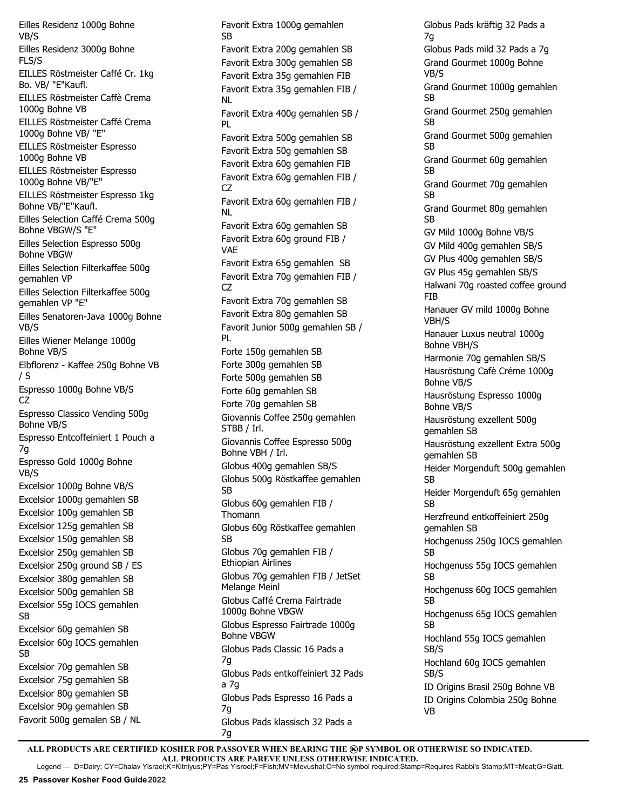Eilles Residenz 1000g Bohne VB/S Eilles Residenz 3000g Bohne FLS/S EILLES Röstmeister Caffé Cr. 1kg Bo. VB/ "E"Kaufl. EILLES Röstmeister Caffè Crema 1000g Bohne VB EILLES Röstmeister Caffé Crema 1000g Bohne VB/ "E" EILLES Röstmeister Espresso 1000g Bohne VB EILLES Röstmeister Espresso 1000g Bohne VB/"E" EILLES Röstmeister Espresso 1kg Bohne VB/"E"Kaufl. Eilles Selection Caffé Crema 500g Bohne VBGW/S "E" Eilles Selection Espresso 500g Bohne VBGW Eilles Selection Filterkaffee 500g gemahlen VP Eilles Selection Filterkaffee 500g gemahlen VP "E" Eilles Senatoren-Java 1000g Bohne VB/S Eilles Wiener Melange 1000g Bohne VB/S Elbflorenz - Kaffee 250g Bohne VB / S Espresso 1000g Bohne VB/S  $C<sub>7</sub>$ Espresso Classico Vending 500g Bohne VB/S Espresso Entcoffeiniert 1 Pouch a 7g Espresso Gold 1000g Bohne VB/S Excelsior 1000g Bohne VB/S Excelsior 1000g gemahlen SB Excelsior 100g gemahlen SB Excelsior 125g gemahlen SB Excelsior 150g gemahlen SB Excelsior 250g gemahlen SB Excelsior 250g ground SB / ES Excelsior 380g gemahlen SB Excelsior 500g gemahlen SB Excelsior 55g IOCS gemahlen SB Excelsior 60g gemahlen SB Excelsior 60g IOCS gemahlen SB Excelsior 70g gemahlen SB Excelsior 75g gemahlen SB Excelsior 80g gemahlen SB Excelsior 90g gemahlen SB Favorit 500g gemalen SB / NL

Favorit Extra 1000g gemahlen SB Favorit Extra 200g gemahlen SB Favorit Extra 300g gemahlen SB Favorit Extra 35g gemahlen FIB Favorit Extra 35g gemahlen FIB / NL Favorit Extra 400g gemahlen SB / PL Favorit Extra 500g gemahlen SB Favorit Extra 50g gemahlen SB Favorit Extra 60g gemahlen FIB Favorit Extra 60g gemahlen FIB / CZ Favorit Extra 60g gemahlen FIB / NL Favorit Extra 60g gemahlen SB Favorit Extra 60g ground FIB / VAE Favorit Extra 65g gemahlen SB Favorit Extra 70g gemahlen FIB / CZ Favorit Extra 70g gemahlen SB Favorit Extra 80g gemahlen SB Favorit Junior 500g gemahlen SB / PL Forte 150g gemahlen SB Forte 300g gemahlen SB Forte 500g gemahlen SB Forte 60g gemahlen SB Forte 70g gemahlen SB Giovannis Coffee 250g gemahlen STBB / Irl. Giovannis Coffee Espresso 500g Bohne VBH / Irl. Globus 400g gemahlen SB/S Globus 500g Röstkaffee gemahlen SB Globus 60g gemahlen FIB / Thomann Globus 60g Röstkaffee gemahlen SB Globus 70g gemahlen FIB / Ethiopian Airlines Globus 70g gemahlen FIB / JetSet Melange Meinl Globus Caffé Crema Fairtrade 1000g Bohne VBGW Globus Espresso Fairtrade 1000g Bohne VBGW Globus Pads Classic 16 Pads a 7g Globus Pads entkoffeiniert 32 Pads a 7g Globus Pads Espresso 16 Pads a  $7<sub>g</sub>$ Globus Pads klassisch 32 Pads a 7g

Globus Pads kräftig 32 Pads a 7g Globus Pads mild 32 Pads a 7g Grand Gourmet 1000g Bohne VB/S Grand Gourmet 1000g gemahlen SB Grand Gourmet 250g gemahlen **SB** Grand Gourmet 500g gemahlen SB Grand Gourmet 60g gemahlen SB Grand Gourmet 70g gemahlen SB Grand Gourmet 80g gemahlen SB GV Mild 1000g Bohne VB/S GV Mild 400g gemahlen SB/S GV Plus 400g gemahlen SB/S GV Plus 45g gemahlen SB/S Halwani 70g roasted coffee ground FIB Hanauer GV mild 1000g Bohne VBH/S Hanauer Luxus neutral 1000g Bohne VBH/S Harmonie 70g gemahlen SB/S Hausröstung Cafè Créme 1000g Bohne VB/S Hausröstung Espresso 1000g Bohne VB/S Hausröstung exzellent 500g gemahlen SB Hausröstung exzellent Extra 500g gemahlen SB Heider Morgenduft 500g gemahlen SB Heider Morgenduft 65g gemahlen SB Herzfreund entkoffeiniert 250g gemahlen SB Hochgenuss 250g IOCS gemahlen SB Hochgenuss 55g IOCS gemahlen SB Hochgenuss 60g IOCS gemahlen SB Hochgenuss 65g IOCS gemahlen SB Hochland 55g IOCS gemahlen SB/S Hochland 60g IOCS gemahlen SB/S ID Origins Brasil 250g Bohne VB ID Origins Colombia 250g Bohne VB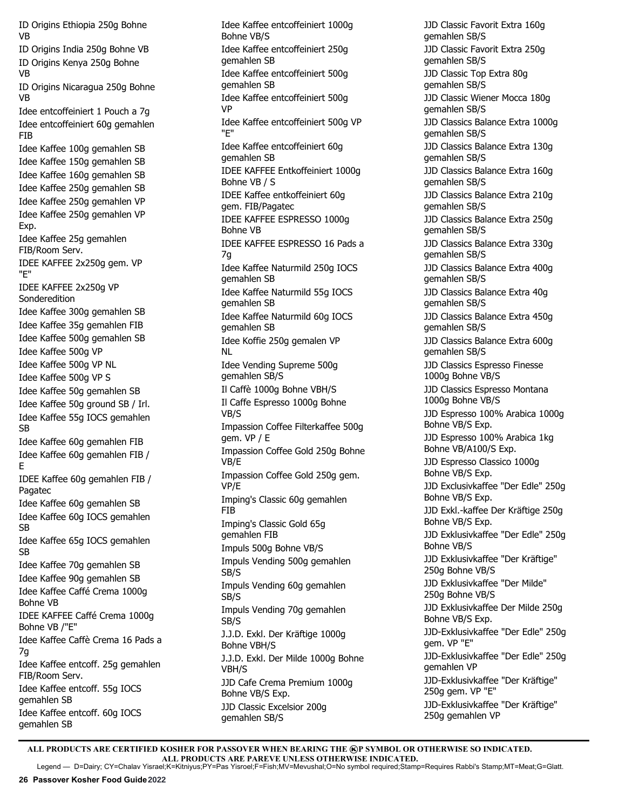ID Origins Ethiopia 250g Bohne VB ID Origins India 250g Bohne VB ID Origins Kenya 250g Bohne VB ID Origins Nicaragua 250g Bohne VB Idee entcoffeiniert 1 Pouch a 7g Idee entcoffeiniert 60g gemahlen FIB Idee Kaffee 100g gemahlen SB Idee Kaffee 150g gemahlen SB Idee Kaffee 160g gemahlen SB Idee Kaffee 250g gemahlen SB Idee Kaffee 250g gemahlen VP Idee Kaffee 250g gemahlen VP Exp. Idee Kaffee 25g gemahlen FIB/Room Serv. IDEE KAFFEE 2x250g gem. VP "E" IDEE KAFFEE 2x250g VP Sonderedition Idee Kaffee 300g gemahlen SB Idee Kaffee 35g gemahlen FIB Idee Kaffee 500g gemahlen SB Idee Kaffee 500g VP Idee Kaffee 500g VP NL Idee Kaffee 500g VP S Idee Kaffee 50g gemahlen SB Idee Kaffee 50g ground SB / Irl. Idee Kaffee 55g IOCS gemahlen SB Idee Kaffee 60g gemahlen FIB Idee Kaffee 60g gemahlen FIB / E IDEE Kaffee 60g gemahlen FIB / Pagatec Idee Kaffee 60g gemahlen SB Idee Kaffee 60g IOCS gemahlen SB Idee Kaffee 65g IOCS gemahlen SB Idee Kaffee 70g gemahlen SB Idee Kaffee 90g gemahlen SB Idee Kaffee Caffé Crema 1000g Bohne VB IDEE KAFFEE Caffé Crema 1000g Bohne VB /"E" Idee Kaffee Caffè Crema 16 Pads a 7g Idee Kaffee entcoff. 25g gemahlen FIB/Room Serv. Idee Kaffee entcoff. 55g IOCS gemahlen SB Idee Kaffee entcoff. 60g IOCS gemahlen SB

Idee Kaffee entcoffeiniert 1000g Bohne VB/S Idee Kaffee entcoffeiniert 250g gemahlen SB Idee Kaffee entcoffeiniert 500g gemahlen SB Idee Kaffee entcoffeiniert 500g VP Idee Kaffee entcoffeiniert 500g VP "E" Idee Kaffee entcoffeiniert 60g gemahlen SB IDEE KAFFEE Entkoffeiniert 1000g Bohne VB / S IDEE Kaffee entkoffeiniert 60g gem. FIB/Pagatec IDEE KAFFEE ESPRESSO 1000g Bohne VB IDEE KAFFEE ESPRESSO 16 Pads a 7g Idee Kaffee Naturmild 250g IOCS gemahlen SB Idee Kaffee Naturmild 55g IOCS gemahlen SB Idee Kaffee Naturmild 60g IOCS gemahlen SB Idee Koffie 250g gemalen VP NL Idee Vending Supreme 500g gemahlen SB/S Il Caffè 1000g Bohne VBH/S Il Caffe Espresso 1000g Bohne VB/S Impassion Coffee Filterkaffee 500g gem. VP / E Impassion Coffee Gold 250g Bohne VB/E Impassion Coffee Gold 250g gem. VP/E Imping's Classic 60g gemahlen FIB Imping's Classic Gold 65g gemahlen FIB Impuls 500g Bohne VB/S Impuls Vending 500g gemahlen SB/S Impuls Vending 60g gemahlen SB/S Impuls Vending 70g gemahlen SB/S J.J.D. Exkl. Der Kräftige 1000g Bohne VBH/S J.J.D. Exkl. Der Milde 1000g Bohne VBH/S JJD Cafe Crema Premium 1000g Bohne VB/S Exp. JJD Classic Excelsior 200g gemahlen SB/S

JJD Classic Favorit Extra 160g gemahlen SB/S JJD Classic Favorit Extra 250g gemahlen SB/S JJD Classic Top Extra 80g gemahlen SB/S JJD Classic Wiener Mocca 180g gemahlen SB/S JJD Classics Balance Extra 1000g gemahlen SB/S JJD Classics Balance Extra 130g gemahlen SB/S JJD Classics Balance Extra 160g gemahlen SB/S JJD Classics Balance Extra 210g gemahlen SB/S JJD Classics Balance Extra 250g gemahlen SB/S JJD Classics Balance Extra 330g gemahlen SB/S JJD Classics Balance Extra 400g gemahlen SB/S JJD Classics Balance Extra 40g gemahlen SB/S JJD Classics Balance Extra 450g gemahlen SB/S JJD Classics Balance Extra 600g gemahlen SB/S JJD Classics Espresso Finesse 1000g Bohne VB/S JJD Classics Espresso Montana 1000g Bohne VB/S JJD Espresso 100% Arabica 1000g Bohne VB/S Exp. JJD Espresso 100% Arabica 1kg Bohne VB/A100/S Exp. JJD Espresso Classico 1000g Bohne VB/S Exp. JJD Exclusivkaffee "Der Edle" 250g Bohne VB/S Exp. JJD Exkl.-kaffee Der Kräftige 250g Bohne VB/S Exp. JJD Exklusivkaffee "Der Edle" 250g Bohne VB/S JJD Exklusivkaffee "Der Kräftige" 250g Bohne VB/S JJD Exklusivkaffee "Der Milde" 250g Bohne VB/S JJD Exklusivkaffee Der Milde 250g Bohne VB/S Exp. JJD-Exklusivkaffee "Der Edle" 250g gem. VP "E" JJD-Exklusivkaffee "Der Edle" 250g gemahlen VP JJD-Exklusivkaffee "Der Kräftige" 250g gem. VP "E" JJD-Exklusivkaffee "Der Kräftige" 250g gemahlen VP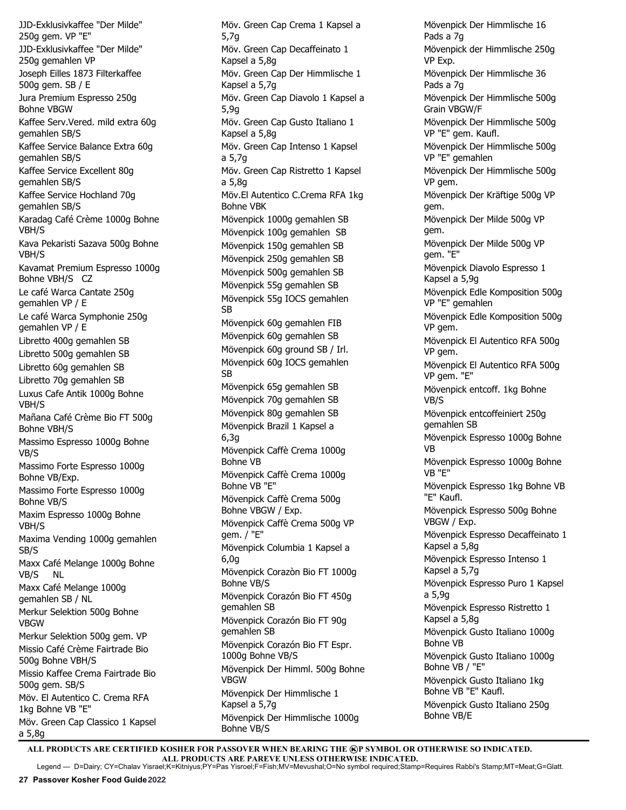JJD-Exklusivkaffee "Der Milde" 250g gem. VP "E" JJD-Exklusivkaffee "Der Milde" 250g gemahlen VP Joseph Eilles 1873 Filterkaffee 500g gem. SB / E Jura Premium Espresso 250g Bohne VBGW Kaffee Serv.Vered. mild extra 60g gemahlen SB/S Kaffee Service Balance Extra 60g gemahlen SB/S Kaffee Service Excellent 80g gemahlen SB/S Kaffee Service Hochland 70g gemahlen SB/S Karadag Café Crème 1000g Bohne VBH/S Kava Pekaristi Sazava 500g Bohne VBH/S Kavamat Premium Espresso 1000g Bohne VBH/S CZ Le café Warca Cantate 250g gemahlen VP / E Le café Warca Symphonie 250g gemahlen VP / E Libretto 400g gemahlen SB Libretto 500g gemahlen SB Libretto 60g gemahlen SB Libretto 70g gemahlen SB Luxus Cafe Antik 1000g Bohne VBH/S Mañana Café Crème Bio FT 500g Bohne VBH/S Massimo Espresso 1000g Bohne VB/S Massimo Forte Espresso 1000g Bohne VB/Exp. Massimo Forte Espresso 1000g Bohne VB/S Maxim Espresso 1000g Bohne VBH/S Maxima Vending 1000g gemahlen SB/S Maxx Café Melange 1000g Bohne VB/S NL Maxx Café Melange 1000g gemahlen SB / NL Merkur Selektion 500g Bohne VBGW Merkur Selektion 500g gem. VP Missio Café Crème Fairtrade Bio 500g Bohne VBH/S Missio Kaffee Crema Fairtrade Bio 500g gem. SB/S Möv. El Autentico C. Crema RFA 1kg Bohne VB "E" Möv. Green Cap Classico 1 Kapsel a 5,8g

Möv. Green Cap Crema 1 Kapsel a 5,7g Möv. Green Cap Decaffeinato 1 Kapsel a 5,8g Möv. Green Cap Der Himmlische 1 Kapsel a 5,7g Möv. Green Cap Diavolo 1 Kapsel a 5,9g Möv. Green Cap Gusto Italiano 1 Kapsel a 5,8g Möv. Green Cap Intenso 1 Kapsel a 5,7g Möv. Green Cap Ristretto 1 Kapsel a 5,8g Möv.El Autentico C.Crema RFA 1kg Bohne VBK Mövenpick 1000g gemahlen SB Mövenpick 100g gemahlen SB Mövenpick 150g gemahlen SB Mövenpick 250g gemahlen SB Mövenpick 500g gemahlen SB Mövenpick 55g gemahlen SB Mövenpick 55g IOCS gemahlen SB Mövenpick 60g gemahlen FIB Mövenpick 60g gemahlen SB Mövenpick 60g ground SB / Irl. Mövenpick 60g IOCS gemahlen SB Mövenpick 65g gemahlen SB Mövenpick 70g gemahlen SB Mövenpick 80g gemahlen SB Mövenpick Brazil 1 Kapsel a 6,3g Mövenpick Caffè Crema 1000g Bohne VB Mövenpick Caffè Crema 1000g Bohne VB "E" Mövenpick Caffè Crema 500g Bohne VBGW / Exp. Mövenpick Caffè Crema 500g VP gem. / "E" Mövenpick Columbia 1 Kapsel a 6,0g Mövenpick Corazòn Bio FT 1000g Bohne VB/S Mövenpick Corazón Bio FT 450g gemahlen SB Mövenpick Corazón Bio FT 90g gemahlen SB Mövenpick Corazón Bio FT Espr. 1000g Bohne VB/S Mövenpick Der Himml. 500g Bohne VBGW Mövenpick Der Himmlische 1 Kapsel a 5,7g Mövenpick Der Himmlische 1000g Bohne VB/S

Mövenpick Der Himmlische 16 Pads a 7g Mövenpick der Himmlische 250g VP Exp. Mövenpick Der Himmlische 36 Pads a 7g Mövenpick Der Himmlische 500g Grain VBGW/F Mövenpick Der Himmlische 500g VP "E" gem. Kaufl. Mövenpick Der Himmlische 500g VP "E" gemahlen Mövenpick Der Himmlische 500g VP gem. Mövenpick Der Kräftige 500g VP gem. Mövenpick Der Milde 500g VP gem. Mövenpick Der Milde 500g VP gem. "E" Mövenpick Diavolo Espresso 1 Kapsel a 5,9g Mövenpick Edle Komposition 500g VP "E" gemahlen Mövenpick Edle Komposition 500g VP gem. Mövenpick El Autentico RFA 500g VP gem. Mövenpick El Autentico RFA 500g VP gem. "E" Mövenpick entcoff. 1kg Bohne VB/S Mövenpick entcoffeiniert 250g gemahlen SB Mövenpick Espresso 1000g Bohne VB Mövenpick Espresso 1000g Bohne VB "E" Mövenpick Espresso 1kg Bohne VB "E" Kaufl. Mövenpick Espresso 500g Bohne VBGW / Exp. Mövenpick Espresso Decaffeinato 1 Kapsel a 5,8g Mövenpick Espresso Intenso 1 Kapsel a 5,7g Mövenpick Espresso Puro 1 Kapsel a 5,9g Mövenpick Espresso Ristretto 1 Kapsel a 5,8g Mövenpick Gusto Italiano 1000g Bohne VB Mövenpick Gusto Italiano 1000g Bohne VB / "E" Mövenpick Gusto Italiano 1kg Bohne VB "E" Kaufl. Mövenpick Gusto Italiano 250g Bohne VB/E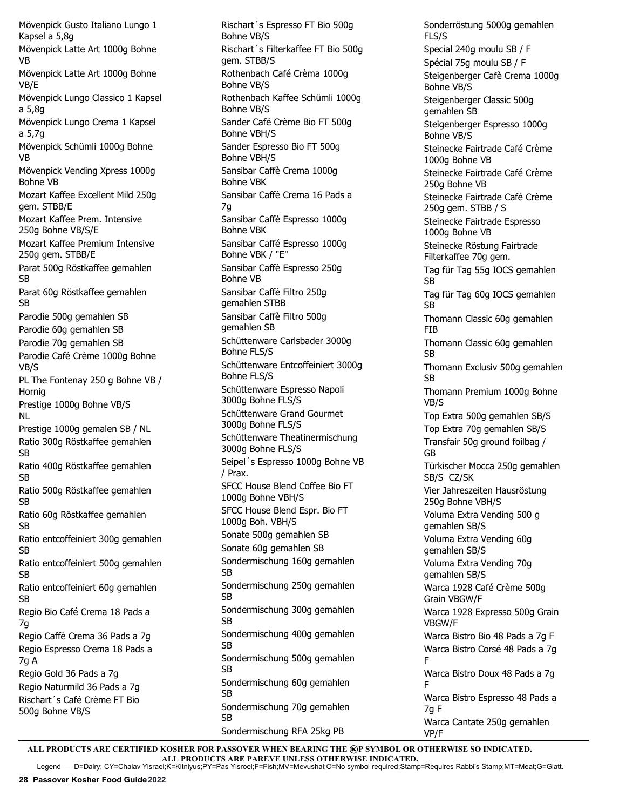Mövenpick Gusto Italiano Lungo 1 Kapsel a 5,8g Mövenpick Latte Art 1000g Bohne VB Mövenpick Latte Art 1000g Bohne VB/E Mövenpick Lungo Classico 1 Kapsel a 5,8g Mövenpick Lungo Crema 1 Kapsel a 5,7g Mövenpick Schümli 1000g Bohne VB Mövenpick Vending Xpress 1000g Bohne VB Mozart Kaffee Excellent Mild 250g gem. STBB/E Mozart Kaffee Prem. Intensive 250g Bohne VB/S/E Mozart Kaffee Premium Intensive 250g gem. STBB/E Parat 500g Röstkaffee gemahlen SB Parat 60g Röstkaffee gemahlen SB Parodie 500g gemahlen SB Parodie 60g gemahlen SB Parodie 70g gemahlen SB Parodie Café Crème 1000g Bohne VB/S PL The Fontenay 250 g Bohne VB / Hornig Prestige 1000g Bohne VB/S NL Prestige 1000g gemalen SB / NL Ratio 300g Röstkaffee gemahlen SB Ratio 400g Röstkaffee gemahlen SB Ratio 500g Röstkaffee gemahlen SB Ratio 60g Röstkaffee gemahlen SB Ratio entcoffeiniert 300g gemahlen SB Ratio entcoffeiniert 500g gemahlen SB Ratio entcoffeiniert 60g gemahlen SB Regio Bio Café Crema 18 Pads a 7g Regio Caffè Crema 36 Pads a 7g Regio Espresso Crema 18 Pads a 7g A Regio Gold 36 Pads a 7g Regio Naturmild 36 Pads a 7g Rischart´s Café Crème FT Bio 500g Bohne VB/S

Rischart´s Espresso FT Bio 500g Bohne VB/S Rischart´s Filterkaffee FT Bio 500g gem. STBB/S Rothenbach Café Crèma 1000g Bohne VB/S Rothenbach Kaffee Schümli 1000g Bohne VB/S Sander Café Crème Bio FT 500g Bohne VBH/S Sander Espresso Bio FT 500g Bohne VBH/S Sansibar Caffè Crema 1000g Bohne VBK Sansibar Caffè Crema 16 Pads a 7g Sansibar Caffè Espresso 1000g Bohne VBK Sansibar Caffé Espresso 1000g Bohne VBK / "E" Sansibar Caffè Espresso 250g Bohne VB Sansibar Caffè Filtro 250g gemahlen STBB Sansibar Caffè Filtro 500g gemahlen SB Schüttenware Carlsbader 3000g Bohne FLS/S Schüttenware Entcoffeiniert 3000g Bohne FLS/S Schüttenware Espresso Napoli 3000g Bohne FLS/S Schüttenware Grand Gourmet 3000g Bohne FLS/S Schüttenware Theatinermischung 3000g Bohne FLS/S Seipel´s Espresso 1000g Bohne VB / Prax. SFCC House Blend Coffee Bio FT 1000g Bohne VBH/S SFCC House Blend Espr. Bio FT 1000g Boh. VBH/S Sonate 500g gemahlen SB Sonate 60g gemahlen SB Sondermischung 160g gemahlen SB Sondermischung 250g gemahlen SB Sondermischung 300g gemahlen SB Sondermischung 400g gemahlen SB Sondermischung 500g gemahlen SB Sondermischung 60g gemahlen SB Sondermischung 70g gemahlen SB

Sonderröstung 5000g gemahlen FLS/S Special 240g moulu SB / F Spécial 75g moulu SB / F Steigenberger Cafè Crema 1000g Bohne VB/S Steigenberger Classic 500g gemahlen SB Steigenberger Espresso 1000g Bohne VB/S Steinecke Fairtrade Café Crème 1000g Bohne VB Steinecke Fairtrade Café Crème 250g Bohne VB Steinecke Fairtrade Café Crème 250g gem. STBB / S Steinecke Fairtrade Espresso 1000g Bohne VB Steinecke Röstung Fairtrade Filterkaffee 70g gem. Tag für Tag 55g IOCS gemahlen SB Tag für Tag 60g IOCS gemahlen SB Thomann Classic 60g gemahlen FIB Thomann Classic 60g gemahlen SB Thomann Exclusiv 500g gemahlen SB Thomann Premium 1000g Bohne VB/S Top Extra 500g gemahlen SB/S Top Extra 70g gemahlen SB/S Transfair 50g ground foilbag / GB Türkischer Mocca 250g gemahlen SB/S CZ/SK Vier Jahreszeiten Hausröstung 250g Bohne VBH/S Voluma Extra Vending 500 g gemahlen SB/S Voluma Extra Vending 60g gemahlen SB/S Voluma Extra Vending 70g gemahlen SB/S Warca 1928 Café Crème 500g Grain VBGW/F Warca 1928 Expresso 500g Grain VBGW/F Warca Bistro Bio 48 Pads a 7g F Warca Bistro Corsé 48 Pads a 7g F Warca Bistro Doux 48 Pads a 7g F Warca Bistro Espresso 48 Pads a 7g F Warca Cantate 250g gemahlen VP/F

ALL PRODUCTS ARE CERTIFIED KOSHER FOR PASSOVER WHEN BEARING THE **@P SYMBOL OR OTHERWISE SO INDICATED. ALL PRODUCTS ARE PAREVE UNLESS OTHERWISE INDICATED.**

Sondermischung RFA 25kg PB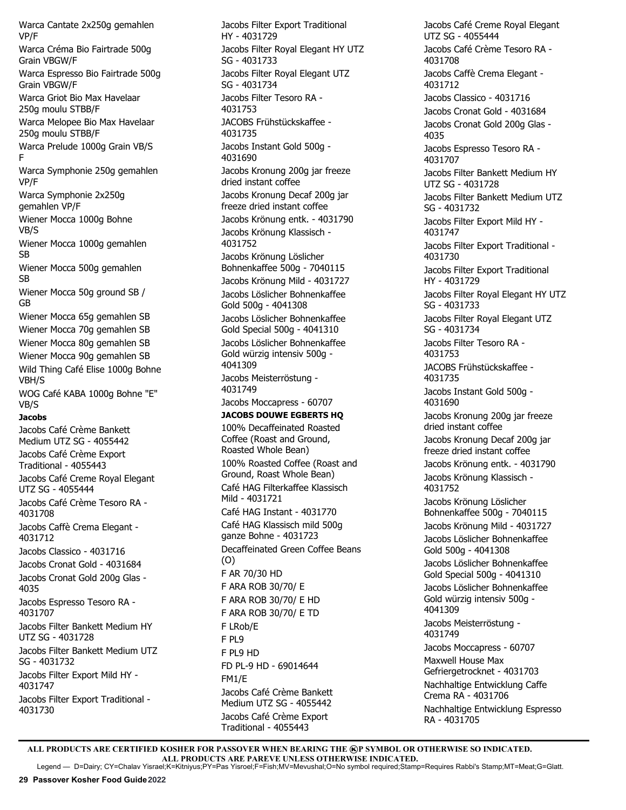Warca Cantate 2x250g gemahlen VP/F Warca Créma Bio Fairtrade 500g Grain VBGW/F Warca Espresso Bio Fairtrade 500g Grain VBGW/F Warca Griot Bio Max Havelaar 250g moulu STBB/F Warca Melopee Bio Max Havelaar 250g moulu STBB/F Warca Prelude 1000g Grain VB/S F Warca Symphonie 250g gemahlen VP/F Warca Symphonie 2x250g gemahlen VP/F Wiener Mocca 1000g Bohne VB/S Wiener Mocca 1000g gemahlen SB Wiener Mocca 500g gemahlen SB Wiener Mocca 50g ground SB / GB Wiener Mocca 65g gemahlen SB Wiener Mocca 70g gemahlen SB Wiener Mocca 80g gemahlen SB Wiener Mocca 90g gemahlen SB Wild Thing Café Elise 1000g Bohne VBH/S WOG Café KABA 1000g Bohne "E" VB/S **Jacobs** Jacobs Café Crème Bankett Medium UTZ SG - 4055442 Jacobs Café Crème Export Traditional - 4055443 Jacobs Café Creme Royal Elegant UTZ SG - 4055444 Jacobs Café Crème Tesoro RA - 4031708 Jacobs Caffè Crema Elegant - 4031712 Jacobs Classico - 4031716 Jacobs Cronat Gold - 4031684 Jacobs Cronat Gold 200g Glas - 4035 Jacobs Espresso Tesoro RA - 4031707 Jacobs Filter Bankett Medium HY UTZ SG - 4031728 Jacobs Filter Bankett Medium UTZ SG - 4031732 Jacobs Filter Export Mild HY - 4031747 Jacobs Filter Export Traditional - 4031730

Jacobs Filter Export Traditional HY - 4031729 Jacobs Filter Royal Elegant HY UTZ SG - 4031733 Jacobs Filter Royal Elegant UTZ SG - 4031734 Jacobs Filter Tesoro RA - 4031753 JACOBS Frühstückskaffee - 4031735 Jacobs Instant Gold 500g - 4031690 Jacobs Kronung 200g jar freeze dried instant coffee Jacobs Kronung Decaf 200g jar freeze dried instant coffee Jacobs Krönung entk. - 4031790 Jacobs Krönung Klassisch - 4031752 Jacobs Krönung Löslicher Bohnenkaffee 500g - 7040115 Jacobs Krönung Mild - 4031727 Jacobs Löslicher Bohnenkaffee Gold 500g - 4041308 Jacobs Löslicher Bohnenkaffee Gold Special 500g - 4041310 Jacobs Löslicher Bohnenkaffee Gold würzig intensiv 500g - 4041309 Jacobs Meisterröstung - 4031749 Jacobs Moccapress - 60707 **JACOBS DOUWE EGBERTS HQ** 100% Decaffeinated Roasted Coffee (Roast and Ground, Roasted Whole Bean) 100% Roasted Coffee (Roast and Ground, Roast Whole Bean) Café HAG Filterkaffee Klassisch Mild - 4031721 Café HAG Instant - 4031770 Café HAG Klassisch mild 500g ganze Bohne - 4031723 Decaffeinated Green Coffee Beans (O) F AR 70/30 HD F ARA ROB 30/70/ E F ARA ROB 30/70/ E HD F ARA ROB 30/70/ E TD F LRob/E F PL9 F PL9 HD FD PL-9 HD - 69014644 FM1/E Jacobs Café Crème Bankett Medium UTZ SG - 4055442 Jacobs Café Crème Export Traditional - 4055443

Jacobs Café Creme Royal Elegant UTZ SG - 4055444 Jacobs Café Crème Tesoro RA - 4031708 Jacobs Caffè Crema Elegant - 4031712 Jacobs Classico - 4031716 Jacobs Cronat Gold - 4031684 Jacobs Cronat Gold 200g Glas - 4035 Jacobs Espresso Tesoro RA - 4031707 Jacobs Filter Bankett Medium HY UTZ SG - 4031728 Jacobs Filter Bankett Medium UTZ SG - 4031732 Jacobs Filter Export Mild HY - 4031747 Jacobs Filter Export Traditional - 4031730 Jacobs Filter Export Traditional HY - 4031729 Jacobs Filter Royal Elegant HY UTZ SG - 4031733 Jacobs Filter Royal Elegant UTZ SG - 4031734 Jacobs Filter Tesoro RA - 4031753 JACOBS Frühstückskaffee - 4031735 Jacobs Instant Gold 500g - 4031690 Jacobs Kronung 200g jar freeze dried instant coffee Jacobs Kronung Decaf 200g jar freeze dried instant coffee Jacobs Krönung entk. - 4031790 Jacobs Krönung Klassisch - 4031752 Jacobs Krönung Löslicher Bohnenkaffee 500g - 7040115 Jacobs Krönung Mild - 4031727 Jacobs Löslicher Bohnenkaffee Gold 500g - 4041308 Jacobs Löslicher Bohnenkaffee Gold Special 500g - 4041310 Jacobs Löslicher Bohnenkaffee Gold würzig intensiv 500g - 4041309 Jacobs Meisterröstung - 4031749 Jacobs Moccapress - 60707 Maxwell House Max Gefriergetrocknet - 4031703 Nachhaltige Entwicklung Caffe Crema RA - 4031706 Nachhaltige Entwicklung Espresso RA - 4031705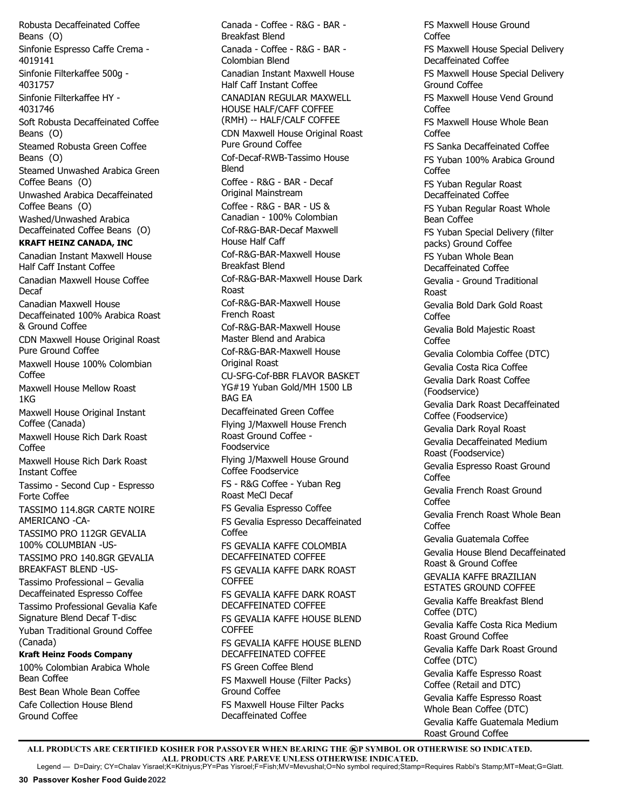Robusta Decaffeinated Coffee Beans (O) Sinfonie Espresso Caffe Crema - 4019141 Sinfonie Filterkaffee 500g - 4031757 Sinfonie Filterkaffee HY - 4031746 Soft Robusta Decaffeinated Coffee Beans (O) Steamed Robusta Green Coffee Beans (O) Steamed Unwashed Arabica Green Coffee Beans (O) Unwashed Arabica Decaffeinated Coffee Beans (O) Washed/Unwashed Arabica Decaffeinated Coffee Beans (O) **KRAFT HEINZ CANADA, INC** Canadian Instant Maxwell House Half Caff Instant Coffee Canadian Maxwell House Coffee Decaf Canadian Maxwell House Decaffeinated 100% Arabica Roast & Ground Coffee CDN Maxwell House Original Roast Pure Ground Coffee Maxwell House 100% Colombian Coffee Maxwell House Mellow Roast 1KG Maxwell House Original Instant Coffee (Canada) Maxwell House Rich Dark Roast Coffee Maxwell House Rich Dark Roast Instant Coffee Tassimo - Second Cup - Espresso Forte Coffee TASSIMO 114.8GR CARTE NOIRE AMERICANO -CA-TASSIMO PRO 112GR GEVALIA 100% COLUMBIAN -US-TASSIMO PRO 140.8GR GEVALIA BREAKFAST BLEND -US-Tassimo Professional – Gevalia Decaffeinated Espresso Coffee Tassimo Professional Gevalia Kafe Signature Blend Decaf T-disc Yuban Traditional Ground Coffee (Canada) **Kraft Heinz Foods Company** 100% Colombian Arabica Whole Bean Coffee Best Bean Whole Bean Coffee Cafe Collection House Blend

Canada - Coffee - R&G - BAR - Breakfast Blend Canada - Coffee - R&G - BAR - Colombian Blend Canadian Instant Maxwell House Half Caff Instant Coffee CANADIAN REGULAR MAXWELL HOUSE HALF/CAFF COFFEE (RMH) -- HALF/CALF COFFEE CDN Maxwell House Original Roast Pure Ground Coffee Cof-Decaf-RWB-Tassimo House Blend Coffee - R&G - BAR - Decaf Original Mainstream Coffee - R&G - BAR - US & Canadian - 100% Colombian Cof-R&G-BAR-Decaf Maxwell House Half Caff Cof-R&G-BAR-Maxwell House Breakfast Blend Cof-R&G-BAR-Maxwell House Dark Roast Cof-R&G-BAR-Maxwell House French Roast Cof-R&G-BAR-Maxwell House Master Blend and Arabica Cof-R&G-BAR-Maxwell House Original Roast CU-SFG-Cof-BBR FLAVOR BASKET YG#19 Yuban Gold/MH 1500 LB BAG EA Decaffeinated Green Coffee Flying J/Maxwell House French Roast Ground Coffee - Foodservice Flying J/Maxwell House Ground Coffee Foodservice FS - R&G Coffee - Yuban Reg Roast MeCl Decaf FS Gevalia Espresso Coffee FS Gevalia Espresso Decaffeinated Coffee FS GEVALIA KAFFE COLOMBIA DECAFFEINATED COFFEE FS GEVALIA KAFFE DARK ROAST **COFFEE** FS GEVALIA KAFFE DARK ROAST DECAFFEINATED COFFEE FS GEVALIA KAFFE HOUSE BLEND COFFEE FS GEVALIA KAFFE HOUSE BLEND DECAFFEINATED COFFEE FS Green Coffee Blend FS Maxwell House (Filter Packs) Ground Coffee FS Maxwell House Filter Packs Decaffeinated Coffee

FS Maxwell House Ground Coffee FS Maxwell House Special Delivery Decaffeinated Coffee FS Maxwell House Special Delivery Ground Coffee FS Maxwell House Vend Ground Coffee FS Maxwell House Whole Bean Coffee FS Sanka Decaffeinated Coffee FS Yuban 100% Arabica Ground Coffee FS Yuban Regular Roast Decaffeinated Coffee FS Yuban Regular Roast Whole Bean Coffee FS Yuban Special Delivery (filter packs) Ground Coffee FS Yuban Whole Bean Decaffeinated Coffee Gevalia - Ground Traditional Roast Gevalia Bold Dark Gold Roast Coffee Gevalia Bold Majestic Roast Coffee Gevalia Colombia Coffee (DTC) Gevalia Costa Rica Coffee Gevalia Dark Roast Coffee (Foodservice) Gevalia Dark Roast Decaffeinated Coffee (Foodservice) Gevalia Dark Royal Roast Gevalia Decaffeinated Medium Roast (Foodservice) Gevalia Espresso Roast Ground Coffee Gevalia French Roast Ground Coffee Gevalia French Roast Whole Bean Coffee Gevalia Guatemala Coffee Gevalia House Blend Decaffeinated Roast & Ground Coffee GEVALIA KAFFE BRAZILIAN ESTATES GROUND COFFEE Gevalia Kaffe Breakfast Blend Coffee (DTC) Gevalia Kaffe Costa Rica Medium Roast Ground Coffee Gevalia Kaffe Dark Roast Ground Coffee (DTC) Gevalia Kaffe Espresso Roast Coffee (Retail and DTC) Gevalia Kaffe Espresso Roast Whole Bean Coffee (DTC) Gevalia Kaffe Guatemala Medium Roast Ground Coffee

ALL PRODUCTS ARE CERTIFIED KOSHER FOR PASSOVER WHEN BEARING THE **@P SYMBOL OR OTHERWISE SO INDICATED. ALL PRODUCTS ARE PAREVE UNLESS OTHERWISE INDICATED.** Legend — D=Dairy; CY=Chalav Yisrael;K=Kitniyus;PY=Pas Yisroel;F=Fish;MV=Mevushal;O=No symbol required;Stamp=Requires Rabbi's Stamp;MT=Meat;G=Glatt.

Ground Coffee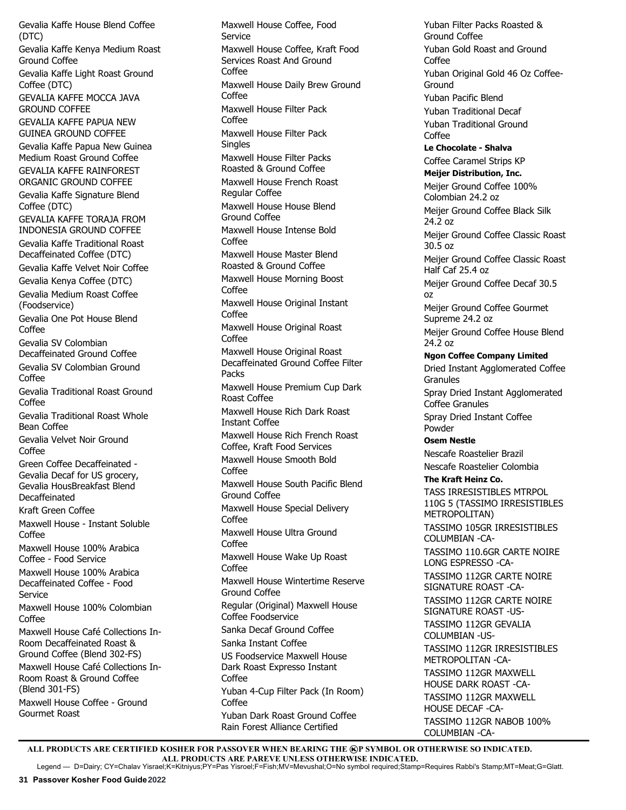Gevalia Kaffe House Blend Coffee (DTC) Gevalia Kaffe Kenya Medium Roast Ground Coffee Gevalia Kaffe Light Roast Ground Coffee (DTC) GEVALIA KAFFE MOCCA JAVA GROUND COFFEE GEVALIA KAFFE PAPUA NEW GUINEA GROUND COFFEE Gevalia Kaffe Papua New Guinea Medium Roast Ground Coffee GEVALIA KAFFE RAINFOREST ORGANIC GROUND COFFEE Gevalia Kaffe Signature Blend Coffee (DTC) GEVALIA KAFFE TORAJA FROM INDONESIA GROUND COFFEE Gevalia Kaffe Traditional Roast Decaffeinated Coffee (DTC) Gevalia Kaffe Velvet Noir Coffee Gevalia Kenya Coffee (DTC) Gevalia Medium Roast Coffee (Foodservice) Gevalia One Pot House Blend Coffee Gevalia SV Colombian Decaffeinated Ground Coffee Gevalia SV Colombian Ground Coffee Gevalia Traditional Roast Ground Coffee Gevalia Traditional Roast Whole Bean Coffee Gevalia Velvet Noir Ground Coffee Green Coffee Decaffeinated - Gevalia Decaf for US grocery, Gevalia HousBreakfast Blend Decaffeinated Kraft Green Coffee Maxwell House - Instant Soluble Coffee Maxwell House 100% Arabica Coffee - Food Service Maxwell House 100% Arabica Decaffeinated Coffee - Food Service Maxwell House 100% Colombian Coffee Maxwell House Café Collections In-Room Decaffeinated Roast & Ground Coffee (Blend 302-FS) Maxwell House Café Collections In-Room Roast & Ground Coffee (Blend 301-FS) Maxwell House Coffee - Ground Gourmet Roast

Maxwell House Coffee, Food Service Maxwell House Coffee, Kraft Food Services Roast And Ground **Coffee** Maxwell House Daily Brew Ground  $C<sub>off</sub>$ ee Maxwell House Filter Pack Coffee Maxwell House Filter Pack **Singles** Maxwell House Filter Packs Roasted & Ground Coffee Maxwell House French Roast Regular Coffee Maxwell House House Blend Ground Coffee Maxwell House Intense Bold Coffee Maxwell House Master Blend Roasted & Ground Coffee Maxwell House Morning Boost Coffee Maxwell House Original Instant Coffee Maxwell House Original Roast Coffee Maxwell House Original Roast Decaffeinated Ground Coffee Filter Packs Maxwell House Premium Cup Dark Roast Coffee Maxwell House Rich Dark Roast Instant Coffee Maxwell House Rich French Roast Coffee, Kraft Food Services Maxwell House Smooth Bold Coffee Maxwell House South Pacific Blend Ground Coffee Maxwell House Special Delivery Coffee Maxwell House Ultra Ground Coffee Maxwell House Wake Up Roast Coffee Maxwell House Wintertime Reserve Ground Coffee Regular (Original) Maxwell House Coffee Foodservice Sanka Decaf Ground Coffee Sanka Instant Coffee US Foodservice Maxwell House Dark Roast Expresso Instant Coffee Yuban 4-Cup Filter Pack (In Room) Coffee Yuban Dark Roast Ground Coffee Rain Forest Alliance Certified

Yuban Filter Packs Roasted & Ground Coffee Yuban Gold Roast and Ground Coffee Yuban Original Gold 46 Oz Coffee-Ground Yuban Pacific Blend Yuban Traditional Decaf Yuban Traditional Ground Coffee **Le Chocolate - Shalva**  Coffee Caramel Strips KP **Meijer Distribution, Inc.** Meijer Ground Coffee 100% Colombian 24.2 oz Meijer Ground Coffee Black Silk 24.2 oz Meijer Ground Coffee Classic Roast 30.5 oz Meijer Ground Coffee Classic Roast Half Caf 25.4 oz Meijer Ground Coffee Decaf 30.5 oz Meijer Ground Coffee Gourmet Supreme 24.2 oz Meijer Ground Coffee House Blend 24.2 oz **Ngon Coffee Company Limited** Dried Instant Agglomerated Coffee **Granules** Spray Dried Instant Agglomerated Coffee Granules Spray Dried Instant Coffee Powder **Osem Nestle** Nescafe Roastelier Brazil Nescafe Roastelier Colombia **The Kraft Heinz Co.** TASS IRRESISTIBLES MTRPOL 110G 5 (TASSIMO IRRESISTIBLES METROPOLITAN) TASSIMO 105GR IRRESISTIBLES COLUMBIAN -CA-TASSIMO 110.6GR CARTE NOIRE LONG ESPRESSO -CA-TASSIMO 112GR CARTE NOIRE SIGNATURE ROAST -CA-TASSIMO 112GR CARTE NOIRE SIGNATURE ROAST -US-TASSIMO 112GR GEVALIA COLUMBIAN -US-TASSIMO 112GR IRRESISTIBLES METROPOLITAN -CA-TASSIMO 112GR MAXWELL HOUSE DARK ROAST -CA-TASSIMO 112GR MAXWELL HOUSE DECAF -CA-TASSIMO 112GR NABOB 100% COLUMBIAN -CA-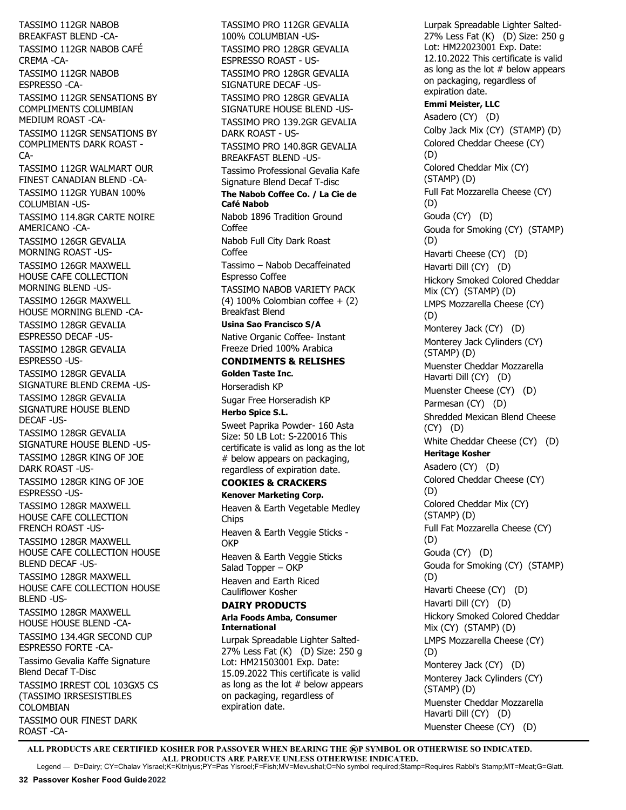TASSIMO 112GR NABOB BREAKFAST BLEND -CA-TASSIMO 112GR NABOB CAFÉ CREMA -CA-TASSIMO 112GR NABOB ESPRESSO -CA-TASSIMO 112GR SENSATIONS BY COMPLIMENTS COLUMBIAN MEDIUM ROAST -CA-TASSIMO 112GR SENSATIONS BY COMPLIMENTS DARK ROAST - CA-TASSIMO 112GR WALMART OUR FINEST CANADIAN BLEND -CA-TASSIMO 112GR YUBAN 100% COLUMBIAN -US-TASSIMO 114.8GR CARTE NOIRE AMERICANO -CA-TASSIMO 126GR GEVALIA MORNING ROAST -US-TASSIMO 126GR MAXWELL HOUSE CAFE COLLECTION MORNING BLEND -US-TASSIMO 126GR MAXWELL HOUSE MORNING BLEND -CA-TASSIMO 128GR GEVALIA ESPRESSO DECAF -US-TASSIMO 128GR GEVALIA ESPRESSO -US-TASSIMO 128GR GEVALIA SIGNATURE BLEND CREMA -US-TASSIMO 128GR GEVALIA SIGNATURE HOUSE BLEND DECAF -US-TASSIMO 128GR GEVALIA SIGNATURE HOUSE BLEND -US-TASSIMO 128GR KING OF JOE DARK ROAST -US-TASSIMO 128GR KING OF JOE ESPRESSO -US-TASSIMO 128GR MAXWELL HOUSE CAFE COLLECTION FRENCH ROAST -US-TASSIMO 128GR MAXWELL HOUSE CAFE COLLECTION HOUSE BLEND DECAF -US-TASSIMO 128GR MAXWELL HOUSE CAFE COLLECTION HOUSE BLEND -US-TASSIMO 128GR MAXWELL HOUSE HOUSE BLEND -CA-TASSIMO 134.4GR SECOND CUP ESPRESSO FORTE -CA-Tassimo Gevalia Kaffe Signature Blend Decaf T-Disc TASSIMO IRREST COL 103GX5 CS (TASSIMO IRRSESISTIBLES COLOMBIAN TASSIMO OUR FINEST DARK ROAST -CA-

TASSIMO PRO 112GR GEVALIA 100% COLUMBIAN -US-TASSIMO PRO 128GR GEVALIA ESPRESSO ROAST - US-TASSIMO PRO 128GR GEVALIA SIGNATURE DECAF -US-TASSIMO PRO 128GR GEVALIA SIGNATURE HOUSE BLEND -US-TASSIMO PRO 139.2GR GEVALIA DARK ROAST - US-TASSIMO PRO 140.8GR GEVALIA BREAKFAST BLEND -US-Tassimo Professional Gevalia Kafe Signature Blend Decaf T-disc **The Nabob Coffee Co. / La Cie de Café Nabob** Nabob 1896 Tradition Ground Coffee Nabob Full City Dark Roast Coffee Tassimo – Nabob Decaffeinated Espresso Coffee TASSIMO NABOB VARIETY PACK (4) 100% Colombian coffee  $+$  (2) Breakfast Blend **Usina Sao Francisco S/A** Native Organic Coffee- Instant Freeze Dried 100% Arabica **CONDIMENTS & RELISHES Golden Taste Inc.**  Horseradish KP Sugar Free Horseradish KP **Herbo Spice S.L.**  Sweet Paprika Powder- 160 Asta Size: 50 LB Lot: S-220016 This certificate is valid as long as the lot # below appears on packaging, regardless of expiration date. **COOKIES & CRACKERS Kenover Marketing Corp.** Heaven & Earth Vegetable Medley Chips Heaven & Earth Veggie Sticks - **OKP** Heaven & Earth Veggie Sticks Salad Topper – OKP Heaven and Earth Riced Cauliflower Kosher **DAIRY PRODUCTS Arla Foods Amba, Consumer International** Lurpak Spreadable Lighter Salted-27% Less Fat (K) (D) Size: 250 g

Lot: HM21503001 Exp. Date: 15.09.2022 This certificate is valid as long as the lot  $#$  below appears on packaging, regardless of expiration date.

Lurpak Spreadable Lighter Salted-27% Less Fat (K) (D) Size: 250 g Lot: HM22023001 Exp. Date: 12.10.2022 This certificate is valid as long as the lot  $#$  below appears on packaging, regardless of expiration date. **Emmi Meister, LLC** Asadero (CY) (D) Colby Jack Mix (CY) (STAMP) (D) Colored Cheddar Cheese (CY) (D) Colored Cheddar Mix (CY) (STAMP) (D) Full Fat Mozzarella Cheese (CY) (D) Gouda (CY) (D) Gouda for Smoking (CY) (STAMP) (D) Havarti Cheese (CY) (D) Havarti Dill (CY) (D) Hickory Smoked Colored Cheddar Mix (CY) (STAMP) (D) LMPS Mozzarella Cheese (CY) (D) Monterey Jack (CY) (D) Monterey Jack Cylinders (CY) (STAMP) (D) Muenster Cheddar Mozzarella Havarti Dill (CY) (D) Muenster Cheese (CY) (D) Parmesan (CY) (D) Shredded Mexican Blend Cheese (CY) (D) White Cheddar Cheese (CY) (D) **Heritage Kosher** Asadero (CY) (D) Colored Cheddar Cheese (CY) (D) Colored Cheddar Mix (CY) (STAMP) (D) Full Fat Mozzarella Cheese (CY) (D) Gouda (CY) (D) Gouda for Smoking (CY) (STAMP) (D) Havarti Cheese (CY) (D) Havarti Dill (CY) (D) Hickory Smoked Colored Cheddar Mix (CY) (STAMP) (D) LMPS Mozzarella Cheese (CY) (D) Monterey Jack (CY) (D) Monterey Jack Cylinders (CY) (STAMP) (D) Muenster Cheddar Mozzarella Havarti Dill (CY) (D) Muenster Cheese (CY) (D)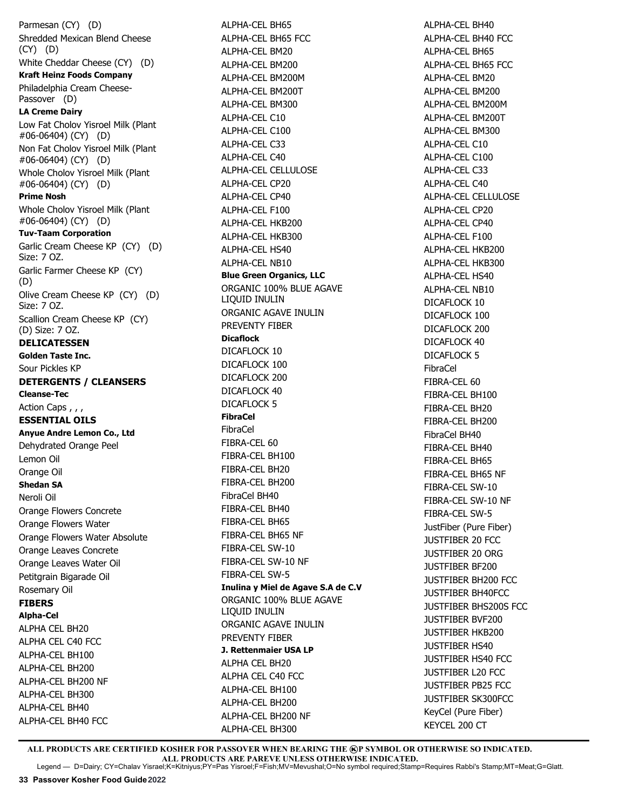Parmesan (CY) (D) Shredded Mexican Blend Cheese (CY) (D) White Cheddar Cheese (CY) (D) **Kraft Heinz Foods Company** Philadelphia Cream Cheese-Passover (D) **LA Creme Dairy** Low Fat Cholov Yisroel Milk (Plant #06-06404) (CY) (D) Non Fat Cholov Yisroel Milk (Plant #06-06404) (CY) (D) Whole Cholov Yisroel Milk (Plant #06-06404) (CY) (D) **Prime Nosh** Whole Cholov Yisroel Milk (Plant #06-06404) (CY) (D) **Tuv-Taam Corporation**  Garlic Cream Cheese KP (CY) (D) Size: 7 OZ. Garlic Farmer Cheese KP (CY) (D) Olive Cream Cheese KP (CY) (D) Size: 7 OZ. Scallion Cream Cheese KP (CY) (D) Size: 7 OZ. **DELICATESSEN Golden Taste Inc.**  Sour Pickles KP **DETERGENTS / CLEANSERS Cleanse-Tec** Action Caps,, **ESSENTIAL OILS Anyue Andre Lemon Co., Ltd** Dehydrated Orange Peel Lemon Oil Orange Oil **Shedan SA** Neroli Oil Orange Flowers Concrete Orange Flowers Water Orange Flowers Water Absolute Orange Leaves Concrete Orange Leaves Water Oil Petitgrain Bigarade Oil Rosemary Oil **FIBERS Alpha-Cel** ALPHA CEL BH20 ALPHA CEL C40 FCC ALPHA-CEL BH100 ALPHA-CEL BH200 ALPHA-CEL BH200 NF ALPHA-CEL BH300 ALPHA-CEL BH40 ALPHA-CEL BH40 FCC

ALPHA-CEL BH65 ALPHA-CEL BH65 FCC ALPHA-CEL BM20 ALPHA-CEL BM200 ALPHA-CEL BM200M ALPHA-CEL BM200T ALPHA-CEL BM300 ALPHA-CEL C10 ALPHA-CEL C100 ALPHA-CEL C33 ALPHA-CEL C40 ALPHA-CEL CELLULOSE ALPHA-CEL CP20 ALPHA-CEL CP40 ALPHA-CEL F100 ALPHA-CEL HKB200 ALPHA-CEL HKB300 ALPHA-CEL HS40 ALPHA-CEL NB10 **Blue Green Organics, LLC** ORGANIC 100% BLUE AGAVE LIQUID INULIN ORGANIC AGAVE INULIN PREVENTY FIBER **Dicaflock** DICAFLOCK 10 DICAFLOCK 100 DICAFLOCK 200 DICAFLOCK 40 DICAFLOCK 5 **FibraCel** FibraCel FIBRA-CEL 60 FIBRA-CEL BH100 FIBRA-CEL BH20 FIBRA-CEL BH200 FibraCel BH40 FIBRA-CEL BH40 FIBRA-CEL BH65 FIBRA-CEL BH65 NF FIBRA-CEL SW-10 FIBRA-CEL SW-10 NF FIBRA-CEL SW-5 **Inulina y Miel de Agave S.A de C.V** ORGANIC 100% BLUE AGAVE LIQUID INULIN ORGANIC AGAVE INULIN PREVENTY FIBER **J. Rettenmaier USA LP** ALPHA CEL BH20 ALPHA CEL C40 FCC ALPHA-CEL BH100 ALPHA-CEL BH200 ALPHA-CEL BH200 NF ALPHA-CEL BH300

ALPHA-CEL BH40 ALPHA-CEL BH40 FCC ALPHA-CEL BH65 ALPHA-CEL BH65 FCC ALPHA-CEL BM20 ALPHA-CEL BM200 ALPHA-CEL BM200M ALPHA-CEL BM200T ALPHA-CEL BM300 ALPHA-CEL C10 ALPHA-CEL C100 ALPHA-CEL C33 ALPHA-CEL C40 ALPHA-CEL CELLULOSE ALPHA-CEL CP20 ALPHA-CEL CP40 ALPHA-CEL F100 ALPHA-CEL HKB200 ALPHA-CEL HKB300 ALPHA-CEL HS40 ALPHA-CEL NB10 DICAFLOCK 10 DICAFLOCK 100 DICAFLOCK 200 DICAFLOCK 40 DICAFLOCK 5 FibraCel FIBRA-CEL 60 FIBRA-CEL BH100 FIBRA-CEL BH20 FIBRA-CEL BH200 FibraCel BH40 FIBRA-CEL BH40 FIBRA-CEL BH65 FIBRA-CEL BH65 NF FIBRA-CEL SW-10 FIBRA-CEL SW-10 NF FIBRA-CEL SW-5 JustFiber (Pure Fiber) JUSTFIBER 20 FCC JUSTFIBER 20 ORG JUSTFIBER BF200 JUSTFIBER BH200 FCC JUSTFIBER BH40FCC JUSTFIBER BHS200S FCC JUSTFIBER BVF200 JUSTFIBER HKB200 JUSTFIBER HS40 JUSTFIBER HS40 FCC JUSTFIBER L20 FCC JUSTFIBER PB25 FCC JUSTFIBER SK300FCC KeyCel (Pure Fiber) KEYCEL 200 CT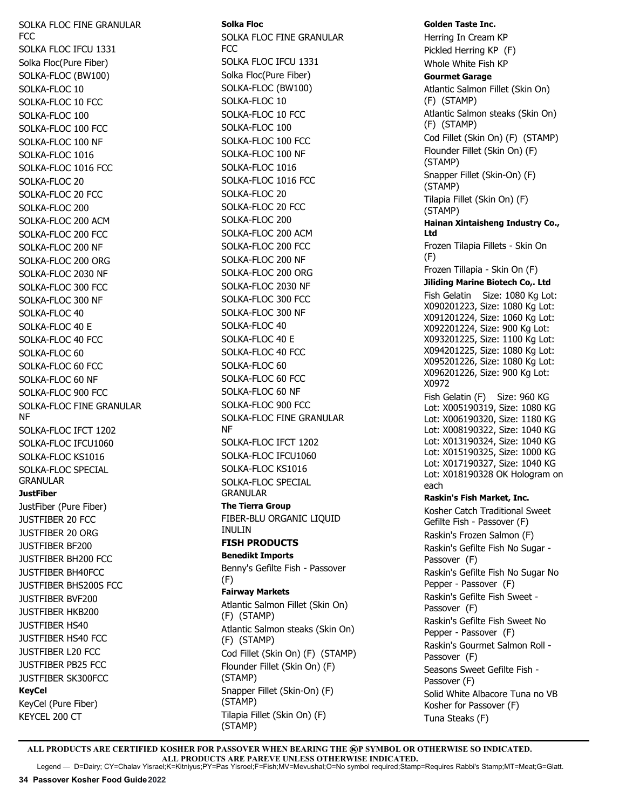SOLKA FLOC FINE GRANULAR FCC SOLKA FLOC IFCU 1331 Solka Floc(Pure Fiber) SOLKA-FLOC (BW100) SOLKA-FLOC 10 SOLKA-FLOC 10 FCC SOLKA-FLOC 100 SOLKA-FLOC 100 FCC SOLKA-FLOC 100 NF SOLKA-FLOC 1016 SOLKA-FLOC 1016 FCC SOLKA-FLOC 20 SOLKA-FLOC 20 FCC SOLKA-FLOC 200 SOLKA-FLOC 200 ACM SOLKA-FLOC 200 FCC SOLKA-FLOC 200 NF SOLKA-FLOC 200 ORG SOLKA-FLOC 2030 NF SOLKA-FLOC 300 FCC SOLKA-FLOC 300 NF SOLKA-FLOC 40 SOLKA-FLOC 40 E SOLKA-FLOC 40 FCC SOLKA-FLOC 60 SOLKA-FLOC 60 FCC SOLKA-FLOC 60 NF SOLKA-FLOC 900 FCC SOLKA-FLOC FINE GRANULAR NF SOLKA-FLOC IFCT 1202 SOLKA-FLOC IFCU1060 SOLKA-FLOC KS1016 SOLKA-FLOC SPECIAL GRANULAR **JustFiber** JustFiber (Pure Fiber) JUSTFIBER 20 FCC JUSTFIBER 20 ORG JUSTFIBER BF200 JUSTFIBER BH200 FCC JUSTFIBER BH40FCC JUSTFIBER BHS200S FCC JUSTFIBER BVF200 JUSTFIBER HKB200 JUSTFIBER HS40 JUSTFIBER HS40 FCC JUSTFIBER L20 FCC JUSTFIBER PB25 FCC JUSTFIBER SK300FCC **KeyCel** KeyCel (Pure Fiber) KEYCEL 200 CT

**Solka Floc** SOLKA FLOC FINE GRANULAR FCC SOLKA FLOC IFCU 1331 Solka Floc(Pure Fiber) SOLKA-FLOC (BW100) SOLKA-FLOC 10 SOLKA-FLOC 10 FCC SOLKA-FLOC 100 SOLKA-FLOC 100 FCC SOLKA-FLOC 100 NF SOLKA-FLOC 1016 SOLKA-FLOC 1016 FCC SOLKA-FLOC 20 SOLKA-FLOC 20 FCC SOLKA-FLOC 200 SOLKA-FLOC 200 ACM SOLKA-FLOC 200 FCC SOLKA-FLOC 200 NF SOLKA-FLOC 200 ORG SOLKA-FLOC 2030 NF SOLKA-FLOC 300 FCC SOLKA-FLOC 300 NF SOLKA-FLOC 40 SOLKA-FLOC 40 E SOLKA-FLOC 40 FCC SOLKA-FLOC 60 SOLKA-FLOC 60 FCC SOLKA-FLOC 60 NF SOLKA-FLOC 900 FCC SOLKA-FLOC FINE GRANULAR NF SOLKA-FLOC IFCT 1202 SOLKA-FLOC IFCU1060 SOLKA-FLOC KS1016 SOLKA-FLOC SPECIAL GRANULAR **The Tierra Group** FIBER-BLU ORGANIC LIQUID INULIN **FISH PRODUCTS Benedikt Imports** Benny's Gefilte Fish - Passover (F) **Fairway Markets** Atlantic Salmon Fillet (Skin On) (F) (STAMP) Atlantic Salmon steaks (Skin On) (F) (STAMP) Cod Fillet (Skin On) (F) (STAMP) Flounder Fillet (Skin On) (F) (STAMP) Snapper Fillet (Skin-On) (F) (STAMP) Tilapia Fillet (Skin On) (F) (STAMP)

**Golden Taste Inc.**  Herring In Cream KP Pickled Herring KP (F) Whole White Fish KP **Gourmet Garage** Atlantic Salmon Fillet (Skin On) (F) (STAMP) Atlantic Salmon steaks (Skin On) (F) (STAMP) Cod Fillet (Skin On) (F) (STAMP) Flounder Fillet (Skin On) (F) (STAMP) Snapper Fillet (Skin-On) (F) (STAMP) Tilapia Fillet (Skin On) (F) (STAMP) **Hainan Xintaisheng Industry Co., Ltd**  Frozen Tilapia Fillets - Skin On (F) Frozen Tillapia - Skin On (F) **Jiliding Marine Biotech Co,. Ltd** Fish Gelatin Size: 1080 Kg Lot: X090201223, Size: 1080 Kg Lot: X091201224, Size: 1060 Kg Lot: X092201224, Size: 900 Kg Lot: X093201225, Size: 1100 Kg Lot: X094201225, Size: 1080 Kg Lot: X095201226, Size: 1080 Kg Lot: X096201226, Size: 900 Kg Lot: X0972 Fish Gelatin (F) Size: 960 KG Lot: X005190319, Size: 1080 KG Lot: X006190320, Size: 1180 KG Lot: X008190322, Size: 1040 KG Lot: X013190324, Size: 1040 KG Lot: X015190325, Size: 1000 KG Lot: X017190327, Size: 1040 KG Lot: X018190328 OK Hologram on each **Raskin's Fish Market, Inc.**  Kosher Catch Traditional Sweet Gefilte Fish - Passover (F) Raskin's Frozen Salmon (F) Raskin's Gefilte Fish No Sugar - Passover (F) Raskin's Gefilte Fish No Sugar No Pepper - Passover (F) Raskin's Gefilte Fish Sweet - Passover (F) Raskin's Gefilte Fish Sweet No Pepper - Passover (F) Raskin's Gourmet Salmon Roll - Passover (F) Seasons Sweet Gefilte Fish - Passover (F) Solid White Albacore Tuna no VB Kosher for Passover (F) Tuna Steaks (F)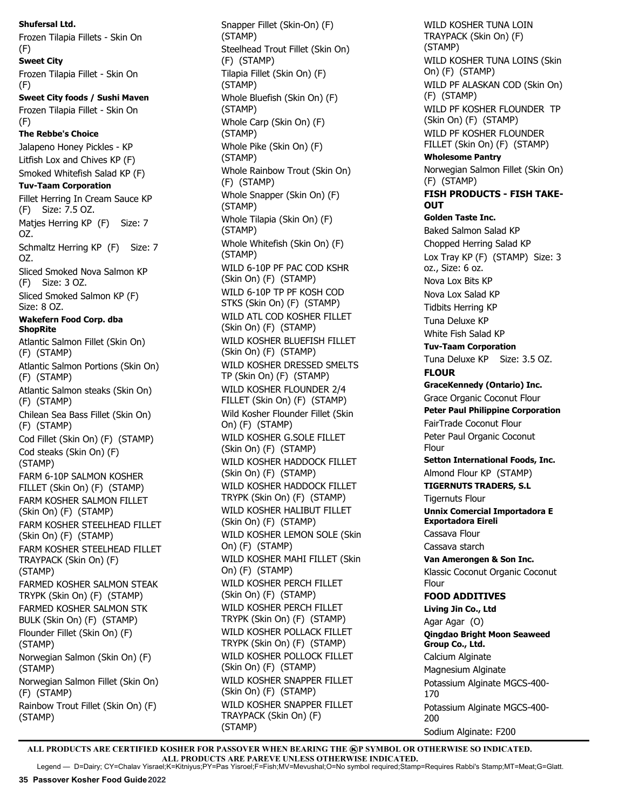**Shufersal Ltd.** Frozen Tilapia Fillets - Skin On (F) **Sweet City** Frozen Tilapia Fillet - Skin On (F) **Sweet City foods / Sushi Maven** Frozen Tilapia Fillet - Skin On (F) **The Rebbe's Choice**  Jalapeno Honey Pickles - KP Litfish Lox and Chives KP (F) Smoked Whitefish Salad KP (F) **Tuv-Taam Corporation**  Fillet Herring In Cream Sauce KP (F) Size: 7.5 OZ. Maties Herring KP (F) Size: 7 OZ. Schmaltz Herring KP (F) Size: 7 OZ. Sliced Smoked Nova Salmon KP (F) Size: 3 OZ. Sliced Smoked Salmon KP (F) Size: 8 OZ. **Wakefern Food Corp. dba ShopRite** Atlantic Salmon Fillet (Skin On) (F) (STAMP) Atlantic Salmon Portions (Skin On) (F) (STAMP) Atlantic Salmon steaks (Skin On) (F) (STAMP) Chilean Sea Bass Fillet (Skin On) (F) (STAMP) Cod Fillet (Skin On) (F) (STAMP) Cod steaks (Skin On) (F) (STAMP) FARM 6-10P SALMON KOSHER FILLET (Skin On) (F) (STAMP) FARM KOSHER SALMON FILLET (Skin On) (F) (STAMP) FARM KOSHER STEELHEAD FILLET (Skin On) (F) (STAMP) FARM KOSHER STEELHEAD FILLET TRAYPACK (Skin On) (F) (STAMP) FARMED KOSHER SALMON STEAK TRYPK (Skin On) (F) (STAMP) FARMED KOSHER SALMON STK BULK (Skin On) (F) (STAMP) Flounder Fillet (Skin On) (F) (STAMP) Norwegian Salmon (Skin On) (F) (STAMP) Norwegian Salmon Fillet (Skin On) (F) (STAMP) Rainbow Trout Fillet (Skin On) (F) (STAMP)

Snapper Fillet (Skin-On) (F) (STAMP) Steelhead Trout Fillet (Skin On) (F) (STAMP) Tilapia Fillet (Skin On) (F) (STAMP) Whole Bluefish (Skin On) (F) (STAMP) Whole Carp (Skin On) (F) (STAMP) Whole Pike (Skin On) (F) (STAMP) Whole Rainbow Trout (Skin On) (F) (STAMP) Whole Snapper (Skin On) (F) (STAMP) Whole Tilapia (Skin On) (F) (STAMP) Whole Whitefish (Skin On) (F) (STAMP) WILD 6-10P PF PAC COD KSHR (Skin On) (F) (STAMP) WILD 6-10P TP PF KOSH COD STKS (Skin On) (F) (STAMP) WILD ATL COD KOSHER FILLET (Skin On) (F) (STAMP) WILD KOSHER BLUEFISH FILLET (Skin On) (F) (STAMP) WILD KOSHER DRESSED SMELTS TP (Skin On) (F) (STAMP) WILD KOSHER FLOUNDER 2/4 FILLET (Skin On) (F) (STAMP) Wild Kosher Flounder Fillet (Skin On) (F) (STAMP) WILD KOSHER G.SOLE FILLET (Skin On) (F) (STAMP) WILD KOSHER HADDOCK FILLET (Skin On) (F) (STAMP) WILD KOSHER HADDOCK FILLET TRYPK (Skin On) (F) (STAMP) WILD KOSHER HALIBUT FILLET (Skin On) (F) (STAMP) WILD KOSHER LEMON SOLE (Skin On) (F) (STAMP) WILD KOSHER MAHI FILLET (Skin On) (F) (STAMP) WILD KOSHER PERCH FILLET (Skin On) (F) (STAMP) WILD KOSHER PERCH FILLET TRYPK (Skin On) (F) (STAMP) WILD KOSHER POLLACK FILLET TRYPK (Skin On) (F) (STAMP) WILD KOSHER POLLOCK FILLET (Skin On) (F) (STAMP) WILD KOSHER SNAPPER FILLET (Skin On) (F) (STAMP) WILD KOSHER SNAPPER FILLET TRAYPACK (Skin On) (F) (STAMP)

WILD KOSHER TUNA LOIN TRAYPACK (Skin On) (F) (STAMP) WILD KOSHER TUNA LOINS (Skin On) (F) (STAMP) WILD PF ALASKAN COD (Skin On) (F) (STAMP) WILD PF KOSHER FLOUNDER TP (Skin On) (F) (STAMP) WILD PF KOSHER FLOUNDER FILLET (Skin On) (F) (STAMP) **Wholesome Pantry** Norwegian Salmon Fillet (Skin On) (F) (STAMP) **FISH PRODUCTS - FISH TAKE-OUT Golden Taste Inc.**  Baked Salmon Salad KP Chopped Herring Salad KP Lox Tray KP (F) (STAMP) Size: 3 oz., Size: 6 oz. Nova Lox Bits KP Nova Lox Salad KP Tidbits Herring KP Tuna Deluxe KP White Fish Salad KP **Tuv-Taam Corporation**  Tuna Deluxe KP Size: 3.5 OZ. **FLOUR GraceKennedy (Ontario) Inc.** Grace Organic Coconut Flour **Peter Paul Philippine Corporation**  FairTrade Coconut Flour Peter Paul Organic Coconut Flour **Setton International Foods, Inc.** Almond Flour KP (STAMP) **TIGERNUTS TRADERS, S.L** Tigernuts Flour **Unnix Comercial Importadora E Exportadora Eireli** Cassava Flour Cassava starch **Van Amerongen & Son Inc.** Klassic Coconut Organic Coconut Flour **FOOD ADDITIVES Living Jin Co., Ltd** Agar Agar (O) **Qingdao Bright Moon Seaweed Group Co., Ltd.**  Calcium Alginate Magnesium Alginate Potassium Alginate MGCS-400- 170 Potassium Alginate MGCS-400- 200 Sodium Alginate: F200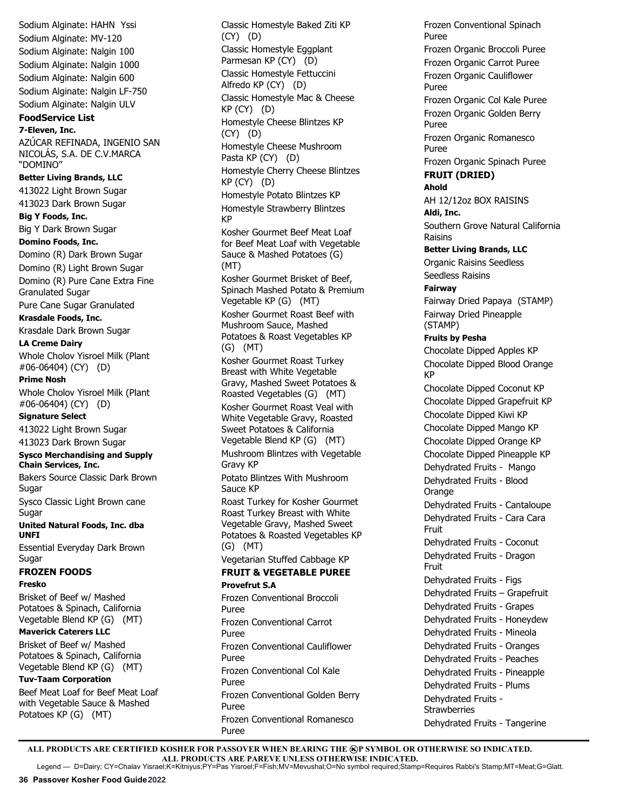Sodium Alginate: HAHN Yssi Sodium Alginate: MV-120 Sodium Alginate: Nalgin 100 Sodium Alginate: Nalgin 1000 Sodium Alginate: Nalgin 600 Sodium Alginate: Nalgin LF-750 Sodium Alginate: Nalgin ULV **FoodService List 7-Eleven, Inc.**  AZÚCAR REFINADA, INGENIO SAN NICOLÁS, S.A. DE C.V.MARCA "DOMINO" **Better Living Brands, LLC** 413022 Light Brown Sugar 413023 Dark Brown Sugar **Big Y Foods, Inc.** Big Y Dark Brown Sugar **Domino Foods, Inc.** Domino (R) Dark Brown Sugar Domino (R) Light Brown Sugar Domino (R) Pure Cane Extra Fine Granulated Sugar Pure Cane Sugar Granulated **Krasdale Foods, Inc.**  Krasdale Dark Brown Sugar **LA Creme Dairy** Whole Cholov Yisroel Milk (Plant #06-06404) (CY) (D) **Prime Nosh** Whole Cholov Yisroel Milk (Plant #06-06404) (CY) (D) **Signature Select** 413022 Light Brown Sugar 413023 Dark Brown Sugar **Sysco Merchandising and Supply Chain Services, Inc.** Bakers Source Classic Dark Brown Sugar Sysco Classic Light Brown cane Sugar **United Natural Foods, Inc. dba UNFI** Essential Everyday Dark Brown Sugar **FROZEN FOODS Fresko** Brisket of Beef w/ Mashed Potatoes & Spinach, California Vegetable Blend KP (G) (MT) **Maverick Caterers LLC** Brisket of Beef w/ Mashed Potatoes & Spinach, California Vegetable Blend KP (G) (MT) **Tuv-Taam Corporation** 

Beef Meat Loaf for Beef Meat Loaf with Vegetable Sauce & Mashed Potatoes KP (G) (MT)

Classic Homestyle Baked Ziti KP (CY) (D) Classic Homestyle Eggplant Parmesan KP (CY) (D) Classic Homestyle Fettuccini Alfredo KP (CY) (D) Classic Homestyle Mac & Cheese KP (CY) (D) Homestyle Cheese Blintzes KP (CY) (D) Homestyle Cheese Mushroom Pasta KP (CY) (D) Homestyle Cherry Cheese Blintzes KP (CY) (D) Homestyle Potato Blintzes KP Homestyle Strawberry Blintzes KP Kosher Gourmet Beef Meat Loaf for Beef Meat Loaf with Vegetable Sauce & Mashed Potatoes (G) (MT) Kosher Gourmet Brisket of Beef, Spinach Mashed Potato & Premium Vegetable KP (G) (MT) Kosher Gourmet Roast Beef with Mushroom Sauce, Mashed Potatoes & Roast Vegetables KP (G) (MT) Kosher Gourmet Roast Turkey Breast with White Vegetable Gravy, Mashed Sweet Potatoes & Roasted Vegetables (G) (MT) Kosher Gourmet Roast Veal with White Vegetable Gravy, Roasted Sweet Potatoes & California Vegetable Blend KP (G) (MT) Mushroom Blintzes with Vegetable Gravy KP Potato Blintzes With Mushroom Sauce KP Roast Turkey for Kosher Gourmet Roast Turkey Breast with White Vegetable Gravy, Mashed Sweet Potatoes & Roasted Vegetables KP (G) (MT) Vegetarian Stuffed Cabbage KP **FRUIT & VEGETABLE PUREE Provefrut S.A** Frozen Conventional Broccoli Puree Frozen Conventional Carrot Puree Frozen Conventional Cauliflower Puree Frozen Conventional Col Kale Puree Frozen Conventional Golden Berry Puree

Frozen Conventional Spinach Puree Frozen Organic Broccoli Puree Frozen Organic Carrot Puree Frozen Organic Cauliflower Puree Frozen Organic Col Kale Puree Frozen Organic Golden Berry Puree Frozen Organic Romanesco Puree Frozen Organic Spinach Puree **FRUIT (DRIED) Ahold** AH 12/12oz BOX RAISINS **Aldi, Inc.** Southern Grove Natural California Raisins **Better Living Brands, LLC** Organic Raisins Seedless Seedless Raisins **Fairway** Fairway Dried Papaya (STAMP) Fairway Dried Pineapple (STAMP) **Fruits by Pesha** Chocolate Dipped Apples KP Chocolate Dipped Blood Orange KP Chocolate Dipped Coconut KP Chocolate Dipped Grapefruit KP Chocolate Dipped Kiwi KP Chocolate Dipped Mango KP Chocolate Dipped Orange KP Chocolate Dipped Pineapple KP Dehydrated Fruits - Mango Dehydrated Fruits - Blood Orange Dehydrated Fruits - Cantaloupe Dehydrated Fruits - Cara Cara Fruit Dehydrated Fruits - Coconut Dehydrated Fruits - Dragon Fruit Dehydrated Fruits - Figs Dehydrated Fruits – Grapefruit Dehydrated Fruits - Grapes Dehydrated Fruits - Honeydew Dehydrated Fruits - Mineola Dehydrated Fruits - Oranges Dehydrated Fruits - Peaches Dehydrated Fruits - Pineapple Dehydrated Fruits - Plums Dehydrated Fruits - **Strawberries** Dehydrated Fruits - Tangerine

ALL PRODUCTS ARE CERTIFIED KOSHER FOR PASSOVER WHEN BEARING THE **@P SYMBOL OR OTHERWISE SO INDICATED. ALL PRODUCTS ARE PAREVE UNLESS OTHERWISE INDICATED.** Legend — D=Dairy; CY=Chalav Yisrael;K=Kitniyus;PY=Pas Yisroel;F=Fish;MV=Mevushal;O=No symbol required;Stamp=Requires Rabbi's Stamp;MT=Meat;G=Glatt.

Frozen Conventional Romanesco

Puree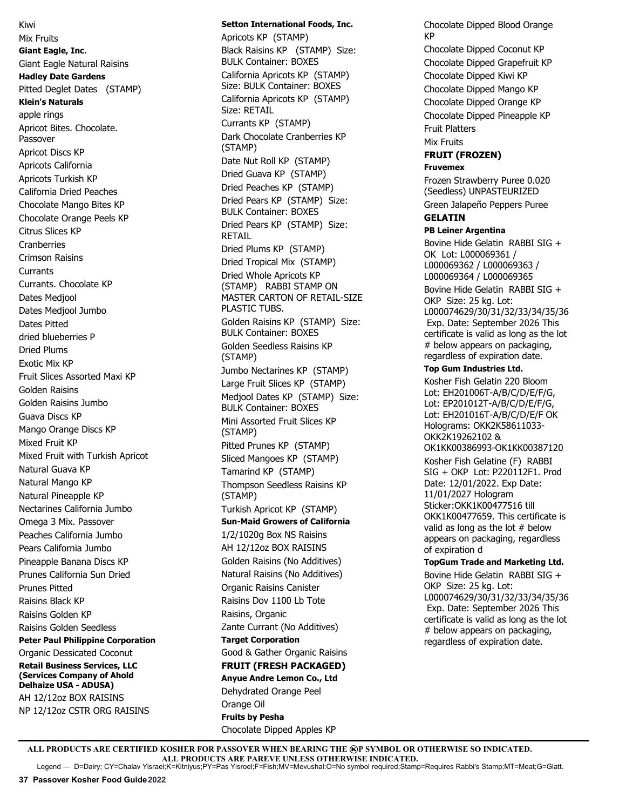Kiwi Mix Fruits **Giant Eagle, Inc.**  Giant Eagle Natural Raisins **Hadley Date Gardens** Pitted Deglet Dates (STAMP) **Klein's Naturals**  apple rings Apricot Bites. Chocolate. Passover Apricot Discs KP Apricots California Apricots Turkish KP California Dried Peaches Chocolate Mango Bites KP Chocolate Orange Peels KP Citrus Slices KP **Cranberries** Crimson Raisins Currants Currants. Chocolate KP Dates Medjool Dates Medjool Jumbo Dates Pitted dried blueberries P Dried Plums Exotic Mix KP Fruit Slices Assorted Maxi KP Golden Raisins Golden Raisins Jumbo Guava Discs KP Mango Orange Discs KP Mixed Fruit KP Mixed Fruit with Turkish Apricot Natural Guava KP Natural Mango KP Natural Pineapple KP Nectarines California Jumbo Omega 3 Mix. Passover Peaches California Jumbo Pears California Jumbo Pineapple Banana Discs KP Prunes California Sun Dried Prunes Pitted Raisins Black KP Raisins Golden KP Raisins Golden Seedless **Peter Paul Philippine Corporation** Organic Dessicated Coconut **Retail Business Services, LLC (Services Company of Ahold Delhaize USA - ADUSA)** AH 12/12oz BOX RAISINS NP 12/12oz CSTR ORG RAISINS

# **Setton International Foods, Inc.**

Apricots KP (STAMP) Black Raisins KP (STAMP) Size: BULK Container: BOXES California Apricots KP (STAMP) Size: BULK Container: BOXES California Apricots KP (STAMP) Size: RETAIL Currants KP (STAMP) Dark Chocolate Cranberries KP (STAMP) Date Nut Roll KP (STAMP) Dried Guava KP (STAMP) Dried Peaches KP (STAMP) Dried Pears KP (STAMP) Size: BULK Container: BOXES Dried Pears KP (STAMP) Size: RETAIL Dried Plums KP (STAMP) Dried Tropical Mix (STAMP) Dried Whole Apricots KP (STAMP) RABBI STAMP ON MASTER CARTON OF RETAIL-SIZE PLASTIC TUBS. Golden Raisins KP (STAMP) Size: BULK Container: BOXES Golden Seedless Raisins KP (STAMP) Jumbo Nectarines KP (STAMP) Large Fruit Slices KP (STAMP) Medjool Dates KP (STAMP) Size: BULK Container: BOXES Mini Assorted Fruit Slices KP (STAMP) Pitted Prunes KP (STAMP) Sliced Mangoes KP (STAMP) Tamarind KP (STAMP) Thompson Seedless Raisins KP (STAMP) Turkish Apricot KP (STAMP) **Sun-Maid Growers of California** 1/2/1020g Box NS Raisins AH 12/12oz BOX RAISINS Golden Raisins (No Additives) Natural Raisins (No Additives) Organic Raisins Canister Raisins Dov 1100 Lb Tote Raisins, Organic Zante Currant (No Additives) **Target Corporation**  Good & Gather Organic Raisins **FRUIT (FRESH PACKAGED) Anyue Andre Lemon Co., Ltd** Dehydrated Orange Peel Orange Oil **Fruits by Pesha** Chocolate Dipped Apples KP

Chocolate Dipped Blood Orange KP Chocolate Dipped Coconut KP Chocolate Dipped Grapefruit KP Chocolate Dipped Kiwi KP Chocolate Dipped Mango KP Chocolate Dipped Orange KP Chocolate Dipped Pineapple KP Fruit Platters Mix Fruits **FRUIT (FROZEN) Fruvemex** Frozen Strawberry Puree 0.020

(Seedless) UNPASTEURIZED Green Jalapeño Peppers Puree

## **GELATIN**

**PB Leiner Argentina**

Bovine Hide Gelatin RABBI SIG + OK Lot: L000069361 / L000069362 / L000069363 / L000069364 / L000069365 Bovine Hide Gelatin RABBI SIG + OKP Size: 25 kg. Lot: L000074629/30/31/32/33/34/35/36 Exp. Date: September 2026 This certificate is valid as long as the lot # below appears on packaging, regardless of expiration date.

#### **Top Gum Industries Ltd.**

Kosher Fish Gelatin 220 Bloom Lot: EH201006T-A/B/C/D/E/F/G, Lot: EP201012T-A/B/C/D/E/F/G, Lot: EH201016T-A/B/C/D/E/F OK Holograms: OKK2K58611033- OKK2K19262102 & OK1KK00386993-OK1KK00387120 Kosher Fish Gelatine (F) RABBI SIG + OKP Lot: P220112F1. Prod Date: 12/01/2022. Exp Date: 11/01/2027 Hologram Sticker:OKK1K00477516 till OKK1K00477659. This certificate is valid as long as the lot # below appears on packaging, regardless of expiration d

**TopGum Trade and Marketing Ltd.** Bovine Hide Gelatin RABBI SIG + OKP Size: 25 kg. Lot: L000074629/30/31/32/33/34/35/36 Exp. Date: September 2026 This certificate is valid as long as the lot # below appears on packaging, regardless of expiration date.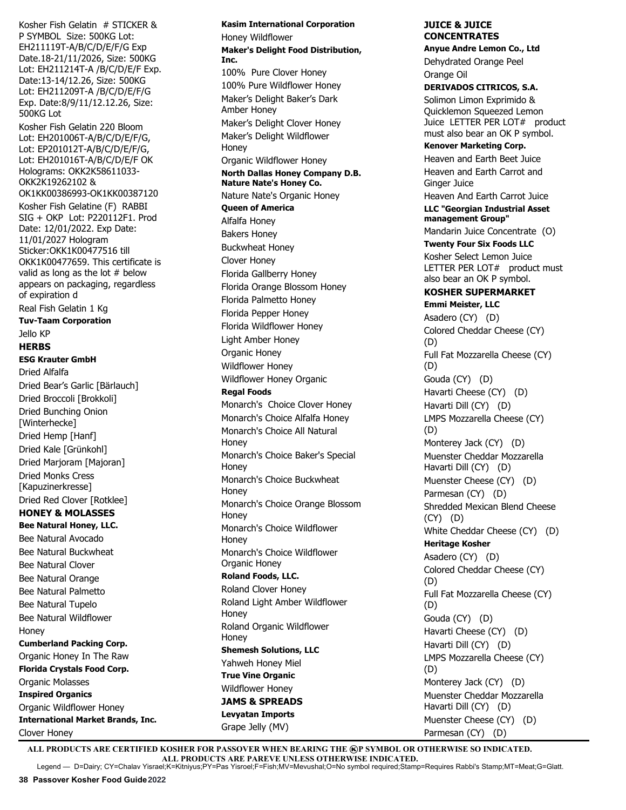Kosher Fish Gelatin # STICKER & P SYMBOL Size: 500KG Lot: EH211119T-A/B/C/D/E/F/G Exp Date.18-21/11/2026, Size: 500KG Lot: EH211214T-A /B/C/D/E/F Exp. Date:13-14/12.26, Size: 500KG Lot: EH211209T-A /B/C/D/E/F/G Exp. Date:8/9/11/12.12.26, Size: 500KG Lot Kosher Fish Gelatin 220 Bloom Lot: EH201006T-A/B/C/D/E/F/G, Lot: EP201012T-A/B/C/D/E/F/G, Lot: EH201016T-A/B/C/D/E/F OK Holograms: OKK2K58611033- OKK2K19262102 & OK1KK00386993-OK1KK00387120 Kosher Fish Gelatine (F) RABBI SIG + OKP Lot: P220112F1. Prod Date: 12/01/2022. Exp Date: 11/01/2027 Hologram Sticker:OKK1K00477516 till OKK1K00477659. This certificate is valid as long as the lot # below appears on packaging, regardless of expiration d Real Fish Gelatin 1 Kg **Tuv-Taam Corporation**  Jello KP **HERBS ESG Krauter GmbH** Dried Alfalfa Dried Bear's Garlic [Bärlauch] Dried Broccoli [Brokkoli] Dried Bunching Onion [Winterhecke] Dried Hemp [Hanf] Dried Kale [Grünkohl] Dried Marjoram [Majoran] Dried Monks Cress [Kapuzinerkresse] Dried Red Clover [Rotklee] **HONEY & MOLASSES Bee Natural Honey, LLC.**  Bee Natural Avocado Bee Natural Buckwheat Bee Natural Clover Bee Natural Orange Bee Natural Palmetto Bee Natural Tupelo Bee Natural Wildflower Honey **Cumberland Packing Corp.** Organic Honey In The Raw

**Florida Crystals Food Corp.** Organic Molasses **Inspired Organics** Organic Wildflower Honey **International Market Brands, Inc.** Clover Honey

**Kasim International Corporation**  Honey Wildflower **Maker's Delight Food Distribution, Inc.** 100% Pure Clover Honey 100% Pure Wildflower Honey Maker's Delight Baker's Dark Amber Honey Maker's Delight Clover Honey Maker's Delight Wildflower Honey Organic Wildflower Honey **North Dallas Honey Company D.B. Nature Nate's Honey Co.** Nature Nate's Organic Honey **Queen of America** Alfalfa Honey Bakers Honey Buckwheat Honey Clover Honey Florida Gallberry Honey Florida Orange Blossom Honey Florida Palmetto Honey Florida Pepper Honey Florida Wildflower Honey Light Amber Honey Organic Honey Wildflower Honey Wildflower Honey Organic **Regal Foods** Monarch's Choice Clover Honey Monarch's Choice Alfalfa Honey Monarch's Choice All Natural **Honey** Monarch's Choice Baker's Special Honey Monarch's Choice Buckwheat Honey Monarch's Choice Orange Blossom Honey Monarch's Choice Wildflower Honey Monarch's Choice Wildflower Organic Honey **Roland Foods, LLC.** Roland Clover Honey Roland Light Amber Wildflower Honey Roland Organic Wildflower Honey **Shemesh Solutions, LLC** Yahweh Honey Miel **True Vine Organic** Wildflower Honey **JAMS & SPREADS Levyatan Imports**

#### **JUICE & JUICE CONCENTRATES Anyue Andre Lemon Co., Ltd**

Dehydrated Orange Peel Orange Oil

**DERIVADOS CITRICOS, S.A.** Solimon Limon Exprimido & Quicklemon Squeezed Lemon Juice LETTER PER LOT# product must also bear an OK P symbol. **Kenover Marketing Corp.**

Heaven and Earth Beet Juice Heaven and Earth Carrot and Ginger Juice

Heaven And Earth Carrot Juice **LLC "Georgian Industrial Asset management Group"** 

Mandarin Juice Concentrate (O) **Twenty Four Six Foods LLC**

Kosher Select Lemon Juice LETTER PER LOT# product must also bear an OK P symbol.

## **KOSHER SUPERMARKET Emmi Meister, LLC**

Asadero (CY) (D) Colored Cheddar Cheese (CY) (D) Full Fat Mozzarella Cheese (CY) (D) Gouda (CY) (D) Havarti Cheese (CY) (D) Havarti Dill (CY) (D) LMPS Mozzarella Cheese (CY) (D) Monterey Jack (CY) (D) Muenster Cheddar Mozzarella Havarti Dill (CY) (D) Muenster Cheese (CY) (D) Parmesan (CY) (D) Shredded Mexican Blend Cheese (CY) (D) White Cheddar Cheese (CY) (D) **Heritage Kosher** Asadero (CY) (D) Colored Cheddar Cheese (CY) (D) Full Fat Mozzarella Cheese (CY) (D) Gouda (CY) (D) Havarti Cheese (CY) (D) Havarti Dill (CY) (D) LMPS Mozzarella Cheese (CY) (D) Monterey Jack (CY) (D) Muenster Cheddar Mozzarella Havarti Dill (CY) (D) Muenster Cheese (CY) (D) Parmesan (CY) (D)

ALL PRODUCTS ARE CERTIFIED KOSHER FOR PASSOVER WHEN BEARING THE **@P SYMBOL OR OTHERWISE SO INDICATED. ALL PRODUCTS ARE PAREVE UNLESS OTHERWISE INDICATED.** Legend — D=Dairy; CY=Chalav Yisrael;K=Kitniyus;PY=Pas Yisroel;F=Fish;MV=Mevushal;O=No symbol required;Stamp=Requires Rabbi's Stamp;MT=Meat;G=Glatt.

Grape Jelly (MV)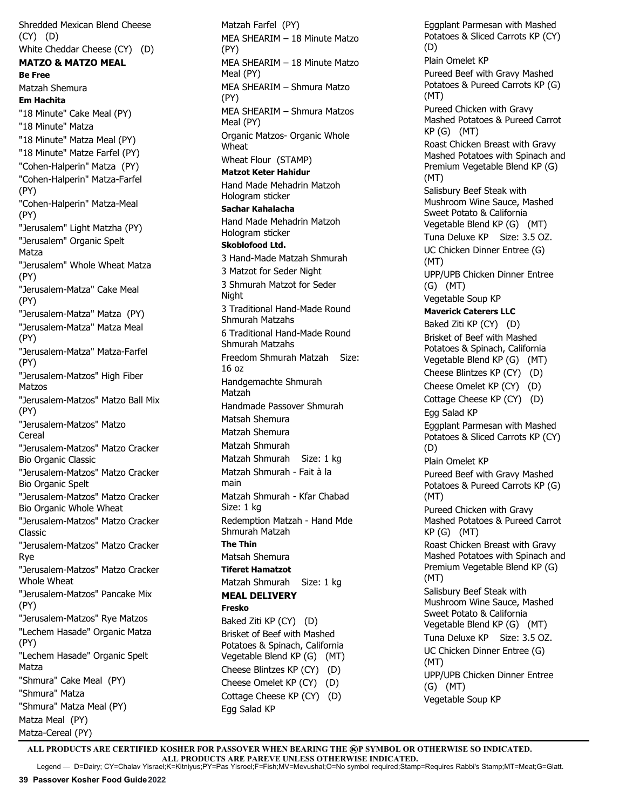Shredded Mexican Blend Cheese (CY) (D) White Cheddar Cheese (CY) (D) **MATZO & MATZO MEAL Be Free** Matzah Shemura **Em Hachita**  "18 Minute" Cake Meal (PY) "18 Minute" Matza "18 Minute" Matza Meal (PY) "18 Minute" Matze Farfel (PY) "Cohen-Halperin" Matza (PY) "Cohen-Halperin" Matza-Farfel (PY) "Cohen-Halperin" Matza-Meal (PY) "Jerusalem" Light Matzha (PY) "Jerusalem" Organic Spelt Matza "Jerusalem" Whole Wheat Matza (PY) "Jerusalem-Matza" Cake Meal (PY) "Jerusalem-Matza" Matza (PY) "Jerusalem-Matza" Matza Meal (PY) "Jerusalem-Matza" Matza-Farfel (PY) "Jerusalem-Matzos" High Fiber Matzos "Jerusalem-Matzos" Matzo Ball Mix (PY) "Jerusalem-Matzos" Matzo Cereal "Jerusalem-Matzos" Matzo Cracker Bio Organic Classic "Jerusalem-Matzos" Matzo Cracker Bio Organic Spelt "Jerusalem-Matzos" Matzo Cracker Bio Organic Whole Wheat "Jerusalem-Matzos" Matzo Cracker Classic "Jerusalem-Matzos" Matzo Cracker Rye "Jerusalem-Matzos" Matzo Cracker Whole Wheat "Jerusalem-Matzos" Pancake Mix (PY) "Jerusalem-Matzos" Rye Matzos "Lechem Hasade" Organic Matza (PY) "Lechem Hasade" Organic Spelt Matza "Shmura" Cake Meal (PY) "Shmura" Matza "Shmura" Matza Meal (PY) Matza Meal (PY) Matza-Cereal (PY)

Matzah Farfel (PY) MEA SHEARIM – 18 Minute Matzo (PY) MEA SHEARIM – 18 Minute Matzo Meal (PY) MEA SHEARIM – Shmura Matzo (PY) MEA SHEARIM – Shmura Matzos Meal (PY) Organic Matzos- Organic Whole Wheat Wheat Flour (STAMP) **Matzot Keter Hahidur** Hand Made Mehadrin Matzoh Hologram sticker **Sachar Kahalacha** Hand Made Mehadrin Matzoh Hologram sticker **Skoblofood Ltd.** 3 Hand-Made Matzah Shmurah 3 Matzot for Seder Night 3 Shmurah Matzot for Seder Night 3 Traditional Hand-Made Round Shmurah Matzahs 6 Traditional Hand-Made Round Shmurah Matzahs Freedom Shmurah Matzah Size: 16 oz Handgemachte Shmurah Matzah Handmade Passover Shmurah Matsah Shemura Matzah Shemura Matzah Shmurah Matzah Shmurah Size: 1 kg Matzah Shmurah - Fait à la main Matzah Shmurah - Kfar Chabad Size: 1 kg Redemption Matzah - Hand Mde Shmurah Matzah **The Thin** Matsah Shemura **Tiferet Hamatzot** Matzah Shmurah Size: 1 kg **MEAL DELIVERY Fresko** Baked Ziti KP (CY) (D) Brisket of Beef with Mashed Potatoes & Spinach, California Vegetable Blend KP (G) (MT) Cheese Blintzes KP (CY) (D) Cheese Omelet KP (CY) (D) Cottage Cheese KP (CY) (D)

Eggplant Parmesan with Mashed Potatoes & Sliced Carrots KP (CY) (D) Plain Omelet KP Pureed Beef with Gravy Mashed Potatoes & Pureed Carrots KP (G) (MT) Pureed Chicken with Gravy Mashed Potatoes & Pureed Carrot KP (G) (MT) Roast Chicken Breast with Gravy Mashed Potatoes with Spinach and Premium Vegetable Blend KP (G) (MT) Salisbury Beef Steak with Mushroom Wine Sauce, Mashed Sweet Potato & California Vegetable Blend KP (G) (MT) Tuna Deluxe KP Size: 3.5 OZ. UC Chicken Dinner Entree (G) (MT) UPP/UPB Chicken Dinner Entree (G) (MT) Vegetable Soup KP **Maverick Caterers LLC** Baked Ziti KP (CY) (D) Brisket of Beef with Mashed Potatoes & Spinach, California Vegetable Blend KP (G) (MT) Cheese Blintzes KP (CY) (D) Cheese Omelet KP (CY) (D) Cottage Cheese KP (CY) (D) Egg Salad KP Eggplant Parmesan with Mashed Potatoes & Sliced Carrots KP (CY) (D) Plain Omelet KP Pureed Beef with Gravy Mashed Potatoes & Pureed Carrots KP (G) (MT) Pureed Chicken with Gravy Mashed Potatoes & Pureed Carrot KP (G) (MT) Roast Chicken Breast with Gravy Mashed Potatoes with Spinach and Premium Vegetable Blend KP (G) (MT) Salisbury Beef Steak with Mushroom Wine Sauce, Mashed Sweet Potato & California Vegetable Blend KP (G) (MT) Tuna Deluxe KP Size: 3.5 OZ. UC Chicken Dinner Entree (G) (MT) UPP/UPB Chicken Dinner Entree (G) (MT) Vegetable Soup KP

ALL PRODUCTS ARE CERTIFIED KOSHER FOR PASSOVER WHEN BEARING THE **@P SYMBOL OR OTHERWISE SO INDICATED. ALL PRODUCTS ARE PAREVE UNLESS OTHERWISE INDICATED.** Legend — D=Dairy; CY=Chalav Yisrael;K=Kitniyus;PY=Pas Yisroel;F=Fish;MV=Mevushal;O=No symbol required;Stamp=Requires Rabbi's Stamp;MT=Meat;G=Glatt.

Egg Salad KP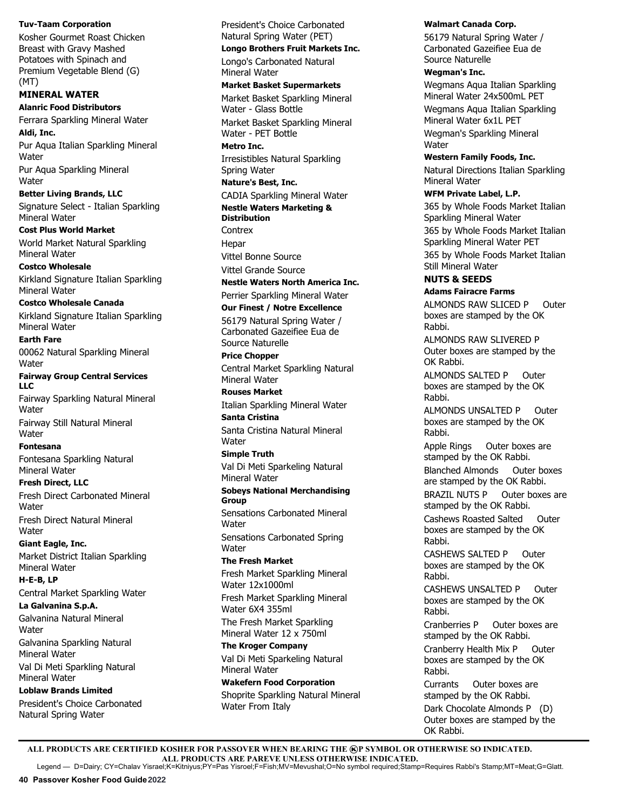## **Tuv-Taam Corporation**

Kosher Gourmet Roast Chicken Breast with Gravy Mashed Potatoes with Spinach and Premium Vegetable Blend (G) (MT)

## **MINERAL WATER**

**Alanric Food Distributors** Ferrara Sparkling Mineral Water **Aldi, Inc.** Pur Aqua Italian Sparkling Mineral **Water** Pur Aqua Sparkling Mineral **Water** 

**Better Living Brands, LLC** Signature Select - Italian Sparkling Mineral Water

**Cost Plus World Market** World Market Natural Sparkling Mineral Water

**Costco Wholesale** Kirkland Signature Italian Sparkling Mineral Water

**Costco Wholesale Canada** Kirkland Signature Italian Sparkling Mineral Water

**Earth Fare**  00062 Natural Sparkling Mineral Water

**Fairway Group Central Services LLC** Fairway Sparkling Natural Mineral Water

Fairway Still Natural Mineral **Water** 

**Fontesana** Fontesana Sparkling Natural Mineral Water

**Fresh Direct, LLC** Fresh Direct Carbonated Mineral Water Fresh Direct Natural Mineral

**Water Giant Eagle, Inc.**  Market District Italian Sparkling

Mineral Water

**H-E-B, LP** Central Market Sparkling Water

**La Galvanina S.p.A.**  Galvanina Natural Mineral **Water** 

Galvanina Sparkling Natural Mineral Water

Val Di Meti Sparkling Natural Mineral Water

**Loblaw Brands Limited**  President's Choice Carbonated

Natural Spring Water

President's Choice Carbonated Natural Spring Water (PET)

**Longo Brothers Fruit Markets Inc.**

Longo's Carbonated Natural Mineral Water

**Market Basket Supermarkets**

Market Basket Sparkling Mineral Water - Glass Bottle Market Basket Sparkling Mineral Water - PET Bottle

**Metro Inc.** Irresistibles Natural Sparkling Spring Water

**Nature's Best, Inc.** CADIA Sparkling Mineral Water

**Nestle Waters Marketing & Distribution**

**Contrex** Hepar

Vittel Bonne Source Vittel Grande Source

**Nestle Waters North America Inc.** 

Perrier Sparkling Mineral Water **Our Finest / Notre Excellence** 56179 Natural Spring Water /

Carbonated Gazeifiee Eua de Source Naturelle **Price Chopper**

Central Market Sparkling Natural Mineral Water

**Rouses Market** Italian Sparkling Mineral Water

**Santa Cristina** Santa Cristina Natural Mineral **Water** 

**Simple Truth** Val Di Meti Sparkeling Natural

Mineral Water **Sobeys National Merchandising Group**

Sensations Carbonated Mineral **Water** 

Sensations Carbonated Spring Water

**The Fresh Market**  Fresh Market Sparkling Mineral Water 12x1000ml

Fresh Market Sparkling Mineral Water 6X4 355ml The Fresh Market Sparkling

Mineral Water 12 x 750ml **The Kroger Company** Val Di Meti Sparkeling Natural Mineral Water

**Wakefern Food Corporation** Shoprite Sparkling Natural Mineral Water From Italy

## **Walmart Canada Corp.**

56179 Natural Spring Water / Carbonated Gazeifiee Eua de Source Naturelle

**Wegman's Inc.** 

Wegmans Aqua Italian Sparkling Mineral Water 24x500mL PET Wegmans Aqua Italian Sparkling Mineral Water 6x1L PET

Wegman's Sparkling Mineral Water

**Western Family Foods, Inc.**  Natural Directions Italian Sparkling Mineral Water

**WFM Private Label, L.P.**

365 by Whole Foods Market Italian Sparkling Mineral Water

365 by Whole Foods Market Italian Sparkling Mineral Water PET 365 by Whole Foods Market Italian Still Mineral Water

## **NUTS & SEEDS**

**Adams Fairacre Farms** ALMONDS RAW SLICED P Outer boxes are stamped by the OK Rabbi. ALMONDS RAW SLIVERED P Outer boxes are stamped by the OK Rabbi. ALMONDS SALTED P Outer boxes are stamped by the OK Rabbi. ALMONDS UNSALTED P Outer boxes are stamped by the OK Rabbi. Apple Rings Outer boxes are stamped by the OK Rabbi. Blanched Almonds Outer boxes are stamped by the OK Rabbi.

Cranberries P Outer boxes are stamped by the OK Rabbi.

Cranberry Health Mix P Outer boxes are stamped by the OK Rabbi.

Currants Outer boxes are stamped by the OK Rabbi. Dark Chocolate Almonds P (D) Outer boxes are stamped by the OK Rabbi.

ALL PRODUCTS ARE CERTIFIED KOSHER FOR PASSOVER WHEN BEARING THE **@P SYMBOL OR OTHERWISE SO INDICATED. ALL PRODUCTS ARE PAREVE UNLESS OTHERWISE INDICATED.** Legend — D=Dairy; CY=Chalav Yisrael;K=Kitniyus;PY=Pas Yisroel;F=Fish;MV=Mevushal;O=No symbol required;Stamp=Requires Rabbi's Stamp;MT=Meat;G=Glatt.

BRAZIL NUTS P Outer boxes are stamped by the OK Rabbi. Cashews Roasted Salted Outer boxes are stamped by the OK Rabbi. CASHEWS SALTED P Outer boxes are stamped by the OK Rabbi. CASHEWS UNSALTED P Outer boxes are stamped by the OK Rabbi.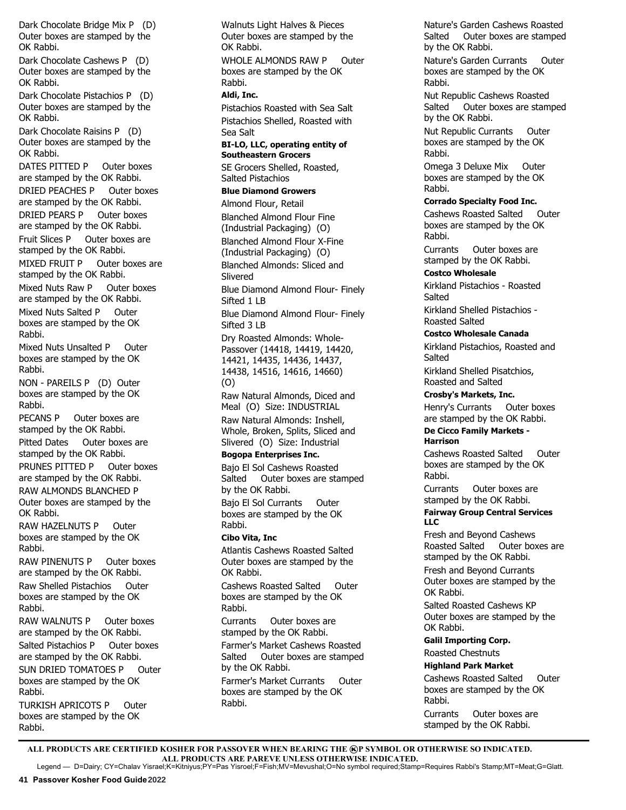Dark Chocolate Bridge Mix P (D) Outer boxes are stamped by the OK Rabbi.

Dark Chocolate Cashews P (D) Outer boxes are stamped by the OK Rabbi.

Dark Chocolate Pistachios P (D) Outer boxes are stamped by the OK Rabbi.

Dark Chocolate Raisins P (D) Outer boxes are stamped by the OK Rabbi.

DATES PITTED P Outer boxes are stamped by the OK Rabbi. DRIED PEACHES P Outer boxes are stamped by the OK Rabbi. DRIED PEARS P Outer boxes are stamped by the OK Rabbi. Fruit Slices P Outer boxes are stamped by the OK Rabbi. MIXED FRUIT P Outer boxes are stamped by the OK Rabbi. Mixed Nuts Raw P Outer boxes are stamped by the OK Rabbi. Mixed Nuts Salted P Outer boxes are stamped by the OK Rabbi. Mixed Nuts Unsalted P Outer boxes are stamped by the OK Rabbi. NON - PAREILS P (D) Outer boxes are stamped by the OK Rabbi. PECANS P Outer boxes are stamped by the OK Rabbi. Pitted Dates Outer boxes are stamped by the OK Rabbi. PRUNES PITTED P Outer boxes are stamped by the OK Rabbi. RAW ALMONDS BLANCHED P Outer boxes are stamped by the OK Rabbi.

RAW HAZELNUTS P Outer boxes are stamped by the OK Rabbi.

RAW PINENUTS P Outer boxes are stamped by the OK Rabbi. Raw Shelled Pistachios Outer boxes are stamped by the OK Rabbi.

RAW WALNUTS P Outer boxes are stamped by the OK Rabbi. Salted Pistachios P Outer boxes are stamped by the OK Rabbi. SUN DRIED TOMATOES P Outer boxes are stamped by the OK Rabbi.

TURKISH APRICOTS P Outer boxes are stamped by the OK Rabbi.

Walnuts Light Halves & Pieces Outer boxes are stamped by the OK Rabbi. WHOLE ALMONDS RAW P Outer boxes are stamped by the OK Rabbi. **Aldi, Inc.** Pistachios Roasted with Sea Salt Pistachios Shelled, Roasted with Sea Salt **BI-LO, LLC, operating entity of Southeastern Grocers** SE Grocers Shelled, Roasted, Salted Pistachios **Blue Diamond Growers** Almond Flour, Retail Blanched Almond Flour Fine (Industrial Packaging) (O) Blanched Almond Flour X-Fine (Industrial Packaging) (O) Blanched Almonds: Sliced and Slivered Blue Diamond Almond Flour- Finely Sifted 1 LB Blue Diamond Almond Flour- Finely Sifted 3 LB Dry Roasted Almonds: Whole-Passover (14418, 14419, 14420, 14421, 14435, 14436, 14437, 14438, 14516, 14616, 14660) (O) Raw Natural Almonds, Diced and Meal (O) Size: INDUSTRIAL Raw Natural Almonds: Inshell, Whole, Broken, Splits, Sliced and Slivered (O) Size: Industrial **Bogopa Enterprises Inc.** Bajo El Sol Cashews Roasted Salted Outer boxes are stamped by the OK Rabbi. Bajo El Sol Currants Outer boxes are stamped by the OK Rabbi. **Cibo Vita, Inc** Atlantis Cashews Roasted Salted

Outer boxes are stamped by the OK Rabbi. Cashews Roasted Salted Outer

boxes are stamped by the OK Rabbi.

Currants Outer boxes are stamped by the OK Rabbi.

Farmer's Market Cashews Roasted Salted Outer boxes are stamped by the OK Rabbi.

Farmer's Market Currants Outer boxes are stamped by the OK Rabbi.

Nature's Garden Cashews Roasted Salted Outer boxes are stamped by the OK Rabbi.

Nature's Garden Currants Outer boxes are stamped by the OK Rabbi.

Nut Republic Cashews Roasted Salted Outer boxes are stamped by the OK Rabbi.

Nut Republic Currants Outer boxes are stamped by the OK Rabbi.

Omega 3 Deluxe Mix Outer boxes are stamped by the OK Rabbi.

## **Corrado Specialty Food Inc.**

Cashews Roasted Salted Outer boxes are stamped by the OK Rabbi.

Currants Outer boxes are stamped by the OK Rabbi.

**Costco Wholesale**

Kirkland Pistachios - Roasted **Salted** 

Kirkland Shelled Pistachios - Roasted Salted

## **Costco Wholesale Canada**

Kirkland Pistachios, Roasted and Salted

Kirkland Shelled Pisatchios, Roasted and Salted

**Crosby's Markets, Inc.** 

Henry's Currants Outer boxes are stamped by the OK Rabbi.

#### **De Cicco Family Markets - Harrison**

Cashews Roasted Salted Outer boxes are stamped by the OK Rabbi.

Currants Outer boxes are stamped by the OK Rabbi.

## **Fairway Group Central Services LLC**

Fresh and Beyond Cashews Roasted Salted Outer boxes are stamped by the OK Rabbi.

Fresh and Beyond Currants Outer boxes are stamped by the OK Rabbi.

Salted Roasted Cashews KP Outer boxes are stamped by the OK Rabbi.

## **Galil Importing Corp.**

Roasted Chestnuts

## **Highland Park Market**

Cashews Roasted Salted Outer boxes are stamped by the OK Rabbi.

Currants Outer boxes are stamped by the OK Rabbi.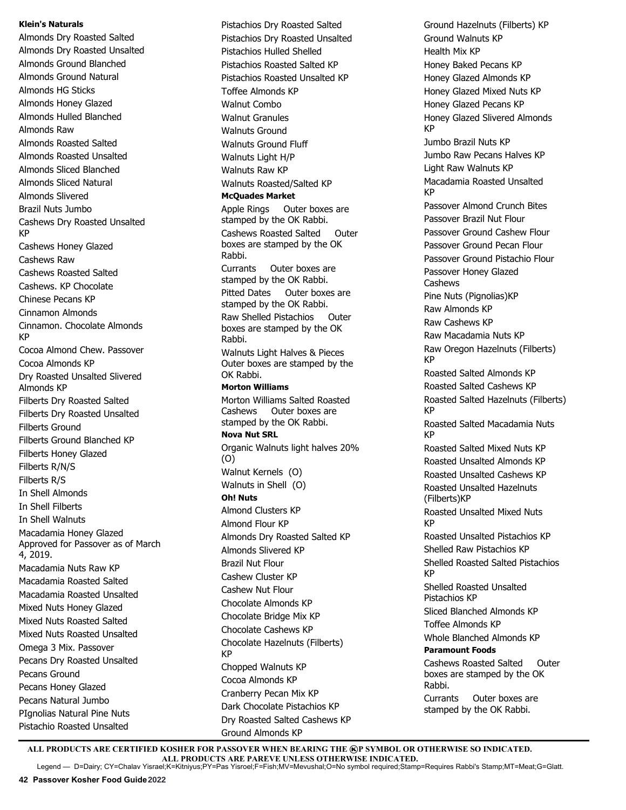#### **Klein's Naturals**

Almonds Dry Roasted Salted Almonds Dry Roasted Unsalted Almonds Ground Blanched Almonds Ground Natural Almonds HG Sticks Almonds Honey Glazed Almonds Hulled Blanched Almonds Raw Almonds Roasted Salted Almonds Roasted Unsalted Almonds Sliced Blanched Almonds Sliced Natural Almonds Slivered Brazil Nuts Jumbo Cashews Dry Roasted Unsalted KP Cashews Honey Glazed Cashews Raw Cashews Roasted Salted Cashews. KP Chocolate Chinese Pecans KP Cinnamon Almonds Cinnamon. Chocolate Almonds KP Cocoa Almond Chew. Passover Cocoa Almonds KP Dry Roasted Unsalted Slivered Almonds KP Filberts Dry Roasted Salted Filberts Dry Roasted Unsalted Filberts Ground Filberts Ground Blanched KP Filberts Honey Glazed Filberts R/N/S Filberts R/S In Shell Almonds In Shell Filberts In Shell Walnuts Macadamia Honey Glazed Approved for Passover as of March 4, 2019. Macadamia Nuts Raw KP Macadamia Roasted Salted Macadamia Roasted Unsalted Mixed Nuts Honey Glazed Mixed Nuts Roasted Salted Mixed Nuts Roasted Unsalted Omega 3 Mix. Passover Pecans Dry Roasted Unsalted Pecans Ground Pecans Honey Glazed Pecans Natural Jumbo PIgnolias Natural Pine Nuts Pistachio Roasted Unsalted

Pistachios Dry Roasted Salted Pistachios Dry Roasted Unsalted Pistachios Hulled Shelled Pistachios Roasted Salted KP Pistachios Roasted Unsalted KP Toffee Almonds KP Walnut Combo Walnut Granules Walnuts Ground Walnuts Ground Fluff Walnuts Light H/P Walnuts Raw KP Walnuts Roasted/Salted KP **McQuades Market** Apple Rings Outer boxes are stamped by the OK Rabbi. Cashews Roasted Salted Outer boxes are stamped by the OK Rabbi. Currants Outer boxes are stamped by the OK Rabbi. Pitted Dates Outer boxes are stamped by the OK Rabbi. Raw Shelled Pistachios Outer boxes are stamped by the OK Rabbi. Walnuts Light Halves & Pieces Outer boxes are stamped by the OK Rabbi. **Morton Williams** Morton Williams Salted Roasted Cashews Outer boxes are stamped by the OK Rabbi. **Nova Nut SRL** Organic Walnuts light halves 20% (O) Walnut Kernels (O) Walnuts in Shell (O) **Oh! Nuts** Almond Clusters KP Almond Flour KP Almonds Dry Roasted Salted KP Almonds Slivered KP Brazil Nut Flour Cashew Cluster KP Cashew Nut Flour Chocolate Almonds KP Chocolate Bridge Mix KP Chocolate Cashews KP Chocolate Hazelnuts (Filberts) KP Chopped Walnuts KP Cocoa Almonds KP Cranberry Pecan Mix KP Dark Chocolate Pistachios KP Dry Roasted Salted Cashews KP

Ground Hazelnuts (Filberts) KP Ground Walnuts KP Health Mix KP Honey Baked Pecans KP Honey Glazed Almonds KP Honey Glazed Mixed Nuts KP Honey Glazed Pecans KP Honey Glazed Slivered Almonds KP Jumbo Brazil Nuts KP Jumbo Raw Pecans Halves KP Light Raw Walnuts KP Macadamia Roasted Unsalted KP Passover Almond Crunch Bites Passover Brazil Nut Flour Passover Ground Cashew Flour Passover Ground Pecan Flour Passover Ground Pistachio Flour Passover Honey Glazed Cashews Pine Nuts (Pignolias)KP Raw Almonds KP Raw Cashews KP Raw Macadamia Nuts KP Raw Oregon Hazelnuts (Filberts) KP Roasted Salted Almonds KP Roasted Salted Cashews KP Roasted Salted Hazelnuts (Filberts) KP Roasted Salted Macadamia Nuts KP Roasted Salted Mixed Nuts KP Roasted Unsalted Almonds KP Roasted Unsalted Cashews KP Roasted Unsalted Hazelnuts (Filberts)KP Roasted Unsalted Mixed Nuts KP Roasted Unsalted Pistachios KP Shelled Raw Pistachios KP Shelled Roasted Salted Pistachios KP Shelled Roasted Unsalted Pistachios KP Sliced Blanched Almonds KP Toffee Almonds KP Whole Blanched Almonds KP **Paramount Foods** Cashews Roasted Salted Outer boxes are stamped by the OK Rabbi. Currants Outer boxes are stamped by the OK Rabbi.

ALL PRODUCTS ARE CERTIFIED KOSHER FOR PASSOVER WHEN BEARING THE **@P SYMBOL OR OTHERWISE SO INDICATED. ALL PRODUCTS ARE PAREVE UNLESS OTHERWISE INDICATED.** Legend — D=Dairy; CY=Chalav Yisrael;K=Kitniyus;PY=Pas Yisroel;F=Fish;MV=Mevushal;O=No symbol required;Stamp=Requires Rabbi's Stamp;MT=Meat;G=Glatt.

Ground Almonds KP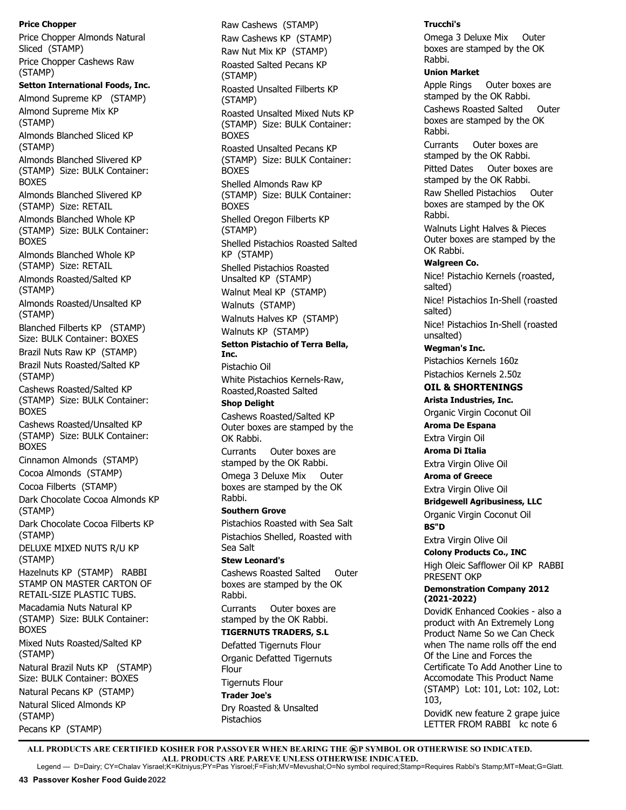**Price Chopper** Price Chopper Almonds Natural Sliced (STAMP) Price Chopper Cashews Raw (STAMP) **Setton International Foods, Inc.** Almond Supreme KP (STAMP) Almond Supreme Mix KP (STAMP) Almonds Blanched Sliced KP (STAMP) Almonds Blanched Slivered KP (STAMP) Size: BULK Container: BOXES Almonds Blanched Slivered KP (STAMP) Size: RETAIL Almonds Blanched Whole KP (STAMP) Size: BULK Container: BOXES Almonds Blanched Whole KP (STAMP) Size: RETAIL Almonds Roasted/Salted KP (STAMP) Almonds Roasted/Unsalted KP (STAMP) Blanched Filberts KP (STAMP) Size: BULK Container: BOXES Brazil Nuts Raw KP (STAMP) Brazil Nuts Roasted/Salted KP (STAMP) Cashews Roasted/Salted KP (STAMP) Size: BULK Container: **BOXES** Cashews Roasted/Unsalted KP (STAMP) Size: BULK Container: BOXES Cinnamon Almonds (STAMP) Cocoa Almonds (STAMP) Cocoa Filberts (STAMP) Dark Chocolate Cocoa Almonds KP (STAMP) Dark Chocolate Cocoa Filberts KP (STAMP) DELUXE MIXED NUTS R/U KP (STAMP) Hazelnuts KP (STAMP) RABBI STAMP ON MASTER CARTON OF RETAIL-SIZE PLASTIC TUBS. Macadamia Nuts Natural KP (STAMP) Size: BULK Container: BOXES Mixed Nuts Roasted/Salted KP (STAMP) Natural Brazil Nuts KP (STAMP) Size: BULK Container: BOXES

Natural Pecans KP (STAMP) Natural Sliced Almonds KP (STAMP) Pecans KP (STAMP)

Raw Cashews (STAMP) Raw Cashews KP (STAMP) Raw Nut Mix KP (STAMP) Roasted Salted Pecans KP (STAMP) Roasted Unsalted Filberts KP (STAMP) Roasted Unsalted Mixed Nuts KP (STAMP) Size: BULK Container: BOXES Roasted Unsalted Pecans KP (STAMP) Size: BULK Container: BOXES Shelled Almonds Raw KP (STAMP) Size: BULK Container: BOXES Shelled Oregon Filberts KP (STAMP) Shelled Pistachios Roasted Salted KP (STAMP) Shelled Pistachios Roasted Unsalted KP (STAMP) Walnut Meal KP (STAMP) Walnuts (STAMP) Walnuts Halves KP (STAMP) Walnuts KP (STAMP) **Setton Pistachio of Terra Bella, Inc.**  Pistachio Oil White Pistachios Kernels-Raw, Roasted,Roasted Salted **Shop Delight** Cashews Roasted/Salted KP Outer boxes are stamped by the OK Rabbi. Currants Outer boxes are stamped by the OK Rabbi. Omega 3 Deluxe Mix Outer boxes are stamped by the OK Rabbi. **Southern Grove** Pistachios Roasted with Sea Salt Pistachios Shelled, Roasted with Sea Salt **Stew Leonard's**  Cashews Roasted Salted Outer boxes are stamped by the OK Rabbi. Currants Outer boxes are stamped by the OK Rabbi. **TIGERNUTS TRADERS, S.L** Defatted Tigernuts Flour Organic Defatted Tigernuts

Flour Tigernuts Flour

**Trader Joe's** Dry Roasted & Unsalted Pistachios

#### **Trucchi's**

Omega 3 Deluxe Mix Outer boxes are stamped by the OK Rabbi.

#### **Union Market**

Apple Rings Outer boxes are stamped by the OK Rabbi. Cashews Roasted Salted Outer boxes are stamped by the OK Rabbi.

Currants Outer boxes are stamped by the OK Rabbi. Pitted Dates Outer boxes are stamped by the OK Rabbi. Raw Shelled Pistachios Outer boxes are stamped by the OK Rabbi.

Walnuts Light Halves & Pieces Outer boxes are stamped by the OK Rabbi.

## **Walgreen Co.**

Nice! Pistachio Kernels (roasted, salted)

Nice! Pistachios In-Shell (roasted salted)

Nice! Pistachios In-Shell (roasted unsalted)

## **Wegman's Inc.**

Pistachios Kernels 160z Pistachios Kernels 2.50z

# **OIL & SHORTENINGS**

**Arista Industries, Inc.** Organic Virgin Coconut Oil

**Aroma De Espana**

Extra Virgin Oil **Aroma Di Italia**

Extra Virgin Olive Oil

**Aroma of Greece**

Extra Virgin Olive Oil

**Bridgewell Agribusiness, LLC**

Organic Virgin Coconut Oil **BS"D**

Extra Virgin Olive Oil

**Colony Products Co., INC** High Oleic Safflower Oil KP RABBI PRESENT OKP

## **Demonstration Company 2012 (2021-2022)**

DovidK Enhanced Cookies - also a product with An Extremely Long Product Name So we Can Check when The name rolls off the end Of the Line and Forces the Certificate To Add Another Line to Accomodate This Product Name (STAMP) Lot: 101, Lot: 102, Lot: 103,

DovidK new feature 2 grape juice LETTER FROM RABBI kc note 6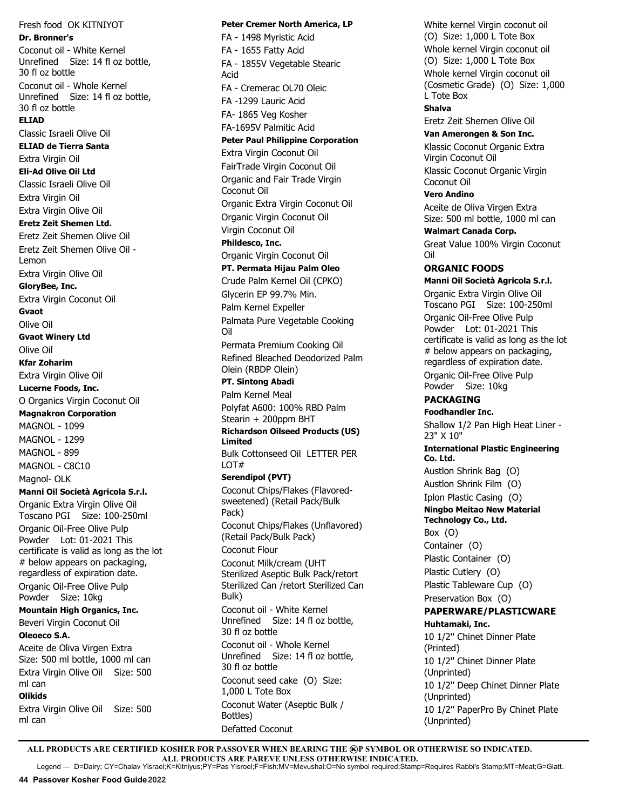Fresh food OK KITNIYOT **Dr. Bronner's** Coconut oil - White Kernel Unrefined Size: 14 fl oz bottle, 30 fl oz bottle Coconut oil - Whole Kernel Unrefined Size: 14 fl oz bottle, 30 fl oz bottle **ELIAD** Classic Israeli Olive Oil **ELIAD de Tierra Santa** Extra Virgin Oil **Eli-Ad Olive Oil Ltd** Classic Israeli Olive Oil Extra Virgin Oil Extra Virgin Olive Oil **Eretz Zeit Shemen Ltd.**  Eretz Zeit Shemen Olive Oil Eretz Zeit Shemen Olive Oil - Lemon Extra Virgin Olive Oil **GloryBee, Inc.** Extra Virgin Coconut Oil **Gvaot** Olive Oil **Gvaot Winery Ltd** Olive Oil **Kfar Zoharim** Extra Virgin Olive Oil **Lucerne Foods, Inc.** O Organics Virgin Coconut Oil **Magnakron Corporation** MAGNOL - 1099 MAGNOL - 1299 MAGNOL - 899 MAGNOL - C8C10 Magnol- OLK **Manni Oil Società Agricola S.r.l.** Organic Extra Virgin Olive Oil Toscano PGI Size: 100-250ml Organic Oil-Free Olive Pulp Powder Lot: 01-2021 This certificate is valid as long as the lot # below appears on packaging, regardless of expiration date. Organic Oil-Free Olive Pulp Powder Size: 10kg **Mountain High Organics, Inc.** Beveri Virgin Coconut Oil **Oleoeco S.A.** Aceite de Oliva Virgen Extra Size: 500 ml bottle, 1000 ml can Extra Virgin Olive Oil Size: 500 ml can **Olikids** Extra Virgin Olive Oil Size: 500 ml can

**Peter Cremer North America, LP** FA - 1498 Myristic Acid FA - 1655 Fatty Acid FA - 1855V Vegetable Stearic Acid FA - Cremerac OL70 Oleic FA -1299 Lauric Acid FA- 1865 Veg Kosher FA-1695V Palmitic Acid **Peter Paul Philippine Corporation**  Extra Virgin Coconut Oil FairTrade Virgin Coconut Oil Organic and Fair Trade Virgin Coconut Oil Organic Extra Virgin Coconut Oil Organic Virgin Coconut Oil Virgin Coconut Oil **Phildesco, Inc.** Organic Virgin Coconut Oil **PT. Permata Hijau Palm Oleo** Crude Palm Kernel Oil (CPKO) Glycerin EP 99.7% Min. Palm Kernel Expeller Palmata Pure Vegetable Cooking Oil Permata Premium Cooking Oil Refined Bleached Deodorized Palm Olein (RBDP Olein) **PT. Sintong Abadi** Palm Kernel Meal Polyfat A600: 100% RBD Palm Stearin + 200ppm BHT **Richardson Oilseed Products (US) Limited** Bulk Cottonseed Oil LETTER PER LOT# **Serendipol (PVT)** Coconut Chips/Flakes (Flavoredsweetened) (Retail Pack/Bulk Pack) Coconut Chips/Flakes (Unflavored) (Retail Pack/Bulk Pack) Coconut Flour Coconut Milk/cream (UHT Sterilized Aseptic Bulk Pack/retort Sterilized Can /retort Sterilized Can Bulk) Coconut oil - White Kernel Unrefined Size: 14 fl oz bottle, 30 fl oz bottle Coconut oil - Whole Kernel Unrefined Size: 14 fl oz bottle, 30 fl oz bottle Coconut seed cake (O) Size: 1,000 L Tote Box Coconut Water (Aseptic Bulk / Bottles) Defatted Coconut

White kernel Virgin coconut oil (O) Size: 1,000 L Tote Box Whole kernel Virgin coconut oil (O) Size: 1,000 L Tote Box Whole kernel Virgin coconut oil (Cosmetic Grade) (O) Size: 1,000 L Tote Box **Shalva** Eretz Zeit Shemen Olive Oil **Van Amerongen & Son Inc.** Klassic Coconut Organic Extra Virgin Coconut Oil Klassic Coconut Organic Virgin Coconut Oil **Vero Andino** Aceite de Oliva Virgen Extra Size: 500 ml bottle, 1000 ml can **Walmart Canada Corp.** Great Value 100% Virgin Coconut Oil **ORGANIC FOODS Manni Oil Società Agricola S.r.l.** Organic Extra Virgin Olive Oil Toscano PGI Size: 100-250ml Organic Oil-Free Olive Pulp Powder Lot: 01-2021 This certificate is valid as long as the lot # below appears on packaging, regardless of expiration date. Organic Oil-Free Olive Pulp Powder Size: 10kg **PACKAGING Foodhandler Inc.**  Shallow 1/2 Pan High Heat Liner - 23" X 10" **International Plastic Engineering Co. Ltd.**  Austlon Shrink Bag (O) Austlon Shrink Film (O) Iplon Plastic Casing (O) **Ningbo Meitao New Material Technology Co., Ltd.** Box (O) Container (O) Plastic Container (O) Plastic Cutlery (O) Plastic Tableware Cup (O) Preservation Box (O) **PAPERWARE/PLASTICWARE Huhtamaki, Inc.** 10 1/2'' Chinet Dinner Plate (Printed) 10 1/2'' Chinet Dinner Plate (Unprinted) 10 1/2'' Deep Chinet Dinner Plate (Unprinted) 10 1/2'' PaperPro By Chinet Plate (Unprinted)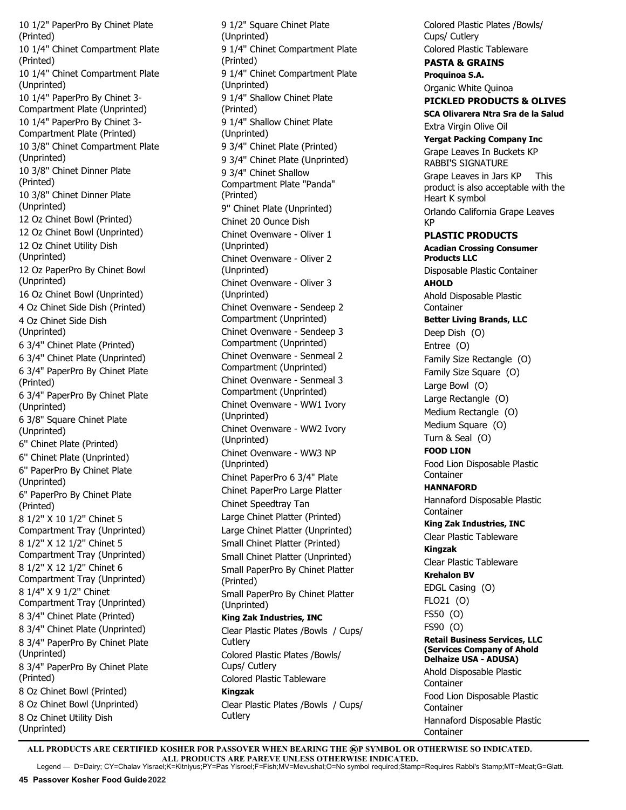10 1/2" PaperPro By Chinet Plate (Printed) 10 1/4'' Chinet Compartment Plate (Printed) 10 1/4'' Chinet Compartment Plate (Unprinted) 10 1/4'' PaperPro By Chinet 3- Compartment Plate (Unprinted) 10 1/4" PaperPro By Chinet 3- Compartment Plate (Printed) 10 3/8'' Chinet Compartment Plate (Unprinted) 10 3/8'' Chinet Dinner Plate (Printed) 10 3/8'' Chinet Dinner Plate (Unprinted) 12 Oz Chinet Bowl (Printed) 12 Oz Chinet Bowl (Unprinted) 12 Oz Chinet Utility Dish (Unprinted) 12 Oz PaperPro By Chinet Bowl (Unprinted) 16 Oz Chinet Bowl (Unprinted) 4 Oz Chinet Side Dish (Printed) 4 Oz Chinet Side Dish (Unprinted) 6 3/4'' Chinet Plate (Printed) 6 3/4'' Chinet Plate (Unprinted) 6 3/4" PaperPro By Chinet Plate (Printed) 6 3/4" PaperPro By Chinet Plate (Unprinted) 6 3/8" Square Chinet Plate (Unprinted) 6'' Chinet Plate (Printed) 6'' Chinet Plate (Unprinted) 6'' PaperPro By Chinet Plate (Unprinted) 6" PaperPro By Chinet Plate (Printed) 8 1/2'' X 10 1/2'' Chinet 5 Compartment Tray (Unprinted) 8 1/2'' X 12 1/2'' Chinet 5 Compartment Tray (Unprinted) 8 1/2'' X 12 1/2'' Chinet 6 Compartment Tray (Unprinted) 8 1/4'' X 9 1/2'' Chinet Compartment Tray (Unprinted) 8 3/4'' Chinet Plate (Printed) 8 3/4'' Chinet Plate (Unprinted) 8 3/4'' PaperPro By Chinet Plate (Unprinted) 8 3/4" PaperPro By Chinet Plate (Printed) 8 Oz Chinet Bowl (Printed) 8 Oz Chinet Bowl (Unprinted) 8 Oz Chinet Utility Dish (Unprinted)

9 1/2" Square Chinet Plate (Unprinted) 9 1/4'' Chinet Compartment Plate (Printed) 9 1/4'' Chinet Compartment Plate (Unprinted) 9 1/4'' Shallow Chinet Plate (Printed) 9 1/4'' Shallow Chinet Plate (Unprinted) 9 3/4'' Chinet Plate (Printed) 9 3/4'' Chinet Plate (Unprinted) 9 3/4" Chinet Shallow Compartment Plate "Panda" (Printed) 9'' Chinet Plate (Unprinted) Chinet 20 Ounce Dish Chinet Ovenware - Oliver 1 (Unprinted) Chinet Ovenware - Oliver 2 (Unprinted) Chinet Ovenware - Oliver 3 (Unprinted) Chinet Ovenware - Sendeep 2 Compartment (Unprinted) Chinet Ovenware - Sendeep 3 Compartment (Unprinted) Chinet Ovenware - Senmeal 2 Compartment (Unprinted) Chinet Ovenware - Senmeal 3 Compartment (Unprinted) Chinet Ovenware - WW1 Ivory (Unprinted) Chinet Ovenware - WW2 Ivory (Unprinted) Chinet Ovenware - WW3 NP (Unprinted) Chinet PaperPro 6 3/4" Plate Chinet PaperPro Large Platter Chinet Speedtray Tan Large Chinet Platter (Printed) Large Chinet Platter (Unprinted) Small Chinet Platter (Printed) Small Chinet Platter (Unprinted) Small PaperPro By Chinet Platter (Printed) Small PaperPro By Chinet Platter (Unprinted) **King Zak Industries, INC** Clear Plastic Plates /Bowls / Cups/ **Cutlerv** Colored Plastic Plates /Bowls/ Cups/ Cutlery Colored Plastic Tableware **Kingzak** Clear Plastic Plates /Bowls / Cups/ **Cutlerv** 

Colored Plastic Plates /Bowls/ Cups/ Cutlery Colored Plastic Tableware **PASTA & GRAINS Proquinoa S.A.** Organic White Quinoa **PICKLED PRODUCTS & OLIVES SCA Olivarera Ntra Sra de la Salud** Extra Virgin Olive Oil **Yergat Packing Company Inc** Grape Leaves In Buckets KP RABBI'S SIGNATURE Grape Leaves in Jars KP This product is also acceptable with the Heart K symbol Orlando California Grape Leaves KP **PLASTIC PRODUCTS Acadian Crossing Consumer Products LLC** Disposable Plastic Container **AHOLD** Ahold Disposable Plastic Container **Better Living Brands, LLC** Deep Dish (O) Entree (O) Family Size Rectangle (O) Family Size Square (O) Large Bowl (O) Large Rectangle (O) Medium Rectangle (O) Medium Square (O) Turn & Seal (O) **FOOD LION** Food Lion Disposable Plastic Container **HANNAFORD** Hannaford Disposable Plastic Container **King Zak Industries, INC** Clear Plastic Tableware **Kingzak** Clear Plastic Tableware **Krehalon BV** EDGL Casing (O) FLO21 (O) FS50 (O) FS90 (O) **Retail Business Services, LLC (Services Company of Ahold Delhaize USA - ADUSA)** Ahold Disposable Plastic Container Food Lion Disposable Plastic Container Hannaford Disposable Plastic Container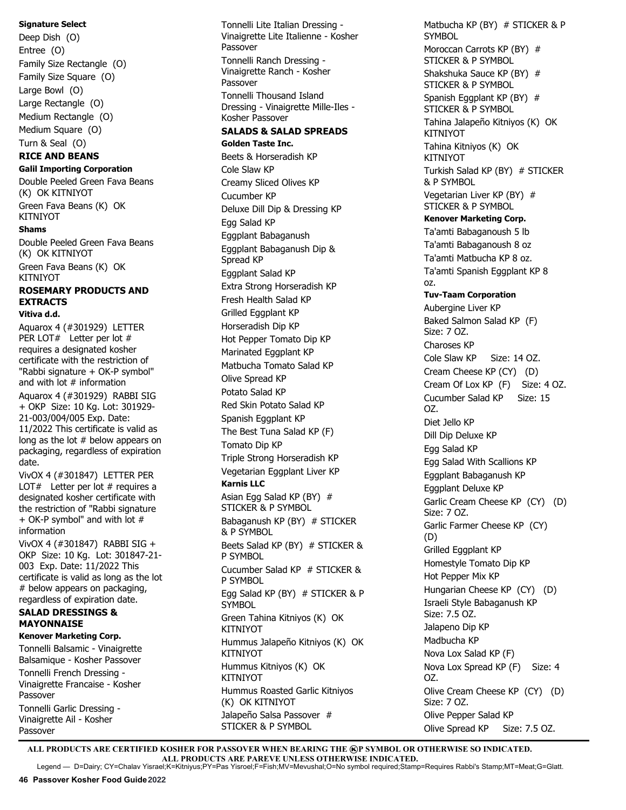#### **Signature Select**

Deep Dish (O) Entree (O) Family Size Rectangle (O) Family Size Square (O) Large Bowl (O) Large Rectangle (O) Medium Rectangle (O) Medium Square (O) Turn & Seal (O)

# **RICE AND BEANS**

**Galil Importing Corporation** Double Peeled Green Fava Beans (K) OK KITNIYOT Green Fava Beans (K) OK **KITNIYOT** 

#### **Shams**

Double Peeled Green Fava Beans (K) OK KITNIYOT

Green Fava Beans (K) OK KITNIYOT

# **ROSEMARY PRODUCTS AND EXTRACTS**

## **Vitiva d.d.**

Aquarox 4 (#301929) LETTER PER LOT# Letter per lot # requires a designated kosher certificate with the restriction of "Rabbi signature + OK-P symbol" and with lot  $#$  information Aquarox 4 (#301929) RABBI SIG + OKP Size: 10 Kg. Lot: 301929- 21-003/004/005 Exp. Date: 11/2022 This certificate is valid as long as the lot # below appears on packaging, regardless of expiration date. VivOX 4 (#301847) LETTER PER LOT $#$  Letter per lot  $#$  requires a designated kosher certificate with the restriction of "Rabbi signature + OK-P symbol" and with lot # information VivOX 4 (#301847) RABBI SIG + OKP Size: 10 Kg. Lot: 301847-21- 003 Exp. Date: 11/2022 This certificate is valid as long as the lot

## **SALAD DRESSINGS & MAYONNAISE**

# below appears on packaging, regardless of expiration date.

## **Kenover Marketing Corp.** Tonnelli Balsamic - Vinaigrette Balsamique - Kosher Passover

Tonnelli French Dressing - Vinaigrette Francaise - Kosher Passover Tonnelli Garlic Dressing - Vinaigrette Ail - Kosher Passover

Tonnelli Lite Italian Dressing - Vinaigrette Lite Italienne - Kosher Passover Tonnelli Ranch Dressing - Vinaigrette Ranch - Kosher Passover Tonnelli Thousand Island Dressing - Vinaigrette Mille-Iles - Kosher Passover **SALADS & SALAD SPREADS**

**Golden Taste Inc.**  Beets & Horseradish KP Cole Slaw KP Creamy Sliced Olives KP Cucumber KP Deluxe Dill Dip & Dressing KP Egg Salad KP

Eggplant Babaganush Eggplant Babaganush Dip &

Spread KP Eggplant Salad KP Extra Strong Horseradish KP Fresh Health Salad KP Grilled Eggplant KP Horseradish Dip KP Hot Pepper Tomato Dip KP Marinated Eggplant KP Matbucha Tomato Salad KP Olive Spread KP Potato Salad KP Red Skin Potato Salad KP Spanish Eggplant KP The Best Tuna Salad KP (F) Tomato Dip KP Triple Strong Horseradish KP Vegetarian Eggplant Liver KP **Karnis LLC** Asian Egg Salad KP (BY) # STICKER & P SYMBOL Babaganush KP (BY) # STICKER & P SYMBOL Beets Salad KP (BY) # STICKER & P SYMBOL Cucumber Salad KP # STICKER & P SYMBOL Egg Salad KP (BY) # STICKER & P **SYMBOL** Green Tahina Kitniyos (K) OK KITNIYOT Hummus Jalapeño Kitniyos (K) OK KITNIYOT Hummus Kitniyos (K) OK KITNIYOT Hummus Roasted Garlic Kitniyos (K) OK KITNIYOT Jalapeño Salsa Passover #

Matbucha KP (BY) # STICKER & P **SYMBOL** Moroccan Carrots KP (BY) # STICKER & P SYMBOL Shakshuka Sauce KP (BY) # STICKER & P SYMBOL Spanish Eggplant KP (BY) # STICKER & P SYMBOL Tahina Jalapeño Kitniyos (K) OK **KITNIYOT** Tahina Kitniyos (K) OK KITNIYOT Turkish Salad KP (BY) # STICKER & P SYMBOL Vegetarian Liver KP (BY) # STICKER & P SYMBOL **Kenover Marketing Corp.** Ta'amti Babaganoush 5 lb Ta'amti Babaganoush 8 oz Ta'amti Matbucha KP 8 oz. Ta'amti Spanish Eggplant KP 8 oz. **Tuv-Taam Corporation**  Aubergine Liver KP Baked Salmon Salad KP (F) Size: 7 OZ. Charoses KP Cole Slaw KP Size: 14 OZ. Cream Cheese KP (CY) (D) Cream Of Lox KP (F) Size: 4 OZ. Cucumber Salad KP Size: 15 OZ. Diet Jello KP Dill Dip Deluxe KP Egg Salad KP Egg Salad With Scallions KP Eggplant Babaganush KP Eggplant Deluxe KP Garlic Cream Cheese KP (CY) (D) Size: 7 OZ. Garlic Farmer Cheese KP (CY) (D) Grilled Eggplant KP Homestyle Tomato Dip KP Hot Pepper Mix KP Hungarian Cheese KP (CY) (D) Israeli Style Babaganush KP Size: 7.5 OZ. Jalapeno Dip KP Madbucha KP Nova Lox Salad KP (F) Nova Lox Spread KP (F) Size: 4 OZ. Olive Cream Cheese KP (CY) (D) Size: 7 OZ. Olive Pepper Salad KP Olive Spread KP Size: 7.5 OZ.

ALL PRODUCTS ARE CERTIFIED KOSHER FOR PASSOVER WHEN BEARING THE **@P SYMBOL OR OTHERWISE SO INDICATED. ALL PRODUCTS ARE PAREVE UNLESS OTHERWISE INDICATED.** Legend — D=Dairy; CY=Chalav Yisrael;K=Kitniyus;PY=Pas Yisroel;F=Fish;MV=Mevushal;O=No symbol required;Stamp=Requires Rabbi's Stamp;MT=Meat;G=Glatt.

STICKER & P SYMBOL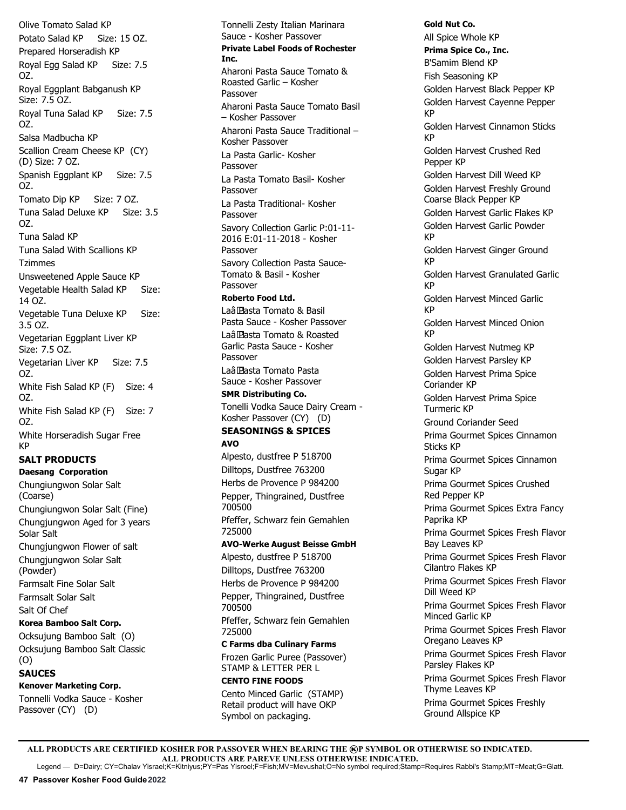Olive Tomato Salad KP Potato Salad KP Size: 15 OZ. Prepared Horseradish KP Royal Egg Salad KP Size: 7.5 OZ. Royal Eggplant Babganush KP Size: 7.5 OZ. Royal Tuna Salad KP Size: 7.5 OZ. Salsa Madbucha KP Scallion Cream Cheese KP (CY) (D) Size: 7 OZ. Spanish Eggplant KP Size: 7.5 OZ. Tomato Dip KP Size: 7 OZ. Tuna Salad Deluxe KP Size: 3.5 OZ. Tuna Salad KP Tuna Salad With Scallions KP Tzimmes Unsweetened Apple Sauce KP Vegetable Health Salad KP Size: 14 OZ. Vegetable Tuna Deluxe KP Size: 3.5 OZ. Vegetarian Eggplant Liver KP Size: 7.5 OZ. Vegetarian Liver KP Size: 7.5 OZ. White Fish Salad KP (F) Size: 4 OZ. White Fish Salad KP (F) Size: 7 OZ. White Horseradish Sugar Free KP **SALT PRODUCTS Daesang Corporation** Chungiungwon Solar Salt (Coarse) Chungiungwon Solar Salt (Fine) Chungjungwon Aged for 3 years Solar Salt Chungjungwon Flower of salt Chungjungwon Solar Salt (Powder) Farmsalt Fine Solar Salt Farmsalt Solar Salt Salt Of Chef

# **Korea Bamboo Salt Corp.**

Ocksujung Bamboo Salt (O) Ocksujung Bamboo Salt Classic (O)

## **SAUCES**

**Kenover Marketing Corp.**

Tonnelli Vodka Sauce - Kosher Passover (CY) (D)

Tonnelli Zesty Italian Marinara Sauce - Kosher Passover **Private Label Foods of Rochester Inc.**  Aharoni Pasta Sauce Tomato & Roasted Garlic – Kosher Passover Aharoni Pasta Sauce Tomato Basil – Kosher Passover Aharoni Pasta Sauce Traditional – Kosher Passover La Pasta Garlic- Kosher **Passover** La Pasta Tomato Basil- Kosher Passover La Pasta Traditional- Kosher Passover Savory Collection Garlic P:01-11- 2016 E:01-11-2018 - Kosher Passover Savory Collection Pasta Sauce-Tomato & Basil - Kosher Passover **Roberto Food Ltd.** Laâ Pasta Tomato & Basil Pasta Sauce - Kosher Passover Laâ Pasta Tomato & Roasted Garlic Pasta Sauce - Kosher **Passover** Laâ Pasta Tomato Pasta Sauce - Kosher Passover **SMR Distributing Co.** Tonelli Vodka Sauce Dairy Cream - Kosher Passover (CY) (D) **SEASONINGS & SPICES AVO** Alpesto, dustfree P 518700 Dilltops, Dustfree 763200 Herbs de Provence P 984200 Pepper, Thingrained, Dustfree 700500 Pfeffer, Schwarz fein Gemahlen 725000 **AVO-Werke August Beisse GmbH**  Alpesto, dustfree P 518700 Dilltops, Dustfree 763200 Herbs de Provence P 984200 Pepper, Thingrained, Dustfree 700500 Pfeffer, Schwarz fein Gemahlen 725000 **C Farms dba Culinary Farms** Frozen Garlic Puree (Passover) STAMP & LETTER PER L

# **CENTO FINE FOODS**

Cento Minced Garlic (STAMP) Retail product will have OKP Symbol on packaging.

**Gold Nut Co.**  All Spice Whole KP **Prima Spice Co., Inc.** B'Samim Blend KP Fish Seasoning KP Golden Harvest Black Pepper KP Golden Harvest Cayenne Pepper KP Golden Harvest Cinnamon Sticks KP Golden Harvest Crushed Red Pepper KP Golden Harvest Dill Weed KP Golden Harvest Freshly Ground Coarse Black Pepper KP Golden Harvest Garlic Flakes KP Golden Harvest Garlic Powder KP Golden Harvest Ginger Ground KP Golden Harvest Granulated Garlic KP Golden Harvest Minced Garlic KP Golden Harvest Minced Onion KP Golden Harvest Nutmeg KP Golden Harvest Parsley KP Golden Harvest Prima Spice Coriander KP Golden Harvest Prima Spice Turmeric KP Ground Coriander Seed Prima Gourmet Spices Cinnamon Sticks KP Prima Gourmet Spices Cinnamon Sugar KP Prima Gourmet Spices Crushed Red Pepper KP Prima Gourmet Spices Extra Fancy Paprika KP Prima Gourmet Spices Fresh Flavor Bay Leaves KP Prima Gourmet Spices Fresh Flavor Cilantro Flakes KP Prima Gourmet Spices Fresh Flavor Dill Weed KP Prima Gourmet Spices Fresh Flavor Minced Garlic KP Prima Gourmet Spices Fresh Flavor Oregano Leaves KP Prima Gourmet Spices Fresh Flavor Parsley Flakes KP Prima Gourmet Spices Fresh Flavor Thyme Leaves KP Prima Gourmet Spices Freshly Ground Allspice KP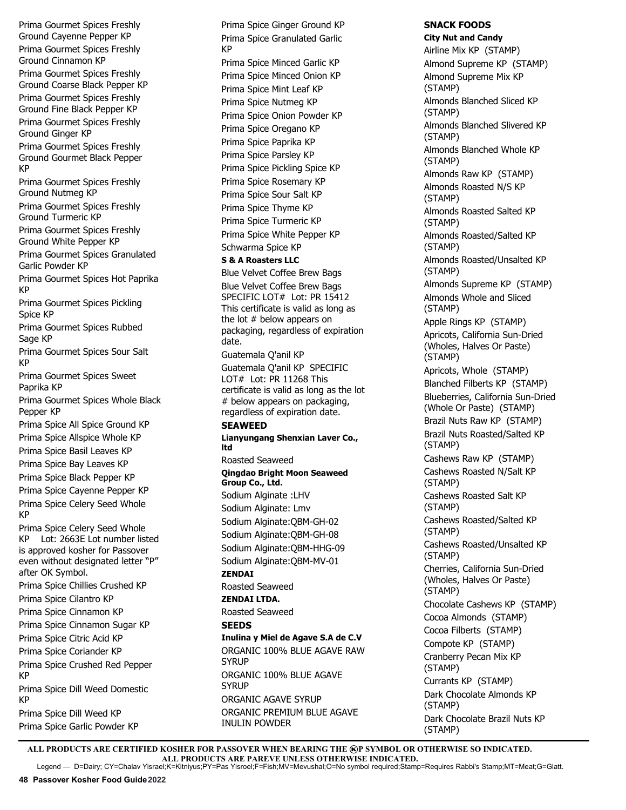Prima Gourmet Spices Freshly Ground Cayenne Pepper KP Prima Gourmet Spices Freshly Ground Cinnamon KP

Prima Gourmet Spices Freshly Ground Coarse Black Pepper KP Prima Gourmet Spices Freshly Ground Fine Black Pepper KP Prima Gourmet Spices Freshly Ground Ginger KP

Prima Gourmet Spices Freshly Ground Gourmet Black Pepper KP

Prima Gourmet Spices Freshly Ground Nutmeg KP

Prima Gourmet Spices Freshly Ground Turmeric KP

Prima Gourmet Spices Freshly Ground White Pepper KP

Prima Gourmet Spices Granulated Garlic Powder KP

Prima Gourmet Spices Hot Paprika KP

Prima Gourmet Spices Pickling Spice KP

Prima Gourmet Spices Rubbed Sage KP

Prima Gourmet Spices Sour Salt KP

Prima Gourmet Spices Sweet Paprika KP

Prima Gourmet Spices Whole Black Pepper KP

Prima Spice All Spice Ground KP Prima Spice Allspice Whole KP

Prima Spice Basil Leaves KP Prima Spice Bay Leaves KP

Prima Spice Black Pepper KP

Prima Spice Cayenne Pepper KP Prima Spice Celery Seed Whole KP

Prima Spice Celery Seed Whole KP Lot: 2663E Lot number listed is approved kosher for Passover even without designated letter "P" after OK Symbol. Prima Spice Chillies Crushed KP Prima Spice Cilantro KP Prima Spice Cinnamon KP Prima Spice Cinnamon Sugar KP Prima Spice Citric Acid KP Prima Spice Coriander KP Prima Spice Crushed Red Pepper KP Prima Spice Dill Weed Domestic KP Prima Spice Dill Weed KP

Prima Spice Garlic Powder KP

Prima Spice Ginger Ground KP Prima Spice Granulated Garlic KP Prima Spice Minced Garlic KP Prima Spice Minced Onion KP Prima Spice Mint Leaf KP Prima Spice Nutmeg KP Prima Spice Onion Powder KP Prima Spice Oregano KP Prima Spice Paprika KP Prima Spice Parsley KP Prima Spice Pickling Spice KP Prima Spice Rosemary KP Prima Spice Sour Salt KP Prima Spice Thyme KP Prima Spice Turmeric KP Prima Spice White Pepper KP Schwarma Spice KP

# **S & A Roasters LLC**

Blue Velvet Coffee Brew Bags Blue Velvet Coffee Brew Bags SPECIFIC LOT# Lot: PR 15412 This certificate is valid as long as the lot # below appears on packaging, regardless of expiration date.

Guatemala Q'anil KP

Guatemala Q'anil KP SPECIFIC LOT# Lot: PR 11268 This certificate is valid as long as the lot # below appears on packaging, regardless of expiration date.

# **SEAWEED**

**Lianyungang Shenxian Laver Co., ltd**

Roasted Seaweed

## **Qingdao Bright Moon Seaweed Group Co., Ltd.**  Sodium Alginate :LHV Sodium Alginate: Lmv Sodium Alginate:QBM-GH-02

Sodium Alginate:OBM-GH-08 Sodium Alginate:QBM-HHG-09

#### Sodium Alginate:QBM-MV-01 **ZENDAI**

Roasted Seaweed

**ZENDAI LTDA.**  Roasted Seaweed

# **SEEDS**

**Inulina y Miel de Agave S.A de C.V** ORGANIC 100% BLUE AGAVE RAW **SYRUP** ORGANIC 100% BLUE AGAVE **SYRUP** ORGANIC AGAVE SYRUP ORGANIC PREMIUM BLUE AGAVE INULIN POWDER

# **SNACK FOODS**

**City Nut and Candy** Airline Mix KP (STAMP) Almond Supreme KP (STAMP) Almond Supreme Mix KP (STAMP) Almonds Blanched Sliced KP (STAMP) Almonds Blanched Slivered KP (STAMP) Almonds Blanched Whole KP (STAMP) Almonds Raw KP (STAMP) Almonds Roasted N/S KP (STAMP) Almonds Roasted Salted KP (STAMP) Almonds Roasted/Salted KP (STAMP) Almonds Roasted/Unsalted KP (STAMP) Almonds Supreme KP (STAMP) Almonds Whole and Sliced (STAMP) Apple Rings KP (STAMP) Apricots, California Sun-Dried (Wholes, Halves Or Paste) (STAMP) Apricots, Whole (STAMP) Blanched Filberts KP (STAMP) Blueberries, California Sun-Dried (Whole Or Paste) (STAMP) Brazil Nuts Raw KP (STAMP) Brazil Nuts Roasted/Salted KP (STAMP) Cashews Raw KP (STAMP) Cashews Roasted N/Salt KP (STAMP) Cashews Roasted Salt KP (STAMP) Cashews Roasted/Salted KP (STAMP) Cashews Roasted/Unsalted KP (STAMP) Cherries, California Sun-Dried (Wholes, Halves Or Paste) (STAMP) Chocolate Cashews KP (STAMP) Cocoa Almonds (STAMP) Cocoa Filberts (STAMP) Compote KP (STAMP) Cranberry Pecan Mix KP (STAMP) Currants KP (STAMP) Dark Chocolate Almonds KP (STAMP) Dark Chocolate Brazil Nuts KP (STAMP)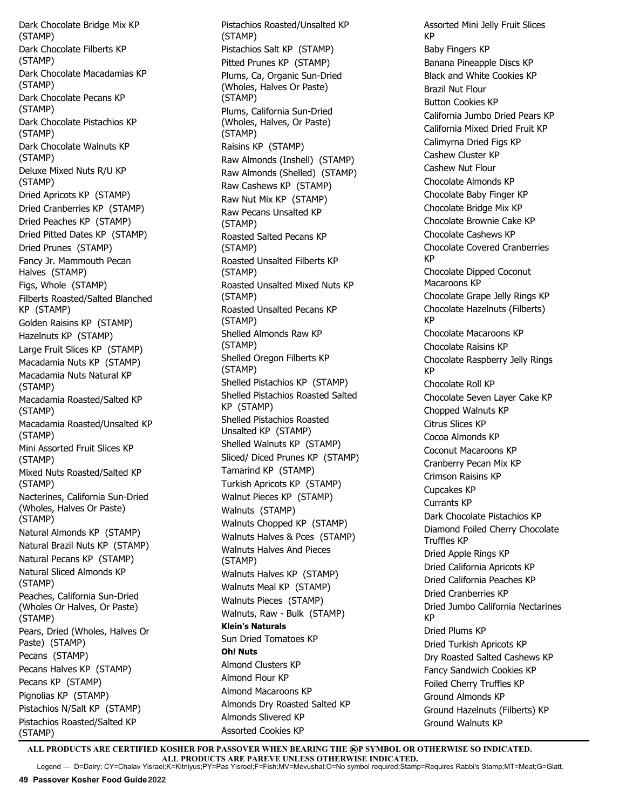Dark Chocolate Bridge Mix KP (STAMP) Dark Chocolate Filberts KP (STAMP) Dark Chocolate Macadamias KP (STAMP) Dark Chocolate Pecans KP (STAMP) Dark Chocolate Pistachios KP (STAMP) Dark Chocolate Walnuts KP (STAMP) Deluxe Mixed Nuts R/U KP (STAMP) Dried Apricots KP (STAMP) Dried Cranberries KP (STAMP) Dried Peaches KP (STAMP) Dried Pitted Dates KP (STAMP) Dried Prunes (STAMP) Fancy Jr. Mammouth Pecan Halves (STAMP) Figs, Whole (STAMP) Filberts Roasted/Salted Blanched KP (STAMP) Golden Raisins KP (STAMP) Hazelnuts KP (STAMP) Large Fruit Slices KP (STAMP) Macadamia Nuts KP (STAMP) Macadamia Nuts Natural KP (STAMP) Macadamia Roasted/Salted KP (STAMP) Macadamia Roasted/Unsalted KP (STAMP) Mini Assorted Fruit Slices KP (STAMP) Mixed Nuts Roasted/Salted KP (STAMP) Nacterines, California Sun-Dried (Wholes, Halves Or Paste) (STAMP) Natural Almonds KP (STAMP) Natural Brazil Nuts KP (STAMP) Natural Pecans KP (STAMP) Natural Sliced Almonds KP (STAMP) Peaches, California Sun-Dried (Wholes Or Halves, Or Paste) (STAMP) Pears, Dried (Wholes, Halves Or Paste) (STAMP) Pecans (STAMP) Pecans Halves KP (STAMP) Pecans KP (STAMP) Pignolias KP (STAMP) Pistachios N/Salt KP (STAMP) Pistachios Roasted/Salted KP (STAMP)

Pistachios Roasted/Unsalted KP (STAMP) Pistachios Salt KP (STAMP) Pitted Prunes KP (STAMP) Plums, Ca, Organic Sun-Dried (Wholes, Halves Or Paste) (STAMP) Plums, California Sun-Dried (Wholes, Halves, Or Paste) (STAMP) Raisins KP (STAMP) Raw Almonds (Inshell) (STAMP) Raw Almonds (Shelled) (STAMP) Raw Cashews KP (STAMP) Raw Nut Mix KP (STAMP) Raw Pecans Unsalted KP (STAMP) Roasted Salted Pecans KP (STAMP) Roasted Unsalted Filberts KP (STAMP) Roasted Unsalted Mixed Nuts KP (STAMP) Roasted Unsalted Pecans KP (STAMP) Shelled Almonds Raw KP (STAMP) Shelled Oregon Filberts KP (STAMP) Shelled Pistachios KP (STAMP) Shelled Pistachios Roasted Salted KP (STAMP) Shelled Pistachios Roasted Unsalted KP (STAMP) Shelled Walnuts KP (STAMP) Sliced/ Diced Prunes KP (STAMP) Tamarind KP (STAMP) Turkish Apricots KP (STAMP) Walnut Pieces KP (STAMP) Walnuts (STAMP) Walnuts Chopped KP (STAMP) Walnuts Halves & Pces (STAMP) Walnuts Halves And Pieces (STAMP) Walnuts Halves KP (STAMP) Walnuts Meal KP (STAMP) Walnuts Pieces (STAMP) Walnuts, Raw - Bulk (STAMP) **Klein's Naturals**  Sun Dried Tomatoes KP **Oh! Nuts** Almond Clusters KP Almond Flour KP Almond Macaroons KP Almonds Dry Roasted Salted KP Almonds Slivered KP Assorted Cookies KP

Assorted Mini Jelly Fruit Slices KP Baby Fingers KP Banana Pineapple Discs KP Black and White Cookies KP Brazil Nut Flour Button Cookies KP California Jumbo Dried Pears KP California Mixed Dried Fruit KP Calimyrna Dried Figs KP Cashew Cluster KP Cashew Nut Flour Chocolate Almonds KP Chocolate Baby Finger KP Chocolate Bridge Mix KP Chocolate Brownie Cake KP Chocolate Cashews KP Chocolate Covered Cranberries KP Chocolate Dipped Coconut Macaroons KP Chocolate Grape Jelly Rings KP Chocolate Hazelnuts (Filberts) KP Chocolate Macaroons KP Chocolate Raisins KP Chocolate Raspberry Jelly Rings KP Chocolate Roll KP Chocolate Seven Layer Cake KP Chopped Walnuts KP Citrus Slices KP Cocoa Almonds KP Coconut Macaroons KP Cranberry Pecan Mix KP Crimson Raisins KP Cupcakes KP Currants KP Dark Chocolate Pistachios KP Diamond Foiled Cherry Chocolate Truffles KP Dried Apple Rings KP Dried California Apricots KP Dried California Peaches KP Dried Cranberries KP Dried Jumbo California Nectarines KP Dried Plums KP Dried Turkish Apricots KP Dry Roasted Salted Cashews KP Fancy Sandwich Cookies KP Foiled Cherry Truffles KP Ground Almonds KP Ground Hazelnuts (Filberts) KP Ground Walnuts KP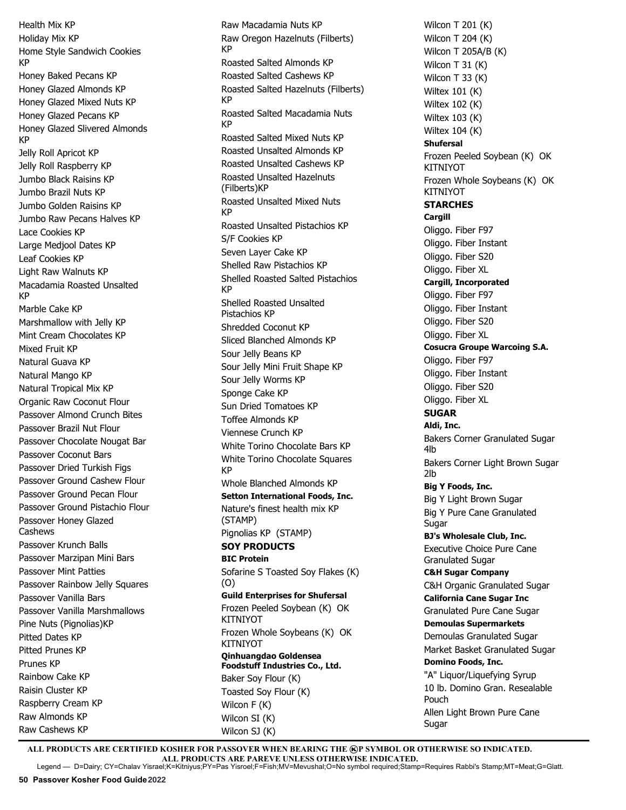Health Mix KP Holiday Mix KP Home Style Sandwich Cookies KP Honey Baked Pecans KP Honey Glazed Almonds KP Honey Glazed Mixed Nuts KP Honey Glazed Pecans KP Honey Glazed Slivered Almonds KP Jelly Roll Apricot KP Jelly Roll Raspberry KP Jumbo Black Raisins KP Jumbo Brazil Nuts KP Jumbo Golden Raisins KP Jumbo Raw Pecans Halves KP Lace Cookies KP Large Medjool Dates KP Leaf Cookies KP Light Raw Walnuts KP Macadamia Roasted Unsalted KP Marble Cake KP Marshmallow with Jelly KP Mint Cream Chocolates KP Mixed Fruit KP Natural Guava KP Natural Mango KP Natural Tropical Mix KP Organic Raw Coconut Flour Passover Almond Crunch Bites Passover Brazil Nut Flour Passover Chocolate Nougat Bar Passover Coconut Bars Passover Dried Turkish Figs Passover Ground Cashew Flour Passover Ground Pecan Flour Passover Ground Pistachio Flour Passover Honey Glazed Cashews Passover Krunch Balls Passover Marzipan Mini Bars Passover Mint Patties Passover Rainbow Jelly Squares Passover Vanilla Bars Passover Vanilla Marshmallows Pine Nuts (Pignolias)KP Pitted Dates KP Pitted Prunes KP Prunes KP Rainbow Cake KP Raisin Cluster KP Raspberry Cream KP Raw Almonds KP Raw Cashews KP

Raw Macadamia Nuts KP Raw Oregon Hazelnuts (Filberts) KP Roasted Salted Almonds KP Roasted Salted Cashews KP Roasted Salted Hazelnuts (Filberts) KP Roasted Salted Macadamia Nuts KP Roasted Salted Mixed Nuts KP Roasted Unsalted Almonds KP Roasted Unsalted Cashews KP Roasted Unsalted Hazelnuts (Filberts)KP Roasted Unsalted Mixed Nuts KP Roasted Unsalted Pistachios KP S/F Cookies KP Seven Layer Cake KP Shelled Raw Pistachios KP Shelled Roasted Salted Pistachios KP Shelled Roasted Unsalted Pistachios KP Shredded Coconut KP Sliced Blanched Almonds KP Sour Jelly Beans KP Sour Jelly Mini Fruit Shape KP Sour Jelly Worms KP Sponge Cake KP Sun Dried Tomatoes KP Toffee Almonds KP Viennese Crunch KP White Torino Chocolate Bars KP White Torino Chocolate Squares KP Whole Blanched Almonds KP **Setton International Foods, Inc.** Nature's finest health mix KP (STAMP) Pignolias KP (STAMP) **SOY PRODUCTS BIC Protein** Sofarine S Toasted Soy Flakes (K) (O) **Guild Enterprises for Shufersal** Frozen Peeled Soybean (K) OK KITNIYOT Frozen Whole Soybeans (K) OK **KITNIYOT Qinhuangdao Goldensea Foodstuff Industries Co., Ltd.** Baker Soy Flour (K) Toasted Soy Flour (K) Wilcon F (K) Wilcon SI (K)

Wilcon T 201 (K) Wilcon T 204 (K) Wilcon T 205A/B (K) Wilcon T 31 (K) Wilcon T 33 (K) Wiltex 101 (K) Wiltex 102 (K) Wiltex 103 (K) Wiltex 104 (K) **Shufersal** Frozen Peeled Soybean (K) OK KITNIYOT Frozen Whole Soybeans (K) OK **KITNIYOT STARCHES Cargill** Oliggo. Fiber F97 Oliggo. Fiber Instant Oliggo. Fiber S20 Oliggo. Fiber XL **Cargill, Incorporated** Oliggo. Fiber F97 Oliggo. Fiber Instant Oliggo. Fiber S20 Oliggo. Fiber XL **Cosucra Groupe Warcoing S.A.**  Oliggo. Fiber F97 Oliggo. Fiber Instant Oliggo. Fiber S20 Oliggo. Fiber XL **SUGAR Aldi, Inc.** Bakers Corner Granulated Sugar 4lb Bakers Corner Light Brown Sugar 2lb **Big Y Foods, Inc.** Big Y Light Brown Sugar Big Y Pure Cane Granulated Sugar **BJ's Wholesale Club, Inc.** Executive Choice Pure Cane Granulated Sugar **C&H Sugar Company** C&H Organic Granulated Sugar **California Cane Sugar Inc** Granulated Pure Cane Sugar **Demoulas Supermarkets** Demoulas Granulated Sugar Market Basket Granulated Sugar **Domino Foods, Inc.** "A" Liquor/Liquefying Syrup 10 lb. Domino Gran. Resealable Pouch Allen Light Brown Pure Cane Sugar

ALL PRODUCTS ARE CERTIFIED KOSHER FOR PASSOVER WHEN BEARING THE **@P SYMBOL OR OTHERWISE SO INDICATED. ALL PRODUCTS ARE PAREVE UNLESS OTHERWISE INDICATED.** Legend — D=Dairy; CY=Chalav Yisrael;K=Kitniyus;PY=Pas Yisroel;F=Fish;MV=Mevushal;O=No symbol required;Stamp=Requires Rabbi's Stamp;MT=Meat;G=Glatt.

Wilcon SJ (K)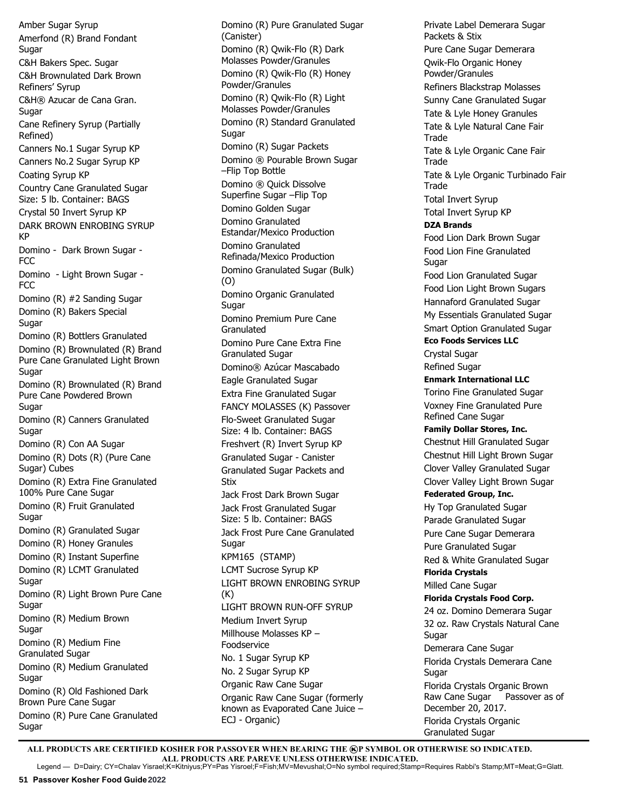Amber Sugar Syrup Amerfond (R) Brand Fondant Sugar C&H Bakers Spec. Sugar C&H Brownulated Dark Brown Refiners' Syrup C&H® Azucar de Cana Gran. Sugar Cane Refinery Syrup (Partially Refined) Canners No.1 Sugar Syrup KP Canners No.2 Sugar Syrup KP Coating Syrup KP Country Cane Granulated Sugar Size: 5 lb. Container: BAGS Crystal 50 Invert Syrup KP DARK BROWN ENROBING SYRUP KP Domino - Dark Brown Sugar - FCC Domino - Light Brown Sugar - FCC Domino (R) #2 Sanding Sugar Domino (R) Bakers Special Sugar Domino (R) Bottlers Granulated Domino (R) Brownulated (R) Brand Pure Cane Granulated Light Brown Sugar Domino (R) Brownulated (R) Brand Pure Cane Powdered Brown Sugar Domino (R) Canners Granulated Sugar Domino (R) Con AA Sugar Domino (R) Dots (R) (Pure Cane Sugar) Cubes Domino (R) Extra Fine Granulated 100% Pure Cane Sugar Domino (R) Fruit Granulated Sugar Domino (R) Granulated Sugar Domino (R) Honey Granules Domino (R) Instant Superfine Domino (R) LCMT Granulated Sugar Domino (R) Light Brown Pure Cane **Sugar** Domino (R) Medium Brown Sugar Domino (R) Medium Fine Granulated Sugar Domino (R) Medium Granulated **Sugar** Domino (R) Old Fashioned Dark Brown Pure Cane Sugar Domino (R) Pure Cane Granulated Sugar

Domino (R) Pure Granulated Sugar (Canister) Domino (R) Qwik-Flo (R) Dark Molasses Powder/Granules Domino (R) Qwik-Flo (R) Honey Powder/Granules Domino (R) Qwik-Flo (R) Light Molasses Powder/Granules Domino (R) Standard Granulated **Sugar** Domino (R) Sugar Packets Domino ® Pourable Brown Sugar –Flip Top Bottle Domino ® Quick Dissolve Superfine Sugar –Flip Top Domino Golden Sugar Domino Granulated Estandar/Mexico Production Domino Granulated Refinada/Mexico Production Domino Granulated Sugar (Bulk) (O) Domino Organic Granulated Sugar Domino Premium Pure Cane Granulated Domino Pure Cane Extra Fine Granulated Sugar Domino® Azúcar Mascabado Eagle Granulated Sugar Extra Fine Granulated Sugar FANCY MOLASSES (K) Passover Flo-Sweet Granulated Sugar Size: 4 lb. Container: BAGS Freshvert (R) Invert Syrup KP Granulated Sugar - Canister Granulated Sugar Packets and Stix Jack Frost Dark Brown Sugar Jack Frost Granulated Sugar Size: 5 lb. Container: BAGS Jack Frost Pure Cane Granulated Sugar KPM165 (STAMP) LCMT Sucrose Syrup KP LIGHT BROWN ENROBING SYRUP (K) LIGHT BROWN RUN-OFF SYRUP Medium Invert Syrup Millhouse Molasses KP – Foodservice No. 1 Sugar Syrup KP No. 2 Sugar Syrup KP Organic Raw Cane Sugar Organic Raw Cane Sugar (formerly known as Evaporated Cane Juice – ECJ - Organic)

Private Label Demerara Sugar Packets & Stix Pure Cane Sugar Demerara Qwik-Flo Organic Honey Powder/Granules Refiners Blackstrap Molasses Sunny Cane Granulated Sugar Tate & Lyle Honey Granules Tate & Lyle Natural Cane Fair **Trade** Tate & Lyle Organic Cane Fair Trade Tate & Lyle Organic Turbinado Fair **Trade** Total Invert Syrup Total Invert Syrup KP **DZA Brands** Food Lion Dark Brown Sugar Food Lion Fine Granulated **Sugar** Food Lion Granulated Sugar Food Lion Light Brown Sugars Hannaford Granulated Sugar My Essentials Granulated Sugar Smart Option Granulated Sugar **Eco Foods Services LLC** Crystal Sugar Refined Sugar **Enmark International LLC** Torino Fine Granulated Sugar Voxney Fine Granulated Pure Refined Cane Sugar **Family Dollar Stores, Inc.** Chestnut Hill Granulated Sugar Chestnut Hill Light Brown Sugar Clover Valley Granulated Sugar Clover Valley Light Brown Sugar **Federated Group, Inc.** Hy Top Granulated Sugar Parade Granulated Sugar Pure Cane Sugar Demerara Pure Granulated Sugar Red & White Granulated Sugar **Florida Crystals** Milled Cane Sugar **Florida Crystals Food Corp.** 24 oz. Domino Demerara Sugar 32 oz. Raw Crystals Natural Cane Sugar Demerara Cane Sugar Florida Crystals Demerara Cane Sugar Florida Crystals Organic Brown Raw Cane Sugar Passover as of December 20, 2017. Florida Crystals Organic Granulated Sugar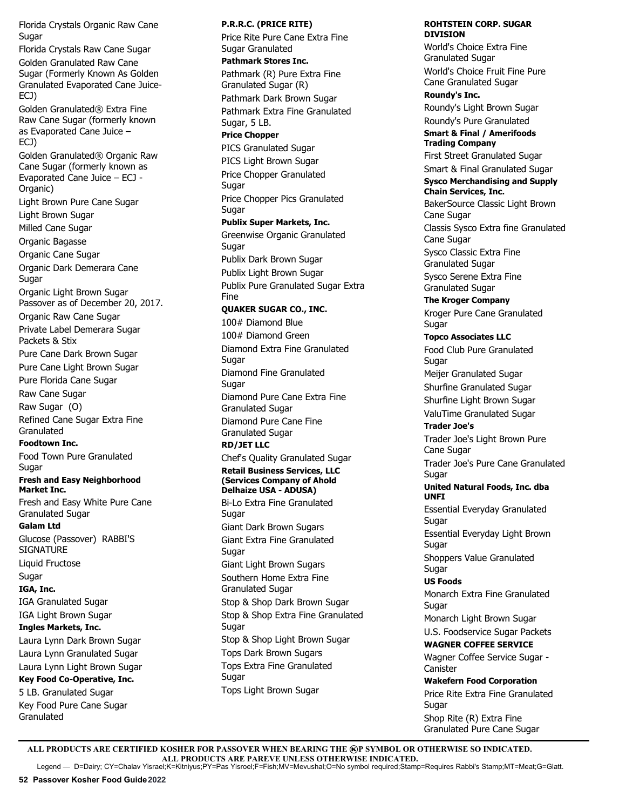Florida Crystals Organic Raw Cane **Sugar** 

Florida Crystals Raw Cane Sugar Golden Granulated Raw Cane Sugar (Formerly Known As Golden Granulated Evaporated Cane Juice-ECJ)

Golden Granulated® Extra Fine Raw Cane Sugar (formerly known as Evaporated Cane Juice – ECJ)

Golden Granulated® Organic Raw Cane Sugar (formerly known as Evaporated Cane Juice – ECJ - Organic) Light Brown Pure Cane Sugar Light Brown Sugar Milled Cane Sugar Organic Bagasse Organic Cane Sugar Organic Dark Demerara Cane **Sugar** Organic Light Brown Sugar Passover as of December 20, 2017. Organic Raw Cane Sugar Private Label Demerara Sugar Packets & Stix Pure Cane Dark Brown Sugar Pure Cane Light Brown Sugar Pure Florida Cane Sugar Raw Cane Sugar Raw Sugar (O) Refined Cane Sugar Extra Fine Granulated **Foodtown Inc.** Food Town Pure Granulated Sugar **Fresh and Easy Neighborhood Market Inc.** Fresh and Easy White Pure Cane Granulated Sugar **Galam Ltd**  Glucose (Passover) RABBI'S SIGNATURE Liquid Fructose

Sugar **IGA, Inc.**

IGA Granulated Sugar IGA Light Brown Sugar

**Ingles Markets, Inc.** Laura Lynn Dark Brown Sugar

Laura Lynn Granulated Sugar Laura Lynn Light Brown Sugar **Key Food Co-Operative, Inc.** 5 LB. Granulated Sugar Key Food Pure Cane Sugar Granulated

**P.R.R.C. (PRICE RITE)** Price Rite Pure Cane Extra Fine Sugar Granulated **Pathmark Stores Inc.** Pathmark (R) Pure Extra Fine Granulated Sugar (R) Pathmark Dark Brown Sugar Pathmark Extra Fine Granulated Sugar, 5 LB. **Price Chopper** PICS Granulated Sugar PICS Light Brown Sugar Price Chopper Granulated Sugar Price Chopper Pics Granulated Sugar **Publix Super Markets, Inc.**  Greenwise Organic Granulated **Sugar** Publix Dark Brown Sugar Publix Light Brown Sugar Publix Pure Granulated Sugar Extra Fine **QUAKER SUGAR CO., INC.** 100# Diamond Blue 100# Diamond Green Diamond Extra Fine Granulated **Sugar** Diamond Fine Granulated **Sugar** Diamond Pure Cane Extra Fine Granulated Sugar Diamond Pure Cane Fine Granulated Sugar **RD/JET LLC** Chef's Quality Granulated Sugar **Retail Business Services, LLC (Services Company of Ahold Delhaize USA - ADUSA)** Bi-Lo Extra Fine Granulated Sugar Giant Dark Brown Sugars Giant Extra Fine Granulated **Sugar** Giant Light Brown Sugars Southern Home Extra Fine Granulated Sugar Stop & Shop Dark Brown Sugar Stop & Shop Extra Fine Granulated **Sugar** Stop & Shop Light Brown Sugar Tops Dark Brown Sugars Tops Extra Fine Granulated

**DIVISION** World's Choice Extra Fine Granulated Sugar World's Choice Fruit Fine Pure Cane Granulated Sugar

**ROHTSTEIN CORP. SUGAR** 

**Roundy's Inc.**  Roundy's Light Brown Sugar

Roundy's Pure Granulated **Smart & Final / Amerifoods** 

**Trading Company**

First Street Granulated Sugar Smart & Final Granulated Sugar

## **Sysco Merchandising and Supply Chain Services, Inc.**

BakerSource Classic Light Brown Cane Sugar Classis Sysco Extra fine Granulated Cane Sugar Sysco Classic Extra Fine Granulated Sugar Sysco Serene Extra Fine Granulated Sugar **The Kroger Company**

Kroger Pure Cane Granulated **Sugar** 

**Topco Associates LLC** Food Club Pure Granulated Sugar Meijer Granulated Sugar Shurfine Granulated Sugar Shurfine Light Brown Sugar ValuTime Granulated Sugar

**Trader Joe's** Trader Joe's Light Brown Pure Cane Sugar Trader Joe's Pure Cane Granulated **Sugar United Natural Foods, Inc. dba UNFI**

Essential Everyday Granulated Sugar

Essential Everyday Light Brown Sugar Shoppers Value Granulated **Sugar** 

**US Foods**

Monarch Extra Fine Granulated Sugar

Monarch Light Brown Sugar U.S. Foodservice Sugar Packets

**WAGNER COFFEE SERVICE** Wagner Coffee Service Sugar - **Canister Wakefern Food Corporation**

Price Rite Extra Fine Granulated Sugar Shop Rite (R) Extra Fine Granulated Pure Cane Sugar

ALL PRODUCTS ARE CERTIFIED KOSHER FOR PASSOVER WHEN BEARING THE **@P SYMBOL OR OTHERWISE SO INDICATED. ALL PRODUCTS ARE PAREVE UNLESS OTHERWISE INDICATED.**

Tops Light Brown Sugar

**Sugar** 

Legend — D=Dairy; CY=Chalav Yisrael;K=Kitniyus;PY=Pas Yisroel;F=Fish;MV=Mevushal;O=No symbol required;Stamp=Requires Rabbi's Stamp;MT=Meat;G=Glatt.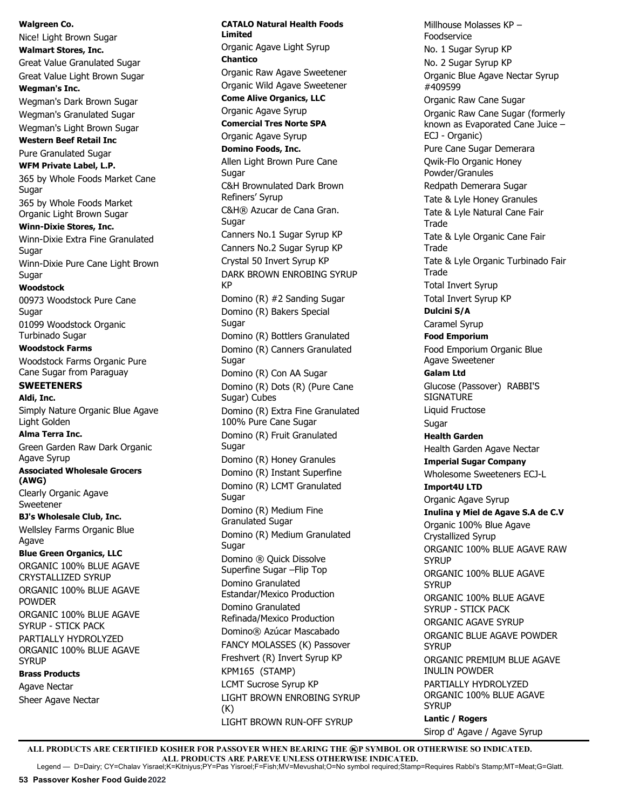**Walgreen Co.**  Nice! Light Brown Sugar **Walmart Stores, Inc.** Great Value Granulated Sugar Great Value Light Brown Sugar **Wegman's Inc.**  Wegman's Dark Brown Sugar Wegman's Granulated Sugar Wegman's Light Brown Sugar **Western Beef Retail Inc** Pure Granulated Sugar **WFM Private Label, L.P.** 365 by Whole Foods Market Cane Sugar 365 by Whole Foods Market Organic Light Brown Sugar **Winn-Dixie Stores, Inc.** Winn-Dixie Extra Fine Granulated **Sugar** Winn-Dixie Pure Cane Light Brown **Sugar Woodstock** 00973 Woodstock Pure Cane **Sugar** 01099 Woodstock Organic Turbinado Sugar **Woodstock Farms** Woodstock Farms Organic Pure Cane Sugar from Paraguay **SWEETENERS Aldi, Inc.** Simply Nature Organic Blue Agave Light Golden **Alma Terra Inc.** Green Garden Raw Dark Organic Agave Syrup **Associated Wholesale Grocers (AWG)** Clearly Organic Agave Sweetener **BJ's Wholesale Club, Inc.** Wellsley Farms Organic Blue Agave **Blue Green Organics, LLC** ORGANIC 100% BLUE AGAVE CRYSTALLIZED SYRUP ORGANIC 100% BLUE AGAVE POWDER ORGANIC 100% BLUE AGAVE SYRUP - STICK PACK PARTIALLY HYDROLYZED ORGANIC 100% BLUE AGAVE **SYRUP Brass Products** Agave Nectar Sheer Agave Nectar

**CATALO Natural Health Foods Limited** Organic Agave Light Syrup **Chantico** Organic Raw Agave Sweetener Organic Wild Agave Sweetener **Come Alive Organics, LLC** Organic Agave Syrup **Comercial Tres Norte SPA** Organic Agave Syrup **Domino Foods, Inc.** Allen Light Brown Pure Cane **Sugar** C&H Brownulated Dark Brown Refiners' Syrup C&H® Azucar de Cana Gran. **Sugar** Canners No.1 Sugar Syrup KP Canners No.2 Sugar Syrup KP Crystal 50 Invert Syrup KP DARK BROWN ENROBING SYRUP KP Domino (R) #2 Sanding Sugar Domino (R) Bakers Special Sugar Domino (R) Bottlers Granulated Domino (R) Canners Granulated Sugar Domino (R) Con AA Sugar Domino (R) Dots (R) (Pure Cane Sugar) Cubes Domino (R) Extra Fine Granulated 100% Pure Cane Sugar Domino (R) Fruit Granulated Sugar Domino (R) Honey Granules Domino (R) Instant Superfine Domino (R) LCMT Granulated Sugar Domino (R) Medium Fine Granulated Sugar Domino (R) Medium Granulated Sugar Domino ® Quick Dissolve Superfine Sugar –Flip Top Domino Granulated Estandar/Mexico Production Domino Granulated Refinada/Mexico Production Domino® Azúcar Mascabado FANCY MOLASSES (K) Passover Freshvert (R) Invert Syrup KP KPM165 (STAMP) LCMT Sucrose Syrup KP LIGHT BROWN ENROBING SYRUP (K) LIGHT BROWN RUN-OFF SYRUP

Millhouse Molasses KP – Foodservice No. 1 Sugar Syrup KP No. 2 Sugar Syrup KP Organic Blue Agave Nectar Syrup #409599 Organic Raw Cane Sugar Organic Raw Cane Sugar (formerly known as Evaporated Cane Juice – ECJ - Organic) Pure Cane Sugar Demerara Qwik-Flo Organic Honey Powder/Granules Redpath Demerara Sugar Tate & Lyle Honey Granules Tate & Lyle Natural Cane Fair **Trade** Tate & Lyle Organic Cane Fair **Trade** Tate & Lyle Organic Turbinado Fair **Trade** Total Invert Syrup Total Invert Syrup KP **Dulcini S/A** Caramel Syrup **Food Emporium** Food Emporium Organic Blue Agave Sweetener **Galam Ltd**  Glucose (Passover) RABBI'S **SIGNATURE** Liquid Fructose **Sugar Health Garden** Health Garden Agave Nectar **Imperial Sugar Company**  Wholesome Sweeteners ECJ-L **Import4U LTD** Organic Agave Syrup **Inulina y Miel de Agave S.A de C.V** Organic 100% Blue Agave Crystallized Syrup ORGANIC 100% BLUE AGAVE RAW **SYRUP** ORGANIC 100% BLUE AGAVE **SYRUP** ORGANIC 100% BLUE AGAVE SYRUP - STICK PACK ORGANIC AGAVE SYRUP ORGANIC BLUE AGAVE POWDER **SYRUP** ORGANIC PREMIUM BLUE AGAVE INULIN POWDER PARTIALLY HYDROLYZED ORGANIC 100% BLUE AGAVE **SYRUP Lantic / Rogers** Sirop d' Agave / Agave Syrup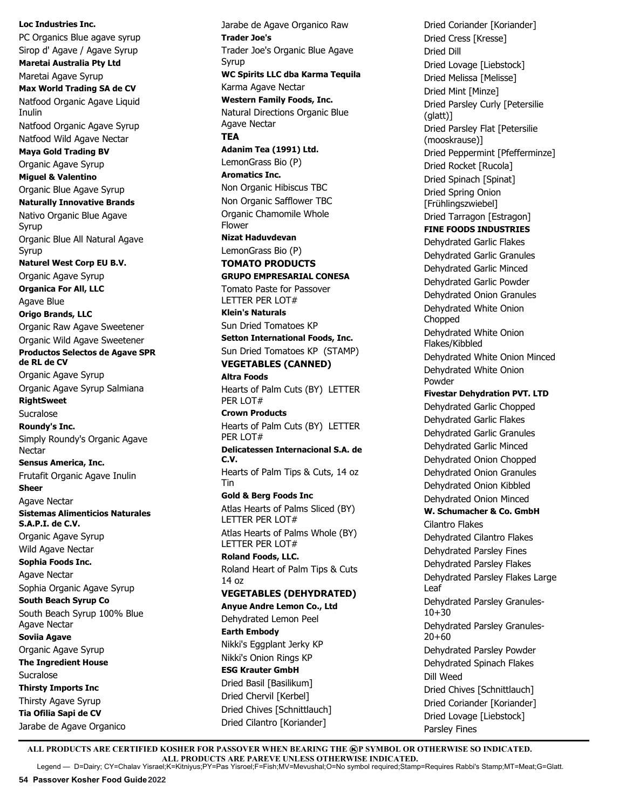**Loc Industries Inc.** PC Organics Blue agave syrup Sirop d' Agave / Agave Syrup **Maretai Australia Pty Ltd** Maretai Agave Syrup **Max World Trading SA de CV** Natfood Organic Agave Liquid Inulin Natfood Organic Agave Syrup Natfood Wild Agave Nectar **Maya Gold Trading BV** Organic Agave Syrup **Miguel & Valentino** Organic Blue Agave Syrup **Naturally Innovative Brands** Nativo Organic Blue Agave Syrup Organic Blue All Natural Agave Syrup **Naturel West Corp EU B.V.** Organic Agave Syrup **Organica For All, LLC** Agave Blue **Origo Brands, LLC** Organic Raw Agave Sweetener Organic Wild Agave Sweetener **Productos Selectos de Agave SPR de RL de CV** Organic Agave Syrup Organic Agave Syrup Salmiana **RightSweet** Sucralose **Roundy's Inc.**  Simply Roundy's Organic Agave Nectar **Sensus America, Inc.** Frutafit Organic Agave Inulin **Sheer** Agave Nectar **Sistemas Alimenticios Naturales S.A.P.I. de C.V.** Organic Agave Syrup Wild Agave Nectar **Sophia Foods Inc.** Agave Nectar Sophia Organic Agave Syrup **South Beach Syrup Co** South Beach Syrup 100% Blue Agave Nectar **Soviia Agave** Organic Agave Syrup **The Ingredient House** Sucralose **Thirsty Imports Inc** Thirsty Agave Syrup **Tia Ofilia Sapi de CV** Jarabe de Agave Organico

Jarabe de Agave Organico Raw **Trader Joe's** Trader Joe's Organic Blue Agave Syrup **WC Spirits LLC dba Karma Tequila** Karma Agave Nectar **Western Family Foods, Inc.**  Natural Directions Organic Blue Agave Nectar **TEA Adanim Tea (1991) Ltd.**  LemonGrass Bio (P) **Aromatics Inc.** Non Organic Hibiscus TBC Non Organic Safflower TBC Organic Chamomile Whole Flower **Nizat Haduvdevan** LemonGrass Bio (P) **TOMATO PRODUCTS GRUPO EMPRESARIAL CONESA** Tomato Paste for Passover LETTER PER LOT# **Klein's Naturals**  Sun Dried Tomatoes KP **Setton International Foods, Inc.** Sun Dried Tomatoes KP (STAMP) **VEGETABLES (CANNED) Altra Foods** Hearts of Palm Cuts (BY) LETTER PER LOT# **Crown Products** Hearts of Palm Cuts (BY) LETTER PER LOT# **Delicatessen Internacional S.A. de C.V.** Hearts of Palm Tips & Cuts, 14 oz Tin **Gold & Berg Foods Inc** Atlas Hearts of Palms Sliced (BY) LETTER PER LOT# Atlas Hearts of Palms Whole (BY) LETTER PER LOT# **Roland Foods, LLC.** Roland Heart of Palm Tips & Cuts 14 oz **VEGETABLES (DEHYDRATED) Anyue Andre Lemon Co., Ltd** Dehydrated Lemon Peel **Earth Embody** Nikki's Eggplant Jerky KP Nikki's Onion Rings KP **ESG Krauter GmbH** Dried Basil [Basilikum] Dried Chervil [Kerbel] Dried Chives [Schnittlauch] Dried Cilantro [Koriander]

Dried Coriander [Koriander] Dried Cress [Kresse] Dried Dill Dried Lovage [Liebstock] Dried Melissa [Melisse] Dried Mint [Minze] Dried Parsley Curly [Petersilie (glatt)] Dried Parsley Flat [Petersilie (mooskrause)] Dried Peppermint [Pfefferminze] Dried Rocket [Rucola] Dried Spinach [Spinat] Dried Spring Onion [Frühlingszwiebel] Dried Tarragon [Estragon] **FINE FOODS INDUSTRIES** Dehydrated Garlic Flakes Dehydrated Garlic Granules Dehydrated Garlic Minced Dehydrated Garlic Powder Dehydrated Onion Granules Dehydrated White Onion **Chopped** Dehydrated White Onion Flakes/Kibbled Dehydrated White Onion Minced Dehydrated White Onion Powder **Fivestar Dehydration PVT. LTD** Dehydrated Garlic Chopped Dehydrated Garlic Flakes Dehydrated Garlic Granules Dehydrated Garlic Minced Dehydrated Onion Chopped Dehydrated Onion Granules Dehydrated Onion Kibbled Dehydrated Onion Minced **W. Schumacher & Co. GmbH** Cilantro Flakes Dehydrated Cilantro Flakes Dehydrated Parsley Fines Dehydrated Parsley Flakes Dehydrated Parsley Flakes Large Leaf Dehydrated Parsley Granules-10+30 Dehydrated Parsley Granules-20+60 Dehydrated Parsley Powder Dehydrated Spinach Flakes Dill Weed Dried Chives [Schnittlauch] Dried Coriander [Koriander] Dried Lovage [Liebstock] Parsley Fines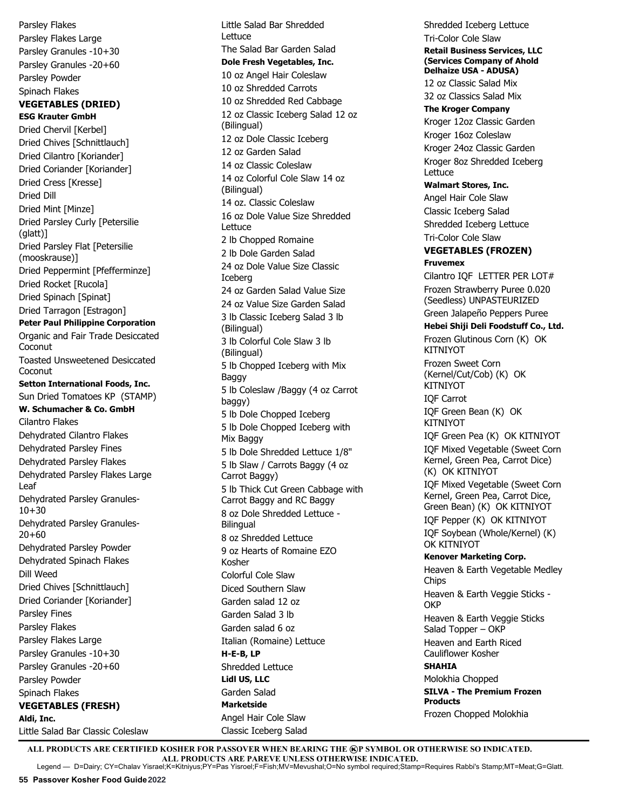Parsley Flakes Parsley Flakes Large Parsley Granules -10+30 Parsley Granules -20+60 Parsley Powder Spinach Flakes **VEGETABLES (DRIED) ESG Krauter GmbH** Dried Chervil [Kerbel] Dried Chives [Schnittlauch] Dried Cilantro [Koriander] Dried Coriander [Koriander] Dried Cress [Kresse] Dried Dill Dried Mint [Minze] Dried Parsley Curly [Petersilie (glatt)] Dried Parsley Flat [Petersilie (mooskrause)] Dried Peppermint [Pfefferminze] Dried Rocket [Rucola] Dried Spinach [Spinat] Dried Tarragon [Estragon] **Peter Paul Philippine Corporation**  Organic and Fair Trade Desiccated **Coconut** Toasted Unsweetened Desiccated Coconut **Setton International Foods, Inc.** Sun Dried Tomatoes KP (STAMP) **W. Schumacher & Co. GmbH** Cilantro Flakes Dehydrated Cilantro Flakes Dehydrated Parsley Fines Dehydrated Parsley Flakes Dehydrated Parsley Flakes Large Leaf Dehydrated Parsley Granules-10+30 Dehydrated Parsley Granules-20+60 Dehydrated Parsley Powder Dehydrated Spinach Flakes Dill Weed Dried Chives [Schnittlauch] Dried Coriander [Koriander] Parsley Fines Parsley Flakes Parsley Flakes Large Parsley Granules -10+30 Parsley Granules -20+60 Parsley Powder Spinach Flakes **VEGETABLES (FRESH) Aldi, Inc.** Little Salad Bar Classic Coleslaw

Little Salad Bar Shredded Lettuce The Salad Bar Garden Salad **Dole Fresh Vegetables, Inc.** 10 oz Angel Hair Coleslaw 10 oz Shredded Carrots 10 oz Shredded Red Cabbage 12 oz Classic Iceberg Salad 12 oz (Bilingual) 12 oz Dole Classic Iceberg 12 oz Garden Salad 14 oz Classic Coleslaw 14 oz Colorful Cole Slaw 14 oz (Bilingual) 14 oz. Classic Coleslaw 16 oz Dole Value Size Shredded Lettuce 2 lb Chopped Romaine 2 lb Dole Garden Salad 24 oz Dole Value Size Classic Iceberg 24 oz Garden Salad Value Size 24 oz Value Size Garden Salad 3 lb Classic Iceberg Salad 3 lb (Bilingual) 3 lb Colorful Cole Slaw 3 lb (Bilingual) 5 lb Chopped Iceberg with Mix Baggy 5 lb Coleslaw /Baggy (4 oz Carrot baggy) 5 lb Dole Chopped Iceberg 5 lb Dole Chopped Iceberg with Mix Baggy 5 lb Dole Shredded Lettuce 1/8" 5 lb Slaw / Carrots Baggy (4 oz Carrot Baggy) 5 lb Thick Cut Green Cabbage with Carrot Baggy and RC Baggy 8 oz Dole Shredded Lettuce - **Bilingual** 8 oz Shredded Lettuce 9 oz Hearts of Romaine EZO Kosher Colorful Cole Slaw Diced Southern Slaw Garden salad 12 oz Garden Salad 3 lb Garden salad 6 oz Italian (Romaine) Lettuce **H-E-B, LP** Shredded Lettuce **Lidl US, LLC** Garden Salad **Marketside** Angel Hair Cole Slaw Classic Iceberg Salad

Shredded Iceberg Lettuce Tri-Color Cole Slaw **Retail Business Services, LLC (Services Company of Ahold Delhaize USA - ADUSA)** 12 oz Classic Salad Mix 32 oz Classics Salad Mix **The Kroger Company** Kroger 12oz Classic Garden Kroger 16oz Coleslaw Kroger 24oz Classic Garden Kroger 8oz Shredded Iceberg Lettuce **Walmart Stores, Inc.** Angel Hair Cole Slaw Classic Iceberg Salad Shredded Iceberg Lettuce Tri-Color Cole Slaw **VEGETABLES (FROZEN) Fruvemex** Cilantro IQF LETTER PER LOT# Frozen Strawberry Puree 0.020 (Seedless) UNPASTEURIZED Green Jalapeño Peppers Puree **Hebei Shiji Deli Foodstuff Co., Ltd.** Frozen Glutinous Corn (K) OK KITNIYOT Frozen Sweet Corn (Kernel/Cut/Cob) (K) OK KITNIYOT IQF Carrot IQF Green Bean (K) OK KITNIYOT IQF Green Pea (K) OK KITNIYOT IQF Mixed Vegetable (Sweet Corn Kernel, Green Pea, Carrot Dice) (K) OK KITNIYOT IQF Mixed Vegetable (Sweet Corn Kernel, Green Pea, Carrot Dice, Green Bean) (K) OK KITNIYOT IQF Pepper (K) OK KITNIYOT IQF Soybean (Whole/Kernel) (K) OK KITNIYOT **Kenover Marketing Corp.** Heaven & Earth Vegetable Medley **Chips** Heaven & Earth Veggie Sticks - **OKP** Heaven & Earth Veggie Sticks Salad Topper – OKP Heaven and Earth Riced Cauliflower Kosher **SHAHIA** Molokhia Chopped **SILVA - The Premium Frozen Products** Frozen Chopped Molokhia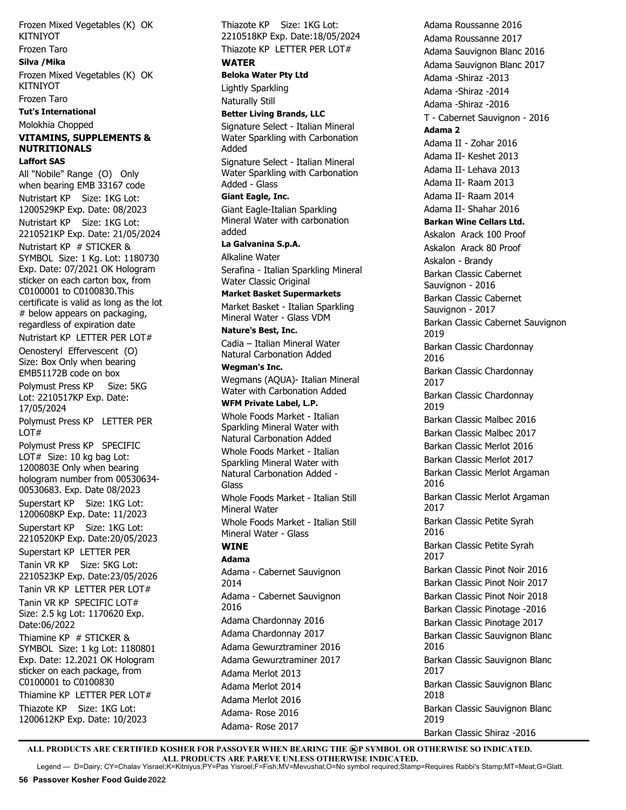Frozen Mixed Vegetables (K) OK KITNIYOT

# Frozen Taro

**Silva /Mika** Frozen Mixed Vegetables (K) OK KITNIYOT

Frozen Taro

#### **Tut's International**

Molokhia Chopped

## **VITAMINS, SUPPLEMENTS & NUTRITIONALS Laffort SAS**

All "Nobile" Range (O) Only when bearing EMB 33167 code Nutristart KP Size: 1KG Lot: 1200529KP Exp. Date: 08/2023 Nutristart KP Size: 1KG Lot: 2210521KP Exp. Date: 21/05/2024 Nutristart KP # STICKER & SYMBOL Size: 1 Kg. Lot: 1180730 Exp. Date: 07/2021 OK Hologram sticker on each carton box, from C0100001 to C0100830.This certificate is valid as long as the lot # below appears on packaging, regardless of expiration date Nutristart KP LETTER PER LOT# Oenosteryl Effervescent (O) Size: Box Only when bearing EMB51172B code on box

Polymust Press KP Size: 5KG Lot: 2210517KP Exp. Date: 17/05/2024

Polymust Press KP LETTER PER LOT#

Polymust Press KP SPECIFIC LOT# Size: 10 kg bag Lot: 1200803E Only when bearing hologram number from 00530634- 00530683. Exp. Date 08/2023 Superstart KP Size: 1KG Lot: 1200608KP Exp. Date: 11/2023 Superstart KP Size: 1KG Lot: 2210520KP Exp. Date:20/05/2023 Superstart KP LETTER PER Tanin VR KP Size: 5KG Lot: 2210523KP Exp. Date:23/05/2026 Tanin VR KP LETTER PER LOT# Tanin VR KP SPECIFIC LOT#

Size: 2.5 kg Lot: 1170620 Exp. Date:06/2022 Thiamine KP # STICKER & SYMBOL Size: 1 kg Lot: 1180801 Exp. Date: 12.2021 OK Hologram sticker on each package, from C0100001 to C0100830

Thiamine KP LETTER PER LOT# Thiazote KP Size: 1KG Lot: 1200612KP Exp. Date: 10/2023

Thiazote KP Size: 1KG Lot: 2210518KP Exp. Date:18/05/2024 Thiazote KP LETTER PER LOT# **WATER Beloka Water Pty Ltd** Lightly Sparkling Naturally Still **Better Living Brands, LLC** Signature Select - Italian Mineral Water Sparkling with Carbonation Added Signature Select - Italian Mineral Water Sparkling with Carbonation Added - Glass **Giant Eagle, Inc.**  Giant Eagle-Italian Sparkling Mineral Water with carbonation added **La Galvanina S.p.A.**  Alkaline Water Serafina - Italian Sparkling Mineral Water Classic Original **Market Basket Supermarkets** Market Basket - Italian Sparkling Mineral Water - Glass VDM **Nature's Best, Inc.** Cadia – Italian Mineral Water Natural Carbonation Added **Wegman's Inc.**  Wegmans (AQUA)- Italian Mineral Water with Carbonation Added **WFM Private Label, L.P.** Whole Foods Market - Italian Sparkling Mineral Water with Natural Carbonation Added Whole Foods Market - Italian Sparkling Mineral Water with Natural Carbonation Added - Glass Whole Foods Market - Italian Still Mineral Water Whole Foods Market - Italian Still Mineral Water - Glass **WINE Adama** Adama - Cabernet Sauvignon 2014 Adama - Cabernet Sauvignon 2016 Adama Chardonnay 2016 Adama Chardonnay 2017 Adama Gewurztraminer 2016 Adama Gewurztraminer 2017 Adama Merlot 2013 Adama Merlot 2014 Adama Merlot 2016

Adama Roussanne 2016 Adama Roussanne 2017 Adama Sauvignon Blanc 2016 Adama Sauvignon Blanc 2017 Adama -Shiraz -2013 Adama -Shiraz -2014 Adama -Shiraz -2016 T - Cabernet Sauvignon - 2016 **Adama 2** Adama II - Zohar 2016 Adama II- Keshet 2013 Adama II- Lehava 2013 Adama II- Raam 2013 Adama II- Raam 2014 Adama II- Shahar 2016 **Barkan Wine Cellars Ltd.**  Askalon Arack 100 Proof Askalon Arack 80 Proof Askalon - Brandy Barkan Classic Cabernet Sauvignon - 2016 Barkan Classic Cabernet Sauvignon - 2017 Barkan Classic Cabernet Sauvignon 2019 Barkan Classic Chardonnay 2016 Barkan Classic Chardonnay 2017 Barkan Classic Chardonnay 2019 Barkan Classic Malbec 2016 Barkan Classic Malbec 2017 Barkan Classic Merlot 2016 Barkan Classic Merlot 2017 Barkan Classic Merlot Argaman 2016 Barkan Classic Merlot Argaman 2017 Barkan Classic Petite Syrah 2016 Barkan Classic Petite Syrah 2017 Barkan Classic Pinot Noir 2016 Barkan Classic Pinot Noir 2017 Barkan Classic Pinot Noir 2018 Barkan Classic Pinotage -2016 Barkan Classic Pinotage 2017 Barkan Classic Sauvignon Blanc 2016 Barkan Classic Sauvignon Blanc 2017 Barkan Classic Sauvignon Blanc 2018 Barkan Classic Sauvignon Blanc 2019 Barkan Classic Shiraz -2016

ALL PRODUCTS ARE CERTIFIED KOSHER FOR PASSOVER WHEN BEARING THE **@P SYMBOL OR OTHERWISE SO INDICATED. ALL PRODUCTS ARE PAREVE UNLESS OTHERWISE INDICATED.**

Adama- Rose 2016 Adama- Rose 2017

Legend — D=Dairy; CY=Chalav Yisrael;K=Kitniyus;PY=Pas Yisroel;F=Fish;MV=Mevushal;O=No symbol required;Stamp=Requires Rabbi's Stamp;MT=Meat;G=Glatt.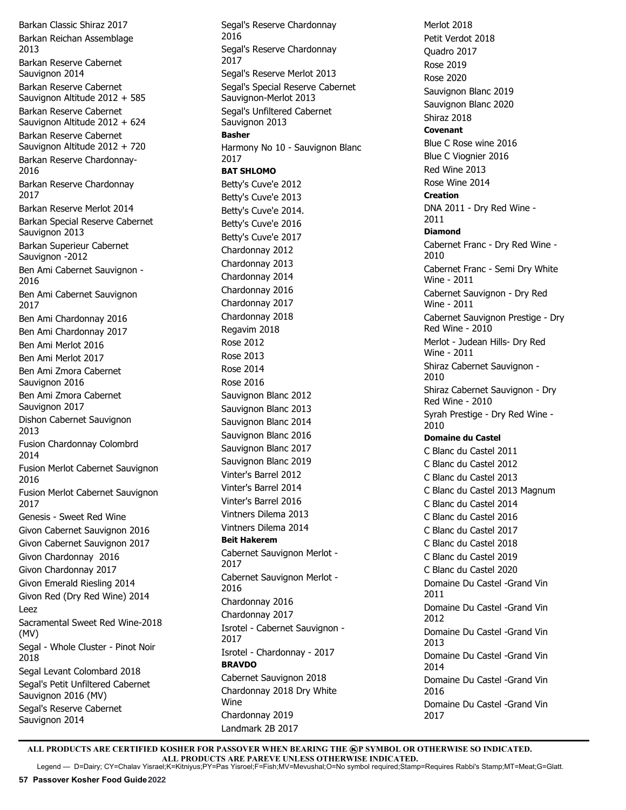Barkan Classic Shiraz 2017 Barkan Reichan Assemblage 2013 Barkan Reserve Cabernet Sauvignon 2014 Barkan Reserve Cabernet Sauvignon Altitude 2012 + 585 Barkan Reserve Cabernet Sauvignon Altitude 2012 + 624 Barkan Reserve Cabernet Sauvignon Altitude 2012 + 720 Barkan Reserve Chardonnay-2016 Barkan Reserve Chardonnay 2017 Barkan Reserve Merlot 2014 Barkan Special Reserve Cabernet Sauvignon 2013 Barkan Superieur Cabernet Sauvignon -2012 Ben Ami Cabernet Sauvignon - 2016 Ben Ami Cabernet Sauvignon 2017 Ben Ami Chardonnay 2016 Ben Ami Chardonnay 2017 Ben Ami Merlot 2016 Ben Ami Merlot 2017 Ben Ami Zmora Cabernet Sauvignon 2016 Ben Ami Zmora Cabernet Sauvignon 2017 Dishon Cabernet Sauvignon 2013 Fusion Chardonnay Colombrd 2014 Fusion Merlot Cabernet Sauvignon 2016 Fusion Merlot Cabernet Sauvignon 2017 Genesis - Sweet Red Wine Givon Cabernet Sauvignon 2016 Givon Cabernet Sauvignon 2017 Givon Chardonnay 2016 Givon Chardonnay 2017 Givon Emerald Riesling 2014 Givon Red (Dry Red Wine) 2014 Leez Sacramental Sweet Red Wine-2018 (MV) Segal - Whole Cluster - Pinot Noir 2018 Segal Levant Colombard 2018 Segal's Petit Unfiltered Cabernet Sauvignon 2016 (MV) Segal's Reserve Cabernet Sauvignon 2014

Segal's Reserve Chardonnay 2016 Segal's Reserve Chardonnay 2017 Segal's Reserve Merlot 2013 Segal's Special Reserve Cabernet Sauvignon-Merlot 2013 Segal's Unfiltered Cabernet Sauvignon 2013 **Basher** Harmony No 10 - Sauvignon Blanc 2017 **BAT SHLOMO** Betty's Cuve'e 2012 Betty's Cuve'e 2013 Betty's Cuve'e 2014. Betty's Cuve'e 2016 Betty's Cuve'e 2017 Chardonnay 2012 Chardonnay 2013 Chardonnay 2014 Chardonnay 2016 Chardonnay 2017 Chardonnay 2018 Regavim 2018 Rose 2012 Rose 2013 Rose 2014 Rose 2016 Sauvignon Blanc 2012 Sauvignon Blanc 2013 Sauvignon Blanc 2014 Sauvignon Blanc 2016 Sauvignon Blanc 2017 Sauvignon Blanc 2019 Vinter's Barrel 2012 Vinter's Barrel 2014 Vinter's Barrel 2016 Vintners Dilema 2013 Vintners Dilema 2014 **Beit Hakerem** Cabernet Sauvignon Merlot - 2017 Cabernet Sauvignon Merlot - 2016 Chardonnay 2016 Chardonnay 2017 Isrotel - Cabernet Sauvignon - 2017 Isrotel - Chardonnay - 2017 **BRAVDO** Cabernet Sauvignon 2018 Chardonnay 2018 Dry White Wine Chardonnay 2019 Landmark 2B 2017

Merlot 2018 Petit Verdot 2018 Quadro 2017 Rose 2019 Rose 2020 Sauvignon Blanc 2019 Sauvignon Blanc 2020 Shiraz 2018 **Covenant** Blue C Rose wine 2016 Blue C Viognier 2016 Red Wine 2013 Rose Wine 2014 **Creation** DNA 2011 - Dry Red Wine - 2011 **Diamond** Cabernet Franc - Dry Red Wine - 2010 Cabernet Franc - Semi Dry White Wine - 2011 Cabernet Sauvignon - Dry Red Wine - 2011 Cabernet Sauvignon Prestige - Dry Red Wine - 2010 Merlot - Judean Hills- Dry Red Wine - 2011 Shiraz Cabernet Sauvignon - 2010 Shiraz Cabernet Sauvignon - Dry Red Wine - 2010 Syrah Prestige - Dry Red Wine - 2010 **Domaine du Castel** C Blanc du Castel 2011 C Blanc du Castel 2012 C Blanc du Castel 2013 C Blanc du Castel 2013 Magnum C Blanc du Castel 2014 C Blanc du Castel 2016 C Blanc du Castel 2017 C Blanc du Castel 2018 C Blanc du Castel 2019 C Blanc du Castel 2020 Domaine Du Castel -Grand Vin 2011 Domaine Du Castel -Grand Vin 2012 Domaine Du Castel -Grand Vin 2013 Domaine Du Castel -Grand Vin 2014 Domaine Du Castel -Grand Vin 2016 Domaine Du Castel -Grand Vin 2017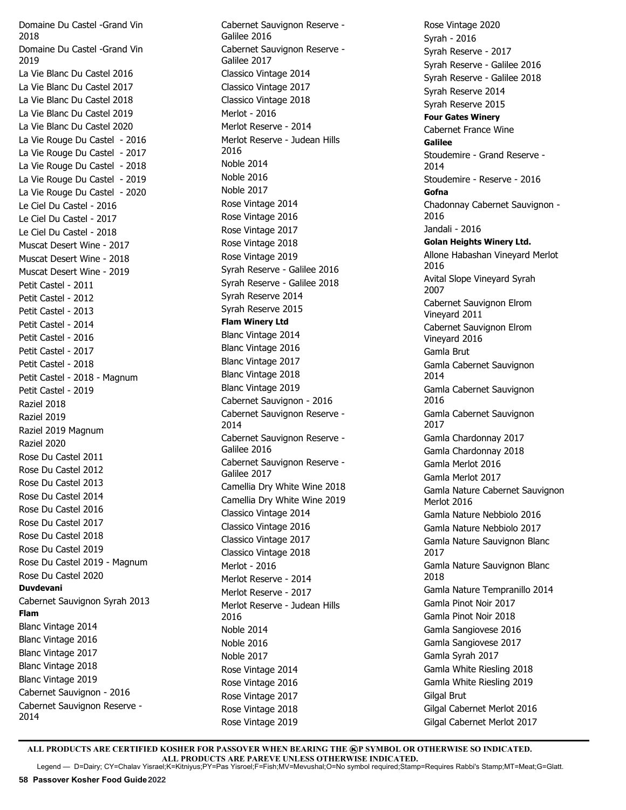Domaine Du Castel -Grand Vin 2018 Domaine Du Castel -Grand Vin 2019 La Vie Blanc Du Castel 2016 La Vie Blanc Du Castel 2017 La Vie Blanc Du Castel 2018 La Vie Blanc Du Castel 2019 La Vie Blanc Du Castel 2020 La Vie Rouge Du Castel - 2016 La Vie Rouge Du Castel - 2017 La Vie Rouge Du Castel - 2018 La Vie Rouge Du Castel - 2019 La Vie Rouge Du Castel - 2020 Le Ciel Du Castel - 2016 Le Ciel Du Castel - 2017 Le Ciel Du Castel - 2018 Muscat Desert Wine - 2017 Muscat Desert Wine - 2018 Muscat Desert Wine - 2019 Petit Castel - 2011 Petit Castel - 2012 Petit Castel - 2013 Petit Castel - 2014 Petit Castel - 2016 Petit Castel - 2017 Petit Castel - 2018 Petit Castel - 2018 - Magnum Petit Castel - 2019 Raziel 2018 Raziel 2019 Raziel 2019 Magnum Raziel 2020 Rose Du Castel 2011 Rose Du Castel 2012 Rose Du Castel 2013 Rose Du Castel 2014 Rose Du Castel 2016 Rose Du Castel 2017 Rose Du Castel 2018 Rose Du Castel 2019 Rose Du Castel 2019 - Magnum Rose Du Castel 2020 **Duvdevani** Cabernet Sauvignon Syrah 2013 **Flam** Blanc Vintage 2014 Blanc Vintage 2016 Blanc Vintage 2017 Blanc Vintage 2018 Blanc Vintage 2019 Cabernet Sauvignon - 2016 Cabernet Sauvignon Reserve - 2014

Cabernet Sauvignon Reserve - Galilee 2016 Cabernet Sauvignon Reserve - Galilee 2017 Classico Vintage 2014 Classico Vintage 2017 Classico Vintage 2018 Merlot - 2016 Merlot Reserve - 2014 Merlot Reserve - Judean Hills 2016 Noble 2014 Noble 2016 Noble 2017 Rose Vintage 2014 Rose Vintage 2016 Rose Vintage 2017 Rose Vintage 2018 Rose Vintage 2019 Syrah Reserve - Galilee 2016 Syrah Reserve - Galilee 2018 Syrah Reserve 2014 Syrah Reserve 2015 **Flam Winery Ltd** Blanc Vintage 2014 Blanc Vintage 2016 Blanc Vintage 2017 Blanc Vintage 2018 Blanc Vintage 2019 Cabernet Sauvignon - 2016 Cabernet Sauvignon Reserve - 2014 Cabernet Sauvignon Reserve - Galilee 2016 Cabernet Sauvignon Reserve - Galilee 2017 Camellia Dry White Wine 2018 Camellia Dry White Wine 2019 Classico Vintage 2014 Classico Vintage 2016 Classico Vintage 2017 Classico Vintage 2018 Merlot - 2016 Merlot Reserve - 2014 Merlot Reserve - 2017 Merlot Reserve - Judean Hills 2016 Noble 2014 Noble 2016 Noble 2017 Rose Vintage 2014 Rose Vintage 2016 Rose Vintage 2017 Rose Vintage 2018 Rose Vintage 2019

Rose Vintage 2020 Syrah - 2016 Syrah Reserve - 2017 Syrah Reserve - Galilee 2016 Syrah Reserve - Galilee 2018 Syrah Reserve 2014 Syrah Reserve 2015 **Four Gates Winery**  Cabernet France Wine **Galilee** Stoudemire - Grand Reserve - 2014 Stoudemire - Reserve - 2016 **Gofna** Chadonnay Cabernet Sauvignon - 2016 Jandali - 2016 **Golan Heights Winery Ltd.**  Allone Habashan Vineyard Merlot 2016 Avital Slope Vineyard Syrah 2007 Cabernet Sauvignon Elrom Vineyard 2011 Cabernet Sauvignon Elrom Vineyard 2016 Gamla Brut Gamla Cabernet Sauvignon 2014 Gamla Cabernet Sauvignon 2016 Gamla Cabernet Sauvignon 2017 Gamla Chardonnay 2017 Gamla Chardonnay 2018 Gamla Merlot 2016 Gamla Merlot 2017 Gamla Nature Cabernet Sauvignon Merlot 2016 Gamla Nature Nebbiolo 2016 Gamla Nature Nebbiolo 2017 Gamla Nature Sauvignon Blanc 2017 Gamla Nature Sauvignon Blanc 2018 Gamla Nature Tempranillo 2014 Gamla Pinot Noir 2017 Gamla Pinot Noir 2018 Gamla Sangiovese 2016 Gamla Sangiovese 2017 Gamla Syrah 2017 Gamla White Riesling 2018 Gamla White Riesling 2019 Gilgal Brut Gilgal Cabernet Merlot 2016 Gilgal Cabernet Merlot 2017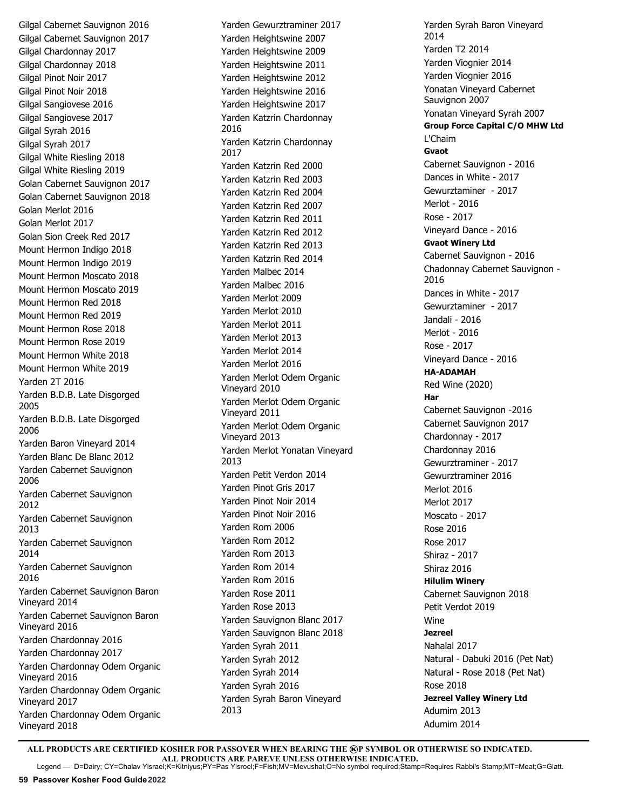Gilgal Cabernet Sauvignon 2016 Gilgal Cabernet Sauvignon 2017 Gilgal Chardonnay 2017 Gilgal Chardonnay 2018 Gilgal Pinot Noir 2017 Gilgal Pinot Noir 2018 Gilgal Sangiovese 2016 Gilgal Sangiovese 2017 Gilgal Syrah 2016 Gilgal Syrah 2017 Gilgal White Riesling 2018 Gilgal White Riesling 2019 Golan Cabernet Sauvignon 2017 Golan Cabernet Sauvignon 2018 Golan Merlot 2016 Golan Merlot 2017 Golan Sion Creek Red 2017 Mount Hermon Indigo 2018 Mount Hermon Indigo 2019 Mount Hermon Moscato 2018 Mount Hermon Moscato 2019 Mount Hermon Red 2018 Mount Hermon Red 2019 Mount Hermon Rose 2018 Mount Hermon Rose 2019 Mount Hermon White 2018 Mount Hermon White 2019 Yarden 2T 2016 Yarden B.D.B. Late Disgorged 2005 Yarden B.D.B. Late Disgorged 2006 Yarden Baron Vineyard 2014 Yarden Blanc De Blanc 2012 Yarden Cabernet Sauvignon 2006 Yarden Cabernet Sauvignon 2012 Yarden Cabernet Sauvignon 2013 Yarden Cabernet Sauvignon 2014 Yarden Cabernet Sauvignon 2016 Yarden Cabernet Sauvignon Baron Vineyard 2014 Yarden Cabernet Sauvignon Baron Vineyard 2016 Yarden Chardonnay 2016 Yarden Chardonnay 2017 Yarden Chardonnay Odem Organic Vineyard 2016 Yarden Chardonnay Odem Organic Vineyard 2017 Yarden Chardonnay Odem Organic Vineyard 2018

Yarden Gewurztraminer 2017 Yarden Heightswine 2007 Yarden Heightswine 2009 Yarden Heightswine 2011 Yarden Heightswine 2012 Yarden Heightswine 2016 Yarden Heightswine 2017 Yarden Katzrin Chardonnay 2016 Yarden Katzrin Chardonnay 2017 Yarden Katzrin Red 2000 Yarden Katzrin Red 2003 Yarden Katzrin Red 2004 Yarden Katzrin Red 2007 Yarden Katzrin Red 2011 Yarden Katzrin Red 2012 Yarden Katzrin Red 2013 Yarden Katzrin Red 2014 Yarden Malbec 2014 Yarden Malbec 2016 Yarden Merlot 2009 Yarden Merlot 2010 Yarden Merlot 2011 Yarden Merlot 2013 Yarden Merlot 2014 Yarden Merlot 2016 Yarden Merlot Odem Organic Vineyard 2010 Yarden Merlot Odem Organic Vineyard 2011 Yarden Merlot Odem Organic Vineyard 2013 Yarden Merlot Yonatan Vineyard 2013 Yarden Petit Verdon 2014 Yarden Pinot Gris 2017 Yarden Pinot Noir 2014 Yarden Pinot Noir 2016 Yarden Rom 2006 Yarden Rom 2012 Yarden Rom 2013 Yarden Rom 2014 Yarden Rom 2016 Yarden Rose 2011 Yarden Rose 2013 Yarden Sauvignon Blanc 2017 Yarden Sauvignon Blanc 2018 Yarden Syrah 2011 Yarden Syrah 2012 Yarden Syrah 2014 Yarden Syrah 2016 Yarden Syrah Baron Vineyard 2013

Yarden Syrah Baron Vineyard 2014 Yarden T2 2014 Yarden Viognier 2014 Yarden Viognier 2016 Yonatan Vineyard Cabernet Sauvignon 2007 Yonatan Vineyard Syrah 2007 **Group Force Capital C/O MHW Ltd** L'Chaim **Gvaot** Cabernet Sauvignon - 2016 Dances in White - 2017 Gewurztaminer - 2017 Merlot - 2016 Rose - 2017 Vineyard Dance - 2016 **Gvaot Winery Ltd** Cabernet Sauvignon - 2016 Chadonnay Cabernet Sauvignon - 2016 Dances in White - 2017 Gewurztaminer - 2017 Jandali - 2016 Merlot - 2016 Rose - 2017 Vineyard Dance - 2016 **HA-ADAMAH** Red Wine (2020) **Har** Cabernet Sauvignon -2016 Cabernet Sauvignon 2017 Chardonnay - 2017 Chardonnay 2016 Gewurztraminer - 2017 Gewurztraminer 2016 Merlot 2016 Merlot 2017 Moscato - 2017 Rose 2016 Rose 2017 Shiraz - 2017 Shiraz 2016 **Hilulim Winery** Cabernet Sauvignon 2018 Petit Verdot 2019 Wine **Jezreel** Nahalal 2017 Natural - Dabuki 2016 (Pet Nat) Natural - Rose 2018 (Pet Nat) Rose 2018 **Jezreel Valley Winery Ltd**  Adumim 2013 Adumim 2014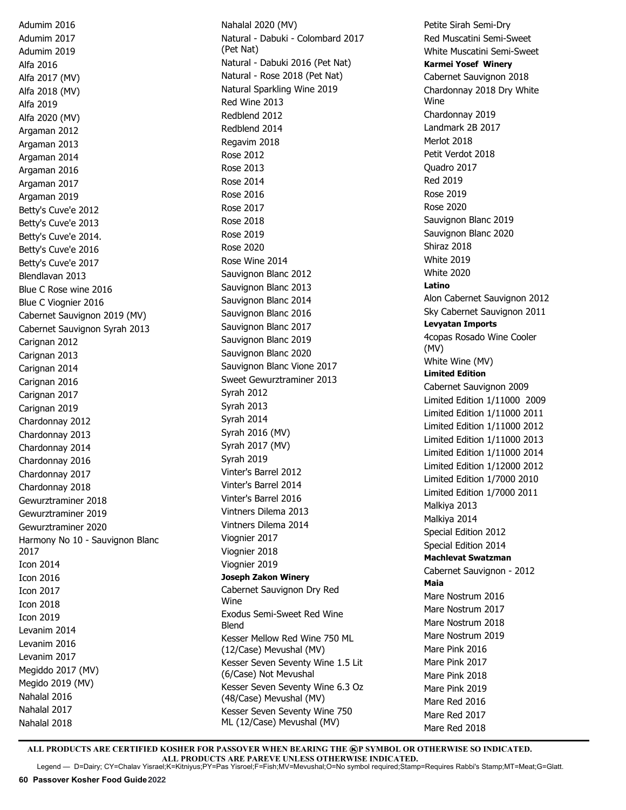Adumim 2016 Adumim 2017 Adumim 2019 Alfa 2016 Alfa 2017 (MV) Alfa 2018 (MV) Alfa 2019 Alfa 2020 (MV) Argaman 2012 Argaman 2013 Argaman 2014 Argaman 2016 Argaman 2017 Argaman 2019 Betty's Cuve'e 2012 Betty's Cuve'e 2013 Betty's Cuve'e 2014. Betty's Cuve'e 2016 Betty's Cuve'e 2017 Blendlavan 2013 Blue C Rose wine 2016 Blue C Viognier 2016 Cabernet Sauvignon 2019 (MV) Cabernet Sauvignon Syrah 2013 Carignan 2012 Carignan 2013 Carignan 2014 Carignan 2016 Carignan 2017 Carignan 2019 Chardonnay 2012 Chardonnay 2013 Chardonnay 2014 Chardonnay 2016 Chardonnay 2017 Chardonnay 2018 Gewurztraminer 2018 Gewurztraminer 2019 Gewurztraminer 2020 Harmony No 10 - Sauvignon Blanc 2017 Icon 2014 Icon 2016 Icon 2017 Icon 2018 Icon 2019 Levanim 2014 Levanim 2016 Levanim 2017 Megiddo 2017 (MV) Megido 2019 (MV) Nahalal 2016 Nahalal 2017 Nahalal 2018

Nahalal 2020 (MV) Natural - Dabuki - Colombard 2017 (Pet Nat) Natural - Dabuki 2016 (Pet Nat) Natural - Rose 2018 (Pet Nat) Natural Sparkling Wine 2019 Red Wine 2013 Redblend 2012 Redblend 2014 Regavim 2018 Rose 2012 Rose 2013 Rose 2014 Rose 2016 Rose 2017 Rose 2018 Rose 2019 Rose 2020 Rose Wine 2014 Sauvignon Blanc 2012 Sauvignon Blanc 2013 Sauvignon Blanc 2014 Sauvignon Blanc 2016 Sauvignon Blanc 2017 Sauvignon Blanc 2019 Sauvignon Blanc 2020 Sauvignon Blanc Vione 2017 Sweet Gewurztraminer 2013 Syrah 2012 Syrah 2013 Syrah 2014 Syrah 2016 (MV) Syrah 2017 (MV) Syrah 2019 Vinter's Barrel 2012 Vinter's Barrel 2014 Vinter's Barrel 2016 Vintners Dilema 2013 Vintners Dilema 2014 Viognier 2017 Viognier 2018 Viognier 2019 **Joseph Zakon Winery**  Cabernet Sauvignon Dry Red Wine Exodus Semi-Sweet Red Wine Blend Kesser Mellow Red Wine 750 ML (12/Case) Mevushal (MV) Kesser Seven Seventy Wine 1.5 Lit (6/Case) Not Mevushal Kesser Seven Seventy Wine 6.3 Oz (48/Case) Mevushal (MV) Kesser Seven Seventy Wine 750 ML (12/Case) Mevushal (MV)

Petite Sirah Semi-Dry Red Muscatini Semi-Sweet White Muscatini Semi-Sweet **Karmei Yosef Winery**  Cabernet Sauvignon 2018 Chardonnay 2018 Dry White Wine Chardonnay 2019 Landmark 2B 2017 Merlot 2018 Petit Verdot 2018 Quadro 2017 Red 2019 Rose 2019 Rose 2020 Sauvignon Blanc 2019 Sauvignon Blanc 2020 Shiraz 2018 White 2019 White 2020 **Latino** Alon Cabernet Sauvignon 2012 Sky Cabernet Sauvignon 2011 **Levyatan Imports** 4copas Rosado Wine Cooler (MV) White Wine (MV) **Limited Edition** Cabernet Sauvignon 2009 Limited Edition 1/11000 2009 Limited Edition 1/11000 2011 Limited Edition 1/11000 2012 Limited Edition 1/11000 2013 Limited Edition 1/11000 2014 Limited Edition 1/12000 2012 Limited Edition 1/7000 2010 Limited Edition 1/7000 2011 Malkiya 2013 Malkiya 2014 Special Edition 2012 Special Edition 2014 **Machlevat Swatzman** Cabernet Sauvignon - 2012 **Maia** Mare Nostrum 2016 Mare Nostrum 2017 Mare Nostrum 2018 Mare Nostrum 2019 Mare Pink 2016 Mare Pink 2017 Mare Pink 2018 Mare Pink 2019 Mare Red 2016 Mare Red 2017 Mare Red 2018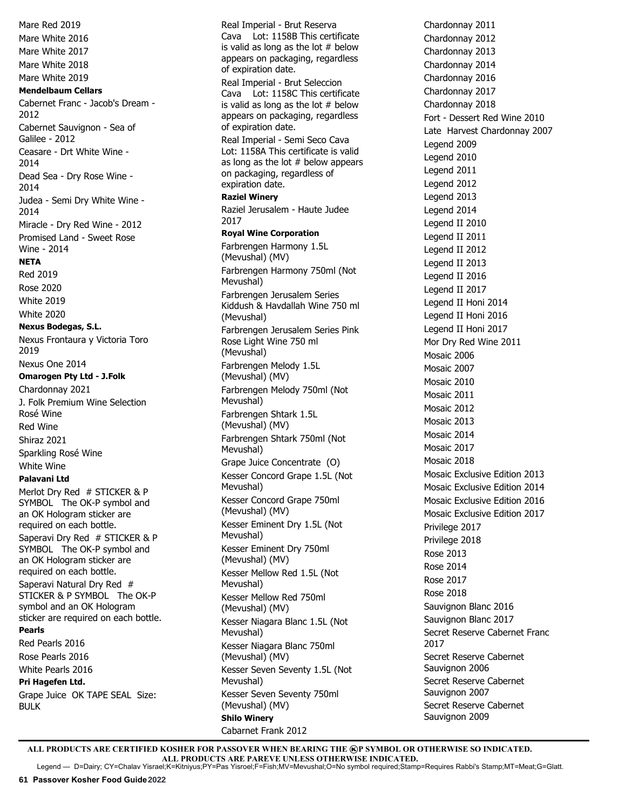Mare Red 2019 Mare White 2016 Mare White 2017 Mare White 2018 Mare White 2019 **Mendelbaum Cellars** Cabernet Franc - Jacob's Dream - 2012 Cabernet Sauvignon - Sea of Galilee - 2012 Ceasare - Drt White Wine - 2014 Dead Sea - Dry Rose Wine - 2014 Judea - Semi Dry White Wine - 2014 Miracle - Dry Red Wine - 2012 Promised Land - Sweet Rose Wine - 2014 **NETA** Red 2019 Rose 2020 White 2019 White 2020 **Nexus Bodegas, S.L.** Nexus Frontaura y Victoria Toro 2019 Nexus One 2014 **Omarogen Pty Ltd - J.Folk** Chardonnay 2021 J. Folk Premium Wine Selection Rosé Wine Red Wine Shiraz 2021 Sparkling Rosé Wine White Wine **Palavani Ltd** Merlot Dry Red # STICKER & P SYMBOL The OK-P symbol and an OK Hologram sticker are required on each bottle. Saperavi Dry Red # STICKER & P SYMBOL The OK-P symbol and an OK Hologram sticker are required on each bottle. Saperavi Natural Dry Red # STICKER & P SYMBOL The OK-P symbol and an OK Hologram sticker are required on each bottle. **Pearls** Red Pearls 2016 Rose Pearls 2016 White Pearls 2016 **Pri Hagefen Ltd.**  Grape Juice OK TAPE SEAL Size: BULK

Real Imperial - Brut Reserva Cava Lot: 1158B This certificate is valid as long as the lot  $#$  below appears on packaging, regardless of expiration date. Real Imperial - Brut Seleccion Cava Lot: 1158C This certificate is valid as long as the lot  $#$  below appears on packaging, regardless of expiration date. Real Imperial - Semi Seco Cava Lot: 1158A This certificate is valid as long as the lot  $#$  below appears on packaging, regardless of expiration date. **Raziel Winery** Raziel Jerusalem - Haute Judee 2017 **Royal Wine Corporation**  Farbrengen Harmony 1.5L (Mevushal) (MV) Farbrengen Harmony 750ml (Not Mevushal) Farbrengen Jerusalem Series Kiddush & Havdallah Wine 750 ml (Mevushal) Farbrengen Jerusalem Series Pink Rose Light Wine 750 ml (Mevushal) Farbrengen Melody 1.5L (Mevushal) (MV) Farbrengen Melody 750ml (Not Mevushal) Farbrengen Shtark 1.5L (Mevushal) (MV) Farbrengen Shtark 750ml (Not Mevushal) Grape Juice Concentrate (O) Kesser Concord Grape 1.5L (Not Mevushal) Kesser Concord Grape 750ml (Mevushal) (MV) Kesser Eminent Dry 1.5L (Not Mevushal) Kesser Eminent Dry 750ml (Mevushal) (MV) Kesser Mellow Red 1.5L (Not Mevushal) Kesser Mellow Red 750ml (Mevushal) (MV) Kesser Niagara Blanc 1.5L (Not Mevushal) Kesser Niagara Blanc 750ml (Mevushal) (MV) Kesser Seven Seventy 1.5L (Not Mevushal) Kesser Seven Seventy 750ml (Mevushal) (MV) **Shilo Winery**  Cabarnet Frank 2012

Chardonnay 2011 Chardonnay 2012 Chardonnay 2013 Chardonnay 2014 Chardonnay 2016 Chardonnay 2017 Chardonnay 2018 Fort - Dessert Red Wine 2010 Late Harvest Chardonnay 2007 Legend 2009 Legend 2010 Legend 2011 Legend 2012 Legend 2013 Legend 2014 Legend II 2010 Legend II 2011 Legend II 2012 Legend II 2013 Legend II 2016 Legend II 2017 Legend II Honi 2014 Legend II Honi 2016 Legend II Honi 2017 Mor Dry Red Wine 2011 Mosaic 2006 Mosaic 2007 Mosaic 2010 Mosaic 2011 Mosaic 2012 Mosaic 2013 Mosaic 2014 Mosaic 2017 Mosaic 2018 Mosaic Exclusive Edition 2013 Mosaic Exclusive Edition 2014 Mosaic Exclusive Edition 2016 Mosaic Exclusive Edition 2017 Privilege 2017 Privilege 2018 Rose 2013 Rose 2014 Rose 2017 Rose 2018 Sauvignon Blanc 2016 Sauvignon Blanc 2017 Secret Reserve Cabernet Franc 2017 Secret Reserve Cabernet Sauvignon 2006 Secret Reserve Cabernet Sauvignon 2007 Secret Reserve Cabernet Sauvignon 2009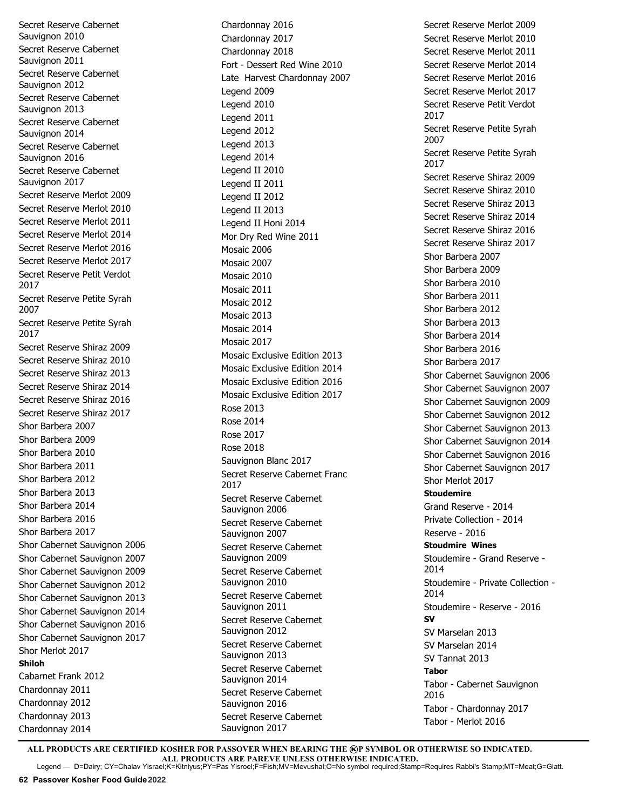Secret Reserve Cabernet Sauvignon 2010 Secret Reserve Cabernet Sauvignon 2011 Secret Reserve Cabernet Sauvignon 2012 Secret Reserve Cabernet Sauvignon 2013 Secret Reserve Cabernet Sauvignon 2014 Secret Reserve Cabernet Sauvignon 2016 Secret Reserve Cabernet Sauvignon 2017 Secret Reserve Merlot 2009 Secret Reserve Merlot 2010 Secret Reserve Merlot 2011 Secret Reserve Merlot 2014 Secret Reserve Merlot 2016 Secret Reserve Merlot 2017 Secret Reserve Petit Verdot 2017 Secret Reserve Petite Syrah 2007 Secret Reserve Petite Syrah 2017 Secret Reserve Shiraz 2009 Secret Reserve Shiraz 2010 Secret Reserve Shiraz 2013 Secret Reserve Shiraz 2014 Secret Reserve Shiraz 2016 Secret Reserve Shiraz 2017 Shor Barbera 2007 Shor Barbera 2009 Shor Barbera 2010 Shor Barbera 2011 Shor Barbera 2012 Shor Barbera 2013 Shor Barbera 2014 Shor Barbera 2016 Shor Barbera 2017 Shor Cabernet Sauvignon 2006 Shor Cabernet Sauvignon 2007 Shor Cabernet Sauvignon 2009 Shor Cabernet Sauvignon 2012 Shor Cabernet Sauvignon 2013 Shor Cabernet Sauvignon 2014 Shor Cabernet Sauvignon 2016 Shor Cabernet Sauvignon 2017 Shor Merlot 2017 **Shiloh** Cabarnet Frank 2012 Chardonnay 2011 Chardonnay 2012 Chardonnay 2013 Chardonnay 2014

Chardonnay 2016 Chardonnay 2017 Chardonnay 2018 Fort - Dessert Red Wine 2010 Late Harvest Chardonnay 2007 Legend 2009 Legend 2010 Legend 2011 Legend 2012 Legend 2013 Legend 2014 Legend II 2010 Legend II 2011 Legend II 2012 Legend II 2013 Legend II Honi 2014 Mor Dry Red Wine 2011 Mosaic 2006 Mosaic 2007 Mosaic 2010 Mosaic 2011 Mosaic 2012 Mosaic 2013 Mosaic 2014 Mosaic 2017 Mosaic Exclusive Edition 2013 Mosaic Exclusive Edition 2014 Mosaic Exclusive Edition 2016 Mosaic Exclusive Edition 2017 Rose 2013 Rose 2014 Rose 2017 Rose 2018 Sauvignon Blanc 2017 Secret Reserve Cabernet Franc 2017 Secret Reserve Cabernet Sauvignon 2006 Secret Reserve Cabernet Sauvignon 2007 Secret Reserve Cabernet Sauvignon 2009 Secret Reserve Cabernet Sauvignon 2010 Secret Reserve Cabernet Sauvignon 2011 Secret Reserve Cabernet Sauvignon 2012 Secret Reserve Cabernet Sauvignon 2013 Secret Reserve Cabernet Sauvignon 2014 Secret Reserve Cabernet Sauvignon 2016 Secret Reserve Cabernet Sauvignon 2017

Secret Reserve Merlot 2009 Secret Reserve Merlot 2010 Secret Reserve Merlot 2011 Secret Reserve Merlot 2014 Secret Reserve Merlot 2016 Secret Reserve Merlot 2017 Secret Reserve Petit Verdot 2017 Secret Reserve Petite Syrah 2007 Secret Reserve Petite Syrah 2017 Secret Reserve Shiraz 2009 Secret Reserve Shiraz 2010 Secret Reserve Shiraz 2013 Secret Reserve Shiraz 2014 Secret Reserve Shiraz 2016 Secret Reserve Shiraz 2017 Shor Barbera 2007 Shor Barbera 2009 Shor Barbera 2010 Shor Barbera 2011 Shor Barbera 2012 Shor Barbera 2013 Shor Barbera 2014 Shor Barbera 2016 Shor Barbera 2017 Shor Cabernet Sauvignon 2006 Shor Cabernet Sauvignon 2007 Shor Cabernet Sauvignon 2009 Shor Cabernet Sauvignon 2012 Shor Cabernet Sauvignon 2013 Shor Cabernet Sauvignon 2014 Shor Cabernet Sauvignon 2016 Shor Cabernet Sauvignon 2017 Shor Merlot 2017 **Stoudemire** Grand Reserve - 2014 Private Collection - 2014 Reserve - 2016 **Stoudmire Wines** Stoudemire - Grand Reserve - 2014 Stoudemire - Private Collection - 2014 Stoudemire - Reserve - 2016 **SV** SV Marselan 2013 SV Marselan 2014 SV Tannat 2013 **Tabor** Tabor - Cabernet Sauvignon 2016 Tabor - Chardonnay 2017 Tabor - Merlot 2016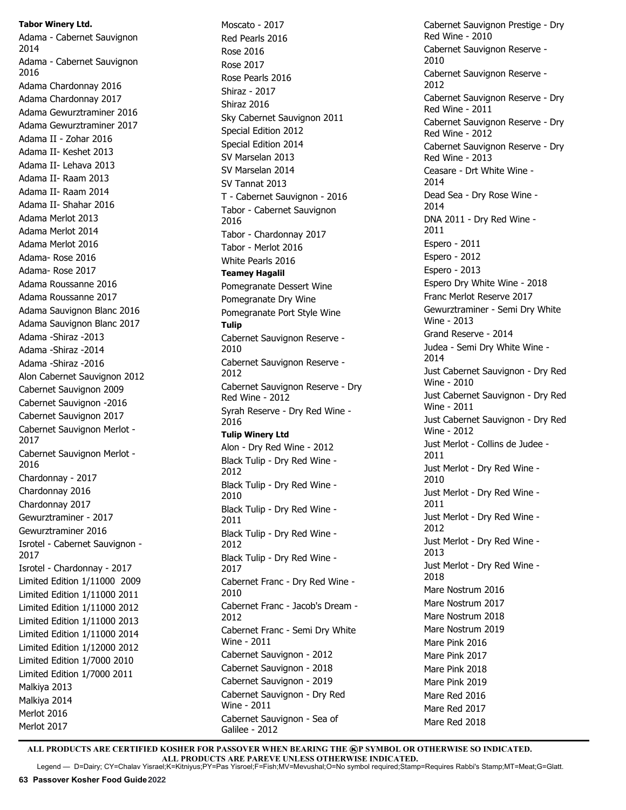**Tabor Winery Ltd.**

Adama - Cabernet Sauvignon 2014 Adama - Cabernet Sauvignon 2016 Adama Chardonnay 2016 Adama Chardonnay 2017 Adama Gewurztraminer 2016 Adama Gewurztraminer 2017 Adama II - Zohar 2016 Adama II- Keshet 2013 Adama II- Lehava 2013 Adama II- Raam 2013 Adama II- Raam 2014 Adama II- Shahar 2016 Adama Merlot 2013 Adama Merlot 2014 Adama Merlot 2016 Adama- Rose 2016 Adama- Rose 2017 Adama Roussanne 2016 Adama Roussanne 2017 Adama Sauvignon Blanc 2016 Adama Sauvignon Blanc 2017 Adama -Shiraz -2013 Adama -Shiraz -2014 Adama -Shiraz -2016 Alon Cabernet Sauvignon 2012 Cabernet Sauvignon 2009 Cabernet Sauvignon -2016 Cabernet Sauvignon 2017 Cabernet Sauvignon Merlot - 2017 Cabernet Sauvignon Merlot - 2016 Chardonnay - 2017 Chardonnay 2016 Chardonnay 2017 Gewurztraminer - 2017 Gewurztraminer 2016 Isrotel - Cabernet Sauvignon - 2017 Isrotel - Chardonnay - 2017 Limited Edition 1/11000 2009 Limited Edition 1/11000 2011 Limited Edition 1/11000 2012 Limited Edition 1/11000 2013 Limited Edition 1/11000 2014 Limited Edition 1/12000 2012 Limited Edition 1/7000 2010 Limited Edition 1/7000 2011 Malkiya 2013 Malkiya 2014 Merlot 2016 Merlot 2017

Moscato - 2017 Red Pearls 2016 Rose 2016 Rose 2017 Rose Pearls 2016 Shiraz - 2017 Shiraz 2016 Sky Cabernet Sauvignon 2011 Special Edition 2012 Special Edition 2014 SV Marselan 2013 SV Marselan 2014 SV Tannat 2013 T - Cabernet Sauvignon - 2016 Tabor - Cabernet Sauvignon 2016 Tabor - Chardonnay 2017 Tabor - Merlot 2016 White Pearls 2016 **Teamey Hagalil** Pomegranate Dessert Wine Pomegranate Dry Wine Pomegranate Port Style Wine **Tulip** Cabernet Sauvignon Reserve - 2010 Cabernet Sauvignon Reserve - 2012 Cabernet Sauvignon Reserve - Dry Red Wine - 2012 Syrah Reserve - Dry Red Wine - 2016 **Tulip Winery Ltd** Alon - Dry Red Wine - 2012 Black Tulip - Dry Red Wine - 2012 Black Tulip - Dry Red Wine - 2010 Black Tulip - Dry Red Wine - 2011 Black Tulip - Dry Red Wine - 2012 Black Tulip - Dry Red Wine - 2017 Cabernet Franc - Dry Red Wine - 2010 Cabernet Franc - Jacob's Dream - 2012 Cabernet Franc - Semi Dry White Wine - 2011 Cabernet Sauvignon - 2012 Cabernet Sauvignon - 2018 Cabernet Sauvignon - 2019 Cabernet Sauvignon - Dry Red Wine - 2011 Cabernet Sauvignon - Sea of Galilee - 2012

Cabernet Sauvignon Prestige - Dry Red Wine - 2010 Cabernet Sauvignon Reserve - 2010 Cabernet Sauvignon Reserve - 2012 Cabernet Sauvignon Reserve - Dry Red Wine - 2011 Cabernet Sauvignon Reserve - Dry Red Wine - 2012 Cabernet Sauvignon Reserve - Dry Red Wine - 2013 Ceasare - Drt White Wine - 2014 Dead Sea - Dry Rose Wine - 2014 DNA 2011 - Dry Red Wine - 2011 Espero - 2011 Espero - 2012 Espero - 2013 Espero Dry White Wine - 2018 Franc Merlot Reserve 2017 Gewurztraminer - Semi Dry White Wine - 2013 Grand Reserve - 2014 Judea - Semi Dry White Wine - 2014 Just Cabernet Sauvignon - Dry Red Wine - 2010 Just Cabernet Sauvignon - Dry Red Wine - 2011 Just Cabernet Sauvignon - Dry Red Wine - 2012 Just Merlot - Collins de Judee - 2011 Just Merlot - Dry Red Wine - 2010 Just Merlot - Dry Red Wine - 2011 Just Merlot - Dry Red Wine - 2012 Just Merlot - Dry Red Wine - 2013 Just Merlot - Dry Red Wine - 2018 Mare Nostrum 2016 Mare Nostrum 2017 Mare Nostrum 2018 Mare Nostrum 2019 Mare Pink 2016 Mare Pink 2017 Mare Pink 2018 Mare Pink 2019 Mare Red 2016 Mare Red 2017 Mare Red 2018